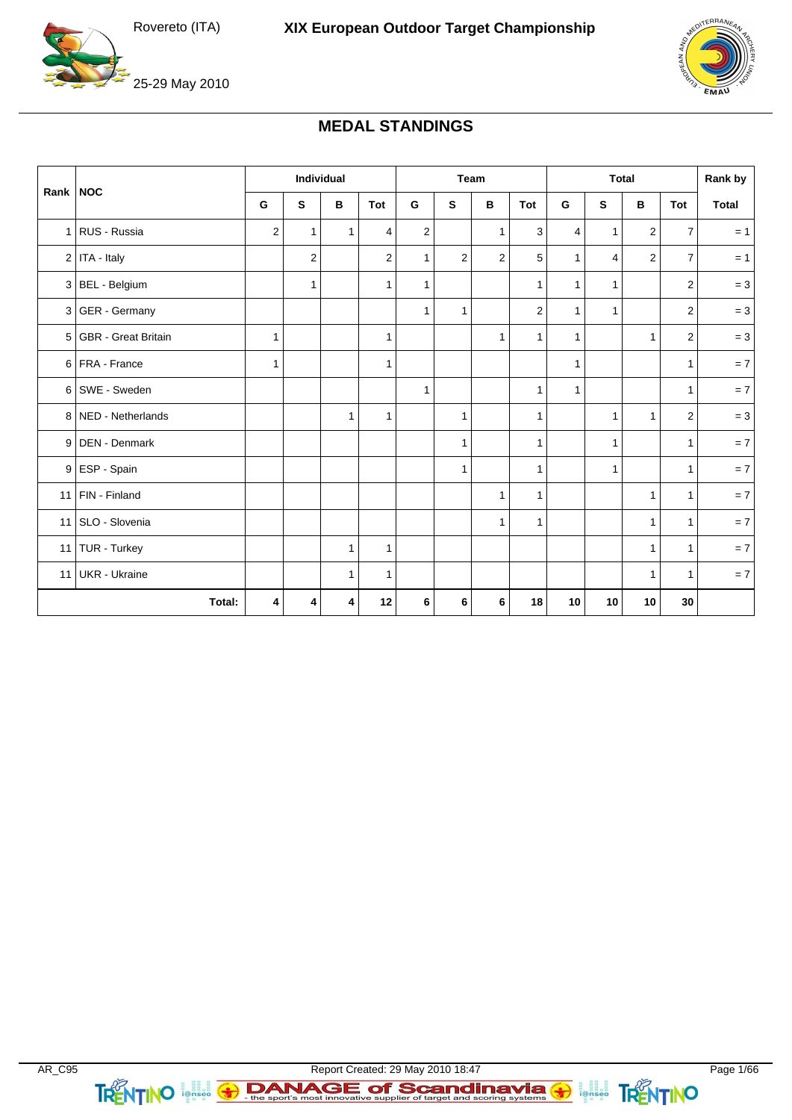

25-29 May 2010



## **MEDAL STANDINGS**

|            |                       | <b>Individual</b> |              | Team         |              |                | <b>Total</b>   |                |                | Rank by      |                |                |                         |              |
|------------|-----------------------|-------------------|--------------|--------------|--------------|----------------|----------------|----------------|----------------|--------------|----------------|----------------|-------------------------|--------------|
| Rank   NOC |                       | G                 | S            | в            | Tot          | G              | S              | B              | Tot            | G            | ${\sf s}$      | B              | Tot                     | <b>Total</b> |
|            | 1 RUS - Russia        | $\overline{2}$    | $\mathbf{1}$ | $\mathbf{1}$ | 4            | $\overline{2}$ |                | $\mathbf{1}$   | 3              | 4            | $\mathbf{1}$   | $\overline{2}$ | $\overline{7}$          | $= 1$        |
|            | $2$ ITA - Italy       |                   | 2            |              | 2            | $\mathbf{1}$   | $\overline{2}$ | $\overline{2}$ | 5              | $\mathbf{1}$ | $\overline{4}$ | $\overline{2}$ | $\overline{7}$          | $= 1$        |
|            | 3 BEL - Belgium       |                   | $\mathbf{1}$ |              | 1            | $\mathbf{1}$   |                |                | $\mathbf{1}$   | $\mathbf{1}$ | $\mathbf{1}$   |                | $\mathbf{2}$            | $= 3$        |
|            | $3 GER - Germany$     |                   |              |              |              | 1              | $\mathbf{1}$   |                | $\overline{2}$ | $\mathbf{1}$ | $\mathbf{1}$   |                | 2                       | $= 3$        |
|            | 5 GBR - Great Britain | 1                 |              |              | $\mathbf{1}$ |                |                | $\mathbf{1}$   | $\mathbf{1}$   | $\mathbf{1}$ |                | $\mathbf{1}$   | $\overline{\mathbf{c}}$ | $= 3$        |
|            | 6 FRA - France        | 1                 |              |              | 1            |                |                |                |                | 1            |                |                | $\mathbf{1}$            | $= 7$        |
| 6          | SWE - Sweden          |                   |              |              |              | 1              |                |                | $\mathbf{1}$   | $\mathbf{1}$ |                |                | $\mathbf{1}$            | $= 7$        |
|            | 8 NED - Netherlands   |                   |              | $\mathbf{1}$ | $\mathbf{1}$ |                | 1              |                | $\mathbf{1}$   |              | $\mathbf{1}$   | $\mathbf{1}$   | $\mathbf{2}$            | $= 3$        |
|            | 9 DEN - Denmark       |                   |              |              |              |                | $\mathbf{1}$   |                | $\mathbf{1}$   |              | $\mathbf{1}$   |                | $\mathbf{1}$            | $= 7$        |
|            | 9 ESP - Spain         |                   |              |              |              |                | 1              |                | $\mathbf{1}$   |              | $\mathbf{1}$   |                | $\mathbf{1}$            | $= 7$        |
|            | 11   $FIN - Finland$  |                   |              |              |              |                |                | $\mathbf{1}$   | $\mathbf{1}$   |              |                | $\mathbf{1}$   | $\mathbf{1}$            | $= 7$        |
| 11         | SLO - Slovenia        |                   |              |              |              |                |                | $\mathbf{1}$   | $\mathbf{1}$   |              |                | $\mathbf{1}$   | $\mathbf{1}$            | $= 7$        |
|            | 11   TUR - Turkey     |                   |              | $\mathbf{1}$ | 1            |                |                |                |                |              |                | $\mathbf{1}$   | $\mathbf{1}$            | $= 7$        |
| 11         | <b>UKR</b> - Ukraine  |                   |              | $\mathbf{1}$ | $\mathbf{1}$ |                |                |                |                |              |                | $\mathbf{1}$   | $\mathbf{1}$            | $= 7$        |
|            | Total:                | 4                 | 4            | 4            | 12           | 6              | 6              | 6              | 18             | 10           | 10             | 10             | 30                      |              |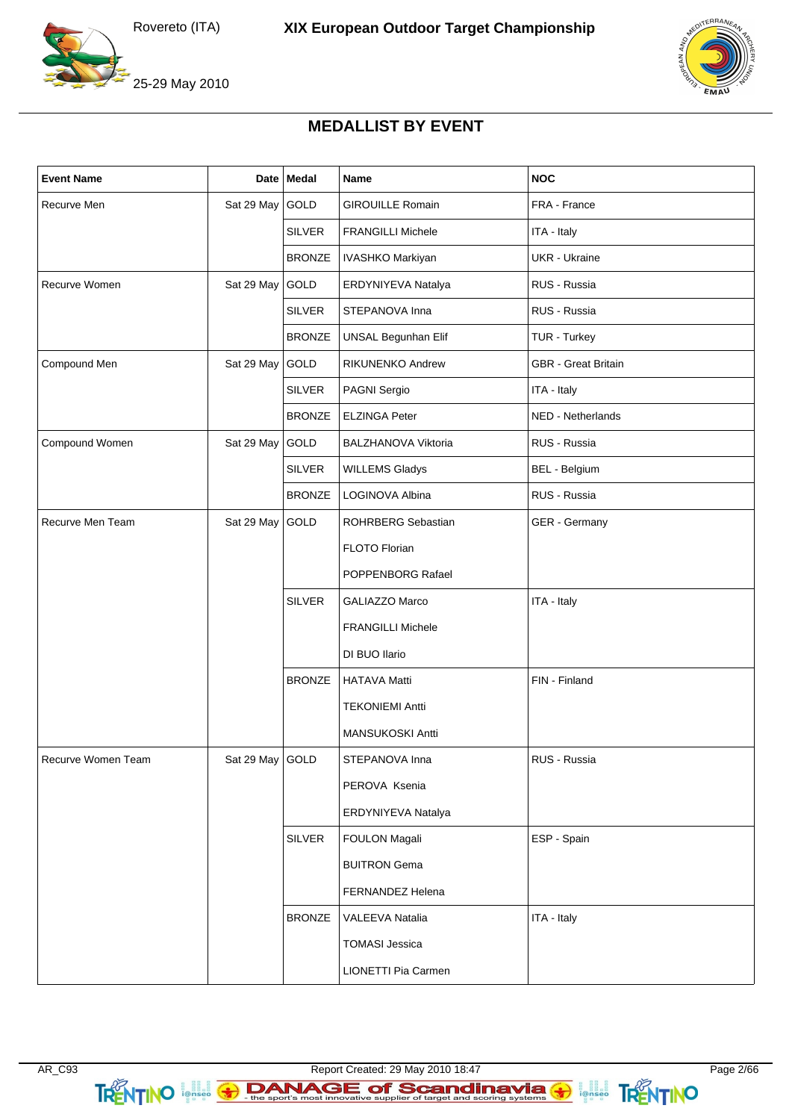

 $FRRA$ 

## **MEDALLIST BY EVENT**

| <b>Event Name</b>  |                 | Date   Medal  | Name                       | <b>NOC</b>                 |
|--------------------|-----------------|---------------|----------------------------|----------------------------|
| Recurve Men        | Sat 29 May      | GOLD          | <b>GIROUILLE Romain</b>    | FRA - France               |
|                    |                 | <b>SILVER</b> | <b>FRANGILLI Michele</b>   | ITA - Italy                |
|                    |                 | <b>BRONZE</b> | IVASHKO Markiyan           | <b>UKR</b> - Ukraine       |
| Recurve Women      | Sat 29 May      | GOLD          | ERDYNIYEVA Natalya         | RUS - Russia               |
|                    |                 | <b>SILVER</b> | STEPANOVA Inna             | RUS - Russia               |
|                    |                 | <b>BRONZE</b> | <b>UNSAL Begunhan Elif</b> | TUR - Turkey               |
| Compound Men       | Sat 29 May      | GOLD          | <b>RIKUNENKO Andrew</b>    | <b>GBR</b> - Great Britain |
|                    |                 | <b>SILVER</b> | PAGNI Sergio               | ITA - Italy                |
|                    |                 | <b>BRONZE</b> | <b>ELZINGA Peter</b>       | NED - Netherlands          |
| Compound Women     | Sat 29 May      | GOLD          | BALZHANOVA Viktoria        | RUS - Russia               |
|                    |                 | <b>SILVER</b> | <b>WILLEMS Gladys</b>      | BEL - Belgium              |
|                    |                 | <b>BRONZE</b> | LOGINOVA Albina            | RUS - Russia               |
| Recurve Men Team   | Sat 29 May      | GOLD          | ROHRBERG Sebastian         | GER - Germany              |
|                    |                 |               | FLOTO Florian              |                            |
|                    |                 |               | POPPENBORG Rafael          |                            |
|                    |                 | <b>SILVER</b> | GALIAZZO Marco             | ITA - Italy                |
|                    |                 |               | <b>FRANGILLI Michele</b>   |                            |
|                    |                 |               | DI BUO Ilario              |                            |
|                    |                 | <b>BRONZE</b> | <b>HATAVA Matti</b>        | FIN - Finland              |
|                    |                 |               | <b>TEKONIEMI Antti</b>     |                            |
|                    |                 |               | MANSUKOSKI Antti           |                            |
| Recurve Women Team | Sat 29 May GOLD |               | STEPANOVA Inna             | RUS - Russia               |
|                    |                 |               | PEROVA Ksenia              |                            |
|                    |                 |               | ERDYNIYEVA Natalya         |                            |
|                    |                 | <b>SILVER</b> | <b>FOULON Magali</b>       | ESP - Spain                |
|                    |                 |               | <b>BUITRON Gema</b>        |                            |
|                    |                 |               | FERNANDEZ Helena           |                            |
|                    |                 | <b>BRONZE</b> | <b>VALEEVA Natalia</b>     | ITA - Italy                |
|                    |                 |               | <b>TOMASI Jessica</b>      |                            |
|                    |                 |               | LIONETTI Pia Carmen        |                            |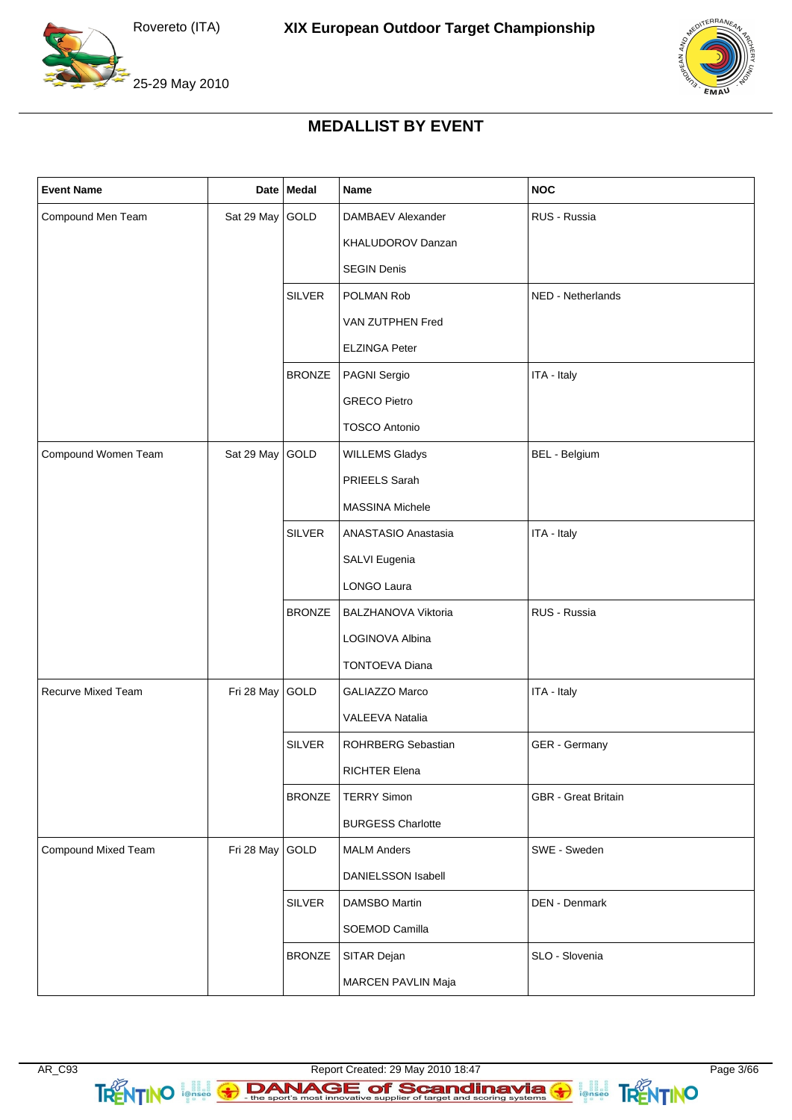



 $FRRA$ 

25-29 May 2010

## **MEDALLIST BY EVENT**

| <b>Event Name</b>   |                 | Date   Medal  | <b>Name</b>              | <b>NOC</b>                 |
|---------------------|-----------------|---------------|--------------------------|----------------------------|
| Compound Men Team   | Sat 29 May      | GOLD          | DAMBAEV Alexander        | RUS - Russia               |
|                     |                 |               | KHALUDOROV Danzan        |                            |
|                     |                 |               | <b>SEGIN Denis</b>       |                            |
|                     |                 | <b>SILVER</b> | POLMAN Rob               | NED - Netherlands          |
|                     |                 |               | VAN ZUTPHEN Fred         |                            |
|                     |                 |               | <b>ELZINGA Peter</b>     |                            |
|                     |                 | <b>BRONZE</b> | PAGNI Sergio             | ITA - Italy                |
|                     |                 |               | <b>GRECO Pietro</b>      |                            |
|                     |                 |               | <b>TOSCO Antonio</b>     |                            |
| Compound Women Team | Sat 29 May GOLD |               | <b>WILLEMS Gladys</b>    | BEL - Belgium              |
|                     |                 |               | PRIEELS Sarah            |                            |
|                     |                 |               | <b>MASSINA Michele</b>   |                            |
|                     |                 | <b>SILVER</b> | ANASTASIO Anastasia      | ITA - Italy                |
|                     |                 |               | SALVI Eugenia            |                            |
|                     |                 |               | LONGO Laura              |                            |
|                     |                 | <b>BRONZE</b> | BALZHANOVA Viktoria      | RUS - Russia               |
|                     |                 |               | LOGINOVA Albina          |                            |
|                     |                 |               | <b>TONTOEVA Diana</b>    |                            |
| Recurve Mixed Team  | Fri 28 May      | GOLD          | GALIAZZO Marco           | ITA - Italy                |
|                     |                 |               | VALEEVA Natalia          |                            |
|                     |                 | <b>SILVER</b> | ROHRBERG Sebastian       | GER - Germany              |
|                     |                 |               | RICHTER Elena            |                            |
|                     |                 | <b>BRONZE</b> | <b>TERRY Simon</b>       | <b>GBR</b> - Great Britain |
|                     |                 |               | <b>BURGESS Charlotte</b> |                            |
| Compound Mixed Team | Fri 28 May      | GOLD          | <b>MALM Anders</b>       | SWE - Sweden               |
|                     |                 |               | DANIELSSON Isabell       |                            |
|                     |                 | <b>SILVER</b> | DAMSBO Martin            | DEN - Denmark              |
|                     |                 |               | SOEMOD Camilla           |                            |
|                     |                 | <b>BRONZE</b> | SITAR Dejan              | SLO - Slovenia             |
|                     |                 |               | MARCEN PAVLIN Maja       |                            |

TRENTINO I ALLE ET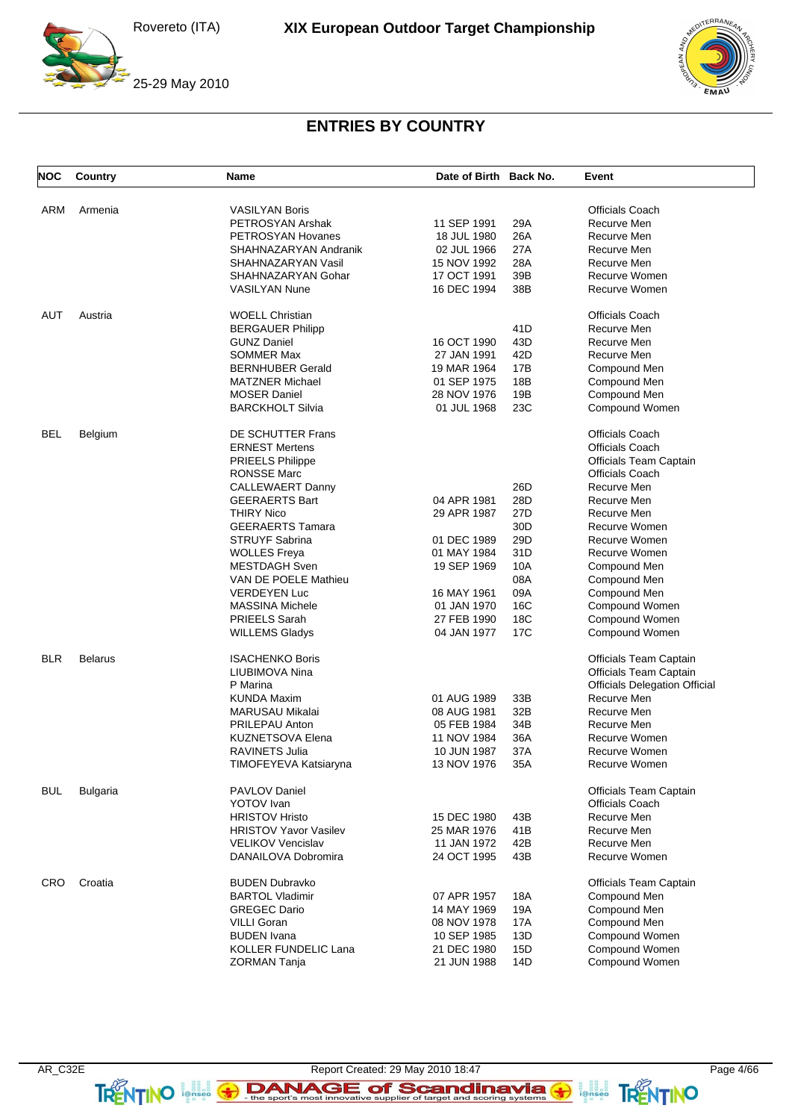



# **ENTRIES BY COUNTRY**

| <b>NOC</b> | Country         | Name                         | Date of Birth Back No. |     | Event                                |
|------------|-----------------|------------------------------|------------------------|-----|--------------------------------------|
| ARM        | Armenia         | <b>VASILYAN Boris</b>        |                        |     | <b>Officials Coach</b>               |
|            |                 | PETROSYAN Arshak             | 11 SEP 1991            | 29A | Recurve Men                          |
|            |                 | PETROSYAN Hovanes            | 18 JUL 1980            | 26A | Recurve Men                          |
|            |                 | SHAHNAZARYAN Andranik        | 02 JUL 1966            | 27A | Recurve Men                          |
|            |                 | SHAHNAZARYAN Vasil           | 15 NOV 1992            | 28A | Recurve Men                          |
|            |                 | SHAHNAZARYAN Gohar           | 17 OCT 1991            | 39B | Recurve Women                        |
|            |                 | <b>VASILYAN Nune</b>         | 16 DEC 1994            | 38B | Recurve Women                        |
| AUT        | Austria         | <b>WOELL Christian</b>       |                        |     | <b>Officials Coach</b>               |
|            |                 | <b>BERGAUER Philipp</b>      |                        | 41D | Recurve Men                          |
|            |                 | <b>GUNZ Daniel</b>           | 16 OCT 1990            | 43D | Recurve Men                          |
|            |                 | <b>SOMMER Max</b>            | 27 JAN 1991            | 42D | Recurve Men                          |
|            |                 | <b>BERNHUBER Gerald</b>      | 19 MAR 1964            | 17B | Compound Men                         |
|            |                 | <b>MATZNER Michael</b>       | 01 SEP 1975            | 18B |                                      |
|            |                 |                              |                        |     | Compound Men                         |
|            |                 | <b>MOSER Daniel</b>          | 28 NOV 1976            | 19B | Compound Men                         |
|            |                 | <b>BARCKHOLT Silvia</b>      | 01 JUL 1968            | 23C | Compound Women                       |
| BEL        | Belgium         | DE SCHUTTER Frans            |                        |     | <b>Officials Coach</b>               |
|            |                 | <b>ERNEST Mertens</b>        |                        |     | Officials Coach                      |
|            |                 | <b>PRIEELS Philippe</b>      |                        |     | Officials Team Captain               |
|            |                 | <b>RONSSE Marc</b>           |                        |     | <b>Officials Coach</b>               |
|            |                 | <b>CALLEWAERT Danny</b>      |                        | 26D | Recurve Men                          |
|            |                 | <b>GEERAERTS Bart</b>        | 04 APR 1981            | 28D | Recurve Men                          |
|            |                 | <b>THIRY Nico</b>            | 29 APR 1987            | 27D | Recurve Men                          |
|            |                 | <b>GEERAERTS Tamara</b>      |                        | 30D | Recurve Women                        |
|            |                 | <b>STRUYF Sabrina</b>        | 01 DEC 1989            | 29D | Recurve Women                        |
|            |                 | <b>WOLLES Freya</b>          | 01 MAY 1984            | 31D | Recurve Women                        |
|            |                 | MESTDAGH Sven                | 19 SEP 1969            | 10A | Compound Men                         |
|            |                 | VAN DE POELE Mathieu         |                        | 08A | Compound Men                         |
|            |                 | <b>VERDEYEN Luc</b>          | 16 MAY 1961            | 09A | Compound Men                         |
|            |                 | MASSINA Michele              | 01 JAN 1970            | 16C | Compound Women                       |
|            |                 | PRIEELS Sarah                | 27 FEB 1990            | 18C | Compound Women                       |
|            |                 | <b>WILLEMS Gladys</b>        | 04 JAN 1977            | 17C | Compound Women                       |
| <b>BLR</b> | <b>Belarus</b>  | <b>ISACHENKO Boris</b>       |                        |     | Officials Team Captain               |
|            |                 | LIUBIMOVA Nina               |                        |     | Officials Team Captain               |
|            |                 | P Marina                     |                        |     | <b>Officials Delegation Official</b> |
|            |                 | <b>KUNDA Maxim</b>           | 01 AUG 1989            | 33B | Recurve Men                          |
|            |                 | <b>MARUSAU Mikalai</b>       | 08 AUG 1981            | 32B | Recurve Men                          |
|            |                 | <b>PRILEPAU Anton</b>        | 05 FEB 1984            | 34B | Recurve Men                          |
|            |                 | <b>KUZNETSOVA Elena</b>      | 11 NOV 1984            | 36A | Recurve Women                        |
|            |                 | <b>RAVINETS Julia</b>        | 10 JUN 1987            | 37A | Recurve Women                        |
|            |                 | TIMOFEYEVA Katsiaryna        | 13 NOV 1976            | 35A | Recurve Women                        |
| <b>BUL</b> | <b>Bulgaria</b> | <b>PAVLOV Daniel</b>         |                        |     | <b>Officials Team Captain</b>        |
|            |                 | YOTOV Ivan                   |                        |     | <b>Officials Coach</b>               |
|            |                 | <b>HRISTOV Hristo</b>        | 15 DEC 1980            | 43B | Recurve Men                          |
|            |                 | <b>HRISTOV Yavor Vasilev</b> | 25 MAR 1976            | 41B | Recurve Men                          |
|            |                 | <b>VELIKOV Vencislav</b>     | 11 JAN 1972            | 42B | Recurve Men                          |
|            |                 | DANAILOVA Dobromira          | 24 OCT 1995            | 43B | Recurve Women                        |
|            |                 |                              |                        |     |                                      |
| CRO        | Croatia         | <b>BUDEN Dubravko</b>        |                        |     | Officials Team Captain               |
|            |                 | <b>BARTOL Vladimir</b>       | 07 APR 1957            | 18A | Compound Men                         |
|            |                 | <b>GREGEC Dario</b>          | 14 MAY 1969            | 19A | Compound Men                         |
|            |                 | <b>VILLI Goran</b>           | 08 NOV 1978            | 17A | Compound Men                         |
|            |                 | <b>BUDEN</b> Ivana           | 10 SEP 1985            | 13D | Compound Women                       |
|            |                 | <b>KOLLER FUNDELIC Lana</b>  | 21 DEC 1980            | 15D | Compound Women                       |
|            |                 | ZORMAN Tanja                 | 21 JUN 1988            | 14D | Compound Women                       |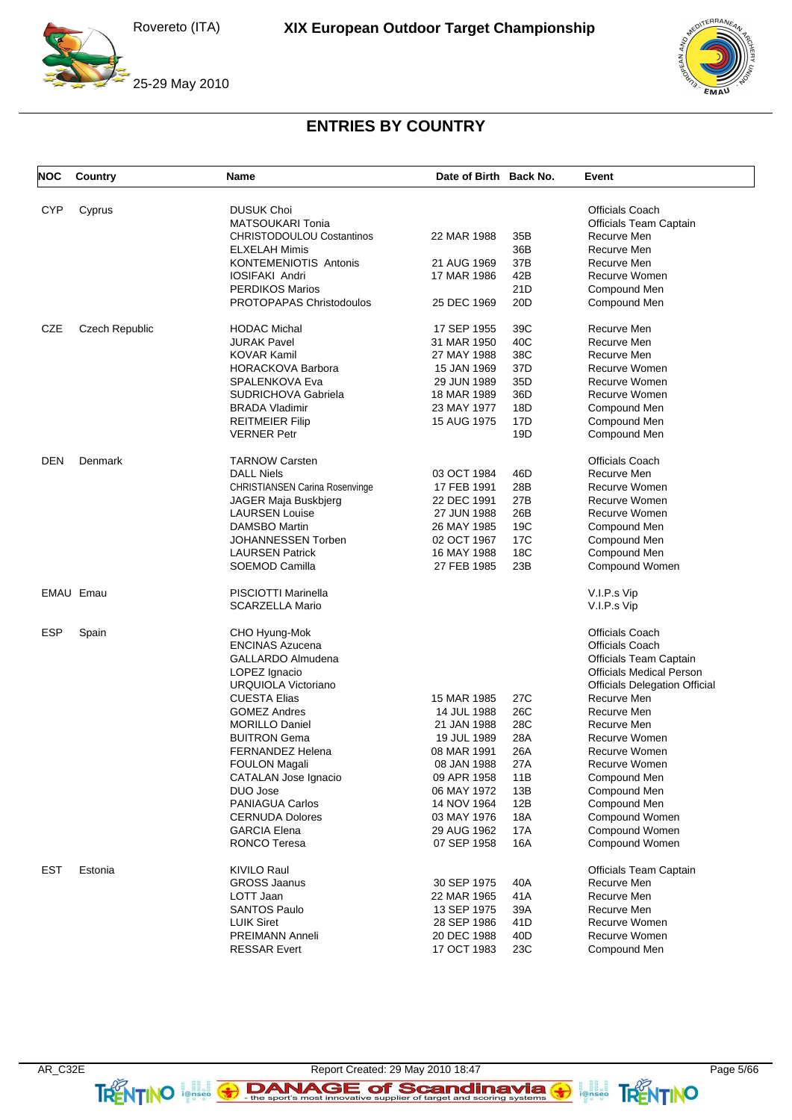

 $F$ BRA

# **ENTRIES BY COUNTRY**

| <b>NOC</b> | Country               | Name                                  | Date of Birth Back No. |                 | Event                                |
|------------|-----------------------|---------------------------------------|------------------------|-----------------|--------------------------------------|
|            |                       |                                       |                        |                 |                                      |
| <b>CYP</b> | Cyprus                | <b>DUSUK Choi</b>                     |                        |                 | <b>Officials Coach</b>               |
|            |                       | <b>MATSOUKARI Tonia</b>               |                        |                 | <b>Officials Team Captain</b>        |
|            |                       | <b>CHRISTODOULOU Costantinos</b>      | 22 MAR 1988            | 35B             | Recurve Men                          |
|            |                       | <b>ELXELAH Mimis</b>                  |                        | 36B             | Recurve Men                          |
|            |                       | <b>KONTEMENIOTIS Antonis</b>          | 21 AUG 1969            | 37B             | Recurve Men                          |
|            |                       | <b>IOSIFAKI Andri</b>                 | 17 MAR 1986            | 42B             | Recurve Women                        |
|            |                       | <b>PERDIKOS Marios</b>                |                        | 21D             | Compound Men                         |
|            |                       | <b>PROTOPAPAS Christodoulos</b>       | 25 DEC 1969            | 20 <sub>D</sub> | Compound Men                         |
| <b>CZE</b> | <b>Czech Republic</b> | <b>HODAC Michal</b>                   | 17 SEP 1955            | 39C             | Recurve Men                          |
|            |                       | <b>JURAK Pavel</b>                    | 31 MAR 1950            | 40C             | Recurve Men                          |
|            |                       | <b>KOVAR Kamil</b>                    | 27 MAY 1988            | 38C             | Recurve Men                          |
|            |                       | <b>HORACKOVA Barbora</b>              | 15 JAN 1969            | 37D             | Recurve Women                        |
|            |                       | SPALENKOVA Eva                        | 29 JUN 1989            | 35D             | Recurve Women                        |
|            |                       | <b>SUDRICHOVA Gabriela</b>            | 18 MAR 1989            | 36D             | Recurve Women                        |
|            |                       | <b>BRADA Vladimir</b>                 | 23 MAY 1977            | 18D             | Compound Men                         |
|            |                       | <b>REITMEIER Filip</b>                | 15 AUG 1975            | 17D             | Compound Men                         |
|            |                       | <b>VERNER Petr</b>                    |                        | 19D             | Compound Men                         |
| <b>DEN</b> | Denmark               | <b>TARNOW Carsten</b>                 |                        |                 | Officials Coach                      |
|            |                       | <b>DALL Niels</b>                     | 03 OCT 1984            | 46D             | Recurve Men                          |
|            |                       |                                       | 17 FEB 1991            | 28B             | Recurve Women                        |
|            |                       | <b>CHRISTIANSEN Carina Rosenvinge</b> |                        | 27B             | Recurve Women                        |
|            |                       | JAGER Maja Buskbjerg                  | 22 DEC 1991            |                 |                                      |
|            |                       | <b>LAURSEN Louise</b>                 | 27 JUN 1988            | 26B             | Recurve Women                        |
|            |                       | <b>DAMSBO Martin</b>                  | 26 MAY 1985            | 19 <sub>C</sub> | Compound Men                         |
|            |                       | JOHANNESSEN Torben                    | 02 OCT 1967            | 17 <sub>C</sub> | Compound Men                         |
|            |                       | <b>LAURSEN Patrick</b>                | 16 MAY 1988            | 18C             | Compound Men                         |
|            |                       | SOEMOD Camilla                        | 27 FEB 1985            | 23B             | Compound Women                       |
|            | EMAU Emau             | PISCIOTTI Marinella                   |                        |                 | V.I.P.s Vip                          |
|            |                       | <b>SCARZELLA Mario</b>                |                        |                 | V.I.P.s Vip                          |
| <b>ESP</b> | Spain                 | CHO Hyung-Mok                         |                        |                 | <b>Officials Coach</b>               |
|            |                       | <b>ENCINAS Azucena</b>                |                        |                 | Officials Coach                      |
|            |                       | GALLARDO Almudena                     |                        |                 | Officials Team Captain               |
|            |                       | LOPEZ Ignacio                         |                        |                 | <b>Officials Medical Person</b>      |
|            |                       | URQUIOLA Victoriano                   |                        |                 | <b>Officials Delegation Official</b> |
|            |                       | <b>CUESTA Elias</b>                   | 15 MAR 1985            | 27C             | Recurve Men                          |
|            |                       | <b>GOMEZ Andres</b>                   | 14 JUL 1988            | 26C             | Recurve Men                          |
|            |                       | <b>MORILLO Daniel</b>                 | 21 JAN 1988            | 28C             | Recurve Men                          |
|            |                       |                                       |                        | 28A             | Recurve Women                        |
|            |                       | <b>BUITRON Gema</b>                   | 19 JUL 1989            |                 |                                      |
|            |                       | <b>FERNANDEZ Helena</b>               | 08 MAR 1991            | 26A             | Recurve Women<br>Recurve Women       |
|            |                       | FOULON Magali                         | 08 JAN 1988            | 27A             |                                      |
|            |                       | <b>CATALAN Jose Ignacio</b>           | 09 APR 1958            | 11B             | Compound Men                         |
|            |                       | DUO Jose                              | 06 MAY 1972            | 13B             | Compound Men                         |
|            |                       | <b>PANIAGUA Carlos</b>                | 14 NOV 1964            | 12B             | Compound Men                         |
|            |                       | <b>CERNUDA Dolores</b>                | 03 MAY 1976            | 18A             | Compound Women                       |
|            |                       | <b>GARCIA Elena</b>                   | 29 AUG 1962            | 17A             | Compound Women                       |
|            |                       | RONCO Teresa                          | 07 SEP 1958            | 16A             | Compound Women                       |
| EST        | Estonia               | <b>KIVILO Raul</b>                    |                        |                 | <b>Officials Team Captain</b>        |
|            |                       | <b>GROSS Jaanus</b>                   | 30 SEP 1975            | 40A             | Recurve Men                          |
|            |                       | LOTT Jaan                             | 22 MAR 1965            | 41A             | Recurve Men                          |
|            |                       | <b>SANTOS Paulo</b>                   | 13 SEP 1975            | 39A             | Recurve Men                          |
|            |                       | <b>LUIK Siret</b>                     | 28 SEP 1986            | 41 D            | Recurve Women                        |
|            |                       | PREIMANN Anneli                       | 20 DEC 1988            | 40 <sub>D</sub> | Recurve Women                        |
|            |                       | <b>RESSAR Evert</b>                   | 17 OCT 1983            | 23C             | Compound Men                         |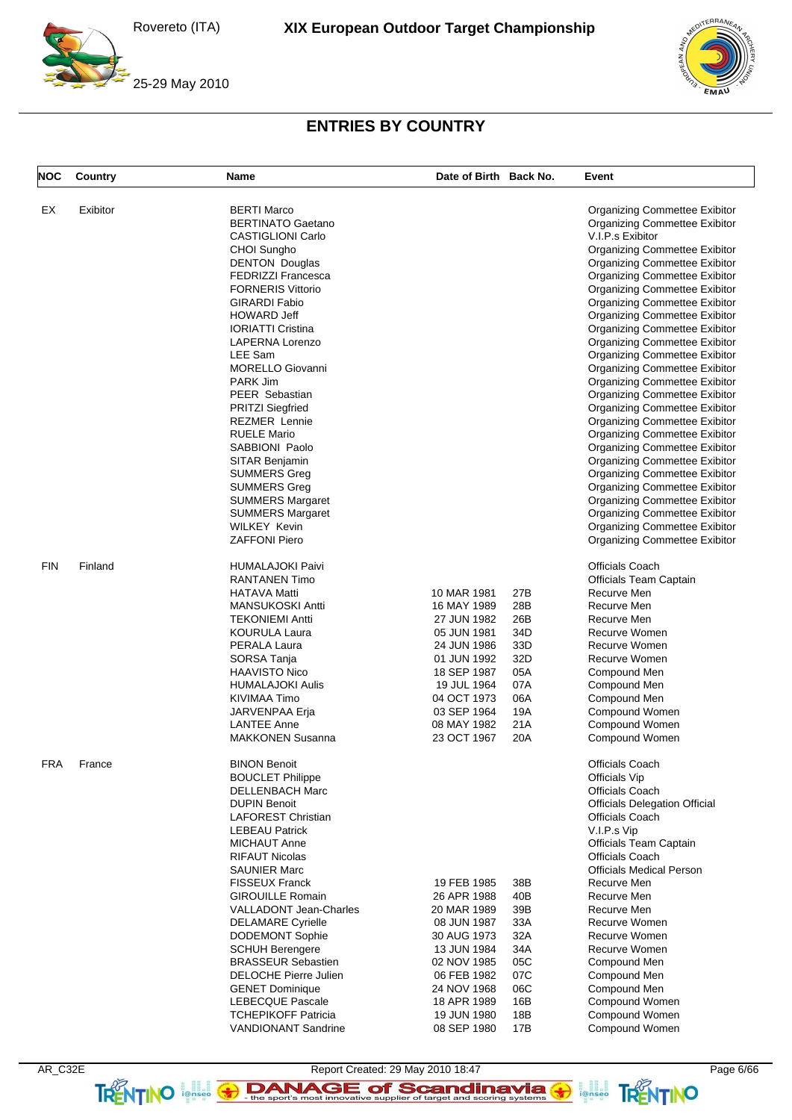



# **ENTRIES BY COUNTRY**

| <b>NOC</b> | Country  | Name                          | Date of Birth Back No. |     | Event                                |
|------------|----------|-------------------------------|------------------------|-----|--------------------------------------|
| EX         | Exibitor | <b>BERTI Marco</b>            |                        |     | Organizing Commettee Exibitor        |
|            |          | <b>BERTINATO Gaetano</b>      |                        |     | <b>Organizing Commettee Exibitor</b> |
|            |          | <b>CASTIGLIONI Carlo</b>      |                        |     | V.I.P.s Exibitor                     |
|            |          | CHOI Sungho                   |                        |     | <b>Organizing Commettee Exibitor</b> |
|            |          | <b>DENTON Douglas</b>         |                        |     | Organizing Commettee Exibitor        |
|            |          | <b>FEDRIZZI Francesca</b>     |                        |     | <b>Organizing Commettee Exibitor</b> |
|            |          | <b>FORNERIS Vittorio</b>      |                        |     | <b>Organizing Commettee Exibitor</b> |
|            |          | <b>GIRARDI Fabio</b>          |                        |     | Organizing Commettee Exibitor        |
|            |          | <b>HOWARD Jeff</b>            |                        |     | <b>Organizing Commettee Exibitor</b> |
|            |          | <b>IORIATTI Cristina</b>      |                        |     |                                      |
|            |          | LAPERNA Lorenzo               |                        |     | <b>Organizing Commettee Exibitor</b> |
|            |          |                               |                        |     | Organizing Commettee Exibitor        |
|            |          | LEE Sam                       |                        |     | <b>Organizing Commettee Exibitor</b> |
|            |          | <b>MORELLO Giovanni</b>       |                        |     | <b>Organizing Commettee Exibitor</b> |
|            |          | PARK Jim                      |                        |     | <b>Organizing Commettee Exibitor</b> |
|            |          | PEER Sebastian                |                        |     | <b>Organizing Commettee Exibitor</b> |
|            |          | <b>PRITZI Siegfried</b>       |                        |     | <b>Organizing Commettee Exibitor</b> |
|            |          | <b>REZMER Lennie</b>          |                        |     | <b>Organizing Commettee Exibitor</b> |
|            |          | <b>RUELE Mario</b>            |                        |     | <b>Organizing Commettee Exibitor</b> |
|            |          | SABBIONI Paolo                |                        |     | <b>Organizing Commettee Exibitor</b> |
|            |          | SITAR Benjamin                |                        |     | <b>Organizing Commettee Exibitor</b> |
|            |          | <b>SUMMERS Greg</b>           |                        |     | <b>Organizing Commettee Exibitor</b> |
|            |          | <b>SUMMERS Greg</b>           |                        |     | <b>Organizing Commettee Exibitor</b> |
|            |          | <b>SUMMERS Margaret</b>       |                        |     | Organizing Commettee Exibitor        |
|            |          | <b>SUMMERS Margaret</b>       |                        |     | <b>Organizing Commettee Exibitor</b> |
|            |          | <b>WILKEY Kevin</b>           |                        |     | <b>Organizing Commettee Exibitor</b> |
|            |          | <b>ZAFFONI Piero</b>          |                        |     | <b>Organizing Commettee Exibitor</b> |
| <b>FIN</b> | Finland  | <b>HUMALAJOKI Paivi</b>       |                        |     | Officials Coach                      |
|            |          | <b>RANTANEN Timo</b>          |                        |     | Officials Team Captain               |
|            |          | <b>HATAVA Matti</b>           | 10 MAR 1981            | 27B | Recurve Men                          |
|            |          | <b>MANSUKOSKI Antti</b>       | 16 MAY 1989            | 28B | Recurve Men                          |
|            |          | <b>TEKONIEMI Antti</b>        | 27 JUN 1982            | 26B | Recurve Men                          |
|            |          | <b>KOURULA Laura</b>          | 05 JUN 1981            | 34D | Recurve Women                        |
|            |          | PERALA Laura                  | 24 JUN 1986            | 33D | Recurve Women                        |
|            |          | SORSA Tanja                   | 01 JUN 1992            | 32D | Recurve Women                        |
|            |          | <b>HAAVISTO Nico</b>          | 18 SEP 1987            | 05A | Compound Men                         |
|            |          | <b>HUMALAJOKI Aulis</b>       | 19 JUL 1964            | 07A | Compound Men                         |
|            |          | KIVIMAA Timo                  | 04 OCT 1973            | 06A | Compound Men                         |
|            |          | JARVENPAA Erja                | 03 SEP 1964            | 19A | Compound Women                       |
|            |          | <b>LANTEE Anne</b>            | 08 MAY 1982            | 21A | Compound Women                       |
|            |          | <b>MAKKONEN Susanna</b>       | 23 OCT 1967            | 20A | Compound Women                       |
| <b>FRA</b> | France   | <b>BINON Benoit</b>           |                        |     | Officials Coach                      |
|            |          |                               |                        |     |                                      |
|            |          | <b>BOUCLET Philippe</b>       |                        |     | Officials Vip                        |
|            |          | DELLENBACH Marc               |                        |     | Officials Coach                      |
|            |          | <b>DUPIN Benoit</b>           |                        |     | <b>Officials Delegation Official</b> |
|            |          | <b>LAFOREST Christian</b>     |                        |     | Officials Coach                      |
|            |          | <b>LEBEAU Patrick</b>         |                        |     | V.I.P.s Vip                          |
|            |          | MICHAUT Anne                  |                        |     | Officials Team Captain               |
|            |          | <b>RIFAUT Nicolas</b>         |                        |     | Officials Coach                      |
|            |          | <b>SAUNIER Marc</b>           |                        |     | <b>Officials Medical Person</b>      |
|            |          | <b>FISSEUX Franck</b>         | 19 FEB 1985            | 38B | Recurve Men                          |
|            |          | <b>GIROUILLE Romain</b>       | 26 APR 1988            | 40B | Recurve Men                          |
|            |          | <b>VALLADONT Jean-Charles</b> | 20 MAR 1989            | 39B | Recurve Men                          |
|            |          | <b>DELAMARE Cyrielle</b>      | 08 JUN 1987            | 33A | Recurve Women                        |
|            |          | <b>DODEMONT Sophie</b>        | 30 AUG 1973            | 32A | Recurve Women                        |
|            |          | <b>SCHUH Berengere</b>        | 13 JUN 1984            | 34A | Recurve Women                        |
|            |          | <b>BRASSEUR Sebastien</b>     | 02 NOV 1985            | 05C | Compound Men                         |
|            |          | DELOCHE Pierre Julien         | 06 FEB 1982            | 07C | Compound Men                         |
|            |          | <b>GENET Dominique</b>        | 24 NOV 1968            | 06C | Compound Men                         |
|            |          | LEBECQUE Pascale              | 18 APR 1989            | 16B | Compound Women                       |
|            |          | <b>TCHEPIKOFF Patricia</b>    | 19 JUN 1980            | 18B | Compound Women                       |
|            |          | <b>VANDIONANT Sandrine</b>    | 08 SEP 1980            | 17B | Compound Women                       |

AR\_C32E Report Created: 29 May 2010 18:47 Page 6/66 TRENTINO **leftisco The sport's most innovative supplier of target and scoring systems <b>TRENTINO**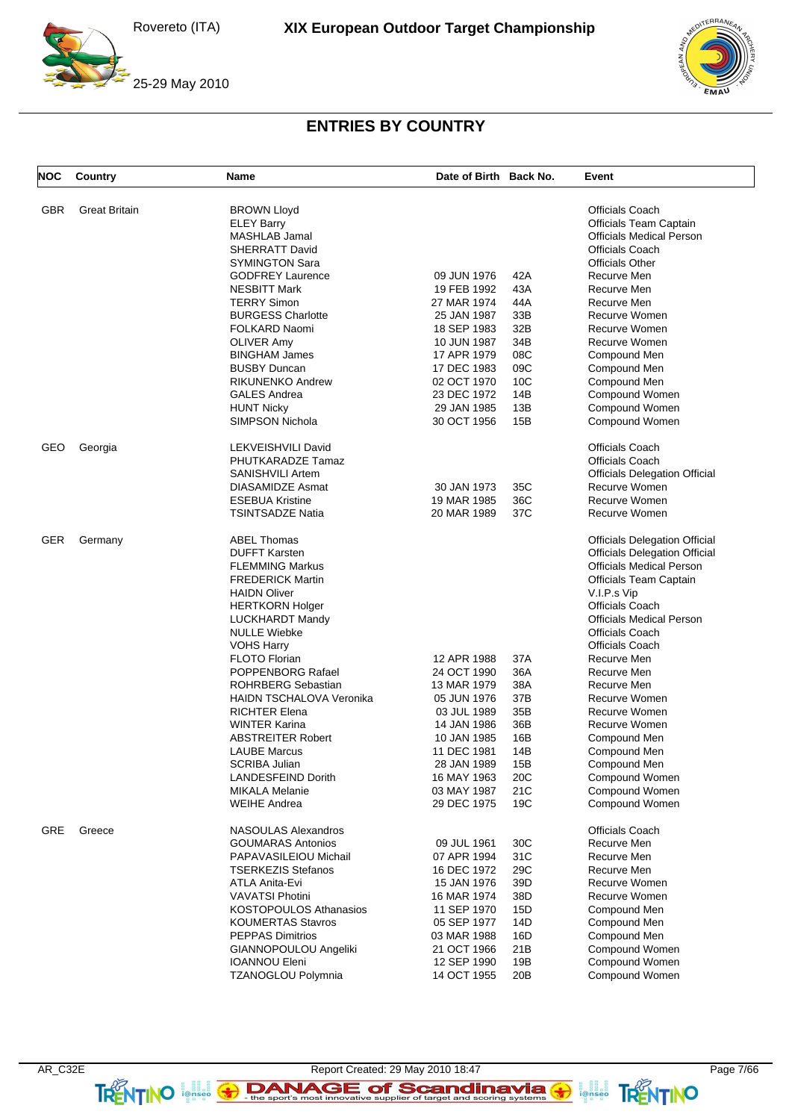

 $F$ BRA

# **ENTRIES BY COUNTRY**

| <b>NOC</b> | Country              | Name                                         | Date of Birth Back No.     |            | Event                                 |
|------------|----------------------|----------------------------------------------|----------------------------|------------|---------------------------------------|
| GBR        | <b>Great Britain</b> | <b>BROWN Lloyd</b>                           |                            |            | <b>Officials Coach</b>                |
|            |                      | <b>ELEY Barry</b>                            |                            |            | Officials Team Captain                |
|            |                      | MASHLAB Jamal                                |                            |            | <b>Officials Medical Person</b>       |
|            |                      | <b>SHERRATT David</b>                        |                            |            | <b>Officials Coach</b>                |
|            |                      | <b>SYMINGTON Sara</b>                        |                            |            | <b>Officials Other</b>                |
|            |                      | <b>GODFREY Laurence</b>                      | 09 JUN 1976                | 42A        | Recurve Men                           |
|            |                      | <b>NESBITT Mark</b>                          | 19 FEB 1992                | 43A        | Recurve Men                           |
|            |                      | <b>TERRY Simon</b>                           | 27 MAR 1974                | 44A        | Recurve Men                           |
|            |                      | <b>BURGESS Charlotte</b>                     | 25 JAN 1987                | 33B        | Recurve Women                         |
|            |                      | FOLKARD Naomi                                | 18 SEP 1983                | 32B        | Recurve Women                         |
|            |                      | OLIVER Amy                                   | 10 JUN 1987                | 34B        | Recurve Women                         |
|            |                      | <b>BINGHAM James</b>                         | 17 APR 1979                | 08C        | Compound Men                          |
|            |                      | <b>BUSBY Duncan</b>                          | 17 DEC 1983                | 09C        | Compound Men                          |
|            |                      | <b>RIKUNENKO Andrew</b>                      | 02 OCT 1970                | 10C        | Compound Men                          |
|            |                      | <b>GALES Andrea</b>                          | 23 DEC 1972                | 14B        | Compound Women                        |
|            |                      | <b>HUNT Nicky</b>                            | 29 JAN 1985                | 13B        | Compound Women                        |
|            |                      | SIMPSON Nichola                              | 30 OCT 1956                | 15B        | Compound Women                        |
| GEO        | Georgia              | LEKVEISHVILI David                           |                            |            | <b>Officials Coach</b>                |
|            |                      | PHUTKARADZE Tamaz                            |                            |            | <b>Officials Coach</b>                |
|            |                      | <b>SANISHVILI Artem</b>                      |                            |            | <b>Officials Delegation Official</b>  |
|            |                      | <b>DIASAMIDZE Asmat</b>                      | 30 JAN 1973                | 35C        | Recurve Women                         |
|            |                      | <b>ESEBUA Kristine</b>                       | 19 MAR 1985                | 36C        | Recurve Women                         |
|            |                      | <b>TSINTSADZE Natia</b>                      | 20 MAR 1989                | 37C        | Recurve Women                         |
| <b>GER</b> | Germany              | <b>ABEL Thomas</b>                           |                            |            | <b>Officials Delegation Official</b>  |
|            |                      | <b>DUFFT Karsten</b>                         |                            |            | <b>Officials Delegation Official</b>  |
|            |                      | <b>FLEMMING Markus</b>                       |                            |            | <b>Officials Medical Person</b>       |
|            |                      | <b>FREDERICK Martin</b>                      |                            |            | Officials Team Captain                |
|            |                      | <b>HAIDN Oliver</b>                          |                            |            | V.I.P.s Vip                           |
|            |                      | <b>HERTKORN Holger</b>                       |                            |            | <b>Officials Coach</b>                |
|            |                      | LUCKHARDT Mandy                              |                            |            | <b>Officials Medical Person</b>       |
|            |                      | <b>NULLE Wiebke</b>                          |                            |            | <b>Officials Coach</b>                |
|            |                      | <b>VOHS Harry</b>                            |                            |            | <b>Officials Coach</b>                |
|            |                      | <b>FLOTO Florian</b>                         | 12 APR 1988                | 37A        | Recurve Men                           |
|            |                      | POPPENBORG Rafael                            | 24 OCT 1990                | 36A        | Recurve Men                           |
|            |                      | <b>ROHRBERG Sebastian</b>                    | 13 MAR 1979                | 38A        | Recurve Men                           |
|            |                      | <b>HAIDN TSCHALOVA Veronika</b>              | 05 JUN 1976                | 37B        | Recurve Women                         |
|            |                      | <b>RICHTER Elena</b>                         | 03 JUL 1989                | 35B        | Recurve Women                         |
|            |                      | <b>WINTER Karina</b>                         | 14 JAN 1986                | 36B        | Recurve Women                         |
|            |                      | <b>ABSTREITER Robert</b>                     | 10 JAN 1985                | 16B        | Compound Men                          |
|            |                      | <b>LAUBE Marcus</b>                          | 11 DEC 1981                | 14B        | Compound Men                          |
|            |                      | <b>SCRIBA Julian</b>                         | 28 JAN 1989                | 15B        | Compound Men                          |
|            |                      | <b>LANDESFEIND Dorith</b>                    | 16 MAY 1963                | 20C        | Compound Women                        |
|            |                      | <b>MIKALA Melanie</b><br><b>WEIHE Andrea</b> | 03 MAY 1987<br>29 DEC 1975 | 21C<br>19C | Compound Women<br>Compound Women      |
| GRE        | Greece               | NASOULAS Alexandros                          |                            |            |                                       |
|            |                      | <b>GOUMARAS Antonios</b>                     | 09 JUL 1961                | 30C        | <b>Officials Coach</b><br>Recurve Men |
|            |                      | PAPAVASILEIOU Michail                        | 07 APR 1994                |            | Recurve Men                           |
|            |                      | <b>TSERKEZIS Stefanos</b>                    | 16 DEC 1972                | 31C<br>29C | Recurve Men                           |
|            |                      | <b>ATLA Anita-Evi</b>                        | 15 JAN 1976                | 39D        | Recurve Women                         |
|            |                      | <b>VAVATSI Photini</b>                       | 16 MAR 1974                | 38D        | Recurve Women                         |
|            |                      | <b>KOSTOPOULOS Athanasios</b>                | 11 SEP 1970                | 15D        | Compound Men                          |
|            |                      | <b>KOUMERTAS Stavros</b>                     |                            | 14D        |                                       |
|            |                      | <b>PEPPAS Dimitrios</b>                      | 05 SEP 1977<br>03 MAR 1988 | 16D        | Compound Men<br>Compound Men          |
|            |                      | GIANNOPOULOU Angeliki                        | 21 OCT 1966                | 21B        | Compound Women                        |
|            |                      | <b>IOANNOU Eleni</b>                         | 12 SEP 1990                | 19B        | Compound Women                        |
|            |                      | TZANOGLOU Polymnia                           | 14 OCT 1955                | 20B        | Compound Women                        |
|            |                      |                                              |                            |            |                                       |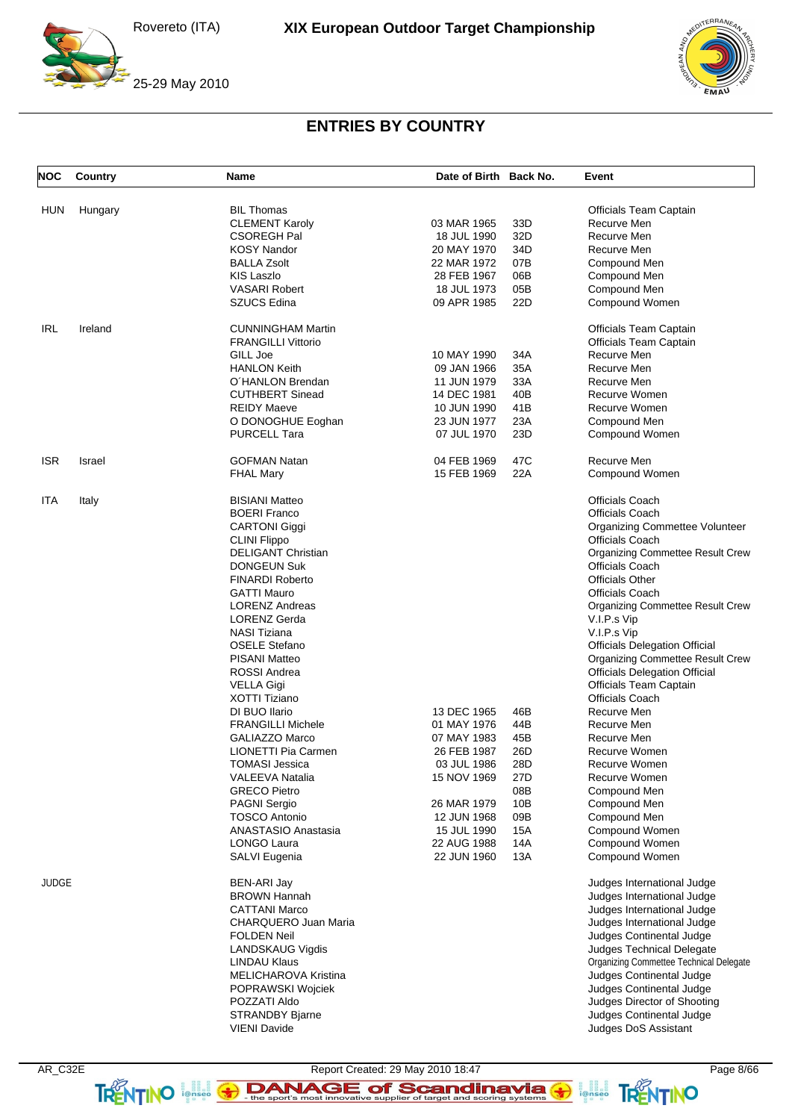

 $FRRA$ 

# **ENTRIES BY COUNTRY**

| <b>NOC</b>   | Country       | Name                         | Date of Birth Back No.     |            | Event                                   |
|--------------|---------------|------------------------------|----------------------------|------------|-----------------------------------------|
| HUN          | Hungary       | <b>BIL Thomas</b>            |                            |            | Officials Team Captain                  |
|              |               | <b>CLEMENT Karoly</b>        | 03 MAR 1965                | 33D        | Recurve Men                             |
|              |               | CSOREGH Pal                  | 18 JUL 1990                | 32D        | Recurve Men                             |
|              |               | <b>KOSY Nandor</b>           | 20 MAY 1970                | 34D        | Recurve Men                             |
|              |               | <b>BALLA Zsolt</b>           | 22 MAR 1972                | 07B        | Compound Men                            |
|              |               | KIS Laszlo                   | 28 FEB 1967                | 06B        | Compound Men                            |
|              |               | <b>VASARI Robert</b>         | 18 JUL 1973                | 05B        | Compound Men                            |
|              |               | <b>SZUCS Edina</b>           | 09 APR 1985                | 22D        | Compound Women                          |
| IRL          | Ireland       | <b>CUNNINGHAM Martin</b>     |                            |            | Officials Team Captain                  |
|              |               | <b>FRANGILLI Vittorio</b>    |                            |            | Officials Team Captain                  |
|              |               | GILL Joe                     | 10 MAY 1990                | 34A        | Recurve Men                             |
|              |               | <b>HANLON Keith</b>          | 09 JAN 1966                | 35A        | Recurve Men                             |
|              |               | O'HANLON Brendan             | 11 JUN 1979                | 33A        | Recurve Men                             |
|              |               | <b>CUTHBERT Sinead</b>       | 14 DEC 1981                | 40B        | Recurve Women                           |
|              |               | <b>REIDY Maeve</b>           | 10 JUN 1990                | 41B        | Recurve Women                           |
|              |               | O DONOGHUE Eoghan            | 23 JUN 1977                | 23A        | Compound Men                            |
|              |               | <b>PURCELL Tara</b>          | 07 JUL 1970                | 23D        | Compound Women                          |
| ISR          | <b>Israel</b> | <b>GOFMAN Natan</b>          | 04 FEB 1969                | 47C        | Recurve Men                             |
|              |               | <b>FHAL Mary</b>             | 15 FEB 1969                | 22A        | Compound Women                          |
| ITA          | Italy         | <b>BISIANI Matteo</b>        |                            |            | <b>Officials Coach</b>                  |
|              |               | <b>BOERI Franco</b>          |                            |            | <b>Officials Coach</b>                  |
|              |               | <b>CARTONI Giggi</b>         |                            |            | Organizing Commettee Volunteer          |
|              |               | <b>CLINI Flippo</b>          |                            |            | <b>Officials Coach</b>                  |
|              |               | <b>DELIGANT Christian</b>    |                            |            | Organizing Commettee Result Crew        |
|              |               | <b>DONGEUN Suk</b>           |                            |            | <b>Officials Coach</b>                  |
|              |               | <b>FINARDI Roberto</b>       |                            |            | <b>Officials Other</b>                  |
|              |               | GATTI Mauro                  |                            |            | <b>Officials Coach</b>                  |
|              |               | <b>LORENZ Andreas</b>        |                            |            | Organizing Commettee Result Crew        |
|              |               | LORENZ Gerda                 |                            |            | V.I.P.s Vip                             |
|              |               | NASI Tiziana                 |                            |            | V.I.P.s Vip                             |
|              |               | <b>OSELE Stefano</b>         |                            |            | <b>Officials Delegation Official</b>    |
|              |               | PISANI Matteo                |                            |            | Organizing Commettee Result Crew        |
|              |               | ROSSI Andrea                 |                            |            | <b>Officials Delegation Official</b>    |
|              |               | <b>VELLA Gigi</b>            |                            |            | Officials Team Captain                  |
|              |               | <b>XOTTI Tiziano</b>         |                            |            | <b>Officials Coach</b>                  |
|              |               | DI BUO Ilario                | 13 DEC 1965                | 46B        | Recurve Men                             |
|              |               | <b>FRANGILLI Michele</b>     | 01 MAY 1976                | 44B        | Recurve Men                             |
|              |               | <b>GALIAZZO Marco</b>        | 07 MAY 1983                | 45B        | Recurve Men                             |
|              |               | LIONETTI Pia Carmen          | 26 FEB 1987                | 26D        | Recurve Women                           |
|              |               | <b>TOMASI Jessica</b>        | 03 JUL 1986                | 28D        | Recurve Women                           |
|              |               | VALEEVA Natalia              | 15 NOV 1969                | 27D        | Recurve Women                           |
|              |               | GRECO Pietro                 |                            | 08B        | Compound Men                            |
|              |               | <b>PAGNI Sergio</b>          | 26 MAR 1979                | 10B        | Compound Men                            |
|              |               | <b>TOSCO Antonio</b>         | 12 JUN 1968                | 09B        | Compound Men                            |
|              |               | ANASTASIO Anastasia          | 15 JUL 1990                | 15A        | Compound Women                          |
|              |               | LONGO Laura<br>SALVI Eugenia | 22 AUG 1988<br>22 JUN 1960 | 14A<br>13A | Compound Women<br>Compound Women        |
|              |               |                              |                            |            |                                         |
| <b>JUDGE</b> |               | <b>BEN-ARI Jay</b>           |                            |            | Judges International Judge              |
|              |               | <b>BROWN Hannah</b>          |                            |            | Judges International Judge              |
|              |               | <b>CATTANI Marco</b>         |                            |            | Judges International Judge              |
|              |               | CHARQUERO Juan Maria         |                            |            | Judges International Judge              |
|              |               | <b>FOLDEN Neil</b>           |                            |            | Judges Continental Judge                |
|              |               | <b>LANDSKAUG Vigdis</b>      |                            |            | Judges Technical Delegate               |
|              |               | LINDAU Klaus                 |                            |            | Organizing Commettee Technical Delegate |
|              |               | MELICHAROVA Kristina         |                            |            | Judges Continental Judge                |
|              |               | POPRAWSKI Wojciek            |                            |            | Judges Continental Judge                |
|              |               | POZZATI Aldo                 |                            |            | Judges Director of Shooting             |
|              |               | <b>STRANDBY Bjarne</b>       |                            |            | Judges Continental Judge                |
|              |               | <b>VIENI Davide</b>          |                            |            | Judges DoS Assistant                    |
|              |               |                              |                            |            |                                         |

AR\_C32E Report Created: 29 May 2010 18:47 Page 8/66 TRENTINO **leftisco The sport's most innovative supplier of target and scoring systems <b>TRENTINO**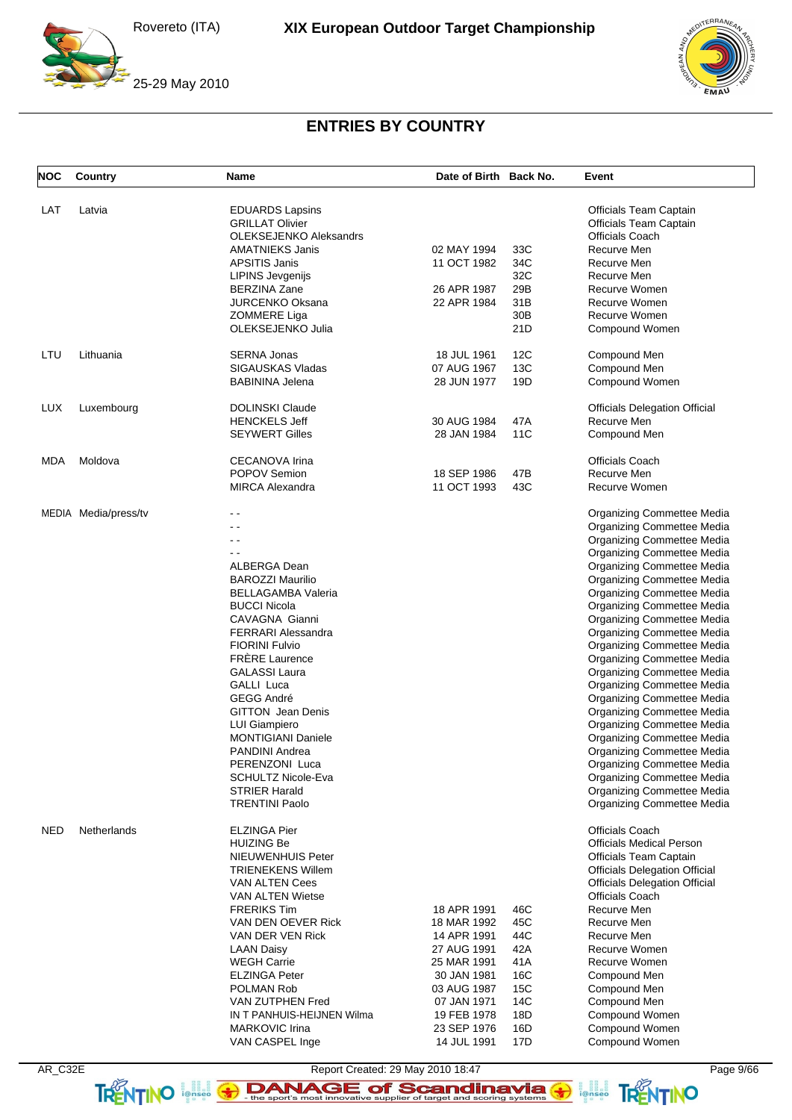



## **ENTRIES BY COUNTRY**

| <b>NOC</b> | Country              | <b>Name</b>                                   | Date of Birth Back No. |                 | Event                                                    |
|------------|----------------------|-----------------------------------------------|------------------------|-----------------|----------------------------------------------------------|
| LAT        | Latvia               | <b>EDUARDS Lapsins</b>                        |                        |                 | <b>Officials Team Captain</b>                            |
|            |                      | <b>GRILLAT Olivier</b>                        |                        |                 | <b>Officials Team Captain</b>                            |
|            |                      | <b>OLEKSEJENKO Aleksandrs</b>                 |                        |                 | <b>Officials Coach</b>                                   |
|            |                      | <b>AMATNIEKS Janis</b>                        | 02 MAY 1994            | 33C             | Recurve Men                                              |
|            |                      | <b>APSITIS Janis</b>                          | 11 OCT 1982            | 34C             | Recurve Men                                              |
|            |                      | <b>LIPINS Jevgenijs</b>                       |                        | 32C             | Recurve Men                                              |
|            |                      | <b>BERZINA Zane</b>                           | 26 APR 1987            | 29B             | Recurve Women                                            |
|            |                      | <b>JURCENKO Oksana</b>                        | 22 APR 1984            | 31B             | Recurve Women                                            |
|            |                      | <b>ZOMMERE Liga</b>                           |                        | 30 <sub>B</sub> | Recurve Women                                            |
|            |                      | OLEKSEJENKO Julia                             |                        | 21D             | Compound Women                                           |
| LTU        | Lithuania            | <b>SERNA Jonas</b>                            | 18 JUL 1961            | 12C             | Compound Men                                             |
|            |                      | SIGAUSKAS Vladas                              | 07 AUG 1967            | 13C             | Compound Men                                             |
|            |                      | <b>BABININA Jelena</b>                        | 28 JUN 1977            | 19D             | Compound Women                                           |
| <b>LUX</b> | Luxembourg           | <b>DOLINSKI Claude</b>                        |                        |                 | <b>Officials Delegation Official</b>                     |
|            |                      | <b>HENCKELS Jeff</b>                          | 30 AUG 1984            | 47A             | Recurve Men                                              |
|            |                      | <b>SEYWERT Gilles</b>                         | 28 JAN 1984            | 11C             | Compound Men                                             |
| MDA        | Moldova              | <b>CECANOVA Irina</b>                         |                        |                 | <b>Officials Coach</b>                                   |
|            |                      | <b>POPOV Semion</b>                           | 18 SEP 1986            | 47B             | Recurve Men                                              |
|            |                      | <b>MIRCA Alexandra</b>                        | 11 OCT 1993            | 43C             | Recurve Women                                            |
|            | MEDIA Media/press/tv |                                               |                        |                 | Organizing Commettee Media                               |
|            |                      | - -                                           |                        |                 | Organizing Commettee Media                               |
|            |                      | - -                                           |                        |                 | Organizing Commettee Media                               |
|            |                      | - -                                           |                        |                 | Organizing Commettee Media                               |
|            |                      | ALBERGA Dean                                  |                        |                 | Organizing Commettee Media                               |
|            |                      | <b>BAROZZI Maurilio</b>                       |                        |                 | Organizing Commettee Media                               |
|            |                      | <b>BELLAGAMBA Valeria</b>                     |                        |                 | Organizing Commettee Media                               |
|            |                      | <b>BUCCI Nicola</b>                           |                        |                 | Organizing Commettee Media                               |
|            |                      | CAVAGNA Gianni                                |                        |                 | Organizing Commettee Media                               |
|            |                      | <b>FERRARI Alessandra</b>                     |                        |                 | Organizing Commettee Media                               |
|            |                      | <b>FIORINI Fulvio</b>                         |                        |                 | Organizing Commettee Media                               |
|            |                      | <b>FRÈRE Laurence</b>                         |                        |                 | Organizing Commettee Media                               |
|            |                      | <b>GALASSI Laura</b>                          |                        |                 | Organizing Commettee Media                               |
|            |                      | GALLI Luca                                    |                        |                 | Organizing Commettee Media                               |
|            |                      | <b>GEGG André</b>                             |                        |                 |                                                          |
|            |                      |                                               |                        |                 | Organizing Commettee Media                               |
|            |                      | <b>GITTON</b> Jean Denis                      |                        |                 | Organizing Commettee Media                               |
|            |                      | <b>LUI Giampiero</b>                          |                        |                 | Organizing Commettee Media                               |
|            |                      | <b>MONTIGIANI Daniele</b>                     |                        |                 | Organizing Commettee Media                               |
|            |                      | <b>PANDINI Andrea</b>                         |                        |                 | <b>Organizing Commettee Media</b>                        |
|            |                      | PERENZONI Luca                                |                        |                 | <b>Organizing Commettee Media</b>                        |
|            |                      | <b>SCHULTZ Nicole-Eva</b>                     |                        |                 | Organizing Commettee Media                               |
|            |                      | <b>STRIER Harald</b><br><b>TRENTINI Paolo</b> |                        |                 | Organizing Commettee Media<br>Organizing Commettee Media |
|            |                      |                                               |                        |                 |                                                          |
| <b>NED</b> | Netherlands          | <b>ELZINGA Pier</b>                           |                        |                 | <b>Officials Coach</b>                                   |
|            |                      | <b>HUIZING Be</b>                             |                        |                 | <b>Officials Medical Person</b>                          |
|            |                      | <b>NIEUWENHUIS Peter</b>                      |                        |                 | <b>Officials Team Captain</b>                            |
|            |                      | <b>TRIENEKENS Willem</b>                      |                        |                 | <b>Officials Delegation Official</b>                     |
|            |                      | <b>VAN ALTEN Cees</b>                         |                        |                 | <b>Officials Delegation Official</b>                     |
|            |                      | <b>VAN ALTEN Wietse</b>                       |                        |                 | <b>Officials Coach</b>                                   |
|            |                      | <b>FRERIKS Tim</b>                            | 18 APR 1991            | 46C             | Recurve Men                                              |
|            |                      | VAN DEN OEVER Rick                            | 18 MAR 1992            | 45C             | Recurve Men                                              |
|            |                      | VAN DER VEN Rick                              | 14 APR 1991            | 44C             | Recurve Men                                              |
|            |                      | <b>LAAN Daisy</b>                             | 27 AUG 1991            | 42A             | Recurve Women                                            |
|            |                      | <b>WEGH Carrie</b>                            | 25 MAR 1991            | 41A             | Recurve Women                                            |
|            |                      | <b>ELZINGA Peter</b>                          | 30 JAN 1981            | 16C             | Compound Men                                             |
|            |                      | POLMAN Rob                                    | 03 AUG 1987            | 15C             | Compound Men                                             |
|            |                      | VAN ZUTPHEN Fred                              | 07 JAN 1971            | 14C             | Compound Men                                             |
|            |                      | IN T PANHUIS-HEIJNEN Wilma                    | 19 FEB 1978            | 18D             | Compound Women                                           |
|            |                      | MARKOVIC Irina                                | 23 SEP 1976            | 16D             | Compound Women                                           |
|            |                      | VAN CASPEL Inge                               | 14 JUL 1991            | 17D             | Compound Women                                           |

Report Created: 29 May 2010 18:47 Page 9/66<br>
TRENTINO **Page 9/66**<br>
TRENTINO **Page 9/66** 

**FRENTINO**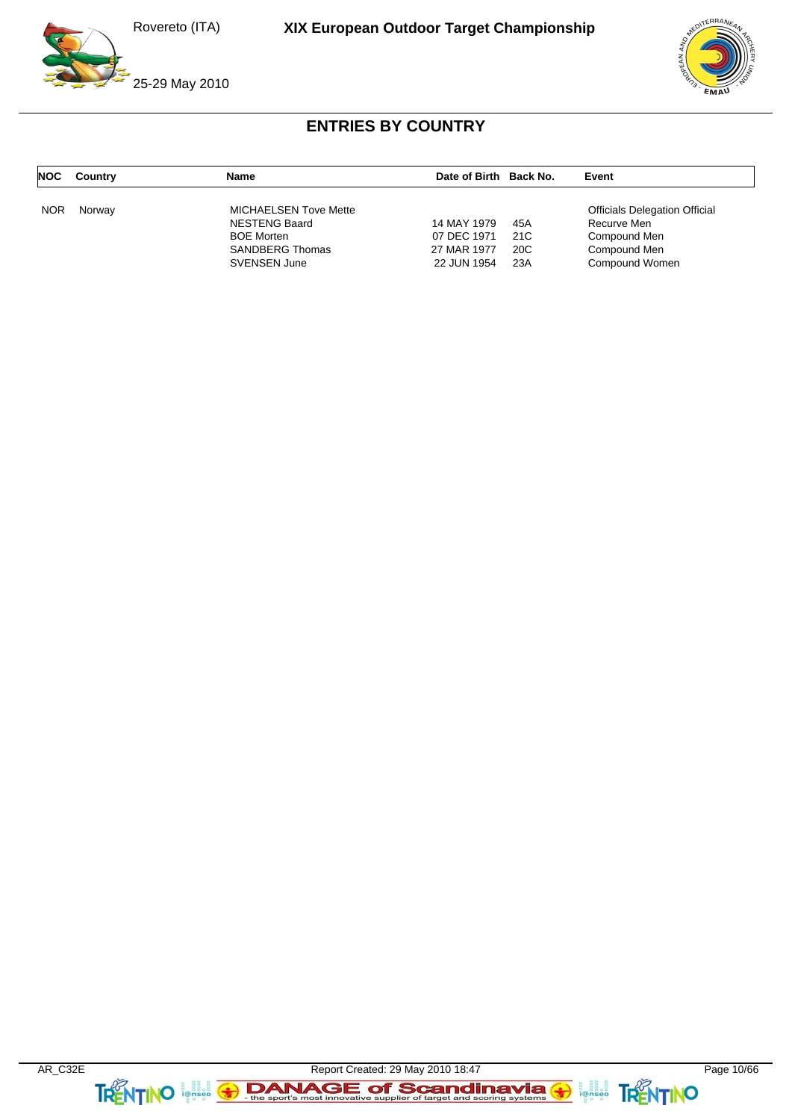





# **ENTRIES BY COUNTRY**

| <b>NOC</b> | Country | Name                         | Date of Birth Back No. |     | Event                                |
|------------|---------|------------------------------|------------------------|-----|--------------------------------------|
| <b>NOR</b> | Norway  | <b>MICHAELSEN Tove Mette</b> |                        |     | <b>Officials Delegation Official</b> |
|            |         | <b>NESTENG Baard</b>         | 14 MAY 1979            | 45A | Recurve Men                          |
|            |         | <b>BOE Morten</b>            | 07 DEC 1971            | 21C | Compound Men                         |
|            |         | <b>SANDBERG Thomas</b>       | 27 MAR 1977            | 20C | Compound Men                         |
|            |         | <b>SVENSEN June</b>          | 22 JUN 1954            | 23A | Compound Women                       |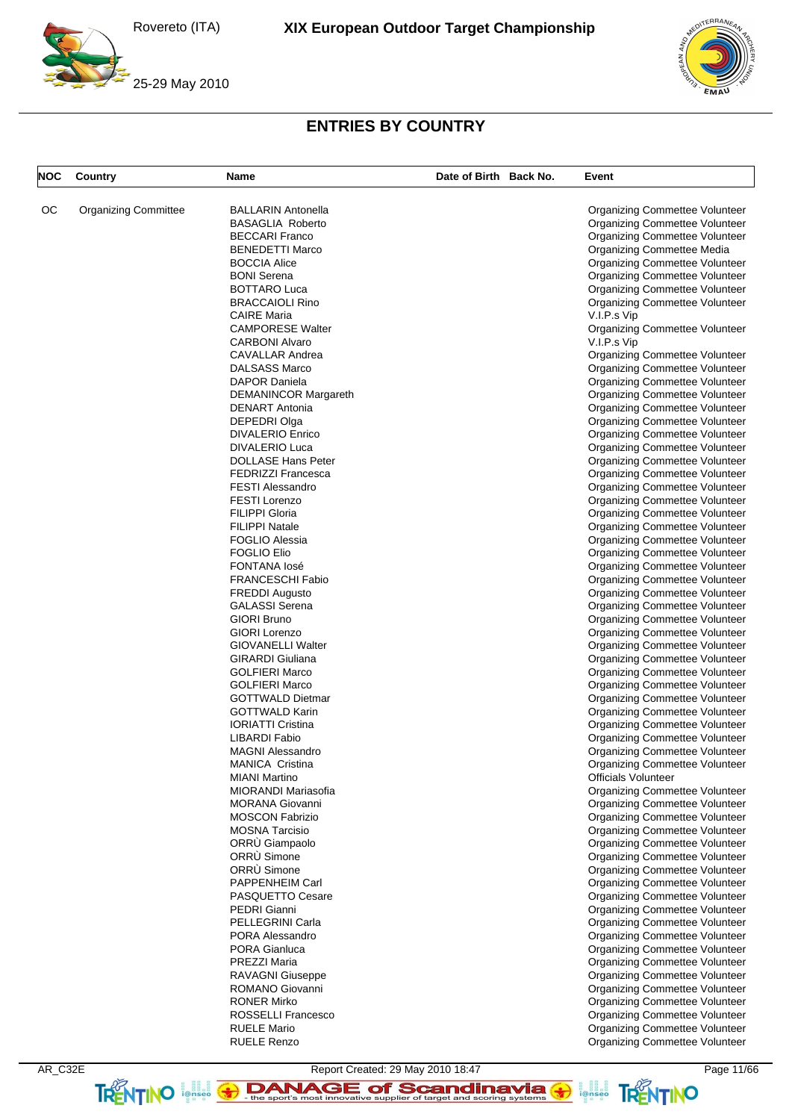



# **ENTRIES BY COUNTRY**

| <b>NOC</b> | Country                     | Name                                             | Date of Birth Back No. | Event                                                                   |
|------------|-----------------------------|--------------------------------------------------|------------------------|-------------------------------------------------------------------------|
| OС         | <b>Organizing Committee</b> | <b>BALLARIN Antonella</b>                        |                        | Organizing Commettee Volunteer                                          |
|            |                             | <b>BASAGLIA Roberto</b>                          |                        | Organizing Commettee Volunteer                                          |
|            |                             | <b>BECCARI Franco</b>                            |                        | <b>Organizing Commettee Volunteer</b>                                   |
|            |                             | <b>BENEDETTI Marco</b>                           |                        | <b>Organizing Commettee Media</b>                                       |
|            |                             | <b>BOCCIA Alice</b>                              |                        | Organizing Commettee Volunteer                                          |
|            |                             | <b>BONI</b> Serena                               |                        | Organizing Commettee Volunteer                                          |
|            |                             | <b>BOTTARO Luca</b>                              |                        | Organizing Commettee Volunteer                                          |
|            |                             | <b>BRACCAIOLI Rino</b>                           |                        | Organizing Commettee Volunteer                                          |
|            |                             | <b>CAIRE Maria</b>                               |                        | V.I.P.s Vip                                                             |
|            |                             | <b>CAMPORESE Walter</b>                          |                        | Organizing Commettee Volunteer                                          |
|            |                             | <b>CARBONI Alvaro</b>                            |                        | V.I.P.s Vip                                                             |
|            |                             | CAVALLAR Andrea                                  |                        | Organizing Commettee Volunteer                                          |
|            |                             | <b>DALSASS Marco</b>                             |                        | Organizing Commettee Volunteer                                          |
|            |                             | <b>DAPOR Daniela</b>                             |                        | Organizing Commettee Volunteer                                          |
|            |                             | <b>DEMANINCOR Margareth</b>                      |                        | Organizing Commettee Volunteer                                          |
|            |                             | <b>DENART Antonia</b><br>DEPEDRI Olga            |                        | Organizing Commettee Volunteer<br>Organizing Commettee Volunteer        |
|            |                             | <b>DIVALERIO Enrico</b>                          |                        | Organizing Commettee Volunteer                                          |
|            |                             | <b>DIVALERIO Luca</b>                            |                        | Organizing Commettee Volunteer                                          |
|            |                             | <b>DOLLASE Hans Peter</b>                        |                        | Organizing Commettee Volunteer                                          |
|            |                             | <b>FEDRIZZI Francesca</b>                        |                        | Organizing Commettee Volunteer                                          |
|            |                             | <b>FESTI Alessandro</b>                          |                        | Organizing Commettee Volunteer                                          |
|            |                             | <b>FESTI Lorenzo</b>                             |                        | Organizing Commettee Volunteer                                          |
|            |                             | <b>FILIPPI Gloria</b>                            |                        | Organizing Commettee Volunteer                                          |
|            |                             | <b>FILIPPI Natale</b>                            |                        | Organizing Commettee Volunteer                                          |
|            |                             | <b>FOGLIO Alessia</b>                            |                        | Organizing Commettee Volunteer                                          |
|            |                             | <b>FOGLIO Elio</b>                               |                        | Organizing Commettee Volunteer                                          |
|            |                             | <b>FONTANA losé</b>                              |                        | Organizing Commettee Volunteer                                          |
|            |                             | <b>FRANCESCHI Fabio</b>                          |                        | Organizing Commettee Volunteer                                          |
|            |                             | <b>FREDDI Augusto</b>                            |                        | Organizing Commettee Volunteer                                          |
|            |                             | <b>GALASSI Serena</b>                            |                        | Organizing Commettee Volunteer                                          |
|            |                             | <b>GIORI Bruno</b>                               |                        | Organizing Commettee Volunteer                                          |
|            |                             | <b>GIORI Lorenzo</b>                             |                        | Organizing Commettee Volunteer                                          |
|            |                             | <b>GIOVANELLI Walter</b>                         |                        | Organizing Commettee Volunteer                                          |
|            |                             | <b>GIRARDI</b> Giuliana                          |                        | Organizing Commettee Volunteer                                          |
|            |                             | <b>GOLFIERI Marco</b>                            |                        | Organizing Commettee Volunteer                                          |
|            |                             | <b>GOLFIERI Marco</b><br><b>GOTTWALD Dietmar</b> |                        | Organizing Commettee Volunteer                                          |
|            |                             | <b>GOTTWALD Karin</b>                            |                        | Organizing Commettee Volunteer<br>Organizing Commettee Volunteer        |
|            |                             | <b>IORIATTI Cristina</b>                         |                        | Organizing Commettee Volunteer                                          |
|            |                             | <b>LIBARDI Fabio</b>                             |                        | Organizing Commettee Volunteer                                          |
|            |                             | <b>MAGNI Alessandro</b>                          |                        | <b>Organizing Commettee Volunteer</b>                                   |
|            |                             | MANICA Cristina                                  |                        | <b>Organizing Commettee Volunteer</b>                                   |
|            |                             | <b>MIANI Martino</b>                             |                        | <b>Officials Volunteer</b>                                              |
|            |                             | MIORANDI Mariasofia                              |                        | <b>Organizing Commettee Volunteer</b>                                   |
|            |                             | <b>MORANA Giovanni</b>                           |                        | Organizing Commettee Volunteer                                          |
|            |                             | <b>MOSCON Fabrizio</b>                           |                        | Organizing Commettee Volunteer                                          |
|            |                             | <b>MOSNA Tarcisio</b>                            |                        | <b>Organizing Commettee Volunteer</b>                                   |
|            |                             | ORRU Giampaolo                                   |                        | Organizing Commettee Volunteer                                          |
|            |                             | ORRÙ Simone                                      |                        | Organizing Commettee Volunteer                                          |
|            |                             | ORRÙ Simone                                      |                        | Organizing Commettee Volunteer                                          |
|            |                             | PAPPENHEIM Carl                                  |                        | Organizing Commettee Volunteer                                          |
|            |                             | PASQUETTO Cesare                                 |                        | Organizing Commettee Volunteer                                          |
|            |                             | PEDRI Gianni                                     |                        | Organizing Commettee Volunteer                                          |
|            |                             | PELLEGRINI Carla                                 |                        | Organizing Commettee Volunteer                                          |
|            |                             | PORA Alessandro                                  |                        | <b>Organizing Commettee Volunteer</b>                                   |
|            |                             | <b>PORA Gianluca</b>                             |                        | Organizing Commettee Volunteer                                          |
|            |                             | PREZZI Maria                                     |                        | Organizing Commettee Volunteer                                          |
|            |                             | <b>RAVAGNI Giuseppe</b>                          |                        | Organizing Commettee Volunteer                                          |
|            |                             | ROMANO Giovanni                                  |                        | Organizing Commettee Volunteer                                          |
|            |                             | <b>RONER Mirko</b><br>ROSSELLI Francesco         |                        | Organizing Commettee Volunteer                                          |
|            |                             | <b>RUELE Mario</b>                               |                        | Organizing Commettee Volunteer<br><b>Organizing Commettee Volunteer</b> |
|            |                             | <b>RUELE Renzo</b>                               |                        | Organizing Commettee Volunteer                                          |
|            |                             |                                                  |                        |                                                                         |

AR\_C32E Report Created: 29 May 2010 18:47 Page 11/66 TRENTINO **leftisco The sport's most innovative supplier of target and scoring systems <b>TRENTINO**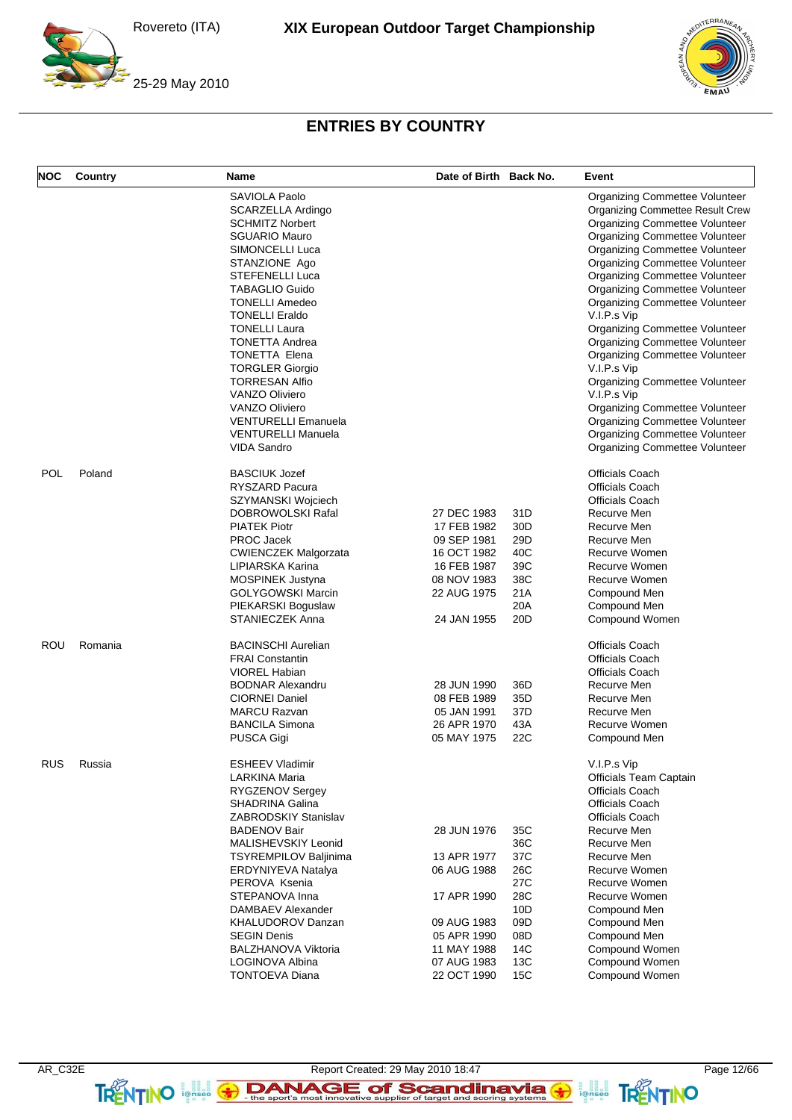



# **ENTRIES BY COUNTRY**

| <b>NOC</b> | Country | <b>Name</b>                  | Date of Birth Back No. |                 | Event                                   |
|------------|---------|------------------------------|------------------------|-----------------|-----------------------------------------|
|            |         | SAVIOLA Paolo                |                        |                 | <b>Organizing Commettee Volunteer</b>   |
|            |         | SCARZELLA Ardingo            |                        |                 | <b>Organizing Commettee Result Crew</b> |
|            |         | <b>SCHMITZ Norbert</b>       |                        |                 | <b>Organizing Commettee Volunteer</b>   |
|            |         | <b>SGUARIO Mauro</b>         |                        |                 | Organizing Commettee Volunteer          |
|            |         | SIMONCELLI Luca              |                        |                 | Organizing Commettee Volunteer          |
|            |         | STANZIONE Ago                |                        |                 | Organizing Commettee Volunteer          |
|            |         | STEFENELLI Luca              |                        |                 | Organizing Commettee Volunteer          |
|            |         | <b>TABAGLIO Guido</b>        |                        |                 | <b>Organizing Commettee Volunteer</b>   |
|            |         | <b>TONELLI Amedeo</b>        |                        |                 |                                         |
|            |         |                              |                        |                 | Organizing Commettee Volunteer          |
|            |         | <b>TONELLI Eraldo</b>        |                        |                 | V.I.P.s Vip                             |
|            |         | <b>TONELLI Laura</b>         |                        |                 | Organizing Commettee Volunteer          |
|            |         | <b>TONETTA Andrea</b>        |                        |                 | Organizing Commettee Volunteer          |
|            |         | <b>TONETTA Elena</b>         |                        |                 | Organizing Commettee Volunteer          |
|            |         | <b>TORGLER Giorgio</b>       |                        |                 | V.I.P.s Vip                             |
|            |         | <b>TORRESAN Alfio</b>        |                        |                 | Organizing Commettee Volunteer          |
|            |         | <b>VANZO Oliviero</b>        |                        |                 | V.I.P.s Vip                             |
|            |         | <b>VANZO Oliviero</b>        |                        |                 | Organizing Commettee Volunteer          |
|            |         | <b>VENTURELLI Emanuela</b>   |                        |                 | Organizing Commettee Volunteer          |
|            |         | <b>VENTURELLI Manuela</b>    |                        |                 | Organizing Commettee Volunteer          |
|            |         | <b>VIDA Sandro</b>           |                        |                 | Organizing Commettee Volunteer          |
| POL        | Poland  | <b>BASCIUK Jozef</b>         |                        |                 | <b>Officials Coach</b>                  |
|            |         | RYSZARD Pacura               |                        |                 | <b>Officials Coach</b>                  |
|            |         | SZYMANSKI Wojciech           |                        |                 | <b>Officials Coach</b>                  |
|            |         | DOBROWOLSKI Rafal            | 27 DEC 1983            | 31D             | Recurve Men                             |
|            |         | <b>PIATEK Piotr</b>          | 17 FEB 1982            | 30 <sub>D</sub> | Recurve Men                             |
|            |         | PROC Jacek                   | 09 SEP 1981            | 29 <sub>D</sub> | Recurve Men                             |
|            |         | <b>CWIENCZEK Malgorzata</b>  | 16 OCT 1982            | 40C             | <b>Recurve Women</b>                    |
|            |         | LIPIARSKA Karina             | 16 FEB 1987            | 39C             | Recurve Women                           |
|            |         |                              | 08 NOV 1983            | 38C             | Recurve Women                           |
|            |         | MOSPINEK Justyna             |                        |                 |                                         |
|            |         | <b>GOLYGOWSKI Marcin</b>     | 22 AUG 1975            | 21A             | Compound Men                            |
|            |         | PIEKARSKI Boguslaw           |                        | 20A             | Compound Men                            |
|            |         | <b>STANIECZEK Anna</b>       | 24 JAN 1955            | 20 <sub>D</sub> | Compound Women                          |
| ROU        | Romania | <b>BACINSCHI Aurelian</b>    |                        |                 | <b>Officials Coach</b>                  |
|            |         | <b>FRAI Constantin</b>       |                        |                 | <b>Officials Coach</b>                  |
|            |         | VIOREL Habian                |                        |                 | <b>Officials Coach</b>                  |
|            |         | <b>BODNAR Alexandru</b>      | 28 JUN 1990            | 36D             | Recurve Men                             |
|            |         | <b>CIORNEI Daniel</b>        | 08 FEB 1989            | 35D             | Recurve Men                             |
|            |         | <b>MARCU Razvan</b>          | 05 JAN 1991            | 37D             | Recurve Men                             |
|            |         | <b>BANCILA Simona</b>        | 26 APR 1970            | 43A             | Recurve Women                           |
|            |         | PUSCA Gigi                   | 05 MAY 1975            | 22C             |                                         |
|            |         |                              |                        |                 | Compound Men                            |
| <b>RUS</b> | Russia  | ESHEEV Vladimir              |                        |                 | V.I.P.s Vip                             |
|            |         | LARKINA Maria                |                        |                 | <b>Officials Team Captain</b>           |
|            |         | RYGZENOV Sergey              |                        |                 | <b>Officials Coach</b>                  |
|            |         | SHADRINA Galina              |                        |                 | <b>Officials Coach</b>                  |
|            |         | <b>ZABRODSKIY Stanislav</b>  |                        |                 | <b>Officials Coach</b>                  |
|            |         | <b>BADENOV Bair</b>          | 28 JUN 1976            | 35C             | Recurve Men                             |
|            |         | MALISHEVSKIY Leonid          |                        | 36C             | Recurve Men                             |
|            |         | <b>TSYREMPILOV Baljinima</b> | 13 APR 1977            | 37C             | Recurve Men                             |
|            |         | ERDYNIYEVA Natalya           | 06 AUG 1988            | 26C             | Recurve Women                           |
|            |         | PEROVA Ksenia                |                        | 27C             | Recurve Women                           |
|            |         | STEPANOVA Inna               | 17 APR 1990            | 28C             | Recurve Women                           |
|            |         | DAMBAEV Alexander            |                        | 10D             | Compound Men                            |
|            |         |                              |                        |                 |                                         |
|            |         | KHALUDOROV Danzan            | 09 AUG 1983            | 09D             | Compound Men                            |
|            |         | <b>SEGIN Denis</b>           | 05 APR 1990            | 08D             | Compound Men                            |
|            |         | BALZHANOVA Viktoria          | 11 MAY 1988            | 14C             | Compound Women                          |
|            |         | LOGINOVA Albina              | 07 AUG 1983            | 13C             | Compound Women                          |
|            |         | <b>TONTOEVA Diana</b>        | 22 OCT 1990            | 15C             | Compound Women                          |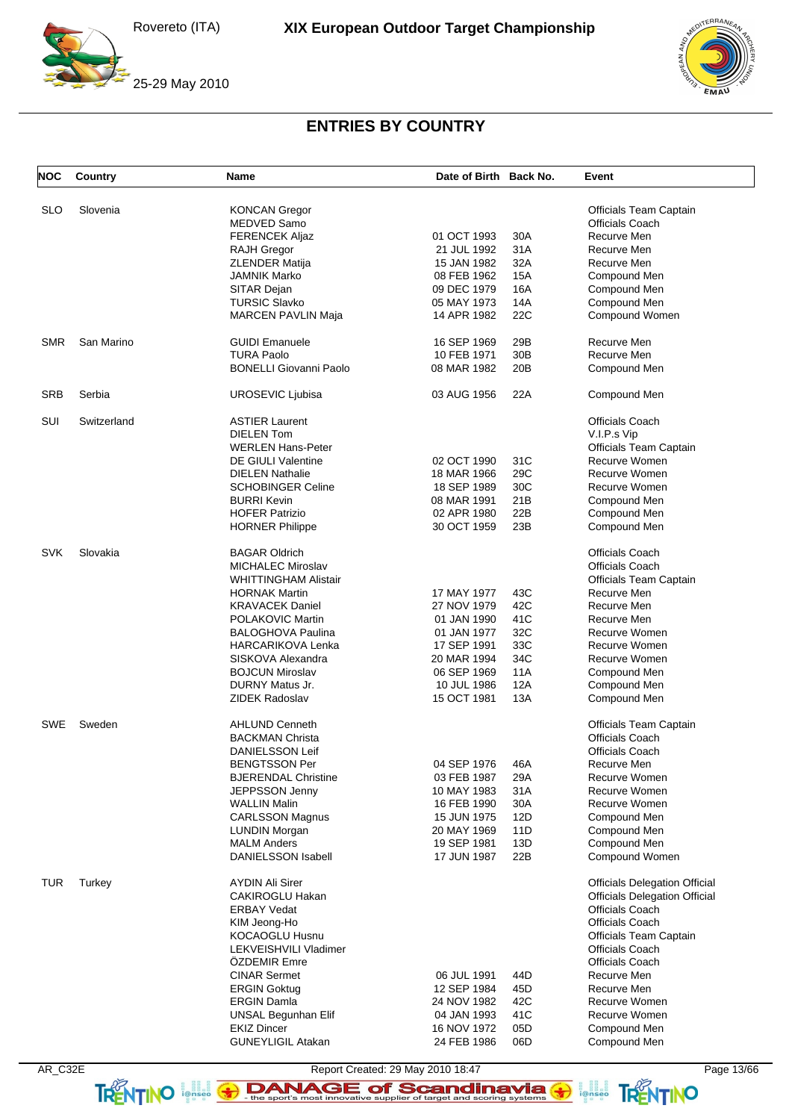

![](_page_12_Picture_3.jpeg)

# **ENTRIES BY COUNTRY**

| <b>NOC</b> | Country     | <b>Name</b>                   | Date of Birth Back No. |     | Event                                |
|------------|-------------|-------------------------------|------------------------|-----|--------------------------------------|
| <b>SLO</b> | Slovenia    | <b>KONCAN Gregor</b>          |                        |     | Officials Team Captain               |
|            |             | MEDVED Samo                   |                        |     | Officials Coach                      |
|            |             | <b>FERENCEK Aliaz</b>         | 01 OCT 1993            | 30A | Recurve Men                          |
|            |             | <b>RAJH Gregor</b>            | 21 JUL 1992            | 31A | Recurve Men                          |
|            |             | <b>ZLENDER Matija</b>         | 15 JAN 1982            | 32A | Recurve Men                          |
|            |             |                               |                        |     |                                      |
|            |             | <b>JAMNIK Marko</b>           | 08 FEB 1962            | 15A | Compound Men                         |
|            |             | SITAR Dejan                   | 09 DEC 1979            | 16A | Compound Men                         |
|            |             | <b>TURSIC Slavko</b>          | 05 MAY 1973            | 14A | Compound Men                         |
|            |             | <b>MARCEN PAVLIN Maja</b>     | 14 APR 1982            | 22C | Compound Women                       |
| SMR        | San Marino  | <b>GUIDI Emanuele</b>         | 16 SEP 1969            | 29B | Recurve Men                          |
|            |             | <b>TURA Paolo</b>             | 10 FEB 1971            | 30B | Recurve Men                          |
|            |             | <b>BONELLI Giovanni Paolo</b> | 08 MAR 1982            | 20B | Compound Men                         |
| <b>SRB</b> | Serbia      | UROSEVIC Ljubisa              | 03 AUG 1956            | 22A | Compound Men                         |
| SUI        | Switzerland | <b>ASTIER Laurent</b>         |                        |     | <b>Officials Coach</b>               |
|            |             | <b>DIELEN Tom</b>             |                        |     | V.I.P.s Vip                          |
|            |             | <b>WERLEN Hans-Peter</b>      |                        |     | Officials Team Captain               |
|            |             | <b>DE GIULI Valentine</b>     | 02 OCT 1990            | 31C | Recurve Women                        |
|            |             | <b>DIELEN Nathalie</b>        | 18 MAR 1966            | 29C | Recurve Women                        |
|            |             | <b>SCHOBINGER Celine</b>      | 18 SEP 1989            | 30C | Recurve Women                        |
|            |             |                               |                        |     |                                      |
|            |             | <b>BURRI Kevin</b>            | 08 MAR 1991            | 21B | Compound Men                         |
|            |             | <b>HOFER Patrizio</b>         | 02 APR 1980            | 22B | Compound Men                         |
|            |             | <b>HORNER Philippe</b>        | 30 OCT 1959            | 23B | Compound Men                         |
| <b>SVK</b> | Slovakia    | <b>BAGAR Oldrich</b>          |                        |     | <b>Officials Coach</b>               |
|            |             | <b>MICHALEC Miroslav</b>      |                        |     | <b>Officials Coach</b>               |
|            |             | <b>WHITTINGHAM Alistair</b>   |                        |     | Officials Team Captain               |
|            |             | <b>HORNAK Martin</b>          | 17 MAY 1977            | 43C | Recurve Men                          |
|            |             | <b>KRAVACEK Daniel</b>        | 27 NOV 1979            | 42C | Recurve Men                          |
|            |             | POLAKOVIC Martin              | 01 JAN 1990            | 41C | Recurve Men                          |
|            |             | <b>BALOGHOVA Paulina</b>      | 01 JAN 1977            | 32C | Recurve Women                        |
|            |             | <b>HARCARIKOVA Lenka</b>      | 17 SEP 1991            | 33C | Recurve Women                        |
|            |             | SISKOVA Alexandra             | 20 MAR 1994            | 34C | Recurve Women                        |
|            |             | <b>BOJCUN Miroslav</b>        | 06 SEP 1969            | 11A |                                      |
|            |             |                               |                        |     | Compound Men                         |
|            |             | DURNY Matus Jr.               | 10 JUL 1986            | 12A | Compound Men                         |
|            |             | <b>ZIDEK Radoslav</b>         | 15 OCT 1981            | 13A | Compound Men                         |
| SWE        | Sweden      | <b>AHLUND Cenneth</b>         |                        |     | Officials Team Captain               |
|            |             | <b>BACKMAN Christa</b>        |                        |     | Officials Coach                      |
|            |             | DANIELSSON Leif               |                        |     | <b>Officials Coach</b>               |
|            |             | <b>BENGTSSON Per</b>          | 04 SEP 1976            | 46A | Recurve Men                          |
|            |             | <b>BJERENDAL Christine</b>    | 03 FEB 1987            | 29A | Recurve Women                        |
|            |             | <b>JEPPSSON Jenny</b>         | 10 MAY 1983            | 31A | Recurve Women                        |
|            |             | <b>WALLIN Malin</b>           | 16 FEB 1990            | 30A | Recurve Women                        |
|            |             | <b>CARLSSON Magnus</b>        | 15 JUN 1975            | 12D | Compound Men                         |
|            |             | LUNDIN Morgan                 | 20 MAY 1969            | 11D | Compound Men                         |
|            |             | <b>MALM Anders</b>            | 19 SEP 1981            | 13D | Compound Men                         |
|            |             | <b>DANIELSSON Isabell</b>     | 17 JUN 1987            | 22B | Compound Women                       |
|            |             |                               |                        |     |                                      |
| TUR        | Turkey      | <b>AYDIN Ali Sirer</b>        |                        |     | <b>Officials Delegation Official</b> |
|            |             | CAKIROGLU Hakan               |                        |     | <b>Officials Delegation Official</b> |
|            |             | <b>ERBAY Vedat</b>            |                        |     | Officials Coach                      |
|            |             | KIM Jeong-Ho                  |                        |     | Officials Coach                      |
|            |             | <b>KOCAOGLU Husnu</b>         |                        |     | <b>Officials Team Captain</b>        |
|            |             | LEKVEISHVILI Vladimer         |                        |     | Officials Coach                      |
|            |             | <b>OZDEMIR Emre</b>           |                        |     | Officials Coach                      |
|            |             | <b>CINAR Sermet</b>           | 06 JUL 1991            | 44D | Recurve Men                          |
|            |             | <b>ERGIN Goktug</b>           | 12 SEP 1984            | 45D | Recurve Men                          |
|            |             | <b>ERGIN Damla</b>            | 24 NOV 1982            | 42C | Recurve Women                        |
|            |             |                               |                        | 41C | Recurve Women                        |
|            |             | <b>UNSAL Begunhan Elif</b>    | 04 JAN 1993            |     |                                      |
|            |             | <b>EKIZ Dincer</b>            | 16 NOV 1972            | 05D | Compound Men                         |
|            |             | <b>GUNEYLIGIL Atakan</b>      | 24 FEB 1986            | 06D | Compound Men                         |

AR\_C32E Report Created: 29 May 2010 18:47 Page 13/66 TRENTINO **leftisco The sport's most innovative supplier of target and scoring systems <b>TRENTINO**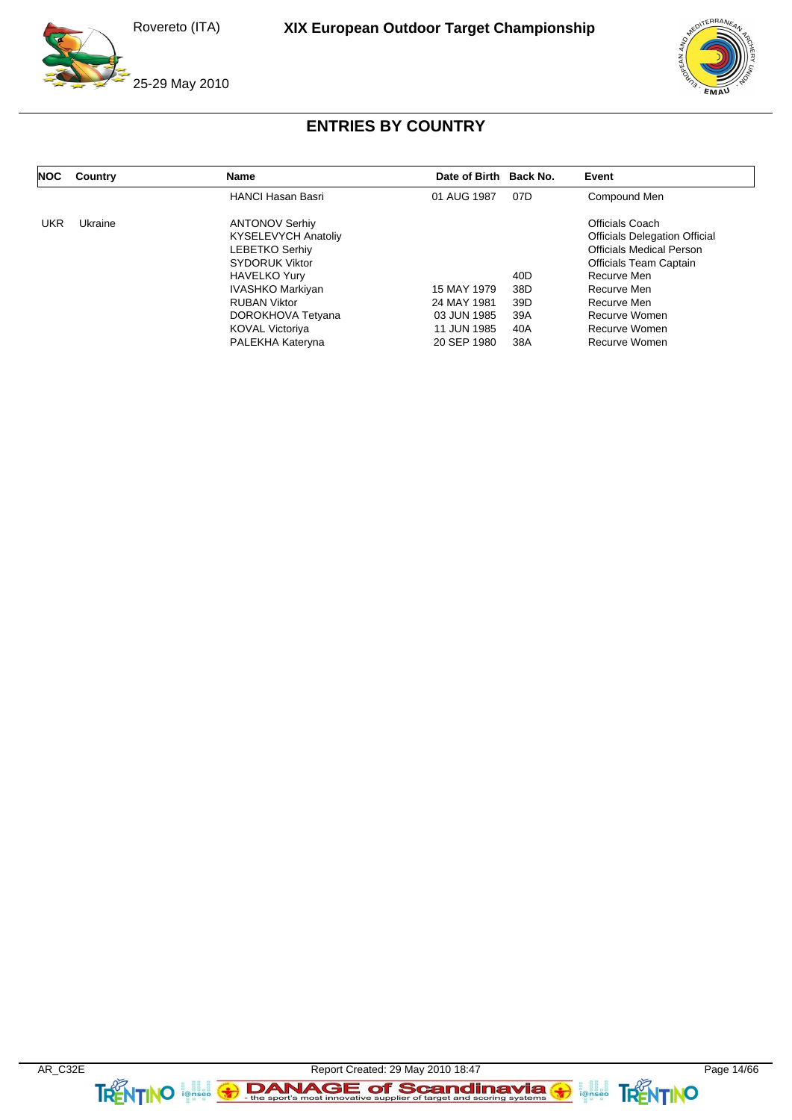![](_page_13_Picture_2.jpeg)

 $F$ BRA

# **ENTRIES BY COUNTRY**

| <b>NOC</b> | Country | Name                       | Date of Birth Back No. |                 | Event                                |
|------------|---------|----------------------------|------------------------|-----------------|--------------------------------------|
|            |         | <b>HANCI Hasan Basri</b>   | 01 AUG 1987            | 07D             | Compound Men                         |
| <b>UKR</b> | Ukraine | <b>ANTONOV Serhiv</b>      |                        |                 | Officials Coach                      |
|            |         | <b>KYSELEVYCH Anatoliy</b> |                        |                 | <b>Officials Delegation Official</b> |
|            |         | <b>LEBETKO Serhiv</b>      |                        |                 | <b>Officials Medical Person</b>      |
|            |         | <b>SYDORUK Viktor</b>      |                        |                 | <b>Officials Team Captain</b>        |
|            |         | <b>HAVELKO Yury</b>        |                        | 40D             | Recurve Men                          |
|            |         | <b>IVASHKO Markiyan</b>    | 15 MAY 1979            | 38D             | Recurve Men                          |
|            |         | <b>RUBAN Viktor</b>        | 24 MAY 1981            | 39 <sub>D</sub> | Recurve Men                          |
|            |         | DOROKHOVA Tetyana          | 03 JUN 1985            | 39A             | Recurve Women                        |
|            |         | <b>KOVAL Victoriya</b>     | 11 JUN 1985            | 40A             | Recurve Women                        |
|            |         | PALEKHA Kateryna           | 20 SEP 1980            | 38A             | Recurve Women                        |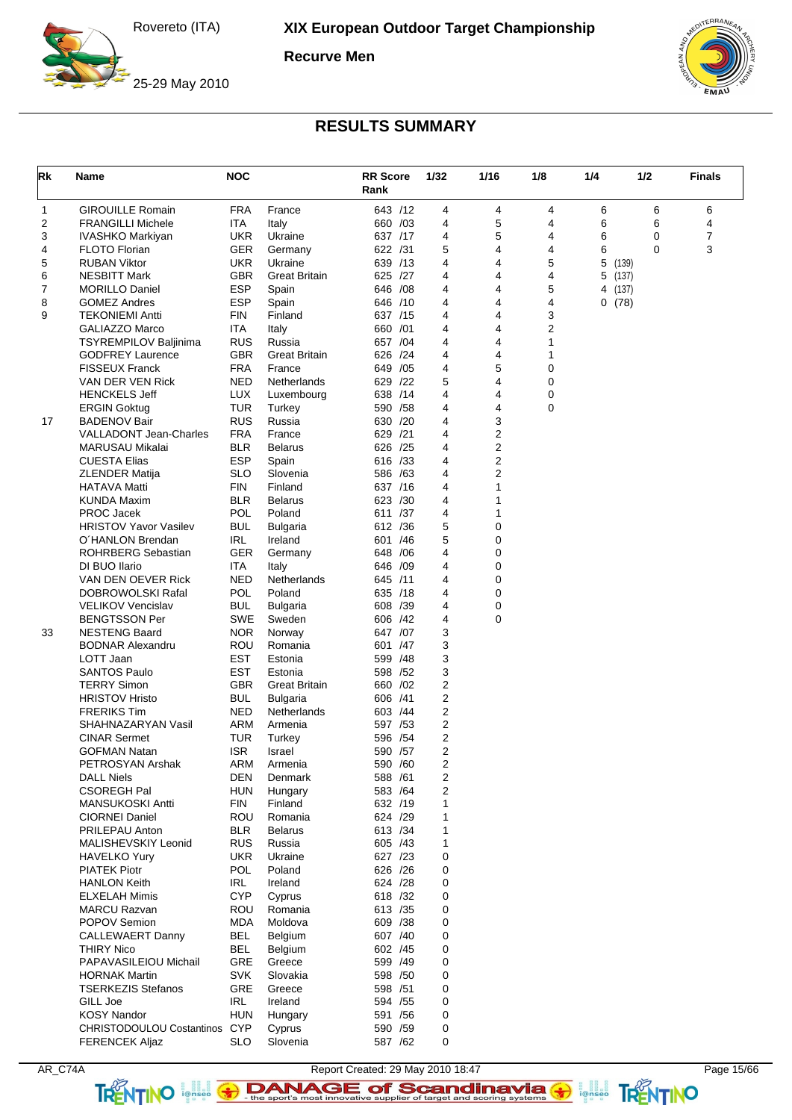**Recurve Men**

![](_page_14_Picture_3.jpeg)

25-29 May 2010

![](_page_14_Picture_5.jpeg)

## **RESULTS SUMMARY**

| Rk     | Name                                          | <b>NOC</b>               |                          | <b>RR Score</b><br>Rank | 1/32           | 1/16   | 1/8         | 1/4        | 1/2 | <b>Finals</b>  |
|--------|-----------------------------------------------|--------------------------|--------------------------|-------------------------|----------------|--------|-------------|------------|-----|----------------|
| 1      | <b>GIROUILLE Romain</b>                       | <b>FRA</b>               | France                   | 643 /12                 | 4              | 4      | 4           | 6          | 6   | 6              |
| 2      | <b>FRANGILLI Michele</b>                      | ITA                      | Italy                    | 660 /03                 | 4              | 5      | 4           | 6          | 6   | 4              |
| 3      | IVASHKO Markiyan                              | <b>UKR</b>               | Ukraine                  | 637 /17                 | 4              | 5      | 4           | 6          | 0   | $\overline{7}$ |
| 4      | <b>FLOTO Florian</b>                          | GER                      | Germany                  | 622 /31                 | 5              | 4      | 4           | 6          | 0   | 3              |
| 5      | <b>RUBAN Viktor</b>                           | UKR                      | Ukraine                  | 639 /13                 | 4              | 4      | 5           | 5<br>(139) |     |                |
| 6      | <b>NESBITT Mark</b>                           | <b>GBR</b>               | <b>Great Britain</b>     | 625 /27                 | 4              | 4      | 4           | 5<br>(137) |     |                |
| 7      | <b>MORILLO Daniel</b>                         | <b>ESP</b><br><b>ESP</b> | Spain                    | 646 / 08                | 4              | 4      | 5           | 4 (137)    |     |                |
| 8<br>9 | <b>GOMEZ Andres</b><br><b>TEKONIEMI Antti</b> | <b>FIN</b>               | Spain<br>Finland         | 646 /10<br>637 /15      | 4<br>4         | 4<br>4 | 4<br>3      | 0(78)      |     |                |
|        | <b>GALIAZZO Marco</b>                         | ITA                      | Italy                    | 660 /01                 | 4              | 4      | 2           |            |     |                |
|        | TSYREMPILOV Baljinima                         | <b>RUS</b>               | Russia                   | 657 /04                 | 4              | 4      | 1           |            |     |                |
|        | <b>GODFREY Laurence</b>                       | <b>GBR</b>               | <b>Great Britain</b>     | 626 /24                 | 4              | 4      | 1           |            |     |                |
|        | <b>FISSEUX Franck</b>                         | <b>FRA</b>               | France                   | 649 / 05                | 4              | 5      | 0           |            |     |                |
|        | VAN DER VEN Rick                              | <b>NED</b>               | Netherlands              | /22<br>629              | 5              | 4      | $\mathbf 0$ |            |     |                |
|        | <b>HENCKELS Jeff</b>                          | <b>LUX</b>               | Luxembourg               | 638 /14                 | 4              | 4      | 0           |            |     |                |
|        | <b>ERGIN Goktug</b>                           | TUR                      | Turkey                   | 590 / 58                | 4              | 4      | $\mathbf 0$ |            |     |                |
| 17     | <b>BADENOV Bair</b>                           | <b>RUS</b>               | Russia                   | 630 /20                 | 4              | 3      |             |            |     |                |
|        | <b>VALLADONT Jean-Charles</b>                 | <b>FRA</b>               | France                   | 629 /21                 | 4              | 2      |             |            |     |                |
|        | <b>MARUSAU Mikalai</b>                        | <b>BLR</b>               | <b>Belarus</b>           | 626 /25                 | 4              | 2      |             |            |     |                |
|        | <b>CUESTA Elias</b>                           | <b>ESP</b>               | Spain                    | 616 /33                 | 4              | 2      |             |            |     |                |
|        | <b>ZLENDER Matija</b>                         | <b>SLO</b>               | Slovenia                 | 586 /63                 | 4              | 2      |             |            |     |                |
|        | <b>HATAVA Matti</b>                           | <b>FIN</b>               | Finland                  | 637 /16                 | 4              | 1      |             |            |     |                |
|        | <b>KUNDA Maxim</b>                            | <b>BLR</b>               | <b>Belarus</b>           | 623 /30                 | 4              | 1      |             |            |     |                |
|        | <b>PROC Jacek</b>                             | <b>POL</b>               | Poland                   | 611 /37                 | 4              | 1      |             |            |     |                |
|        | <b>HRISTOV Yavor Vasilev</b>                  | BUL                      | <b>Bulgaria</b>          | 612 / 36                | 5              | 0      |             |            |     |                |
|        | O'HANLON Brendan                              | <b>IRL</b>               | Ireland                  | 601<br>/46              | 5              | 0      |             |            |     |                |
|        | ROHRBERG Sebastian                            | <b>GER</b>               | Germany                  | 648 / 06                | 4              | 0      |             |            |     |                |
|        | DI BUO Ilario                                 | ITA                      | Italy                    | 646 /09                 | 4              | 0      |             |            |     |                |
|        | VAN DEN OEVER Rick<br>DOBROWOLSKI Rafal       | <b>NED</b><br>POL        | Netherlands<br>Poland    | 645 /11<br>635 /18      | 4<br>4         | 0<br>0 |             |            |     |                |
|        | <b>VELIKOV Vencislav</b>                      | BUL                      | Bulgaria                 | 608 /39                 | 4              | 0      |             |            |     |                |
|        | <b>BENGTSSON Per</b>                          | SWE                      | Sweden                   | 606 /42                 | 4              | 0      |             |            |     |                |
| 33     | <b>NESTENG Baard</b>                          | <b>NOR</b>               | Norway                   | 647 /07                 | 3              |        |             |            |     |                |
|        | <b>BODNAR Alexandru</b>                       | ROU                      | Romania                  | 601 /47                 | 3              |        |             |            |     |                |
|        | LOTT Jaan                                     | <b>EST</b>               | Estonia                  | 599 /48                 | 3              |        |             |            |     |                |
|        | <b>SANTOS Paulo</b>                           | EST                      | Estonia                  | 598 /52                 | 3              |        |             |            |     |                |
|        | <b>TERRY Simon</b>                            | <b>GBR</b>               | <b>Great Britain</b>     | 660 / 02                | 2              |        |             |            |     |                |
|        | <b>HRISTOV Hristo</b>                         | BUL                      | <b>Bulgaria</b>          | 606 /41                 | 2              |        |             |            |     |                |
|        | <b>FRERIKS Tim</b>                            | <b>NED</b>               | Netherlands              | 603 / 44                | 2              |        |             |            |     |                |
|        | SHAHNAZARYAN Vasil                            | ARM                      | Armenia                  | 597 / 53                | 2              |        |             |            |     |                |
|        | <b>CINAR Sermet</b>                           | TUR                      | Turkey                   | 596 / 54                | 2              |        |             |            |     |                |
|        | <b>GOFMAN Natan</b>                           | <b>ISR</b>               | Israel                   | 590 / 57                | 2              |        |             |            |     |                |
|        | PETROSYAN Arshak                              | ARM                      | Armenia                  | 590 /60                 | $\overline{c}$ |        |             |            |     |                |
|        | <b>DALL Niels</b>                             | DEN                      | Denmark                  | 588 /61                 | 2              |        |             |            |     |                |
|        | <b>CSOREGH Pal</b>                            | <b>HUN</b>               | Hungary                  | 583 /64                 | 2              |        |             |            |     |                |
|        | MANSUKOSKI Antti                              | FIN                      | Finland                  | 632 /19                 | 1              |        |             |            |     |                |
|        | <b>CIORNEI Daniel</b>                         | ROU                      | Romania                  | 624 /29                 | 1              |        |             |            |     |                |
|        | PRILEPAU Anton<br>MALISHEVSKIY Leonid         | <b>BLR</b><br><b>RUS</b> | <b>Belarus</b><br>Russia | 613 / 34<br>605 /43     | 1<br>1         |        |             |            |     |                |
|        | HAVELKO Yury                                  | <b>UKR</b>               | Ukraine                  | 627 /23                 | 0              |        |             |            |     |                |
|        | <b>PIATEK Piotr</b>                           | <b>POL</b>               | Poland                   | 626 / 26                | 0              |        |             |            |     |                |
|        | <b>HANLON Keith</b>                           | IRL.                     | Ireland                  | 624 /28                 | 0              |        |             |            |     |                |
|        | <b>ELXELAH Mimis</b>                          | <b>CYP</b>               | Cyprus                   | 618 /32                 | 0              |        |             |            |     |                |
|        | <b>MARCU Razvan</b>                           | ROU                      | Romania                  | 613 / 35                | 0              |        |             |            |     |                |
|        | POPOV Semion                                  | MDA                      | Moldova                  | 609 /38                 | 0              |        |             |            |     |                |
|        | <b>CALLEWAERT Danny</b>                       | BEL                      | Belgium                  | 607 /40                 | 0              |        |             |            |     |                |
|        | THIRY Nico                                    | BEL                      | Belgium                  | 602 /45                 | 0              |        |             |            |     |                |
|        | PAPAVASILEIOU Michail                         | GRE                      | Greece                   | 599 /49                 | 0              |        |             |            |     |                |
|        | <b>HORNAK Martin</b>                          | <b>SVK</b>               | Slovakia                 | 598 /50                 | 0              |        |             |            |     |                |
|        | <b>TSERKEZIS Stefanos</b>                     | <b>GRE</b>               | Greece                   | 598 / 51                | 0              |        |             |            |     |                |
|        | GILL Joe                                      | IRL                      | Ireland                  | 594 / 55                | 0              |        |             |            |     |                |
|        | <b>KOSY Nandor</b>                            | <b>HUN</b>               | Hungary                  | 591 /56                 | 0              |        |             |            |     |                |
|        | CHRISTODOULOU Costantinos CYP                 |                          | Cyprus                   | 590 /59                 | 0              |        |             |            |     |                |
|        | <b>FERENCEK Aljaz</b>                         | <b>SLO</b>               | Slovenia                 | 587 /62                 | 0              |        |             |            |     |                |

AR\_C74A Report Created: 29 May 2010 18:47 TRENTINO **Leges Constitute Sont Scandinavia G Scanding Systems G SCANDING**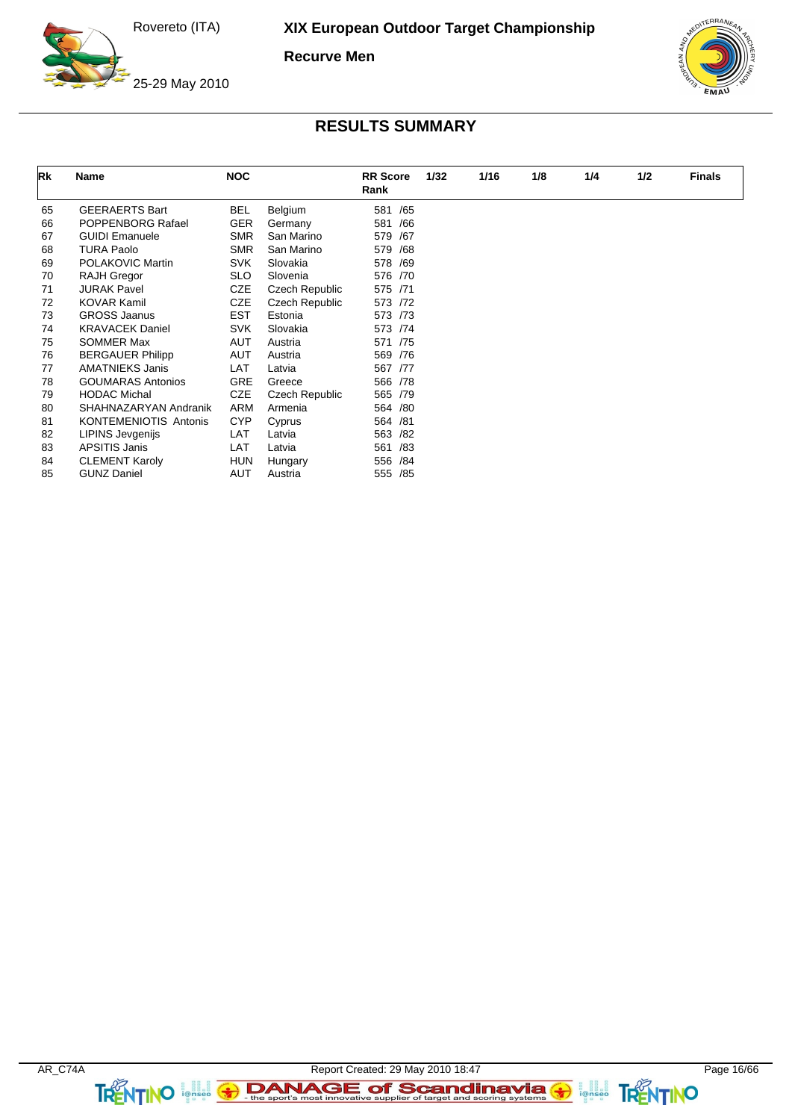**Recurve Men**

![](_page_15_Picture_3.jpeg)

25-29 May 2010

![](_page_15_Picture_5.jpeg)

| Rk | Name                         | <b>NOC</b> |                | <b>RR</b> Score<br>Rank | 1/32 | 1/16 | 1/8 | 1/4 | 1/2 | <b>Finals</b> |
|----|------------------------------|------------|----------------|-------------------------|------|------|-----|-----|-----|---------------|
| 65 | <b>GEERAERTS Bart</b>        | <b>BEL</b> | Belgium        | /65<br>581              |      |      |     |     |     |               |
| 66 | POPPENBORG Rafael            | <b>GER</b> | Germany        | 581<br>/66              |      |      |     |     |     |               |
| 67 | <b>GUIDI Emanuele</b>        | <b>SMR</b> | San Marino     | 579<br>/67              |      |      |     |     |     |               |
| 68 | <b>TURA Paolo</b>            | <b>SMR</b> | San Marino     | 579<br>/68              |      |      |     |     |     |               |
| 69 | POLAKOVIC Martin             | <b>SVK</b> | Slovakia       | 578<br>/69              |      |      |     |     |     |               |
| 70 | <b>RAJH Gregor</b>           | <b>SLO</b> | Slovenia       | 576 /70                 |      |      |     |     |     |               |
| 71 | <b>JURAK Pavel</b>           | <b>CZE</b> | Czech Republic | 575 /71                 |      |      |     |     |     |               |
| 72 | <b>KOVAR Kamil</b>           | <b>CZE</b> | Czech Republic | 573 /72                 |      |      |     |     |     |               |
| 73 | <b>GROSS Jaanus</b>          | <b>EST</b> | Estonia        | 573 /73                 |      |      |     |     |     |               |
| 74 | <b>KRAVACEK Daniel</b>       | <b>SVK</b> | Slovakia       | 573 /74                 |      |      |     |     |     |               |
| 75 | SOMMER Max                   | AUT        | Austria        | 571 /75                 |      |      |     |     |     |               |
| 76 | <b>BERGAUER Philipp</b>      | AUT        | Austria        | 569 / 76                |      |      |     |     |     |               |
| 77 | <b>AMATNIEKS Janis</b>       | LAT        | Latvia         | 567 /77                 |      |      |     |     |     |               |
| 78 | <b>GOUMARAS Antonios</b>     | <b>GRE</b> | Greece         | 566 /78                 |      |      |     |     |     |               |
| 79 | <b>HODAC Michal</b>          | <b>CZE</b> | Czech Republic | 565 /79                 |      |      |     |     |     |               |
| 80 | SHAHNAZARYAN Andranik        | ARM        | Armenia        | 564<br>/80              |      |      |     |     |     |               |
| 81 | <b>KONTEMENIOTIS Antonis</b> | <b>CYP</b> | Cyprus         | 564<br>/81              |      |      |     |     |     |               |
| 82 | <b>LIPINS Jevgenijs</b>      | LAT        | Latvia         | 563<br>/82              |      |      |     |     |     |               |
| 83 | <b>APSITIS Janis</b>         | LAT        | Latvia         | 561<br>/83              |      |      |     |     |     |               |
| 84 | <b>CLEMENT Karoly</b>        | <b>HUN</b> | Hungary        | 556<br>/84              |      |      |     |     |     |               |
| 85 | <b>GUNZ Daniel</b>           | AUT        | Austria        | 555<br>/85              |      |      |     |     |     |               |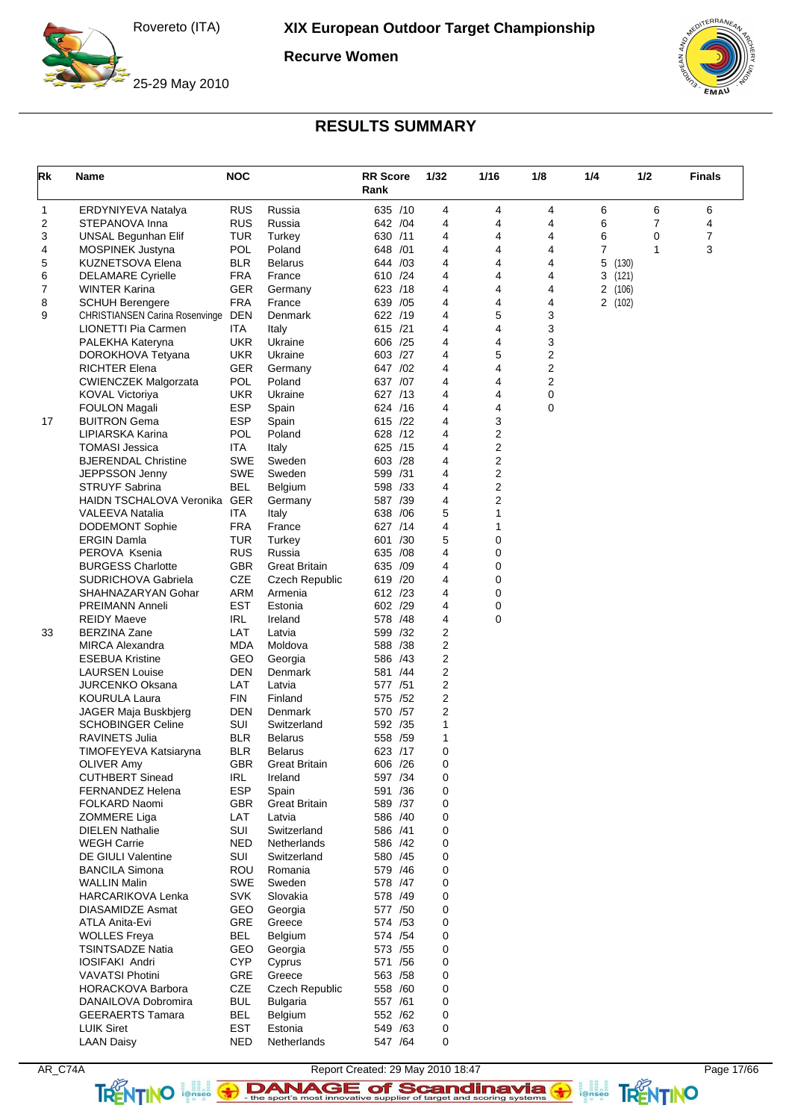**Recurve Women**

![](_page_16_Picture_3.jpeg)

25-29 May 2010

![](_page_16_Picture_5.jpeg)

| Rk | Name                                               | <b>NOC</b>               |                        | <b>RR</b> Score<br>Rank | 1/32           | 1/16             | 1/8    | 1/4    | 1/2   | <b>Finals</b> |
|----|----------------------------------------------------|--------------------------|------------------------|-------------------------|----------------|------------------|--------|--------|-------|---------------|
| 1  | ERDYNIYEVA Natalya                                 | <b>RUS</b>               | Russia                 | 635 /10                 | 4              | 4                | 4      | 6      | 6     | 6             |
| 2  | STEPANOVA Inna                                     | <b>RUS</b>               | Russia                 | 642 / 04                | 4              | 4                | 4      | 6      | 7     | 4             |
| 3  | UNSAL Begunhan Elif                                | TUR                      | Turkey                 | 630 /11                 | 4              | 4                | 4      | 6      | 0     | 7             |
| 4  | <b>MOSPINEK Justyna</b>                            | <b>POL</b>               | Poland                 | 648 / 01                | 4              | 4                | 4      | 7      | 1     | 3             |
| 5  | KUZNETSOVA Elena                                   | <b>BLR</b>               | <b>Belarus</b>         | 644 /03                 | 4              | 4                | 4      | 5(130) |       |               |
| 6  | <b>DELAMARE Cyrielle</b>                           | <b>FRA</b>               | France                 | 610 /24                 | 4              | 4                | 4      | 3      | (121) |               |
| 7  | WINTER Karina                                      | GER                      | Germany                | 623 /18                 | 4              | 4                | 4      | 2(106) |       |               |
| 8  | <b>SCHUH Berengere</b>                             | <b>FRA</b>               | France                 | 639 / 05                | 4              | 4                | 4      | 2(102) |       |               |
| 9  | <b>CHRISTIANSEN Carina Rosenvinge</b>              | <b>DEN</b>               | Denmark                | 622 /19                 | 4              | 5                | 3      |        |       |               |
|    | LIONETTI Pia Carmen                                | ITA                      | Italy                  | 615 /21                 | 4              | 4                | 3      |        |       |               |
|    | PALEKHA Kateryna                                   | <b>UKR</b>               | Ukraine                | 606 /25<br>603 /27      | 4<br>4         | 4                | 3      |        |       |               |
|    | DOROKHOVA Tetyana<br><b>RICHTER Elena</b>          | <b>UKR</b><br><b>GER</b> | Ukraine                | 647 /02                 | 4              | 5<br>4           | 2<br>2 |        |       |               |
|    | <b>CWIENCZEK Malgorzata</b>                        | <b>POL</b>               | Germany<br>Poland      | 637 /07                 | 4              | 4                | 2      |        |       |               |
|    | <b>KOVAL Victoriya</b>                             | <b>UKR</b>               | Ukraine                | 627 /13                 | 4              | 4                | 0      |        |       |               |
|    | <b>FOULON Magali</b>                               | <b>ESP</b>               | Spain                  | 624 /16                 | 4              | 4                | 0      |        |       |               |
| 17 | <b>BUITRON Gema</b>                                | <b>ESP</b>               | Spain                  | 615 /22                 | 4              | 3                |        |        |       |               |
|    | LIPIARSKA Karina                                   | <b>POL</b>               | Poland                 | 628 /12                 | 4              | 2                |        |        |       |               |
|    | <b>TOMASI Jessica</b>                              | ITA                      | Italy                  | 625 /15                 | 4              | 2                |        |        |       |               |
|    | <b>BJERENDAL Christine</b>                         | <b>SWE</b>               | Sweden                 | 603 /28                 | 4              | 2                |        |        |       |               |
|    | JEPPSSON Jenny                                     | <b>SWE</b>               | Sweden                 | 599 /31                 | 4              | 2                |        |        |       |               |
|    | <b>STRUYF Sabrina</b>                              | <b>BEL</b>               | Belgium                | 598 /33                 | 4              | 2                |        |        |       |               |
|    | <b>HAIDN TSCHALOVA Veronika</b>                    | <b>GER</b>               | Germany                | 587 /39                 | 4              | 2                |        |        |       |               |
|    | <b>VALEEVA Natalia</b>                             | ITA                      | Italy                  | 638 / 06                | 5              | 1                |        |        |       |               |
|    | <b>DODEMONT Sophie</b>                             | <b>FRA</b>               | France                 | 627 /14                 | 4              | 1                |        |        |       |               |
|    | <b>ERGIN Damla</b>                                 | TUR                      | Turkey                 | 601<br>/30              | 5              | 0                |        |        |       |               |
|    | PEROVA Ksenia                                      | <b>RUS</b>               | Russia                 | 635 /08                 | 4              | 0                |        |        |       |               |
|    | <b>BURGESS Charlotte</b>                           | <b>GBR</b>               | <b>Great Britain</b>   | 635 /09                 | 4              | 0                |        |        |       |               |
|    | SUDRICHOVA Gabriela                                | <b>CZE</b>               | <b>Czech Republic</b>  | 619 /20                 | 4              | 0                |        |        |       |               |
|    | SHAHNAZARYAN Gohar                                 | <b>ARM</b>               | Armenia                | 612 /23                 | 4              | 0                |        |        |       |               |
|    | <b>PREIMANN Anneli</b>                             | <b>EST</b><br>IRL        | Estonia                | 602 /29<br>578 /48      | 4<br>4         | 0<br>$\mathbf 0$ |        |        |       |               |
| 33 | <b>REIDY Maeve</b><br><b>BERZINA Zane</b>          | LAT                      | Ireland<br>Latvia      | 599 /32                 | $\overline{2}$ |                  |        |        |       |               |
|    | <b>MIRCA Alexandra</b>                             | <b>MDA</b>               | Moldova                | 588 /38                 | $\overline{2}$ |                  |        |        |       |               |
|    | <b>ESEBUA Kristine</b>                             | GEO                      | Georgia                | 586 /43                 | $\overline{2}$ |                  |        |        |       |               |
|    | <b>LAURSEN Louise</b>                              | <b>DEN</b>               | Denmark                | 581 /44                 | $\overline{2}$ |                  |        |        |       |               |
|    | <b>JURCENKO Oksana</b>                             | LAT                      | Latvia                 | 577 /51                 | $\overline{2}$ |                  |        |        |       |               |
|    | <b>KOURULA Laura</b>                               | <b>FIN</b>               | Finland                | 575 /52                 | 2              |                  |        |        |       |               |
|    | JAGER Maja Buskbjerg                               | <b>DEN</b>               | Denmark                | 570 /57                 | $\overline{2}$ |                  |        |        |       |               |
|    | <b>SCHOBINGER Celine</b>                           | SUI                      | Switzerland            | 592 /35                 | 1              |                  |        |        |       |               |
|    | <b>RAVINETS Julia</b>                              | <b>BLR</b>               | <b>Belarus</b>         | 558 /59                 | $\mathbf{1}$   |                  |        |        |       |               |
|    | TIMOFEYEVA Katsiaryna                              | <b>BLR</b>               | <b>Belarus</b>         | 623 /17                 | 0              |                  |        |        |       |               |
|    | <b>OLIVER Amy</b>                                  | <b>GBR</b>               | <b>Great Britain</b>   | 606 /26                 | 0              |                  |        |        |       |               |
|    | <b>CUTHBERT Sinead</b>                             | IRL                      | Ireland                | 597 /34                 | 0              |                  |        |        |       |               |
|    | <b>FERNANDEZ Helena</b>                            | <b>ESP</b>               | Spain                  | 591 /36                 | 0              |                  |        |        |       |               |
|    | FOLKARD Naomi                                      | <b>GBR</b>               | <b>Great Britain</b>   | 589 /37                 | 0              |                  |        |        |       |               |
|    | ZOMMERE Liga                                       | LAT                      | Latvia                 | 586 /40                 | 0              |                  |        |        |       |               |
|    | <b>DIELEN Nathalie</b>                             | SUI                      | Switzerland            | 586 /41                 | 0              |                  |        |        |       |               |
|    | <b>WEGH Carrie</b>                                 | <b>NED</b>               | Netherlands            | 586 /42                 | 0              |                  |        |        |       |               |
|    | <b>DE GIULI Valentine</b><br><b>BANCILA Simona</b> | SUI<br>ROU               | Switzerland<br>Romania | 580 /45<br>579 /46      | 0<br>0         |                  |        |        |       |               |
|    | <b>WALLIN Malin</b>                                | <b>SWE</b>               | Sweden                 | 578 /47                 | 0              |                  |        |        |       |               |
|    | HARCARIKOVA Lenka                                  | <b>SVK</b>               | Slovakia               | 578 /49                 | 0              |                  |        |        |       |               |
|    | <b>DIASAMIDZE Asmat</b>                            | GEO                      | Georgia                | 577 /50                 | 0              |                  |        |        |       |               |
|    | ATLA Anita-Evi                                     | <b>GRE</b>               | Greece                 | 574 / 53                | 0              |                  |        |        |       |               |
|    | <b>WOLLES Freya</b>                                | BEL                      | Belgium                | 574 / 54                | 0              |                  |        |        |       |               |
|    | <b>TSINTSADZE Natia</b>                            | GEO                      | Georgia                | 573 / 55                | 0              |                  |        |        |       |               |
|    | <b>IOSIFAKI Andri</b>                              | <b>CYP</b>               | Cyprus                 | 571 /56                 | 0              |                  |        |        |       |               |
|    | <b>VAVATSI Photini</b>                             | GRE                      | Greece                 | 563 / 58                | 0              |                  |        |        |       |               |
|    | <b>HORACKOVA Barbora</b>                           | CZE                      | Czech Republic         | 558 /60                 | 0              |                  |        |        |       |               |
|    | DANAILOVA Dobromira                                | <b>BUL</b>               | <b>Bulgaria</b>        | 557 /61                 | 0              |                  |        |        |       |               |
|    | <b>GEERAERTS Tamara</b>                            | <b>BEL</b>               | Belgium                | 552 /62                 | 0              |                  |        |        |       |               |
|    | <b>LUIK Siret</b>                                  | EST                      | Estonia                | 549 /63                 | 0              |                  |        |        |       |               |
|    | <b>LAAN Daisy</b>                                  | <b>NED</b>               | Netherlands            | 547 /64                 | 0              |                  |        |        |       |               |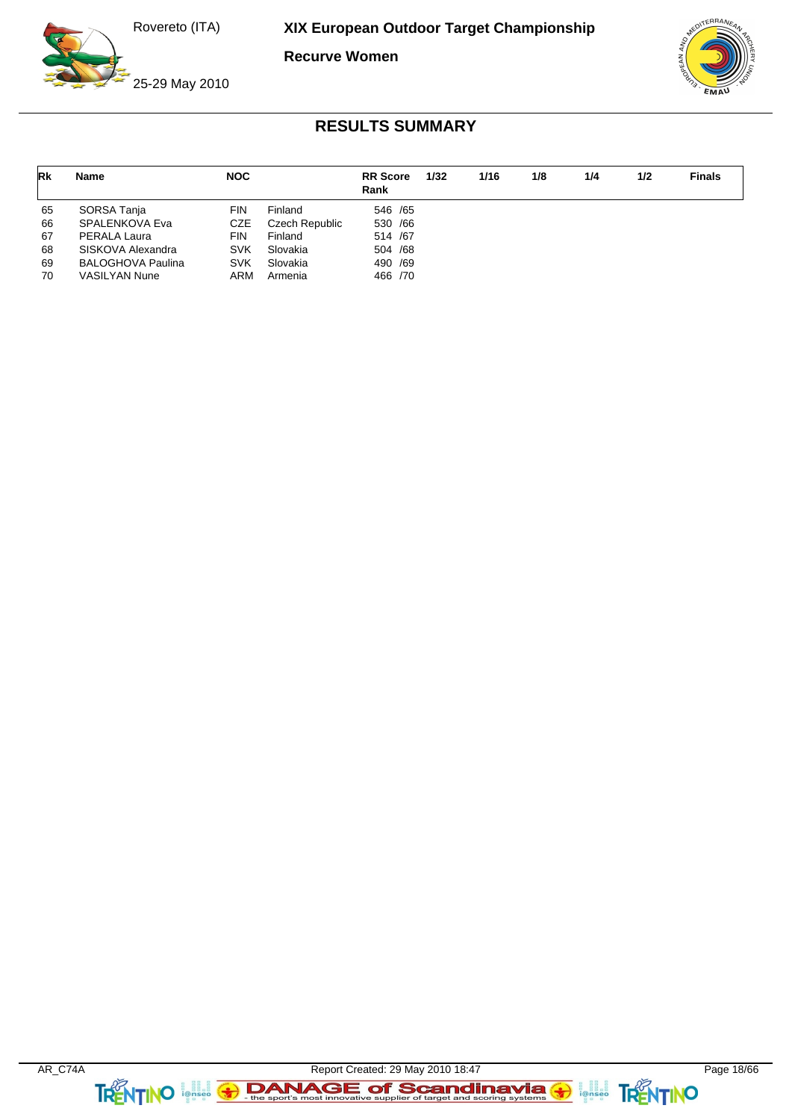**Recurve Women**

![](_page_17_Picture_3.jpeg)

25-29 May 2010

![](_page_17_Picture_5.jpeg)

| <b>Rk</b> | Name                     | <b>NOC</b> |                | <b>RR</b> Score<br>Rank | 1/32 | 1/16 | 1/8 | 1/4 | 1/2 | <b>Finals</b> |
|-----------|--------------------------|------------|----------------|-------------------------|------|------|-----|-----|-----|---------------|
| 65        | SORSA Tanja              | FIN        | Finland        | 546 / 65                |      |      |     |     |     |               |
| 66        | SPALENKOVA Eva           | CZE        | Czech Republic | 530 /66                 |      |      |     |     |     |               |
| 67        | PERALA Laura             | FIN        | Finland        | 514 /67                 |      |      |     |     |     |               |
| 68        | SISKOVA Alexandra        | <b>SVK</b> | Slovakia       | 504 /68                 |      |      |     |     |     |               |
| 69        | <b>BALOGHOVA Paulina</b> | <b>SVK</b> | Slovakia       | 490 /69                 |      |      |     |     |     |               |
| 70        | <b>VASILYAN Nune</b>     | ARM        | Armenia        | 466 /70                 |      |      |     |     |     |               |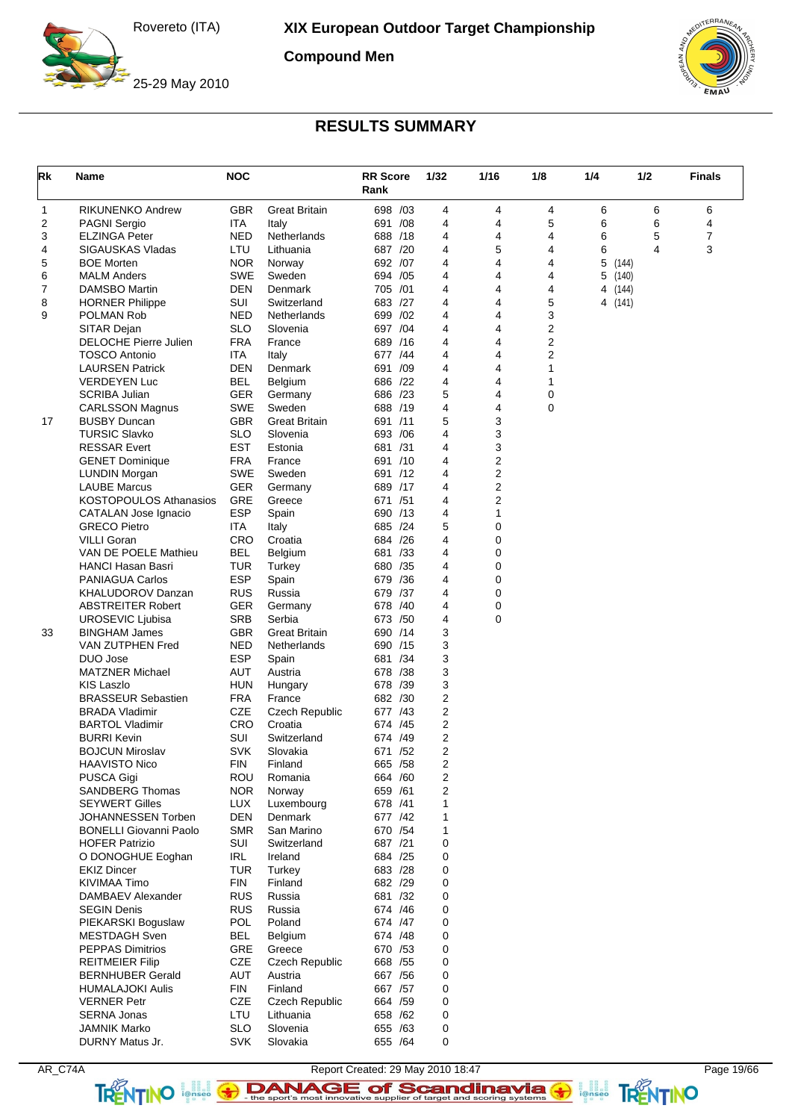**Compound Men**

![](_page_18_Picture_3.jpeg)

25-29 May 2010

![](_page_18_Picture_5.jpeg)

## **RESULTS SUMMARY**

| Rk | Name                                            | <b>NOC</b>               |                         | <b>RR</b> Score<br>Rank |     | 1/32           | 1/16                    | 1/8    | 1/4        | 1/2   | <b>Finals</b> |
|----|-------------------------------------------------|--------------------------|-------------------------|-------------------------|-----|----------------|-------------------------|--------|------------|-------|---------------|
| 1  | <b>RIKUNENKO Andrew</b>                         | <b>GBR</b>               | <b>Great Britain</b>    | 698 /03                 |     | 4              | 4                       | 4      | 6          | 6     | 6             |
| 2  | <b>PAGNI Sergio</b>                             | ITA                      | Italy                   | 691 /08                 |     | 4              | 4                       | 5      | 6          | 6     | 4             |
| 3  | <b>ELZINGA Peter</b>                            | <b>NED</b>               | Netherlands             | 688 /18                 |     | 4              | 4                       | 4      | 6          | 5     | 7             |
| 4  | <b>SIGAUSKAS Vladas</b>                         | LTU                      | Lithuania               | 687 /20                 |     | 4              | 5                       | 4      | 6          | 4     | 3             |
| 5  | <b>BOE Morten</b>                               | <b>NOR</b>               | Norway                  | 692 /07                 |     | 4              | 4                       | 4      | 5<br>(144) |       |               |
| 6  | <b>MALM Anders</b>                              | <b>SWE</b>               | Sweden                  | 694 / 05                |     | 4              | 4                       | 4      | 5          | (140) |               |
| 7  | <b>DAMSBO Martin</b>                            | <b>DEN</b>               | Denmark                 | 705 /01                 |     | 4              | 4                       | 4      | 4 (144)    |       |               |
| 8  | <b>HORNER Philippe</b>                          | SUI                      | Switzerland             | 683 /27                 |     | 4              | 4                       | 5      | 4 (141)    |       |               |
| 9  | <b>POLMAN Rob</b>                               | <b>NED</b>               | Netherlands<br>Slovenia | 699 /02                 |     | 4<br>4         | 4                       | 3      |            |       |               |
|    | SITAR Dejan<br><b>DELOCHE Pierre Julien</b>     | <b>SLO</b><br><b>FRA</b> | France                  | 697 / 04<br>689 /16     |     | 4              | 4<br>4                  | 2<br>2 |            |       |               |
|    | <b>TOSCO Antonio</b>                            | ITA                      | Italy                   | 677 /44                 |     | 4              | 4                       | 2      |            |       |               |
|    | <b>LAURSEN Patrick</b>                          | <b>DEN</b>               | Denmark                 | 691                     | /09 | 4              | 4                       | 1      |            |       |               |
|    | <b>VERDEYEN Luc</b>                             | <b>BEL</b>               | Belgium                 | 686 /22                 |     | 4              | 4                       | 1      |            |       |               |
|    | <b>SCRIBA Julian</b>                            | GER                      | Germany                 | 686 /23                 |     | 5              | 4                       | 0      |            |       |               |
|    | <b>CARLSSON Magnus</b>                          | SWE                      | Sweden                  | 688 /19                 |     | 4              | 4                       | 0      |            |       |               |
| 17 | <b>BUSBY Duncan</b>                             | <b>GBR</b>               | <b>Great Britain</b>    | 691 /11                 |     | 5              | 3                       |        |            |       |               |
|    | <b>TURSIC Slavko</b>                            | <b>SLO</b>               | Slovenia                | 693 / 06                |     | 4              | 3                       |        |            |       |               |
|    | <b>RESSAR Evert</b>                             | <b>EST</b>               | Estonia                 | 681                     | /31 | 4              | 3                       |        |            |       |               |
|    | <b>GENET Dominique</b>                          | <b>FRA</b>               | France                  | 691 /10                 |     | 4              | 2                       |        |            |       |               |
|    | <b>LUNDIN Morgan</b>                            | <b>SWE</b>               | Sweden                  | 691 /12                 |     | 4              | 2                       |        |            |       |               |
|    | <b>LAUBE Marcus</b>                             | GER                      | Germany                 | 689 /17                 |     | 4              | $\overline{\mathbf{c}}$ |        |            |       |               |
|    | <b>KOSTOPOULOS Athanasios</b>                   | GRE                      | Greece                  | 671 /51                 |     | 4              | 2                       |        |            |       |               |
|    | CATALAN Jose Ignacio                            | <b>ESP</b>               | Spain                   | 690 /13                 |     | 4              | 1                       |        |            |       |               |
|    | <b>GRECO Pietro</b>                             | ITA                      | Italy                   | 685 /24                 |     | 5              | 0                       |        |            |       |               |
|    | <b>VILLI Goran</b>                              | CRO                      | Croatia                 | 684 /26                 |     | 4              | 0                       |        |            |       |               |
|    | VAN DE POELE Mathieu                            | <b>BEL</b>               | Belgium                 | 681 /33                 |     | 4              | 0                       |        |            |       |               |
|    | HANCI Hasan Basri                               | TUR                      | Turkey                  | 680 / 35                |     | 4              | 0                       |        |            |       |               |
|    | <b>PANIAGUA Carlos</b>                          | <b>ESP</b>               | Spain                   | 679 / 36                |     | 4              | 0                       |        |            |       |               |
|    | <b>KHALUDOROV Danzan</b>                        | <b>RUS</b>               | Russia                  | 679 /37                 |     | 4              | 0                       |        |            |       |               |
|    | <b>ABSTREITER Robert</b>                        | <b>GER</b>               | Germany                 | 678 /40                 |     | 4              | 0                       |        |            |       |               |
|    | UROSEVIC Ljubisa                                | <b>SRB</b>               | Serbia                  | 673 /50                 |     | 4              | $\mathbf 0$             |        |            |       |               |
| 33 | <b>BINGHAM James</b>                            | <b>GBR</b>               | <b>Great Britain</b>    | 690 /14                 |     | 3              |                         |        |            |       |               |
|    | VAN ZUTPHEN Fred                                | <b>NED</b>               | Netherlands             | 690 /15                 |     | 3<br>3         |                         |        |            |       |               |
|    | DUO Jose<br><b>MATZNER Michael</b>              | <b>ESP</b><br>AUT        | Spain<br>Austria        | 681 /34<br>678 /38      |     | 3              |                         |        |            |       |               |
|    | KIS Laszlo                                      | <b>HUN</b>               | Hungary                 | 678 /39                 |     | 3              |                         |        |            |       |               |
|    | <b>BRASSEUR Sebastien</b>                       | <b>FRA</b>               | France                  | 682 /30                 |     | 2              |                         |        |            |       |               |
|    | <b>BRADA Vladimir</b>                           | <b>CZE</b>               | Czech Republic          | 677 /43                 |     | $\overline{2}$ |                         |        |            |       |               |
|    | <b>BARTOL Vladimir</b>                          | CRO                      | Croatia                 | 674 /45                 |     | $\overline{2}$ |                         |        |            |       |               |
|    | <b>BURRI Kevin</b>                              | SUI                      | Switzerland             | 674 /49                 |     | $\overline{2}$ |                         |        |            |       |               |
|    | <b>BOJCUN Miroslav</b>                          | <b>SVK</b>               | Slovakia                | 671 /52                 |     | $\overline{2}$ |                         |        |            |       |               |
|    | <b>HAAVISTO Nico</b>                            | <b>FIN</b>               | Finland                 | 665 / 58                |     | 2              |                         |        |            |       |               |
|    | <b>PUSCA Gigi</b>                               | ROU                      | Romania                 | 664 / 60                |     | 2              |                         |        |            |       |               |
|    | <b>SANDBERG Thomas</b>                          | <b>NOR</b>               | Norway                  | 659 /61                 |     | $\overline{2}$ |                         |        |            |       |               |
|    | <b>SEYWERT Gilles</b>                           | <b>LUX</b>               | Luxembourg              | 678 /41                 |     | 1              |                         |        |            |       |               |
|    | JOHANNESSEN Torben                              | <b>DEN</b>               | Denmark                 | 677 /42                 |     | 1              |                         |        |            |       |               |
|    | <b>BONELLI Giovanni Paolo</b>                   | <b>SMR</b>               | San Marino              | 670 / 54                |     | 1              |                         |        |            |       |               |
|    | <b>HOFER Patrizio</b>                           | SUI                      | Switzerland             | 687 /21                 |     | 0              |                         |        |            |       |               |
|    | O DONOGHUE Eoghan                               | IRL                      | Ireland                 | 684 / 25                |     | 0              |                         |        |            |       |               |
|    | <b>EKIZ Dincer</b>                              | TUR                      | Turkey                  | 683 /28                 |     | 0              |                         |        |            |       |               |
|    | KIVIMAA Timo                                    | <b>FIN</b>               | Finland                 | 682 /29                 |     | 0              |                         |        |            |       |               |
|    | DAMBAEV Alexander                               | <b>RUS</b>               | Russia                  | 681 /32                 |     | 0              |                         |        |            |       |               |
|    | <b>SEGIN Denis</b>                              | <b>RUS</b>               | Russia                  | 674 /46                 |     | 0              |                         |        |            |       |               |
|    | PIEKARSKI Boguslaw                              | <b>POL</b>               | Poland                  | 674 /47                 |     | 0              |                         |        |            |       |               |
|    | <b>MESTDAGH</b> Sven<br><b>PEPPAS Dimitrios</b> | <b>BEL</b><br>GRE        | Belgium<br>Greece       | 674 /48<br>670 /53      |     | 0<br>0         |                         |        |            |       |               |
|    | <b>REITMEIER Filip</b>                          | CZE                      | <b>Czech Republic</b>   | 668 / 55                |     | 0              |                         |        |            |       |               |
|    | <b>BERNHUBER Gerald</b>                         | AUT                      | Austria                 | 667 / 56                |     | 0              |                         |        |            |       |               |
|    | <b>HUMALAJOKI Aulis</b>                         | <b>FIN</b>               | Finland                 | 667 / 57                |     | 0              |                         |        |            |       |               |
|    | <b>VERNER Petr</b>                              | CZE                      | <b>Czech Republic</b>   | 664 / 59                |     | 0              |                         |        |            |       |               |
|    | <b>SERNA Jonas</b>                              | LTU                      | Lithuania               | 658 / 62                |     | 0              |                         |        |            |       |               |
|    | <b>JAMNIK Marko</b>                             | <b>SLO</b>               | Slovenia                | 655 /63                 |     | 0              |                         |        |            |       |               |
|    | DURNY Matus Jr.                                 | <b>SVK</b>               | Slovakia                | 655 / 64                |     | 0              |                         |        |            |       |               |

AR\_C74A Report Created: 29 May 2010 18:47 Page 19/66 TRENTINO **leftisco The sport's most innovative supplier of target and scoring systems <b>TRENTINO**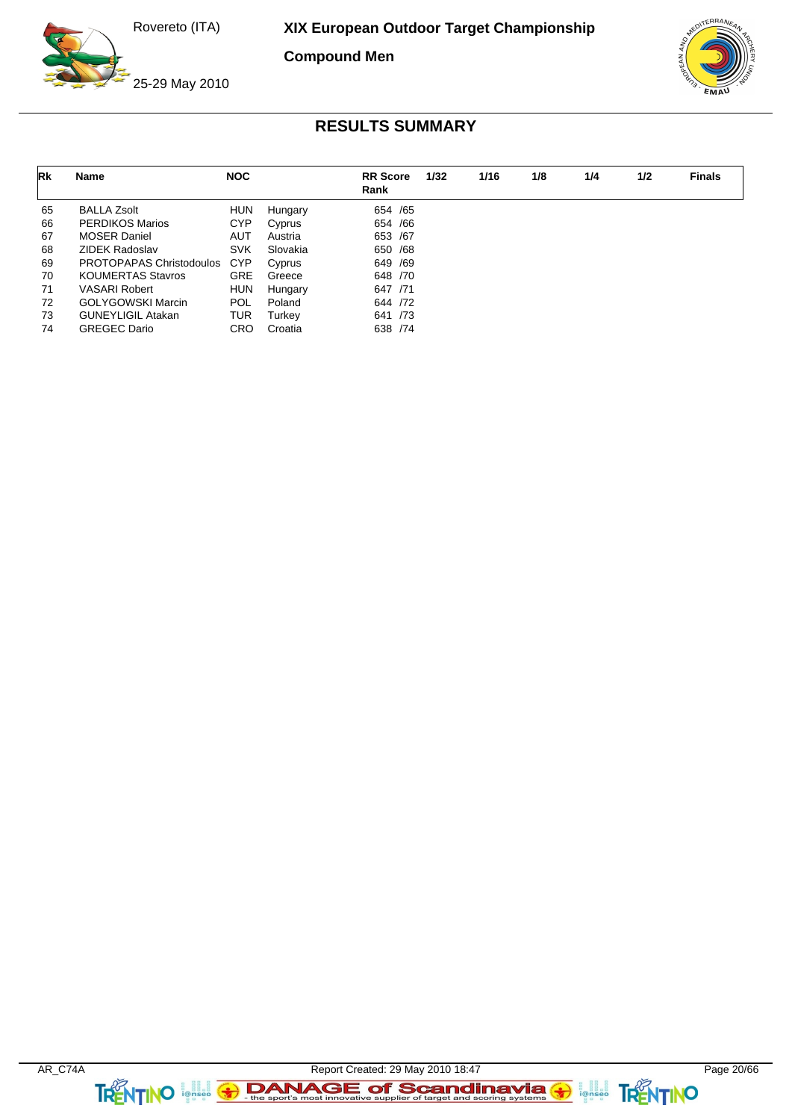**Compound Men**

![](_page_19_Picture_3.jpeg)

25-29 May 2010

![](_page_19_Picture_5.jpeg)

| Rk | Name                     | <b>NOC</b> |          | <b>RR</b> Score<br>Rank | 1/32 | 1/16 | 1/8 | 1/4 | 1/2 | <b>Finals</b> |
|----|--------------------------|------------|----------|-------------------------|------|------|-----|-----|-----|---------------|
| 65 | <b>BALLA Zsolt</b>       | <b>HUN</b> | Hungary  | 654 / 65                |      |      |     |     |     |               |
| 66 | <b>PERDIKOS Marios</b>   | <b>CYP</b> | Cyprus   | 654 / 66                |      |      |     |     |     |               |
| 67 | <b>MOSER Daniel</b>      | <b>AUT</b> | Austria  | 653 / 67                |      |      |     |     |     |               |
| 68 | <b>ZIDEK Radoslav</b>    | <b>SVK</b> | Slovakia | 650 / 68                |      |      |     |     |     |               |
| 69 | PROTOPAPAS Christodoulos | <b>CYP</b> | Cyprus   | 649 / 69                |      |      |     |     |     |               |
| 70 | <b>KOUMERTAS Stavros</b> | <b>GRE</b> | Greece   | 648 /70                 |      |      |     |     |     |               |
| 71 | <b>VASARI Robert</b>     | <b>HUN</b> | Hungary  | 647 /71                 |      |      |     |     |     |               |
| 72 | <b>GOLYGOWSKI Marcin</b> | POL        | Poland   | 644 /72                 |      |      |     |     |     |               |
| 73 | <b>GUNEYLIGIL Atakan</b> | <b>TUR</b> | Turkev   | 641 /73                 |      |      |     |     |     |               |
| 74 | <b>GREGEC Dario</b>      | <b>CRO</b> | Croatia  | 638 / 74                |      |      |     |     |     |               |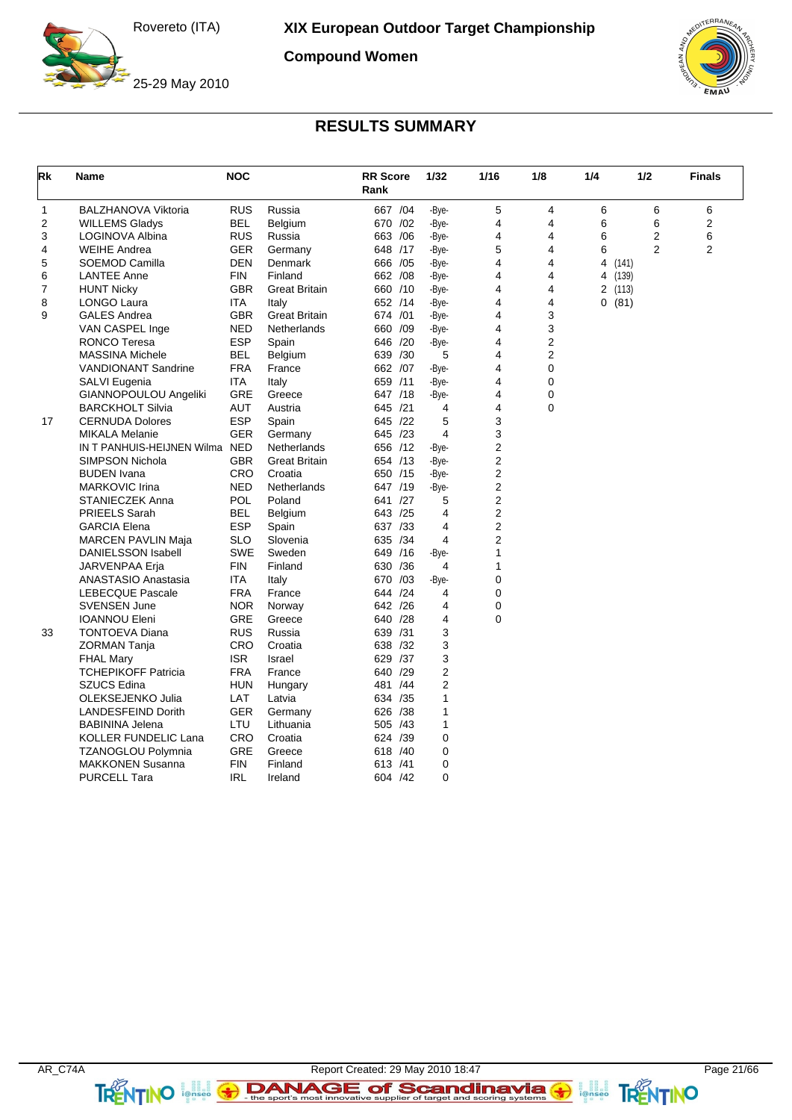**Compound Women**

![](_page_20_Picture_3.jpeg)

25-29 May 2010

![](_page_20_Picture_5.jpeg)

| Rk | Name                           | <b>NOC</b> |                      | <b>RR</b> Score<br>Rank |     | 1/32           | 1/16           | 1/8         | 1/4 | 1/2     |                  | <b>Finals</b>  |
|----|--------------------------------|------------|----------------------|-------------------------|-----|----------------|----------------|-------------|-----|---------|------------------|----------------|
| 1  | <b>BALZHANOVA Viktoria</b>     | <b>RUS</b> | Russia               | 667 / 04                |     | -Bye-          | 5              | 4           | 6   |         | 6                | 6              |
| 2  | <b>WILLEMS Gladys</b>          | <b>BEL</b> | Belgium              | 670 /02                 |     | -Bye-          | 4              | 4           | 6   |         | 6                | 2              |
| 3  | LOGINOVA Albina                | <b>RUS</b> | Russia               | 663 / 06                |     | -Bye-          | $\overline{4}$ | 4           | 6   |         | $\boldsymbol{2}$ | 6              |
| 4  | <b>WEIHE Andrea</b>            | <b>GER</b> | Germany              | 648 /17                 |     | -Bye-          | 5              | 4           | 6   |         | $\overline{2}$   | $\overline{2}$ |
| 5  | SOEMOD Camilla                 | <b>DEN</b> | Denmark              | 666 / 05                |     | -Bye-          | 4              | 4           |     | 4 (141) |                  |                |
| 6  | <b>LANTEE Anne</b>             | <b>FIN</b> | Finland              | 662 / 08                |     | -Bye-          | 4              | 4           |     | 4 (139) |                  |                |
| 7  | <b>HUNT Nicky</b>              | <b>GBR</b> | <b>Great Britain</b> | 660 /10                 |     | -Bye-          | 4              | 4           |     | 2 (113) |                  |                |
| 8  | LONGO Laura                    | ITA        | Italy                | 652 /14                 |     | -Bye-          | 4              | 4           |     | 0(81)   |                  |                |
| 9  | <b>GALES Andrea</b>            | <b>GBR</b> | <b>Great Britain</b> | 674 /01                 |     | -Bye-          | 4              | 3           |     |         |                  |                |
|    | VAN CASPEL Inge                | <b>NED</b> | Netherlands          | 660                     | /09 | -Bye-          | 4              | 3           |     |         |                  |                |
|    | <b>RONCO Teresa</b>            | <b>ESP</b> | Spain                | 646 /20                 |     | -Bye-          | 4              | 2           |     |         |                  |                |
|    | <b>MASSINA Michele</b>         | <b>BEL</b> | Belgium              | 639 /30                 |     | 5              | 4              | 2           |     |         |                  |                |
|    | <b>VANDIONANT Sandrine</b>     | <b>FRA</b> | France               | 662 /07                 |     | -Bye-          | 4              | 0           |     |         |                  |                |
|    | SALVI Eugenia                  | <b>ITA</b> | Italy                | 659 /11                 |     | -Bye-          | 4              | 0           |     |         |                  |                |
|    | GIANNOPOULOU Angeliki          | <b>GRE</b> | Greece               | 647 /18                 |     | -Bye-          | 4              | 0           |     |         |                  |                |
|    | <b>BARCKHOLT Silvia</b>        | <b>AUT</b> | Austria              | 645 /21                 |     | 4              | 4              | $\mathbf 0$ |     |         |                  |                |
| 17 | <b>CERNUDA Dolores</b>         | <b>ESP</b> | Spain                | 645 /22                 |     | 5              | 3              |             |     |         |                  |                |
|    | <b>MIKALA Melanie</b>          | <b>GER</b> | Germany              | 645 /23                 |     | 4              | 3              |             |     |         |                  |                |
|    | IN T PANHUIS-HEIJNEN Wilma NED |            | Netherlands          | 656 /12                 |     | -Bye-          | 2              |             |     |         |                  |                |
|    | <b>SIMPSON Nichola</b>         | <b>GBR</b> | <b>Great Britain</b> | 654 /13                 |     | -Bye-          | 2              |             |     |         |                  |                |
|    | <b>BUDEN</b> Ivana             | <b>CRO</b> | Croatia              | 650 /15                 |     | -Bye-          | 2              |             |     |         |                  |                |
|    | <b>MARKOVIC Irina</b>          | <b>NED</b> | Netherlands          | 647 /19                 |     | -Bye-          | $\overline{2}$ |             |     |         |                  |                |
|    | <b>STANIECZEK Anna</b>         | POL        | Poland               | 641                     | /27 | 5              | $\overline{2}$ |             |     |         |                  |                |
|    | PRIEELS Sarah                  | BEL        | Belgium              | 643 /25                 |     | 4              | $\overline{2}$ |             |     |         |                  |                |
|    | <b>GARCIA Elena</b>            | <b>ESP</b> | Spain                | 637 /33                 |     | 4              | $\overline{2}$ |             |     |         |                  |                |
|    | <b>MARCEN PAVLIN Maja</b>      | <b>SLO</b> | Slovenia             | 635 /34                 |     | 4              | $\overline{2}$ |             |     |         |                  |                |
|    | DANIELSSON Isabell             | <b>SWE</b> | Sweden               | 649 /16                 |     | -Bye-          | $\mathbf{1}$   |             |     |         |                  |                |
|    | JARVENPAA Erja                 | <b>FIN</b> | Finland              | 630 / 36                |     | 4              | 1              |             |     |         |                  |                |
|    | <b>ANASTASIO Anastasia</b>     | ITA        | Italy                | 670                     | /03 | -Bye-          | 0              |             |     |         |                  |                |
|    | <b>LEBECQUE Pascale</b>        | <b>FRA</b> | France               | 644 /24                 |     | 4              | 0              |             |     |         |                  |                |
|    | <b>SVENSEN June</b>            | <b>NOR</b> | Norway               | 642 /26                 |     | 4              | 0              |             |     |         |                  |                |
|    | <b>IOANNOU Eleni</b>           | <b>GRE</b> | Greece               | 640                     | /28 | 4              | 0              |             |     |         |                  |                |
| 33 | <b>TONTOEVA Diana</b>          | <b>RUS</b> | Russia               | 639 /31                 |     | 3              |                |             |     |         |                  |                |
|    | ZORMAN Tanja                   | CRO        | Croatia              | 638 /32                 |     | 3              |                |             |     |         |                  |                |
|    | <b>FHAL Mary</b>               | <b>ISR</b> | Israel               | 629                     | /37 | 3              |                |             |     |         |                  |                |
|    | <b>TCHEPIKOFF Patricia</b>     | <b>FRA</b> | France               | 640 /29                 |     | 2              |                |             |     |         |                  |                |
|    | <b>SZUCS Edina</b>             | <b>HUN</b> | Hungary              | 481 /44                 |     | $\overline{2}$ |                |             |     |         |                  |                |
|    | OLEKSEJENKO Julia              | LAT        | Latvia               | 634 /35                 |     | 1              |                |             |     |         |                  |                |
|    | <b>LANDESFEIND Dorith</b>      | GER        | Germany              | 626 /38                 |     | 1              |                |             |     |         |                  |                |
|    | <b>BABININA Jelena</b>         | LTU        | Lithuania            | 505 /43                 |     | 1              |                |             |     |         |                  |                |
|    | KOLLER FUNDELIC Lana           | <b>CRO</b> | Croatia              | 624 /39                 |     | $\mathbf 0$    |                |             |     |         |                  |                |
|    | <b>TZANOGLOU Polymnia</b>      | <b>GRE</b> | Greece               | 618 /40                 |     | 0              |                |             |     |         |                  |                |
|    |                                |            |                      |                         |     |                |                |             |     |         |                  |                |
|    | <b>MAKKONEN Susanna</b>        | <b>FIN</b> | Finland              | 613 /41                 |     | 0              |                |             |     |         |                  |                |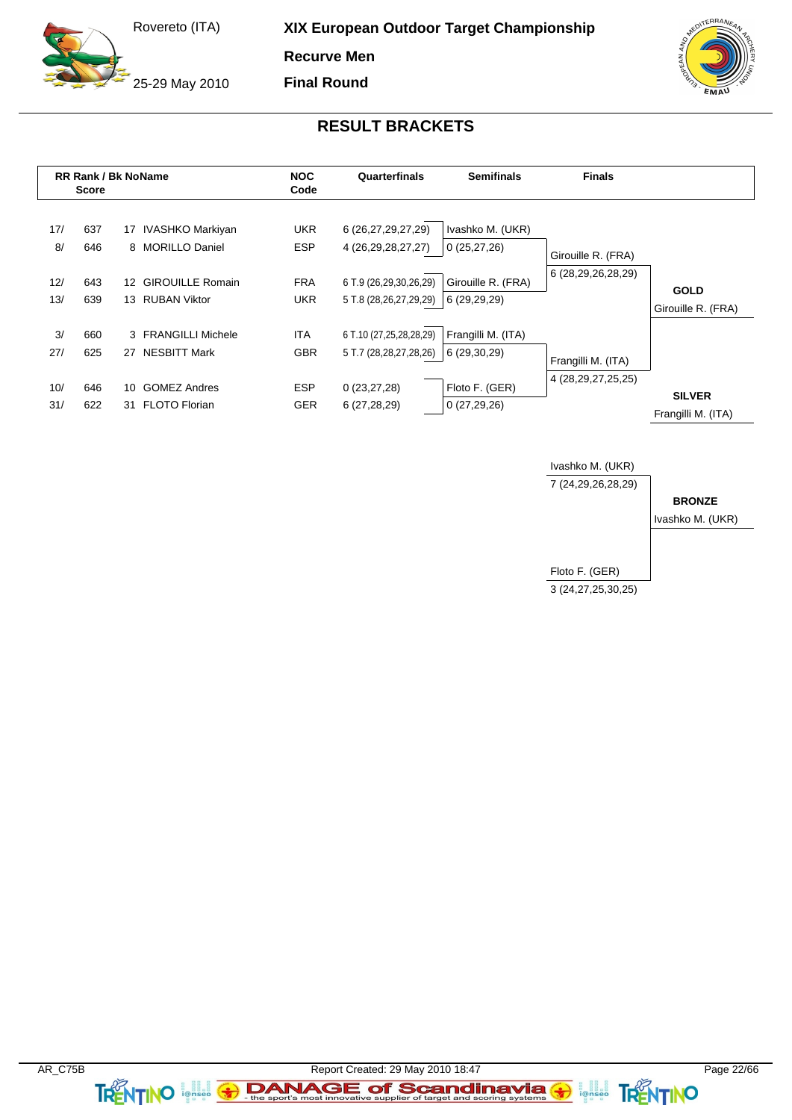25-29 May 2010

**XIX European Outdoor Target Championship**

**Recurve Men**

**Final Round**

![](_page_21_Picture_4.jpeg)

### **RESULT BRACKETS**

![](_page_21_Figure_6.jpeg)

![](_page_21_Figure_7.jpeg)

 $\leftrightarrow$ 

TRENTINO

**TRENTINO Agelie 3**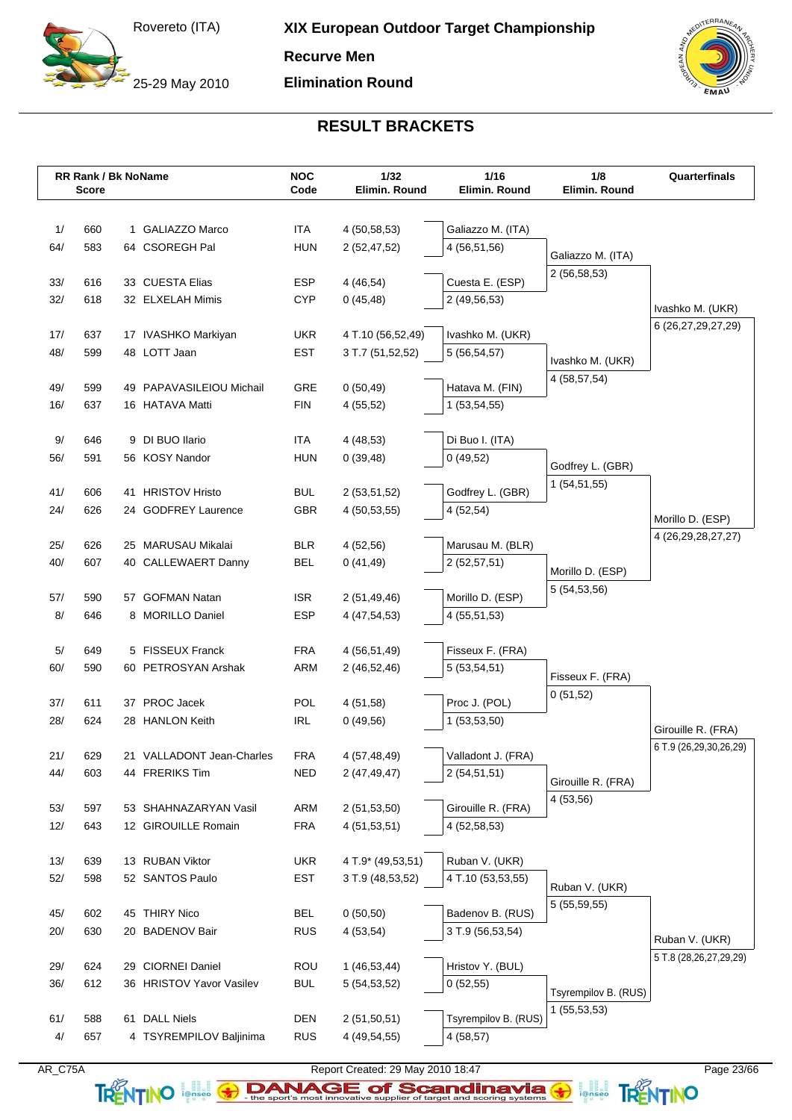25-29 May 2010

**Recurve Men**

**Elimination Round**

![](_page_22_Picture_4.jpeg)

## **RESULT BRACKETS**

|           | RR Rank / Bk NoName<br><b>Score</b> |    |                                         | <b>NOC</b><br>Code       | 1/32<br>Elimin. Round | 1/16<br>Elimin. Round | 1/8<br>Elimin. Round | Quarterfinals                          |
|-----------|-------------------------------------|----|-----------------------------------------|--------------------------|-----------------------|-----------------------|----------------------|----------------------------------------|
|           |                                     |    |                                         |                          |                       |                       |                      |                                        |
| 1/        | 660                                 |    | 1 GALIAZZO Marco                        | <b>ITA</b>               | 4 (50,58,53)          | Galiazzo M. (ITA)     |                      |                                        |
| 64/       | 583                                 |    | 64 CSOREGH Pal                          | <b>HUN</b>               | 2(52, 47, 52)         | 4 (56,51,56)          |                      |                                        |
|           |                                     |    |                                         |                          |                       |                       | Galiazzo M. (ITA)    |                                        |
| 33/       | 616                                 |    | 33 CUESTA Elias                         | <b>ESP</b>               | 4(46,54)              | Cuesta E. (ESP)       | 2(56,58,53)          |                                        |
| 32/       | 618                                 |    | 32 ELXELAH Mimis                        | <b>CYP</b>               | 0(45, 48)             | 2 (49,56,53)          |                      |                                        |
|           |                                     |    |                                         |                          |                       |                       |                      | Ivashko M. (UKR)<br>6 (26,27,29,27,29) |
| 17/       | 637                                 |    | 17 IVASHKO Markiyan                     | <b>UKR</b>               | 4 T.10 (56,52,49)     | Ivashko M. (UKR)      |                      |                                        |
| 48/       | 599                                 |    | 48 LOTT Jaan                            | <b>EST</b>               | 3 T.7 (51,52,52)      | 5(56, 54, 57)         | Ivashko M. (UKR)     |                                        |
|           |                                     |    |                                         |                          |                       |                       | 4 (58,57,54)         |                                        |
| 49/       | 599                                 | 49 | PAPAVASILEIOU Michail                   | <b>GRE</b>               | 0(50, 49)             | Hatava M. (FIN)       |                      |                                        |
| 16/       | 637                                 |    | 16 HATAVA Matti                         | <b>FIN</b>               | 4(55,52)              | 1(53,54,55)           |                      |                                        |
| 9/        | 646                                 |    | 9 DI BUO Ilario                         | <b>ITA</b>               | 4(48,53)              | Di Buo I. (ITA)       |                      |                                        |
| 56/       | 591                                 |    | 56 KOSY Nandor                          | <b>HUN</b>               | 0(39,48)              | 0(49,52)              |                      |                                        |
|           |                                     |    |                                         |                          |                       |                       | Godfrey L. (GBR)     |                                        |
| 41/       | 606                                 |    | 41 HRISTOV Hristo                       | <b>BUL</b>               | 2(53,51,52)           | Godfrey L. (GBR)      | 1 (54,51,55)         |                                        |
| 24/       | 626                                 |    | 24 GODFREY Laurence                     | <b>GBR</b>               | 4(50,53,55)           | 4(52,54)              |                      |                                        |
|           |                                     |    |                                         |                          |                       |                       |                      | Morillo D. (ESP)                       |
| 25/       | 626                                 |    | 25 MARUSAU Mikalai                      | <b>BLR</b>               | 4(52,56)              | Marusau M. (BLR)      |                      | 4 (26, 29, 28, 27, 27)                 |
| 40/       | 607                                 |    | 40 CALLEWAERT Danny                     | <b>BEL</b>               | 0(41, 49)             | 2(52, 57, 51)         | Morillo D. (ESP)     |                                        |
|           |                                     |    |                                         |                          |                       |                       | 5 (54,53,56)         |                                        |
| 57/       | 590                                 |    | 57 GOFMAN Natan                         | <b>ISR</b>               | 2(51, 49, 46)         | Morillo D. (ESP)      |                      |                                        |
| 8/        | 646                                 |    | 8 MORILLO Daniel                        | <b>ESP</b>               | 4 (47,54,53)          | 4 (55,51,53)          |                      |                                        |
|           |                                     |    |                                         |                          |                       |                       |                      |                                        |
| 5/<br>60/ | 649<br>590                          |    | 5 FISSEUX Franck<br>60 PETROSYAN Arshak | <b>FRA</b><br><b>ARM</b> | 4 (56,51,49)          | Fisseux F. (FRA)      |                      |                                        |
|           |                                     |    |                                         |                          | 2 (46,52,46)          | 5(53,54,51)           | Fisseux F. (FRA)     |                                        |
| 37/       | 611                                 |    | 37 PROC Jacek                           | POL                      | 4(51,58)              | Proc J. (POL)         | 0(51,52)             |                                        |
| 28/       | 624                                 |    | 28 HANLON Keith                         | <b>IRL</b>               | 0(49,56)              | 1 (53,53,50)          |                      |                                        |
|           |                                     |    |                                         |                          |                       |                       |                      | Girouille R. (FRA)                     |
| 21/       | 629                                 |    | 21 VALLADONT Jean-Charles               | <b>FRA</b>               | 4 (57,48,49)          | Valladont J. (FRA)    |                      | 6 T.9 (26,29,30,26,29)                 |
| 44/       | 603                                 |    | 44 FRERIKS Tim                          | <b>NED</b>               | 2(47, 49, 47)         | 2 (54,51,51)          |                      |                                        |
|           |                                     |    |                                         |                          |                       |                       | Girouille R. (FRA)   |                                        |
| 53/       | 597                                 |    | 53 SHAHNAZARYAN Vasil                   | ARM                      | 2(51,53,50)           | Girouille R. (FRA)    | 4(53,56)             |                                        |
| 12/       | 643                                 |    | 12 GIROUILLE Romain                     | <b>FRA</b>               | 4(51,53,51)           | 4 (52,58,53)          |                      |                                        |
|           |                                     |    |                                         |                          |                       |                       |                      |                                        |
| 13/       | 639                                 |    | 13 RUBAN Viktor                         | <b>UKR</b>               | 4 T.9* (49,53,51)     | Ruban V. (UKR)        |                      |                                        |
| 52/       | 598                                 |    | 52 SANTOS Paulo                         | EST                      | 3 T.9 (48,53,52)      | 4 T.10 (53,53,55)     | Ruban V. (UKR)       |                                        |
|           |                                     |    |                                         |                          |                       |                       | 5 (55,59,55)         |                                        |
| 45/       | 602                                 |    | 45 THIRY Nico                           | BEL                      | 0(50,50)              | Badenov B. (RUS)      |                      |                                        |
| 20/       | 630                                 |    | 20 BADENOV Bair                         | <b>RUS</b>               | 4(53,54)              | 3 T.9 (56,53,54)      |                      | Ruban V. (UKR)                         |
| 29/       | 624                                 |    | 29 CIORNEI Daniel                       | <b>ROU</b>               | 1(46,53,44)           | Hristov Y. (BUL)      |                      | 5 T.8 (28,26,27,29,29)                 |
| 36/       | 612                                 |    | 36 HRISTOV Yavor Vasilev                | <b>BUL</b>               | 5(54, 53, 52)         | 0(52,55)              |                      |                                        |
|           |                                     |    |                                         |                          |                       |                       | Tsyrempilov B. (RUS) |                                        |
| 61/       | 588                                 | 61 | <b>DALL Niels</b>                       | <b>DEN</b>               | 2(51,50,51)           | Tsyrempilov B. (RUS)  | 1(55,53,53)          |                                        |
| $4/$      | 657                                 |    | 4 TSYREMPILOV Baljinima                 | <b>RUS</b>               | 4 (49,54,55)          | 4(58,57)              |                      |                                        |
|           |                                     |    |                                         |                          |                       |                       |                      |                                        |

AR\_C75A Report Created: 29 May 2010 18:47 Page 23/66

TRENTINO **leftisco The sport's most innovative supplier of target and scoring systems <b>TRENTINO**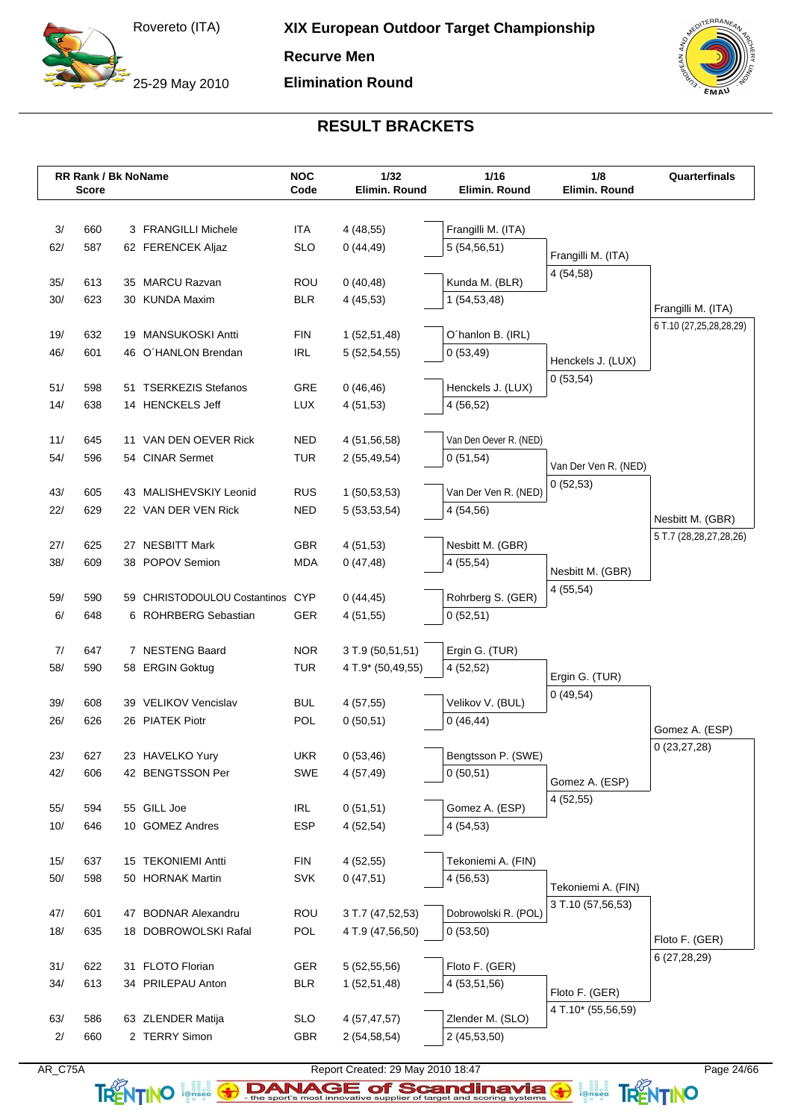25-29 May 2010

**Recurve Men**

**Elimination Round**

![](_page_23_Picture_4.jpeg)

## **RESULT BRACKETS**

|           | <b>RR Rank / Bk NoName</b><br><b>Score</b> |    |                                    | <b>NOC</b><br>Code       | 1/32<br>Elimin. Round                 | 1/16<br>Elimin. Round            | 1/8<br>Elimin. Round         | Quarterfinals                   |
|-----------|--------------------------------------------|----|------------------------------------|--------------------------|---------------------------------------|----------------------------------|------------------------------|---------------------------------|
|           |                                            |    |                                    |                          |                                       |                                  |                              |                                 |
| 3/        | 660                                        |    | 3 FRANGILLI Michele                | ITA                      | 4(48,55)                              | Frangilli M. (ITA)               |                              |                                 |
| 62/       | 587                                        |    | 62 FERENCEK Aljaz                  | <b>SLO</b>               | 0(44, 49)                             | 5(54, 56, 51)                    | Frangilli M. (ITA)           |                                 |
|           |                                            |    |                                    |                          |                                       |                                  | 4 (54,58)                    |                                 |
| 35/       | 613                                        |    | 35 MARCU Razvan                    | <b>ROU</b>               | 0(40, 48)                             | Kunda M. (BLR)                   |                              |                                 |
| 30/       | 623                                        |    | 30 KUNDA Maxim                     | <b>BLR</b>               | 4(45,53)                              | 1(54,53,48)                      |                              | Frangilli M. (ITA)              |
| 19/       | 632                                        |    | 19 MANSUKOSKI Antti                | <b>FIN</b>               | 1(52,51,48)                           | O'hanlon B. (IRL)                |                              | 6 T.10 (27,25,28,28,29)         |
| 46/       | 601                                        |    | 46 O'HANLON Brendan                | <b>IRL</b>               | 5(52, 54, 55)                         | 0(53, 49)                        |                              |                                 |
|           |                                            |    |                                    |                          |                                       |                                  | Henckels J. (LUX)            |                                 |
| 51/       | 598                                        | 51 | <b>TSERKEZIS Stefanos</b>          | <b>GRE</b>               | 0(46, 46)                             | Henckels J. (LUX)                | 0(53,54)                     |                                 |
| 14/       | 638                                        |    | 14 HENCKELS Jeff                   | <b>LUX</b>               | 4(51,53)                              | 4(56,52)                         |                              |                                 |
|           |                                            |    |                                    |                          |                                       |                                  |                              |                                 |
| 11/       | 645                                        |    | 11 VAN DEN OEVER Rick              | <b>NED</b>               | 4 (51,56,58)                          | Van Den Oever R. (NED)           |                              |                                 |
| 54/       | 596                                        |    | 54 CINAR Sermet                    | <b>TUR</b>               | 2(55, 49, 54)                         | 0(51,54)                         | Van Der Ven R. (NED)         |                                 |
| 43/       | 605                                        |    | 43 MALISHEVSKIY Leonid             | <b>RUS</b>               | 1(50,53,53)                           | Van Der Ven R. (NED)             | 0(52,53)                     |                                 |
| 22/       | 629                                        |    | 22 VAN DER VEN Rick                | <b>NED</b>               | 5(53,53,54)                           | 4(54,56)                         |                              |                                 |
|           |                                            |    |                                    |                          |                                       |                                  |                              | Nesbitt M. (GBR)                |
| 27/       | 625                                        |    | 27 NESBITT Mark                    | GBR.                     | 4(51,53)                              | Nesbitt M. (GBR)                 |                              | 5 T.7 (28,28,27,28,26)          |
| 38/       | 609                                        |    | 38 POPOV Semion                    | <b>MDA</b>               | 0(47, 48)                             | 4(55,54)                         |                              |                                 |
|           |                                            |    |                                    |                          |                                       |                                  | Nesbitt M. (GBR)<br>4(55,54) |                                 |
| 59/       | 590                                        |    | 59 CHRISTODOULOU Costantinos CYP   |                          | 0(44, 45)                             | Rohrberg S. (GER)                |                              |                                 |
| 6/        | 648                                        |    | 6 ROHRBERG Sebastian               | <b>GER</b>               | 4(51,55)                              | 0(52,51)                         |                              |                                 |
|           |                                            |    |                                    |                          |                                       |                                  |                              |                                 |
| 7/<br>58/ | 647<br>590                                 |    | 7 NESTENG Baard<br>58 ERGIN Goktug | <b>NOR</b><br><b>TUR</b> | 3 T.9 (50,51,51)<br>4 T.9* (50,49,55) | Ergin G. (TUR)<br>4(52,52)       |                              |                                 |
|           |                                            |    |                                    |                          |                                       |                                  | Ergin G. (TUR)               |                                 |
| 39/       | 608                                        |    | 39 VELIKOV Vencislav               | <b>BUL</b>               | 4(57,55)                              | Velikov V. (BUL)                 | 0(49,54)                     |                                 |
| 26/       | 626                                        |    | 26 PIATEK Piotr                    | POL                      | 0(50,51)                              | 0(46, 44)                        |                              |                                 |
|           |                                            |    |                                    |                          |                                       |                                  |                              | Gomez A. (ESP)<br>0(23, 27, 28) |
| 23/       | 627                                        |    | 23 HAVELKO Yury                    | <b>UKR</b>               | 0(53,46)                              | Bengtsson P. (SWE)               |                              |                                 |
| 42/       | 606                                        |    | 42 BENGTSSON Per                   | SWE                      | 4(57, 49)                             | 0(50,51)                         | Gomez A. (ESP)               |                                 |
|           |                                            |    |                                    |                          |                                       |                                  | 4(52,55)                     |                                 |
| 55/       | 594                                        |    | 55 GILL Joe                        | <b>IRL</b>               | 0(51,51)                              | Gomez A. (ESP)                   |                              |                                 |
| 10/       | 646                                        |    | 10 GOMEZ Andres                    | <b>ESP</b>               | 4(52,54)                              | 4(54,53)                         |                              |                                 |
| 15/       | 637                                        |    | 15 TEKONIEMI Antti                 | <b>FIN</b>               | 4(52,55)                              | Tekoniemi A. (FIN)               |                              |                                 |
| $50/$     | 598                                        |    | 50 HORNAK Martin                   | <b>SVK</b>               | 0(47,51)                              | 4(56,53)                         |                              |                                 |
|           |                                            |    |                                    |                          |                                       |                                  | Tekoniemi A. (FIN)           |                                 |
| 47/       | 601                                        |    | 47 BODNAR Alexandru                | <b>ROU</b>               | 3 T.7 (47,52,53)                      | Dobrowolski R. (POL)             | 3 T.10 (57,56,53)            |                                 |
| 18/       | 635                                        |    | 18 DOBROWOLSKI Rafal               | POL                      | 4 T.9 (47,56,50)                      | 0(53,50)                         |                              | Floto F. (GER)                  |
|           |                                            |    |                                    |                          |                                       |                                  |                              | 6 (27,28,29)                    |
| 31/       | 622                                        |    | 31 FLOTO Florian                   | GER                      | 5 (52,55,56)                          | Floto F. (GER)                   |                              |                                 |
| 34/       | 613                                        |    | 34 PRILEPAU Anton                  | <b>BLR</b>               | 1(52,51,48)                           | 4 (53,51,56)                     | Floto F. (GER)               |                                 |
|           |                                            |    |                                    |                          |                                       |                                  | 4 T.10* (55,56,59)           |                                 |
| 63/<br>2/ | 586<br>660                                 |    | 63 ZLENDER Matija<br>2 TERRY Simon | <b>SLO</b><br>GBR        | 4 (57,47,57)<br>2(54, 58, 54)         | Zlender M. (SLO)<br>2 (45,53,50) |                              |                                 |
|           |                                            |    |                                    |                          |                                       |                                  |                              |                                 |

![](_page_23_Picture_7.jpeg)

TRENTINO **leftisco The sport's most innovative supplier of target and scoring systems <b>TRENTINO**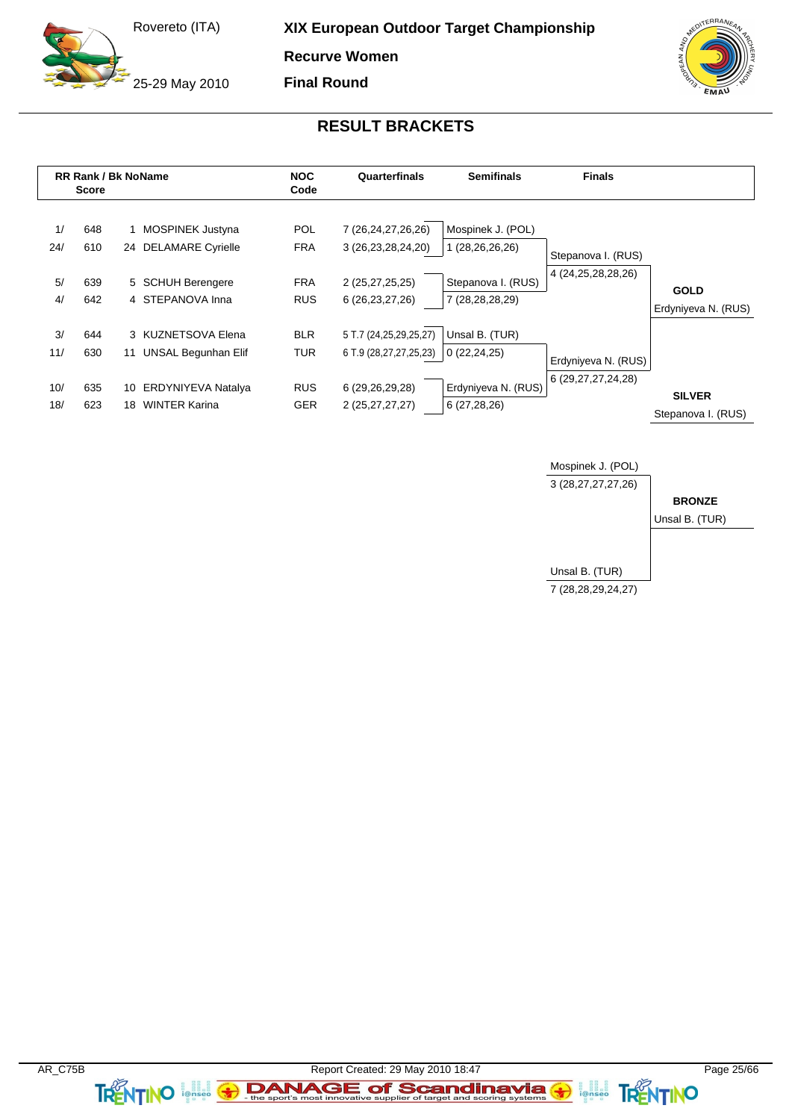25-29 May 2010

**XIX European Outdoor Target Championship**

**Recurve Women**

**Final Round**

![](_page_24_Picture_4.jpeg)

### **RESULT BRACKETS**

![](_page_24_Figure_6.jpeg)

![](_page_24_Figure_7.jpeg)

**TRENTINO FOREST** 

a angles<br>i@nseo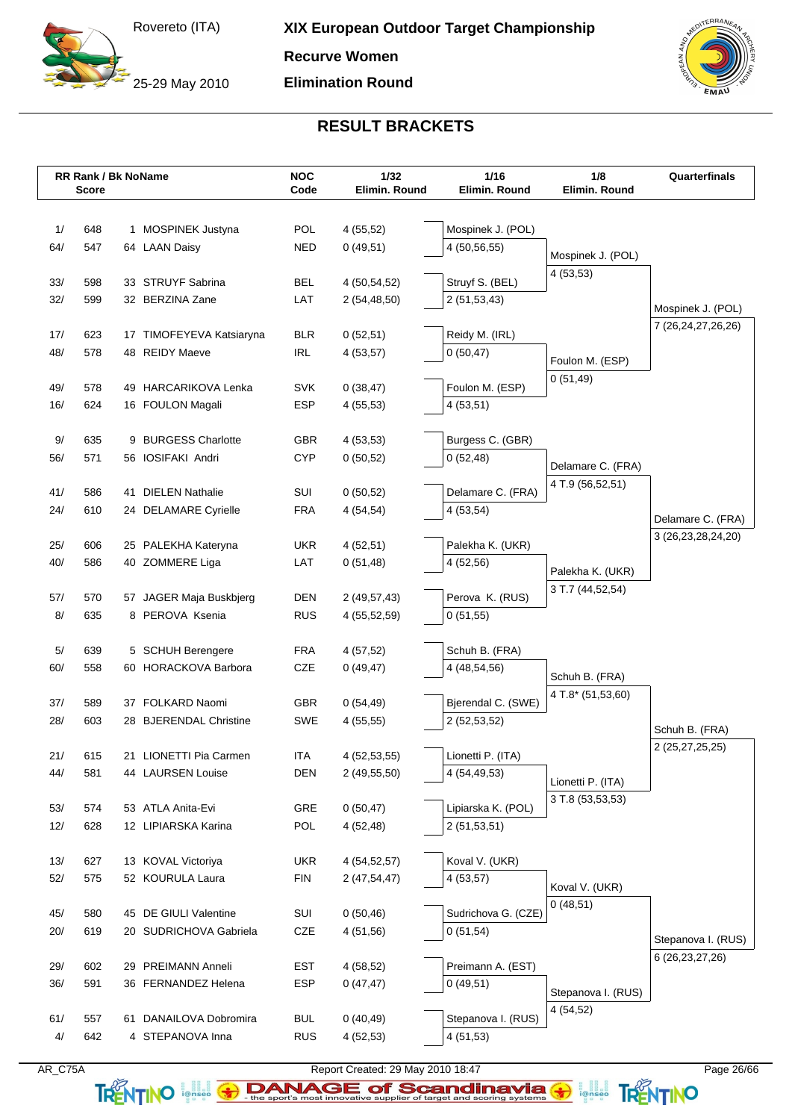25-29 May 2010

**Recurve Women**

**Elimination Round**

![](_page_25_Picture_4.jpeg)

## **RESULT BRACKETS**

|            | RR Rank / Bk NoName<br><b>Score</b> |     |                                                | <b>NOC</b><br>Code | 1/32<br>Elimin. Round       | 1/16<br>Elimin. Round         | 1/8<br>Elimin. Round | Quarterfinals      |
|------------|-------------------------------------|-----|------------------------------------------------|--------------------|-----------------------------|-------------------------------|----------------------|--------------------|
|            |                                     |     |                                                |                    |                             |                               |                      |                    |
| 1/         | 648                                 |     | 1 MOSPINEK Justyna                             | POL                | 4(55,52)                    | Mospinek J. (POL)             |                      |                    |
| 64/        | 547                                 |     | 64 LAAN Daisy                                  | <b>NED</b>         | 0(49,51)                    | 4 (50,56,55)                  | Mospinek J. (POL)    |                    |
|            |                                     |     |                                                |                    |                             |                               | 4(53,53)             |                    |
| 33/        | 598                                 |     | 33 STRUYF Sabrina                              | <b>BEL</b>         | 4 (50,54,52)                | Struyf S. (BEL)               |                      |                    |
| 32/        | 599                                 |     | 32 BERZINA Zane                                | LAT                | 2(54, 48, 50)               | 2(51, 53, 43)                 |                      | Mospinek J. (POL)  |
| 17/        | 623                                 |     | 17 TIMOFEYEVA Katsiaryna                       | <b>BLR</b>         | 0(52,51)                    | Reidy M. (IRL)                |                      | 7 (26,24,27,26,26) |
| 48/        | 578                                 | 48  | <b>REIDY Maeve</b>                             | <b>IRL</b>         | 4(53,57)                    | 0(50, 47)                     |                      |                    |
|            |                                     |     |                                                |                    |                             |                               | Foulon M. (ESP)      |                    |
| 49/        | 578                                 | 49  | <b>HARCARIKOVA Lenka</b>                       | <b>SVK</b>         | 0(38, 47)                   | Foulon M. (ESP)               | 0(51, 49)            |                    |
| 16/        | 624                                 |     | 16 FOULON Magali                               | <b>ESP</b>         | 4(55,53)                    | 4(53,51)                      |                      |                    |
|            |                                     |     |                                                |                    |                             |                               |                      |                    |
| 9/         | 635                                 | 9   | <b>BURGESS Charlotte</b>                       | <b>GBR</b>         | 4(53,53)                    | Burgess C. (GBR)              |                      |                    |
| 56/        | 571                                 | 56  | <b>IOSIFAKI Andri</b>                          | <b>CYP</b>         | 0(50,52)                    | 0(52, 48)                     | Delamare C. (FRA)    |                    |
|            |                                     |     |                                                |                    |                             |                               | 4 T.9 (56,52,51)     |                    |
| 41/<br>24/ | 586<br>610                          | 41  | <b>DIELEN Nathalie</b><br>24 DELAMARE Cyrielle | SUI<br><b>FRA</b>  | 0(50,52)<br>4(54,54)        | Delamare C. (FRA)<br>4(53,54) |                      |                    |
|            |                                     |     |                                                |                    |                             |                               |                      | Delamare C. (FRA)  |
| 25/        | 606                                 |     | 25 PALEKHA Kateryna                            | <b>UKR</b>         | 4(52,51)                    | Palekha K. (UKR)              |                      | 3 (26,23,28,24,20) |
| 40/        | 586                                 |     | 40 ZOMMERE Liga                                | LAT                | 0(51,48)                    | 4 (52,56)                     |                      |                    |
|            |                                     |     |                                                |                    |                             |                               | Palekha K. (UKR)     |                    |
| 57/        | 570                                 |     | 57 JAGER Maja Buskbjerg                        | <b>DEN</b>         | 2(49, 57, 43)               | Perova K. (RUS)               | 3 T.7 (44,52,54)     |                    |
| 8/         | 635                                 |     | 8 PEROVA Ksenia                                | <b>RUS</b>         | 4 (55,52,59)                | 0(51,55)                      |                      |                    |
|            |                                     |     |                                                |                    |                             |                               |                      |                    |
| 5/         | 639                                 |     | 5 SCHUH Berengere                              | <b>FRA</b>         | 4(57,52)                    | Schuh B. (FRA)                |                      |                    |
| 60/        | 558                                 |     | 60 HORACKOVA Barbora                           | CZE                | 0(49, 47)                   | 4 (48,54,56)                  | Schuh B. (FRA)       |                    |
| 37/        | 589                                 |     | 37 FOLKARD Naomi                               | <b>GBR</b>         | 0(54, 49)                   | Bjerendal C. (SWE)            | 4 T.8* (51,53,60)    |                    |
| 28/        | 603                                 | 28  | <b>BJERENDAL Christine</b>                     | <b>SWE</b>         | 4(55,55)                    | 2 (52,53,52)                  |                      |                    |
|            |                                     |     |                                                |                    |                             |                               |                      | Schuh B. (FRA)     |
| 21/        | 615                                 |     | 21 LIONETTI Pia Carmen                         | ITA                | 4 (52,53,55)                | Lionetti P. (ITA)             |                      | 2 (25,27,25,25)    |
| 44/        | 581                                 |     | 44 LAURSEN Louise                              | <b>DEN</b>         | 2(49,55,50)                 | 4 (54,49,53)                  | Lionetti P. (ITA)    |                    |
|            |                                     |     |                                                |                    |                             |                               | 3 T.8 (53,53,53)     |                    |
| 53/        | 574                                 |     | 53 ATLA Anita-Evi                              | <b>GRE</b>         | 0(50, 47)                   | Lipiarska K. (POL)            |                      |                    |
| 12/        | 628                                 |     | 12 LIPIARSKA Karina                            | POL                | 4(52,48)                    | 2(51,53,51)                   |                      |                    |
|            | 627                                 |     | 13 KOVAL Victoriya                             |                    |                             |                               |                      |                    |
| 13/<br>52/ | 575                                 |     | 52 KOURULA Laura                               | UKR<br><b>FIN</b>  | 4 (54,52,57)<br>2(47,54,47) | Koval V. (UKR)<br>4(53,57)    |                      |                    |
|            |                                     |     |                                                |                    |                             |                               | Koval V. (UKR)       |                    |
| 45/        | 580                                 |     | 45 DE GIULI Valentine                          | SUI                | 0(50, 46)                   | Sudrichova G. (CZE)           | 0(48,51)             |                    |
| 20/        | 619                                 |     | 20 SUDRICHOVA Gabriela                         | CZE                | 4(51,56)                    | 0(51,54)                      |                      |                    |
|            |                                     |     |                                                |                    |                             |                               |                      | Stepanova I. (RUS) |
| 29/        | 602                                 | 29  | PREIMANN Anneli                                | <b>EST</b>         | 4(58,52)                    | Preimann A. (EST)             |                      | 6 (26, 23, 27, 26) |
| 36/        | 591                                 |     | 36 FERNANDEZ Helena                            | <b>ESP</b>         | 0(47, 47)                   | 0(49,51)                      | Stepanova I. (RUS)   |                    |
|            |                                     |     |                                                |                    |                             |                               | 4(54,52)             |                    |
| 61/        | 557                                 | 61. | DANAILOVA Dobromira                            | <b>BUL</b>         | 0(40, 49)                   | Stepanova I. (RUS)            |                      |                    |
| 4/         | 642                                 |     | 4 STEPANOVA Inna                               | <b>RUS</b>         | 4(52,53)                    | 4(51,53)                      |                      |                    |

AR\_C75A Report Created: 29 May 2010 18:47 Page 26/66

TRENTINO **leftisco The sport's most innovative supplier of target and scoring systems <b>TRENTINO**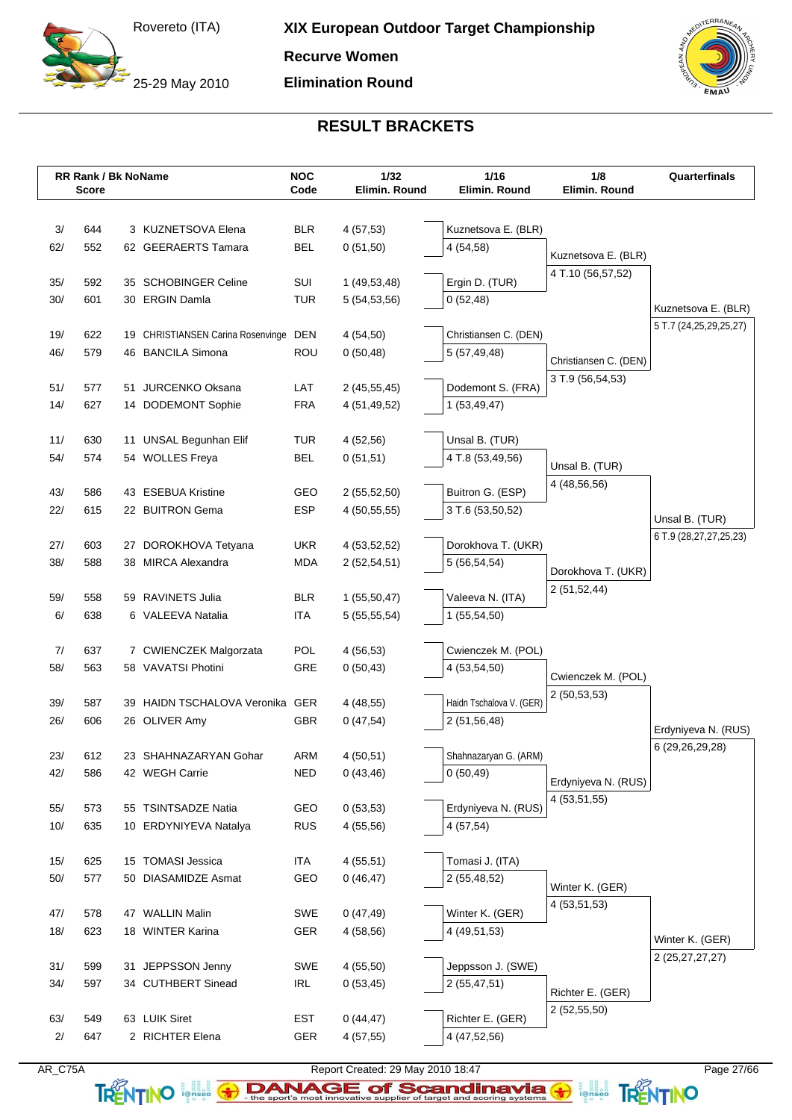25-29 May 2010

**Recurve Women**

**Elimination Round**

![](_page_26_Picture_4.jpeg)

## **RESULT BRACKETS**

|            | <b>RR Rank / Bk NoName</b><br><b>Score</b> |                                         | <b>NOC</b><br>Code | $1/32$<br>Elimin. Round | 1/16<br>Elimin. Round              | 1/8<br>Elimin. Round           | Quarterfinals          |
|------------|--------------------------------------------|-----------------------------------------|--------------------|-------------------------|------------------------------------|--------------------------------|------------------------|
|            |                                            |                                         |                    |                         |                                    |                                |                        |
| 3/         | 644                                        | 3 KUZNETSOVA Elena                      | <b>BLR</b>         | 4(57,53)                | Kuznetsova E. (BLR)                |                                |                        |
| 62/        | 552                                        | 62 GEERAERTS Tamara                     | <b>BEL</b>         | 0(51,50)                | 4 (54,58)                          |                                |                        |
|            |                                            |                                         |                    |                         |                                    | Kuznetsova E. (BLR)            |                        |
| 35/        | 592                                        | 35 SCHOBINGER Celine                    | SUI                | 1(49,53,48)             | Ergin D. (TUR)                     | 4 T.10 (56,57,52)              |                        |
| 30/        | 601                                        | 30 ERGIN Damla                          | <b>TUR</b>         | 5 (54,53,56)            | 0(52,48)                           |                                | Kuznetsova E. (BLR)    |
|            |                                            |                                         |                    |                         |                                    |                                | 5 T.7 (24,25,29,25,27) |
| 19/        | 622                                        | 19 CHRISTIANSEN Carina Rosenvinge       | <b>DEN</b>         | 4(54,50)                | Christiansen C. (DEN)              |                                |                        |
| 46/        | 579                                        | 46 BANCILA Simona                       | <b>ROU</b>         | 0(50, 48)               | 5 (57,49,48)                       | Christiansen C. (DEN)          |                        |
| 51/        | 577                                        | 51 JURCENKO Oksana                      | LAT                | 2(45,55,45)             | Dodemont S. (FRA)                  | 3 T.9 (56,54,53)               |                        |
| 14/        | 627                                        | 14 DODEMONT Sophie                      | <b>FRA</b>         | 4 (51,49,52)            | 1(53, 49, 47)                      |                                |                        |
|            |                                            |                                         |                    |                         |                                    |                                |                        |
| 11/        | 630                                        | 11 UNSAL Begunhan Elif                  | <b>TUR</b>         | 4(52,56)                | Unsal B. (TUR)                     |                                |                        |
| 54/        | 574                                        | 54 WOLLES Freya                         | <b>BEL</b>         | 0(51,51)                | 4 T.8 (53,49,56)                   |                                |                        |
|            |                                            |                                         |                    |                         |                                    | Unsal B. (TUR)<br>4 (48,56,56) |                        |
| 43/        | 586                                        | 43 ESEBUA Kristine                      | GEO                | 2(55,52,50)             | Buitron G. (ESP)                   |                                |                        |
| 22/        | 615                                        | 22 BUITRON Gema                         | <b>ESP</b>         | 4(50, 55, 55)           | 3 T.6 (53,50,52)                   |                                | Unsal B. (TUR)         |
|            |                                            |                                         |                    |                         |                                    |                                | 6 T.9 (28,27,27,25,23) |
| 27/        | 603                                        | 27 DOROKHOVA Tetyana                    | <b>UKR</b>         | 4 (53,52,52)            | Dorokhova T. (UKR)                 |                                |                        |
| 38/        | 588                                        | 38 MIRCA Alexandra                      | <b>MDA</b>         | 2(52, 54, 51)           | 5 (56,54,54)                       | Dorokhova T. (UKR)             |                        |
| 59/        | 558                                        | 59 RAVINETS Julia                       | <b>BLR</b>         | 1(55,50,47)             | Valeeva N. (ITA)                   | 2(51,52,44)                    |                        |
| 6/         | 638                                        | 6 VALEEVA Natalia                       | <b>ITA</b>         | 5(55,55,54)             | 1 (55,54,50)                       |                                |                        |
|            |                                            |                                         |                    |                         |                                    |                                |                        |
| 7/         | 637                                        | 7 CWIENCZEK Malgorzata                  | POL                | 4(56,53)                | Cwienczek M. (POL)                 |                                |                        |
| 58/        | 563                                        | 58 VAVATSI Photini                      | GRE                | 0(50, 43)               | 4 (53,54,50)                       | Cwienczek M. (POL)             |                        |
|            |                                            |                                         |                    |                         |                                    | 2(50,53,53)                    |                        |
| 39/        | 587                                        | 39 HAIDN TSCHALOVA Veronika GER         |                    | 4 (48,55)               | Haidn Tschalova V. (GER)           |                                |                        |
| 26/        | 606                                        | 26 OLIVER Amy                           | <b>GBR</b>         | 0(47,54)                | 2 (51,56,48)                       |                                | Erdyniyeva N. (RUS)    |
|            |                                            |                                         |                    |                         |                                    |                                | 6 (29,26,29,28)        |
| 23/<br>42/ | 612<br>586                                 | 23 SHAHNAZARYAN Gohar<br>42 WEGH Carrie | ARM<br><b>NED</b>  | 4(50,51)<br>0(43, 46)   | Shahnazaryan G. (ARM)<br>0(50, 49) |                                |                        |
|            |                                            |                                         |                    |                         |                                    | Erdyniyeva N. (RUS)            |                        |
| 55/        | 573                                        | 55 TSINTSADZE Natia                     | GEO                | 0(53,53)                | Erdyniyeva N. (RUS)                | 4 (53,51,55)                   |                        |
| 10/        | 635                                        | 10 ERDYNIYEVA Natalya                   | <b>RUS</b>         | 4(55,56)                | 4 (57,54)                          |                                |                        |
|            |                                            |                                         |                    |                         |                                    |                                |                        |
| 15/        | 625                                        | 15 TOMASI Jessica                       | ITA                | 4(55,51)                | Tomasi J. (ITA)                    |                                |                        |
| 50/        | 577                                        | 50 DIASAMIDZE Asmat                     | GEO                | 0(46, 47)               | 2 (55,48,52)                       | Winter K. (GER)                |                        |
|            |                                            |                                         |                    |                         |                                    | 4 (53,51,53)                   |                        |
| 47/        | 578                                        | 47 WALLIN Malin                         | SWE                | 0(47, 49)               | Winter K. (GER)                    |                                |                        |
| 18/        | 623                                        | 18 WINTER Karina                        | GER                | 4(58,56)                | 4 (49,51,53)                       |                                | Winter K. (GER)        |
| 31/        | 599                                        | 31 JEPPSSON Jenny                       | SWE                | 4(55,50)                | Jeppsson J. (SWE)                  |                                | 2 (25, 27, 27, 27)     |
| 34/        | 597                                        | 34 CUTHBERT Sinead                      | <b>IRL</b>         | 0(53, 45)               | 2(55, 47, 51)                      |                                |                        |
|            |                                            |                                         |                    |                         |                                    | Richter E. (GER)               |                        |
| 63/        | 549                                        | 63 LUIK Siret                           | <b>EST</b>         | 0(44, 47)               | Richter E. (GER)                   | 2(52,55,50)                    |                        |
| 2/         | 647                                        | 2 RICHTER Elena                         | GER                | 4 (57,55)               | 4 (47,52,56)                       |                                |                        |
|            |                                            |                                         |                    |                         |                                    |                                |                        |

![](_page_26_Picture_7.jpeg)

AR\_C75A Report Created: 29 May 2010 18:47 Page 27/66

TRENTINO **leftisco The sport's most innovative supplier of target and scoring systems <b>TRENTINO**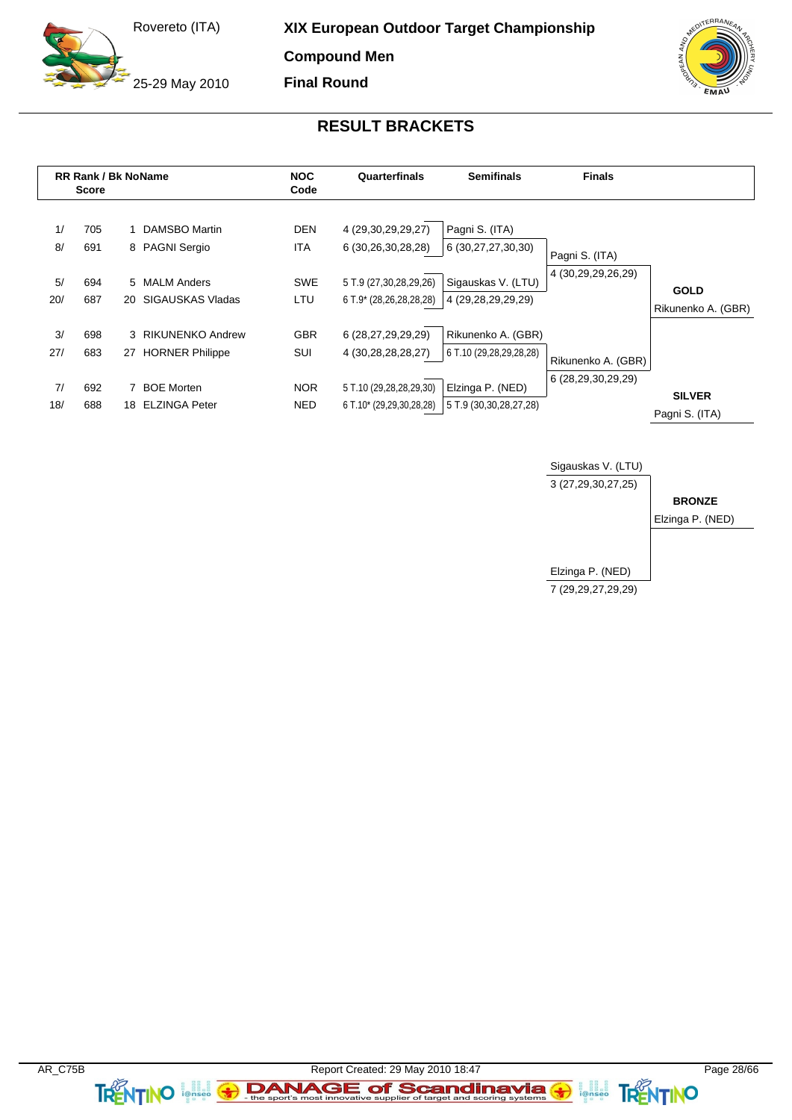25-29 May 2010

**XIX European Outdoor Target Championship**

**Compound Men**

**Final Round**

![](_page_27_Picture_4.jpeg)

### **RESULT BRACKETS**

|                | <b>RR Rank / Bk NoName</b><br><b>Score</b> |    | <b>NOC</b><br>Quarterfinals<br><b>Semifinals</b><br>Code |                                 | <b>Finals</b>                                                      |                                                            |                                      |                                 |
|----------------|--------------------------------------------|----|----------------------------------------------------------|---------------------------------|--------------------------------------------------------------------|------------------------------------------------------------|--------------------------------------|---------------------------------|
| 1/<br>8/<br>5/ | 705<br>691<br>694                          |    | 1 DAMSBO Martin<br>8 PAGNI Sergio<br>5 MALM Anders       | <b>DEN</b><br>ITA<br><b>SWE</b> | 4 (29,30,29,29,27)<br>6 (30,26,30,28,28)<br>5 T.9 (27,30,28,29,26) | Pagni S. (ITA)<br>6 (30,27,27,30,30)<br>Sigauskas V. (LTU) | Pagni S. (ITA)<br>4 (30,29,29,26,29) | <b>GOLD</b>                     |
| 20/            | 687                                        |    | 20 SIGAUSKAS Vladas                                      | LTU                             | 6 T.9* (28,26,28,28,28)                                            | 4 (29,28,29,29,29)                                         |                                      | Rikunenko A. (GBR)              |
| 3/<br>27/      | 698<br>683                                 |    | 3 RIKUNENKO Andrew<br>27 HORNER Philippe                 | <b>GBR</b><br>SUI               | 6 (28,27,29,29,29)<br>4 (30,28,28,28,27)                           | Rikunenko A. (GBR)<br>6 T.10 (29,28,29,28,28)              | Rikunenko A. (GBR)                   |                                 |
| 7/<br>18/      | 692<br>688                                 | 18 | <b>BOE Morten</b><br><b>ELZINGA Peter</b>                | <b>NOR</b><br><b>NED</b>        | 5 T.10 (29,28,28,29,30)<br>6 T.10* (29,29,30,28,28)                | Elzinga P. (NED)<br>5 T.9 (30,30,28,27,28)                 | 6 (28,29,30,29,29)                   | <b>SILVER</b><br>Pagni S. (ITA) |

![](_page_27_Figure_7.jpeg)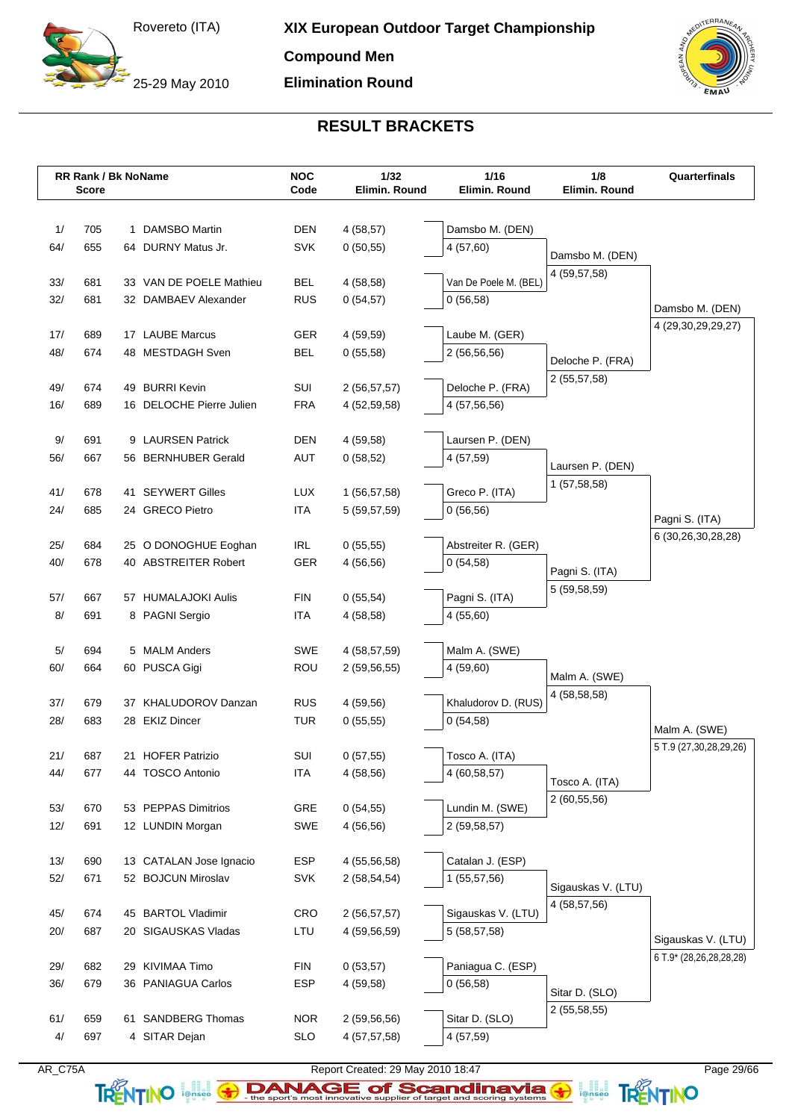25-29 May 2010

**Compound Men**

**Elimination Round**

![](_page_28_Picture_4.jpeg)

## **RESULT BRACKETS**

|     | <b>RR Rank / Bk NoName</b><br><b>Score</b> |                          | <b>NOC</b><br>Code | 1/32<br>Elimin. Round | 1/16<br>Elimin. Round | 1/8<br>Elimin. Round               | Quarterfinals           |
|-----|--------------------------------------------|--------------------------|--------------------|-----------------------|-----------------------|------------------------------------|-------------------------|
|     |                                            |                          |                    |                       |                       |                                    |                         |
| 1/  | 705                                        | 1 DAMSBO Martin          | <b>DEN</b>         | 4(58,57)              | Damsbo M. (DEN)       |                                    |                         |
| 64/ | 655                                        | 64 DURNY Matus Jr.       | <b>SVK</b>         | 0(50,55)              | 4(57,60)              | Damsbo M. (DEN)                    |                         |
|     |                                            |                          |                    |                       |                       | 4 (59,57,58)                       |                         |
| 33/ | 681                                        | 33 VAN DE POELE Mathieu  | <b>BEL</b>         | 4 (58,58)             | Van De Poele M. (BEL) |                                    |                         |
| 32/ | 681                                        | 32 DAMBAEV Alexander     | <b>RUS</b>         | 0(54,57)              | 0(56,58)              |                                    | Damsbo M. (DEN)         |
| 17/ | 689                                        | 17 LAUBE Marcus          | <b>GER</b>         | 4 (59,59)             | Laube M. (GER)        |                                    | 4 (29,30,29,29,27)      |
| 48/ | 674                                        | 48 MESTDAGH Sven         | <b>BEL</b>         | 0(55,58)              | 2 (56,56,56)          |                                    |                         |
|     |                                            |                          |                    |                       |                       | Deloche P. (FRA)                   |                         |
| 49/ | 674                                        | 49 BURRI Kevin           | SUI                | 2(56, 57, 57)         | Deloche P. (FRA)      | 2 (55,57,58)                       |                         |
| 16/ | 689                                        | 16 DELOCHE Pierre Julien | <b>FRA</b>         | 4 (52,59,58)          | 4 (57,56,56)          |                                    |                         |
|     |                                            |                          |                    |                       |                       |                                    |                         |
| 9/  | 691                                        | 9 LAURSEN Patrick        | <b>DEN</b>         | 4 (59,58)             | Laursen P. (DEN)      |                                    |                         |
| 56/ | 667                                        | 56 BERNHUBER Gerald      | <b>AUT</b>         | 0(58,52)              | 4 (57,59)             | Laursen P. (DEN)                   |                         |
| 41/ | 678                                        | 41 SEYWERT Gilles        | <b>LUX</b>         | 1 (56,57,58)          | Greco P. (ITA)        | 1(57,58,58)                        |                         |
| 24/ | 685                                        | 24 GRECO Pietro          | <b>ITA</b>         | 5 (59,57,59)          | 0(56,56)              |                                    |                         |
|     |                                            |                          |                    |                       |                       |                                    | Pagni S. (ITA)          |
| 25/ | 684                                        | 25 O DONOGHUE Eoghan     | <b>IRL</b>         | 0(55,55)              | Abstreiter R. (GER)   |                                    | 6 (30,26,30,28,28)      |
| 40/ | 678                                        | 40 ABSTREITER Robert     | <b>GER</b>         | 4(56,56)              | 0(54,58)              | Pagni S. (ITA)                     |                         |
|     |                                            |                          |                    |                       |                       | 5 (59,58,59)                       |                         |
| 57/ | 667                                        | 57 HUMALAJOKI Aulis      | <b>FIN</b>         | 0(55,54)              | Pagni S. (ITA)        |                                    |                         |
| 8/  | 691                                        | 8 PAGNI Sergio           | <b>ITA</b>         | 4 (58,58)             | 4(55,60)              |                                    |                         |
| 5/  | 694                                        | 5 MALM Anders            | <b>SWE</b>         | 4 (58,57,59)          | Malm A. (SWE)         |                                    |                         |
| 60/ | 664                                        | 60 PUSCA Gigi            | <b>ROU</b>         | 2(59,56,55)           | 4(59,60)              |                                    |                         |
|     |                                            |                          |                    |                       |                       | Malm A. (SWE)                      |                         |
| 37/ | 679                                        | 37 KHALUDOROV Danzan     | <b>RUS</b>         | 4 (59,56)             | Khaludorov D. (RUS)   | 4 (58,58,58)                       |                         |
| 28/ | 683                                        | 28 EKIZ Dincer           | <b>TUR</b>         | 0(55,55)              | 0(54,58)              |                                    | Malm A. (SWE)           |
|     |                                            |                          |                    |                       |                       |                                    | 5 T.9 (27,30,28,29,26)  |
| 21/ | 687                                        | 21 HOFER Patrizio        | SUI                | 0(57,55)              | Tosco A. (ITA)        |                                    |                         |
| 44/ | 677                                        | 44 TOSCO Antonio         | <b>ITA</b>         | 4(58,56)              | 4 (60,58,57)          | Tosco A. (ITA)                     |                         |
| 53/ | 670                                        | 53 PEPPAS Dimitrios      | GRE                |                       | Lundin M. (SWE)       | 2(60, 55, 56)                      |                         |
| 12/ | 691                                        | 12 LUNDIN Morgan         | <b>SWE</b>         | 0(54,55)<br>4 (56,56) | 2 (59,58,57)          |                                    |                         |
|     |                                            |                          |                    |                       |                       |                                    |                         |
| 13/ | 690                                        | 13 CATALAN Jose Ignacio  | ESP                | 4 (55,56,58)          | Catalan J. (ESP)      |                                    |                         |
| 52/ | 671                                        | 52 BOJCUN Miroslav       | <b>SVK</b>         | 2(58, 54, 54)         | 1 (55,57,56)          |                                    |                         |
|     |                                            |                          |                    |                       |                       | Sigauskas V. (LTU)<br>4 (58,57,56) |                         |
| 45/ | 674                                        | 45 BARTOL Vladimir       | CRO                | 2 (56,57,57)          | Sigauskas V. (LTU)    |                                    |                         |
| 20/ | 687                                        | 20 SIGAUSKAS Vladas      | LTU                | 4 (59,56,59)          | 5 (58,57,58)          |                                    | Sigauskas V. (LTU)      |
|     |                                            |                          |                    |                       |                       |                                    | 6 T.9* (28,26,28,28,28) |
| 29/ | 682                                        | 29 KIVIMAA Timo          | <b>FIN</b>         | 0(53,57)              | Paniagua C. (ESP)     |                                    |                         |
| 36/ | 679                                        | 36 PANIAGUA Carlos       | ESP                | 4 (59,58)             | 0(56,58)              | Sitar D. (SLO)                     |                         |
| 61/ | 659                                        | 61 SANDBERG Thomas       | <b>NOR</b>         | 2(59,56,56)           | Sitar D. (SLO)        | 2 (55,58,55)                       |                         |
| 4/  | 697                                        | 4 SITAR Dejan            | <b>SLO</b>         | 4 (57,57,58)          | 4 (57,59)             |                                    |                         |
|     |                                            |                          |                    |                       |                       |                                    |                         |

![](_page_28_Picture_7.jpeg)

AR\_C75A Report Created: 29 May 2010 18:47 Page 29/66

TRENTINO **leftisco The sport's most innovative supplier of target and scoring systems <b>TRENTINO**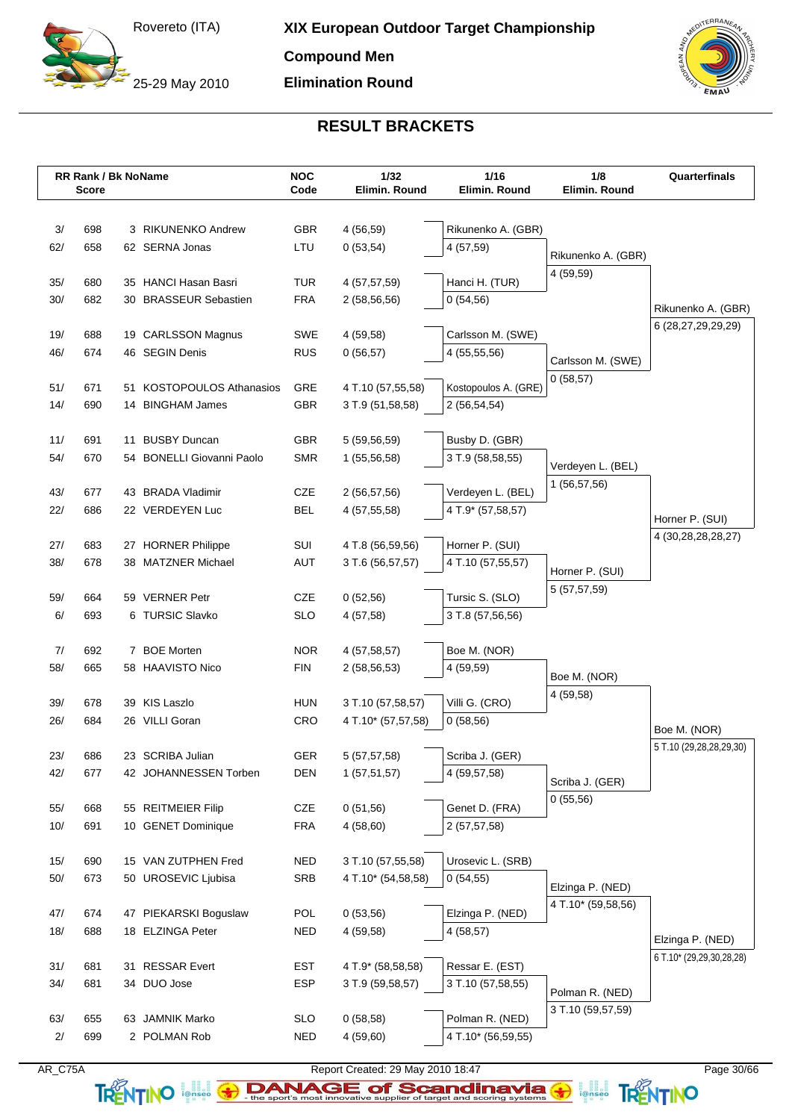25-29 May 2010

**Compound Men**

**Elimination Round**

![](_page_29_Picture_4.jpeg)

## **RESULT BRACKETS**

|            | <b>RR Rank / Bk NoName</b><br><b>Score</b> |    |                                      | <b>NOC</b><br>Code       | $1/32$<br>Elimin. Round      | $1/16$<br>Elimin. Round                | 1/8<br>Elimin. Round | Quarterfinals                                |
|------------|--------------------------------------------|----|--------------------------------------|--------------------------|------------------------------|----------------------------------------|----------------------|----------------------------------------------|
|            |                                            |    |                                      |                          |                              |                                        |                      |                                              |
| 3/         | 698                                        |    | 3 RIKUNENKO Andrew                   | <b>GBR</b>               | 4 (56,59)                    | Rikunenko A. (GBR)                     |                      |                                              |
| 62/        | 658                                        |    | 62 SERNA Jonas                       | LTU                      | 0(53,54)                     | 4 (57,59)                              | Rikunenko A. (GBR)   |                                              |
|            |                                            |    |                                      |                          |                              |                                        | 4 (59,59)            |                                              |
| 35/        | 680                                        |    | 35 HANCI Hasan Basri                 | <b>TUR</b>               | 4 (57,57,59)                 | Hanci H. (TUR)                         |                      |                                              |
| 30/        | 682                                        |    | 30 BRASSEUR Sebastien                | <b>FRA</b>               | 2(58, 56, 56)                | 0(54,56)                               |                      | Rikunenko A. (GBR)                           |
| 19/        | 688                                        |    | 19 CARLSSON Magnus                   | SWE                      | 4 (59,58)                    | Carlsson M. (SWE)                      |                      | 6 (28,27,29,29,29)                           |
| 46/        | 674                                        |    | 46 SEGIN Denis                       | <b>RUS</b>               | 0(56,57)                     | 4 (55,55,56)                           |                      |                                              |
|            |                                            |    |                                      |                          |                              |                                        | Carlsson M. (SWE)    |                                              |
| 51/        | 671                                        |    | 51 KOSTOPOULOS Athanasios            | GRE                      | 4 T.10 (57,55,58)            | Kostopoulos A. (GRE)                   | 0(58,57)             |                                              |
| 14/        | 690                                        |    | 14 BINGHAM James                     | <b>GBR</b>               | 3 T.9 (51,58,58)             | 2 (56,54,54)                           |                      |                                              |
|            |                                            |    |                                      |                          |                              |                                        |                      |                                              |
| 11/        | 691                                        | 11 | <b>BUSBY Duncan</b>                  | <b>GBR</b>               | 5 (59,56,59)                 | Busby D. (GBR)                         |                      |                                              |
| 54/        | 670                                        |    | 54 BONELLI Giovanni Paolo            | <b>SMR</b>               | 1 (55,56,58)                 | 3 T.9 (58,58,55)                       | Verdeven L. (BEL)    |                                              |
|            |                                            |    |                                      |                          |                              |                                        | 1(56, 57, 56)        |                                              |
| 43/<br>22/ | 677                                        |    | 43 BRADA Vladimir<br>22 VERDEYEN Luc | <b>CZE</b><br><b>BEL</b> | 2 (56,57,56)<br>4 (57,55,58) | Verdeyen L. (BEL)<br>4 T.9* (57,58,57) |                      |                                              |
|            | 686                                        |    |                                      |                          |                              |                                        |                      | Horner P. (SUI)                              |
| 27/        | 683                                        |    | 27 HORNER Philippe                   | SUI                      | 4 T.8 (56,59,56)             | Horner P. (SUI)                        |                      | 4 (30,28,28,28,27)                           |
| 38/        | 678                                        |    | 38 MATZNER Michael                   | AUT                      | 3 T.6 (56,57,57)             | 4 T.10 (57,55,57)                      |                      |                                              |
|            |                                            |    |                                      |                          |                              |                                        | Horner P. (SUI)      |                                              |
| 59/        | 664                                        |    | 59 VERNER Petr                       | <b>CZE</b>               | 0(52,56)                     | Tursic S. (SLO)                        | 5 (57,57,59)         |                                              |
| 6/         | 693                                        |    | 6 TURSIC Slavko                      | <b>SLO</b>               | 4(57,58)                     | 3 T.8 (57,56,56)                       |                      |                                              |
|            |                                            |    |                                      |                          |                              |                                        |                      |                                              |
| 7/         | 692                                        |    | 7 BOE Morten                         | <b>NOR</b>               | 4 (57,58,57)                 | Boe M. (NOR)                           |                      |                                              |
| 58/        | 665                                        |    | 58 HAAVISTO Nico                     | <b>FIN</b>               | 2(58, 56, 53)                | 4 (59,59)                              | Boe M. (NOR)         |                                              |
| 39/        | 678                                        |    | 39 KIS Laszlo                        | <b>HUN</b>               | 3 T.10 (57,58,57)            | Villi G. (CRO)                         | 4 (59,58)            |                                              |
| 26/        | 684                                        |    | 26 VILLI Goran                       | <b>CRO</b>               | 4 T.10* (57,57,58)           | 0(58,56)                               |                      |                                              |
|            |                                            |    |                                      |                          |                              |                                        |                      | Boe M. (NOR)                                 |
| 23/        | 686                                        |    | 23 SCRIBA Julian                     | GER                      | 5 (57,57,58)                 | Scriba J. (GER)                        |                      | 5 T.10 (29,28,28,29,30)                      |
| 42/        | 677                                        |    | 42 JOHANNESSEN Torben                | <b>DEN</b>               | 1(57,51,57)                  | 4 (59,57,58)                           | Scriba J. (GER)      |                                              |
|            |                                            |    |                                      |                          |                              |                                        | 0(55,56)             |                                              |
| 55/        | 668                                        |    | 55 REITMEIER Filip                   | <b>CZE</b>               | 0(51,56)                     | Genet D. (FRA)                         |                      |                                              |
| $10/$      | 691                                        |    | 10 GENET Dominique                   | <b>FRA</b>               | 4(58,60)                     | 2(57, 57, 58)                          |                      |                                              |
| 15/        | 690                                        |    | 15 VAN ZUTPHEN Fred                  | <b>NED</b>               | 3 T.10 (57,55,58)            | Urosevic L. (SRB)                      |                      |                                              |
| $50/$      | 673                                        |    | 50 UROSEVIC Ljubisa                  | SRB                      | 4 T.10* (54,58,58)           | 0(54,55)                               |                      |                                              |
|            |                                            |    |                                      |                          |                              |                                        | Elzinga P. (NED)     |                                              |
| 47/        | 674                                        |    | 47 PIEKARSKI Boguslaw                | <b>POL</b>               | 0(53,56)                     | Elzinga P. (NED)                       | 4 T.10* (59,58,56)   |                                              |
| 18/        | 688                                        |    | 18 ELZINGA Peter                     | <b>NED</b>               | 4 (59,58)                    | 4(58,57)                               |                      |                                              |
|            |                                            |    |                                      |                          |                              |                                        |                      | Elzinga P. (NED)<br>6 T.10* (29,29,30,28,28) |
| 31/        | 681                                        |    | 31 RESSAR Evert                      | <b>EST</b>               | 4 T.9* (58,58,58)            | Ressar E. (EST)                        |                      |                                              |
| 34/        | 681                                        |    | 34 DUO Jose                          | <b>ESP</b>               | 3 T.9 (59,58,57)             | 3 T.10 (57,58,55)                      | Polman R. (NED)      |                                              |
|            |                                            |    |                                      |                          |                              |                                        | 3 T.10 (59,57,59)    |                                              |
| 63/<br>2/  | 655<br>699                                 |    | 63 JAMNIK Marko<br>2 POLMAN Rob      | <b>SLO</b><br><b>NED</b> | 0(58,58)                     | Polman R. (NED)<br>4 T.10* (56,59,55)  |                      |                                              |
|            |                                            |    |                                      |                          | 4(59,60)                     |                                        |                      |                                              |

AR\_C75A Report Created: 29 May 2010 18:47 Page 30/66

TRENTINO **EXAMAGE of Scandinavia G ANTINO**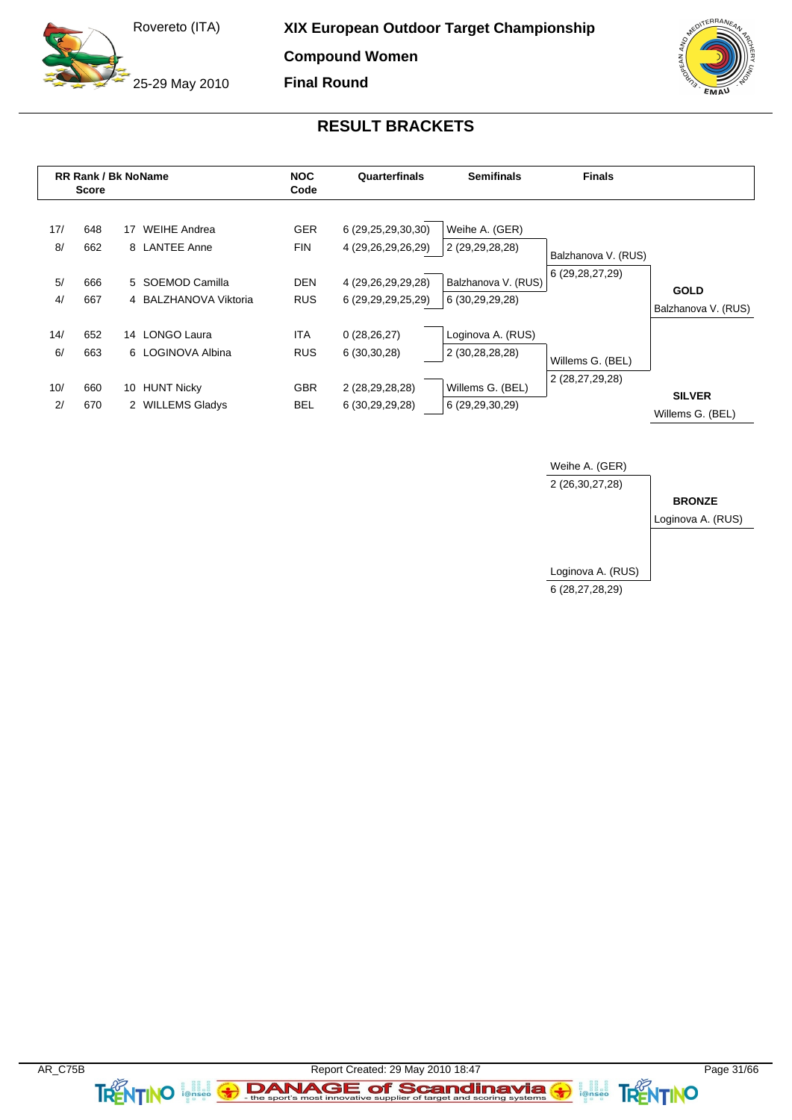25-29 May 2010

**XIX European Outdoor Target Championship**

**Compound Women**

**Final Round**

![](_page_30_Picture_4.jpeg)

### **RESULT BRACKETS**

|                        | <b>RR Rank / Bk NoName</b><br><b>Score</b> |    |                                                                                   | <b>NOC</b><br>Code                                   | Quarterfinals                                                                                | <b>Semifinals</b>                                                           | <b>Finals</b>                             |                                    |
|------------------------|--------------------------------------------|----|-----------------------------------------------------------------------------------|------------------------------------------------------|----------------------------------------------------------------------------------------------|-----------------------------------------------------------------------------|-------------------------------------------|------------------------------------|
| 17/<br>8/<br>5/<br>4/  | 648<br>662<br>666<br>667                   | 17 | <b>WEIHE Andrea</b><br>8 LANTEE Anne<br>5 SOEMOD Camilla<br>4 BALZHANOVA Viktoria | <b>GER</b><br><b>FIN</b><br><b>DEN</b><br><b>RUS</b> | 6 (29, 25, 29, 30, 30)<br>4 (29,26,29,26,29)<br>4 (29,26,29,29,28)<br>6 (29, 29, 29, 25, 29) | Weihe A. (GER)<br>2 (29,29,28,28)<br>Balzhanova V. (RUS)<br>6 (30,29,29,28) | Balzhanova V. (RUS)<br>6 (29, 28, 27, 29) | <b>GOLD</b><br>Balzhanova V. (RUS) |
| 14/<br>6/<br>10/<br>2/ | 652<br>663<br>660<br>670                   |    | 14 LONGO Laura<br>6 LOGINOVA Albina<br>10 HUNT Nicky<br>2 WILLEMS Gladys          | ITA<br><b>RUS</b><br><b>GBR</b><br>BEL               | 0(28, 26, 27)<br>6(30,30,28)<br>2 (28,29,28,28)<br>6 (30,29,29,28)                           | Loginova A. (RUS)<br>2 (30,28,28,28)<br>Willems G. (BEL)<br>6 (29,29,30,29) | Willems G. (BEL)<br>2 (28,27,29,28)       | <b>SILVER</b><br>Willems G. (BEL)  |

![](_page_30_Figure_7.jpeg)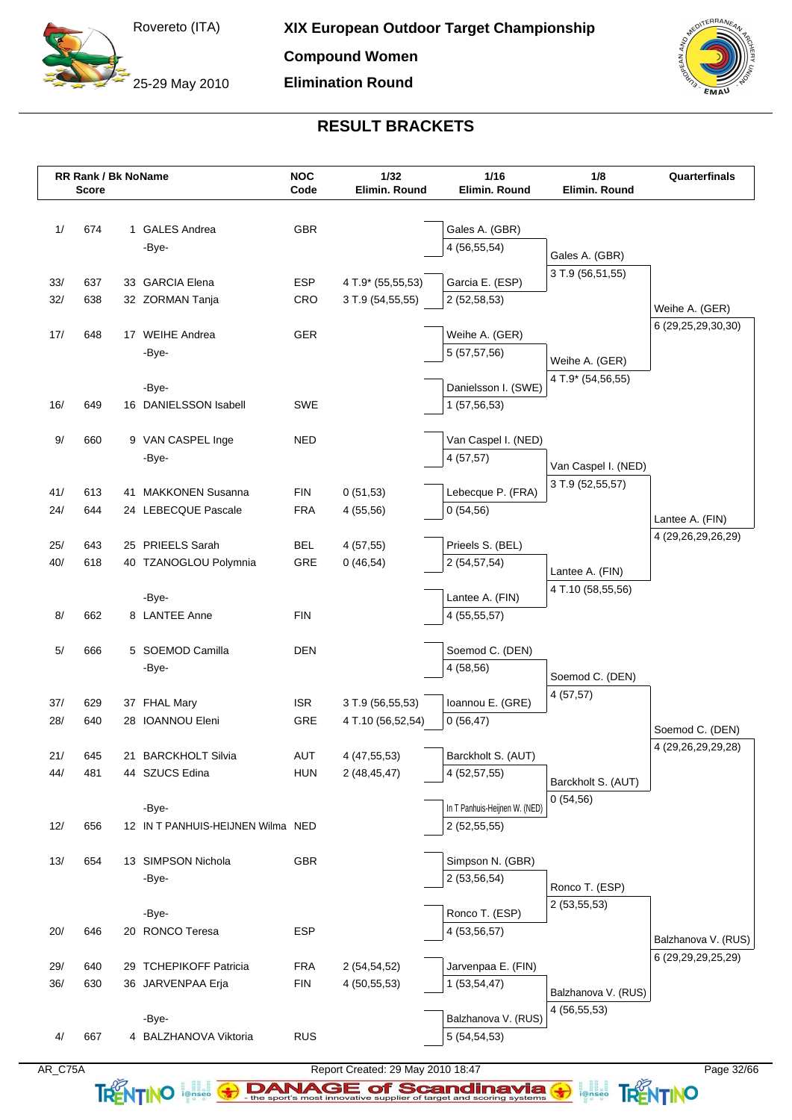25-29 May 2010

**Compound Women**

**Elimination Round**

![](_page_31_Picture_4.jpeg)

## **RESULT BRACKETS**

|      | RR Rank / Bk NoName<br><b>Score</b> |                                   | <b>NOC</b><br>Code | $1/32$<br>Elimin. Round | 1/16<br>Elimin. Round           | 1/8<br>Elimin. Round | Quarterfinals          |
|------|-------------------------------------|-----------------------------------|--------------------|-------------------------|---------------------------------|----------------------|------------------------|
|      |                                     |                                   |                    |                         |                                 |                      |                        |
| 1/   | 674                                 | 1 GALES Andrea                    | <b>GBR</b>         |                         | Gales A. (GBR)                  |                      |                        |
|      |                                     | -Bye-                             |                    |                         | 4 (56,55,54)                    | Gales A. (GBR)       |                        |
|      |                                     |                                   |                    |                         |                                 | 3 T.9 (56,51,55)     |                        |
| 33/  | 637                                 | 33 GARCIA Elena                   | <b>ESP</b>         | 4 T.9* (55,55,53)       | Garcia E. (ESP)                 |                      |                        |
| 32/  | 638                                 | 32 ZORMAN Tanja                   | CRO                | 3 T.9 (54,55,55)        | 2 (52,58,53)                    |                      | Weihe A. (GER)         |
| 17/  | 648                                 | 17 WEIHE Andrea                   | GER                |                         | Weihe A. (GER)                  |                      | 6 (29,25,29,30,30)     |
|      |                                     | -Bye-                             |                    |                         | 5 (57,57,56)                    |                      |                        |
|      |                                     |                                   |                    |                         |                                 | Weihe A. (GER)       |                        |
|      |                                     | -Bye-                             |                    |                         | Danielsson I. (SWE)             | 4 T.9* (54,56,55)    |                        |
| 16/  | 649                                 | 16 DANIELSSON Isabell             | SWE                |                         | 1(57,56,53)                     |                      |                        |
|      |                                     |                                   |                    |                         |                                 |                      |                        |
| $9/$ | 660                                 | 9 VAN CASPEL Inge                 | <b>NED</b>         |                         | Van Caspel I. (NED)             |                      |                        |
|      |                                     | -Bye-                             |                    |                         | 4(57,57)                        | Van Caspel I. (NED)  |                        |
|      |                                     |                                   |                    |                         |                                 | 3 T.9 (52,55,57)     |                        |
| 41/  | 613                                 | 41 MAKKONEN Susanna               | <b>FIN</b>         | 0(51,53)                | Lebecque P. (FRA)               |                      |                        |
| 24/  | 644                                 | 24 LEBECQUE Pascale               | <b>FRA</b>         | 4(55,56)                | 0(54,56)                        |                      | Lantee A. (FIN)        |
|      |                                     |                                   |                    |                         |                                 |                      | 4 (29,26,29,26,29)     |
| 25/  | 643                                 | 25 PRIEELS Sarah                  | <b>BEL</b>         | 4(57,55)                | Prieels S. (BEL)                |                      |                        |
| 40/  | 618                                 | 40 TZANOGLOU Polymnia             | GRE                | 0(46,54)                | 2 (54,57,54)                    | Lantee A. (FIN)      |                        |
|      |                                     |                                   |                    |                         |                                 | 4 T.10 (58,55,56)    |                        |
| 8/   | 662                                 | -Bye-<br>8 LANTEE Anne            | <b>FIN</b>         |                         | Lantee A. (FIN)<br>4 (55,55,57) |                      |                        |
|      |                                     |                                   |                    |                         |                                 |                      |                        |
| 5/   | 666                                 | 5 SOEMOD Camilla                  | <b>DEN</b>         |                         | Soemod C. (DEN)                 |                      |                        |
|      |                                     | -Bye-                             |                    |                         | 4 (58,56)                       |                      |                        |
|      |                                     |                                   |                    |                         |                                 | Soemod C. (DEN)      |                        |
| 37/  | 629                                 | 37 FHAL Mary                      | <b>ISR</b>         | 3 T.9 (56,55,53)        | Ioannou E. (GRE)                | 4(57,57)             |                        |
| 28/  | 640                                 | 28 IOANNOU Eleni                  | GRE                | 4 T.10 (56,52,54)       | 0(56, 47)                       |                      |                        |
|      |                                     |                                   |                    |                         |                                 |                      | Soemod C. (DEN)        |
| 21/  | 645                                 | 21 BARCKHOLT Silvia               | AUT                | 4 (47,55,53)            | Barckholt S. (AUT)              |                      | 4 (29, 26, 29, 29, 28) |
| 44/  | 481                                 | 44 SZUCS Edina                    | <b>HUN</b>         | 2(48, 45, 47)           | 4 (52,57,55)                    | Barckholt S. (AUT)   |                        |
|      |                                     |                                   |                    |                         |                                 | 0(54,56)             |                        |
|      |                                     | -Bye-                             |                    |                         | In T Panhuis-Heijnen W. (NED)   |                      |                        |
| 12/  | 656                                 | 12 IN T PANHUIS-HEIJNEN Wilma NED |                    |                         | 2(52,55,55)                     |                      |                        |
|      |                                     |                                   |                    |                         |                                 |                      |                        |
| 13/  | 654                                 | 13 SIMPSON Nichola                | GBR                |                         | Simpson N. (GBR)                |                      |                        |
|      |                                     | -Bye-                             |                    |                         | 2(53,56,54)                     | Ronco T. (ESP)       |                        |
|      |                                     | -Bye-                             |                    |                         | Ronco T. (ESP)                  | 2(53,55,53)          |                        |
| 20/  | 646                                 | 20 RONCO Teresa                   | <b>ESP</b>         |                         | 4 (53,56,57)                    |                      |                        |
|      |                                     |                                   |                    |                         |                                 |                      | Balzhanova V. (RUS)    |
| 29/  | 640                                 | 29 TCHEPIKOFF Patricia            | <b>FRA</b>         | 2(54, 54, 52)           | Jarvenpaa E. (FIN)              |                      | 6 (29,29,29,25,29)     |
| 36/  | 630                                 | 36 JARVENPAA Erja                 | <b>FIN</b>         | 4(50, 55, 53)           | 1(53,54,47)                     |                      |                        |
|      |                                     |                                   |                    |                         |                                 | Balzhanova V. (RUS)  |                        |
|      |                                     | -Bye-                             |                    |                         | Balzhanova V. (RUS)             | 4 (56,55,53)         |                        |
| 4/   | 667                                 | 4 BALZHANOVA Viktoria             | <b>RUS</b>         |                         | 5 (54,54,53)                    |                      |                        |
|      |                                     |                                   |                    |                         |                                 |                      |                        |

Report Created: 29 May 2010 18:47<br> **AR\_C75A** Report Created: 29 May 2010 18:47<br> **AR\_C75A** REPORTING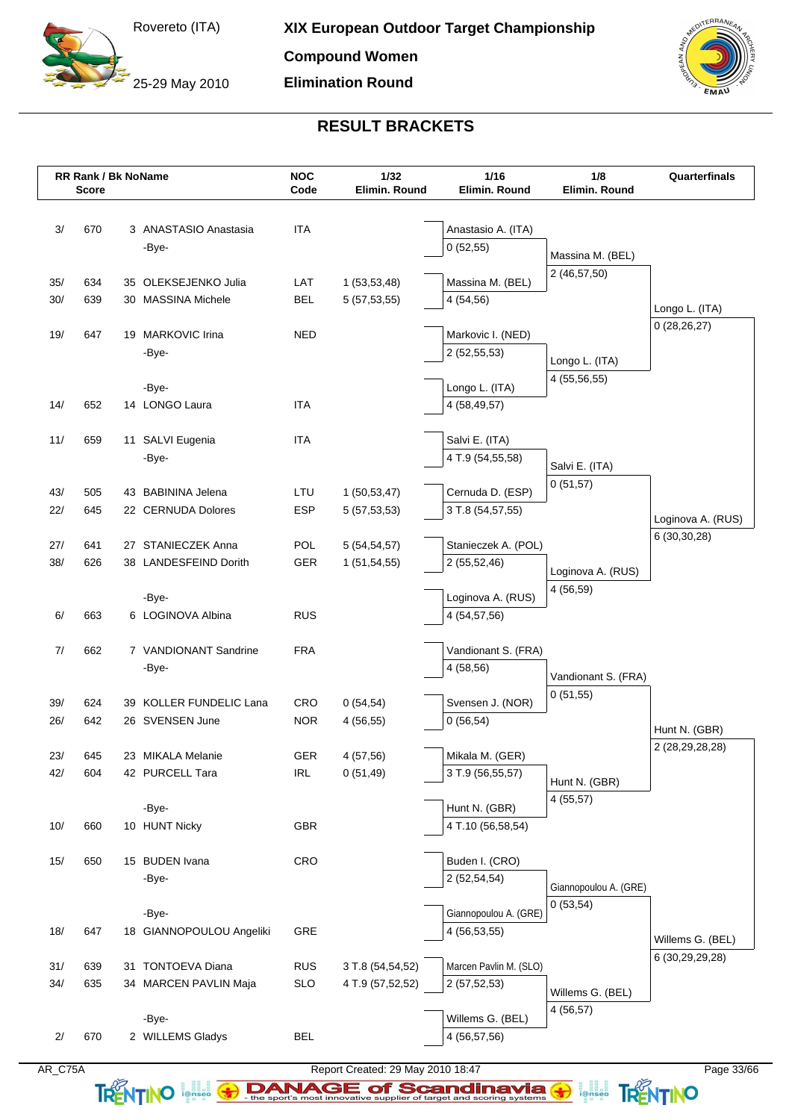25-29 May 2010

**Compound Women**

**Elimination Round**

![](_page_32_Picture_4.jpeg)

## **RESULT BRACKETS**

|            | <b>RR Rank / Bk NoName</b><br><b>Score</b> |                                             | <b>NOC</b><br>Code       | $1/32$<br>Elimin. Round        | 1/16<br>Elimin. Round               | 1/8<br>Elimin. Round  | Quarterfinals     |
|------------|--------------------------------------------|---------------------------------------------|--------------------------|--------------------------------|-------------------------------------|-----------------------|-------------------|
|            |                                            |                                             |                          |                                |                                     |                       |                   |
| 3/         | 670                                        | 3 ANASTASIO Anastasia                       | <b>ITA</b>               |                                | Anastasio A. (ITA)                  |                       |                   |
|            |                                            | -Bye-                                       |                          |                                | 0(52,55)                            | Massina M. (BEL)      |                   |
|            |                                            |                                             |                          |                                |                                     | 2 (46,57,50)          |                   |
| 35/        | 634                                        | 35 OLEKSEJENKO Julia                        | LAT                      | 1(53,53,48)                    | Massina M. (BEL)                    |                       |                   |
| 30/        | 639                                        | 30 MASSINA Michele                          | <b>BEL</b>               | 5(57,53,55)                    | 4 (54,56)                           |                       | Longo L. (ITA)    |
| 19/        | 647                                        | 19 MARKOVIC Irina                           | <b>NED</b>               |                                | Markovic I. (NED)                   |                       | 0(28, 26, 27)     |
|            |                                            | -Bye-                                       |                          |                                | 2 (52,55,53)                        |                       |                   |
|            |                                            |                                             |                          |                                |                                     | Longo L. (ITA)        |                   |
|            |                                            | -Bye-                                       |                          |                                | Longo L. (ITA)                      | 4 (55,56,55)          |                   |
| 14/        | 652                                        | 14 LONGO Laura                              | <b>ITA</b>               |                                | 4 (58,49,57)                        |                       |                   |
|            |                                            |                                             |                          |                                |                                     |                       |                   |
| 11/        | 659                                        | 11 SALVI Eugenia                            | <b>ITA</b>               |                                | Salvi E. (ITA)                      |                       |                   |
|            |                                            | -Bye-                                       |                          |                                | 4 T.9 (54,55,58)                    | Salvi E. (ITA)        |                   |
|            |                                            |                                             |                          |                                |                                     | 0(51,57)              |                   |
| 43/        | 505                                        | 43 BABININA Jelena                          | LTU                      | 1(50, 53, 47)                  | Cernuda D. (ESP)                    |                       |                   |
| 22/        | 645                                        | 22 CERNUDA Dolores                          | <b>ESP</b>               | 5(57, 53, 53)                  | 3 T.8 (54,57,55)                    |                       | Loginova A. (RUS) |
|            |                                            |                                             |                          |                                |                                     |                       | 6(30,30,28)       |
| 27/<br>38/ | 641<br>626                                 | 27 STANIECZEK Anna<br>38 LANDESFEIND Dorith | POL<br><b>GER</b>        | 5(54, 54, 57)<br>1(51, 54, 55) | Stanieczek A. (POL)<br>2 (55,52,46) |                       |                   |
|            |                                            |                                             |                          |                                |                                     | Loginova A. (RUS)     |                   |
|            |                                            | -Bye-                                       |                          |                                | Loginova A. (RUS)                   | 4 (56,59)             |                   |
| 6/         | 663                                        | 6 LOGINOVA Albina                           | <b>RUS</b>               |                                | 4 (54,57,56)                        |                       |                   |
|            |                                            |                                             |                          |                                |                                     |                       |                   |
| 7/         | 662                                        | 7 VANDIONANT Sandrine                       | <b>FRA</b>               |                                | Vandionant S. (FRA)                 |                       |                   |
|            |                                            | -Bye-                                       |                          |                                | 4 (58,56)                           | Vandionant S. (FRA)   |                   |
|            |                                            |                                             |                          |                                |                                     | 0(51,55)              |                   |
| 39/        | 624                                        | 39 KOLLER FUNDELIC Lana                     | <b>CRO</b>               | 0(54,54)                       | Svensen J. (NOR)                    |                       |                   |
| 26/        | 642                                        | 26 SVENSEN June                             | <b>NOR</b>               | 4(56,55)                       | 0(56,54)                            |                       | Hunt N. (GBR)     |
|            |                                            |                                             |                          |                                |                                     |                       | 2 (28,29,28,28)   |
| 23/<br>42/ | 645<br>604                                 | 23 MIKALA Melanie                           | <b>GER</b><br><b>IRL</b> | 4(57,56)<br>0(51, 49)          | Mikala M. (GER)<br>3 T.9 (56,55,57) |                       |                   |
|            |                                            | 42 PURCELL Tara                             |                          |                                |                                     | Hunt N. (GBR)         |                   |
|            |                                            | -Bye-                                       |                          |                                | Hunt N. (GBR)                       | 4(55,57)              |                   |
| 10/        | 660                                        | 10 HUNT Nicky                               | <b>GBR</b>               |                                | 4 T.10 (56,58,54)                   |                       |                   |
|            |                                            |                                             |                          |                                |                                     |                       |                   |
| 15/        | 650                                        | 15 BUDEN Ivana                              | CRO                      |                                | Buden I. (CRO)                      |                       |                   |
|            |                                            | -Bye-                                       |                          |                                | 2 (52,54,54)                        |                       |                   |
|            |                                            |                                             |                          |                                |                                     | Giannopoulou A. (GRE) |                   |
|            |                                            | -Bye-                                       |                          |                                | Giannopoulou A. (GRE)               | 0(53,54)              |                   |
| 18/        | 647                                        | 18 GIANNOPOULOU Angeliki                    | GRE                      |                                | 4 (56,53,55)                        |                       | Willems G. (BEL)  |
|            |                                            |                                             |                          |                                |                                     |                       | 6 (30,29,29,28)   |
| 31/        | 639                                        | 31 TONTOEVA Diana                           | <b>RUS</b>               | 3 T.8 (54,54,52)               | Marcen Pavlin M. (SLO)              |                       |                   |
| 34/        | 635                                        | 34 MARCEN PAVLIN Maja                       | <b>SLO</b>               | 4 T.9 (57,52,52)               | 2(57,52,53)                         | Willems G. (BEL)      |                   |
|            |                                            |                                             |                          |                                |                                     | 4(56,57)              |                   |
|            |                                            | -Bye-                                       |                          |                                | Willems G. (BEL)                    |                       |                   |
| 2/         | 670                                        | 2 WILLEMS Gladys                            | <b>BEL</b>               |                                | 4 (56,57,56)                        |                       |                   |

TRENTINO **EXAMAGE of Scandinavia G ANTINO**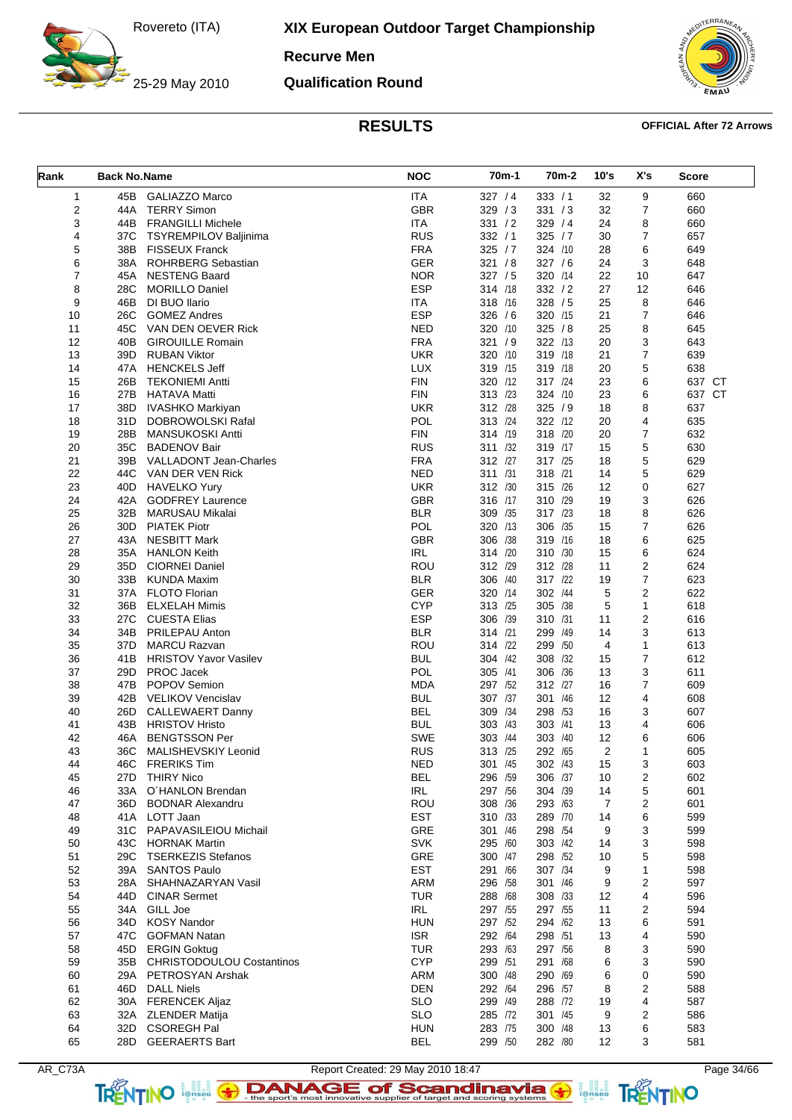25-29 May 2010

**XIX European Outdoor Target Championship**

**Recurve Men**

**Qualification Round**

![](_page_33_Picture_4.jpeg)

| Rank           | <b>Back No.Name</b> |                               | <b>NOC</b> | 70m-1      | 70m-2      | 10's           | X's            | Score  |
|----------------|---------------------|-------------------------------|------------|------------|------------|----------------|----------------|--------|
| $\mathbf{1}$   | 45B                 | <b>GALIAZZO Marco</b>         | <b>ITA</b> | 327 / 4    | 333 / 1    | 32             | 9              | 660    |
| $\overline{2}$ | 44A                 | <b>TERRY Simon</b>            | <b>GBR</b> | 329/3      | 331 / 3    | 32             | $\overline{7}$ | 660    |
| 3              | 44B                 | <b>FRANGILLI Michele</b>      | <b>ITA</b> | 331 / 2    | 329 / 4    | 24             | 8              | 660    |
| 4              | 37C                 | <b>TSYREMPILOV Baljinima</b>  | <b>RUS</b> | 332 / 1    | 325 / 7    | 30             | 7              | 657    |
| 5              | 38B                 | <b>FISSEUX Franck</b>         | <b>FRA</b> | 325 / 7    | 324 /10    | 28             | 6              | 649    |
| 6              | 38A                 | <b>ROHRBERG Sebastian</b>     | GER        | 321 / 8    | 327/6      | 24             | 3              | 648    |
| $\overline{7}$ | 45A                 | <b>NESTENG Baard</b>          | <b>NOR</b> | 327 / 5    | 320 /14    | 22             | 10             | 647    |
| 8              | 28C                 | <b>MORILLO Daniel</b>         | <b>ESP</b> | 314 /18    | 332 / 2    | 27             | 12             | 646    |
| 9              | 46B                 | DI BUO Ilario                 | <b>ITA</b> | 318 /16    | 328 / 5    | 25             | 8              | 646    |
| 10             | 26C                 | <b>GOMEZ Andres</b>           | <b>ESP</b> | 326 / 6    | 320 /15    | 21             | $\overline{7}$ | 646    |
| 11             | 45C                 | VAN DEN OEVER Rick            | <b>NED</b> | 320 /10    | 325 / 8    | 25             | 8              | 645    |
| 12             | 40B                 | <b>GIROUILLE Romain</b>       | <b>FRA</b> | 321 / 9    | 322 /13    | 20             | 3              | 643    |
| 13             | 39D                 | <b>RUBAN Viktor</b>           | <b>UKR</b> | 320 /10    | 319 /18    | 21             | $\overline{7}$ | 639    |
| 14             | 47A                 | <b>HENCKELS Jeff</b>          | <b>LUX</b> | 319 /15    | 319 /18    | 20             | 5              | 638    |
| 15             | 26B                 | <b>TEKONIEMI Antti</b>        | <b>FIN</b> | 320<br>/12 | 317 /24    | 23             | 6              | 637 CT |
| 16             | 27B                 | <b>HATAVA Matti</b>           | <b>FIN</b> | 313 /23    | 324 /10    | 23             | 6              | 637 CT |
| 17             | 38D                 | <b>IVASHKO Markiyan</b>       | <b>UKR</b> | 312 /28    | 325/9      | 18             | 8              | 637    |
| 18             | 31D                 | DOBROWOLSKI Rafal             | POL        | 313 /24    | 322 /12    | 20             | 4              | 635    |
| 19             | 28B                 | <b>MANSUKOSKI Antti</b>       | <b>FIN</b> | 314 /19    | 318 /20    | 20             | 7              | 632    |
| 20             | 35C                 | <b>BADENOV Bair</b>           | <b>RUS</b> | 311 /32    | 319 /17    | 15             | 5              | 630    |
| 21             |                     | 39B VALLADONT Jean-Charles    | <b>FRA</b> | 312 /27    | 317 /25    | 18             | 5              | 629    |
| 22             |                     | 44C VAN DER VEN Rick          | <b>NED</b> | 311 /31    | 318 /21    | 14             | 5              | 629    |
| 23             |                     | 40D HAVELKO Yury              | <b>UKR</b> | 312 /30    | 315 /26    | 12             | 0              | 627    |
|                |                     |                               |            | 316 /17    |            |                |                |        |
| 24             | 42A                 | <b>GODFREY Laurence</b>       | <b>GBR</b> |            | 310 /29    | 19             | 3              | 626    |
| 25             | 32B                 | <b>MARUSAU Mikalai</b>        | <b>BLR</b> | 309<br>/35 | 317 /23    | 18             | 8              | 626    |
| 26             | 30D                 | <b>PIATEK Piotr</b>           | POL        | 320 /13    | 306 /35    | 15             | 7              | 626    |
| 27             | 43A                 | <b>NESBITT Mark</b>           | <b>GBR</b> | 306<br>/38 | 319 /16    | 18             | 6              | 625    |
| 28             |                     | 35A HANLON Keith              | <b>IRL</b> | 314 /20    | 310 /30    | 15             | 6              | 624    |
| 29             | 35D                 | <b>CIORNEI Daniel</b>         | <b>ROU</b> | 312 /29    | 312 /28    | 11             | 2              | 624    |
| 30             | 33B                 | <b>KUNDA Maxim</b>            | <b>BLR</b> | 306<br>/40 | 317<br>/22 | 19             | 7              | 623    |
| 31             |                     | 37A FLOTO Florian             | <b>GER</b> | 320 /14    | 302 /44    | 5              | $\overline{2}$ | 622    |
| 32             | 36B                 | <b>ELXELAH Mimis</b>          | <b>CYP</b> | 313 /25    | 305 /38    | 5              | 1              | 618    |
| 33             | 27C                 | CUESTA Elias                  | <b>ESP</b> | 306<br>/39 | 310<br>/31 | 11             | 2              | 616    |
| 34             |                     | 34B PRILEPAU Anton            | <b>BLR</b> | 314 /21    | 299<br>/49 | 14             | 3              | 613    |
| 35             | 37D                 | <b>MARCU Razvan</b>           | <b>ROU</b> | 314 /22    | 299<br>/50 | 4              | 1              | 613    |
| 36             | 41B                 | <b>HRISTOV Yavor Vasilev</b>  | <b>BUL</b> | 304<br>/42 | 308<br>/32 | 15             | $\overline{7}$ | 612    |
| 37             | 29D                 | PROC Jacek                    | <b>POL</b> | 305 /41    | 306 /36    | 13             | 3              | 611    |
| 38             | 47B                 | POPOV Semion                  | <b>MDA</b> | 297 /52    | 312 /27    | 16             | 7              | 609    |
| 39             |                     | 42B VELIKOV Vencislav         | <b>BUL</b> | 307 /37    | 301 /46    | 12             | 4              | 608    |
| 40             | 26D                 | <b>CALLEWAERT Danny</b>       | <b>BEL</b> | 309 /34    | 298 /53    | 16             | 3              | 607    |
| 41             | 43B                 | <b>HRISTOV Hristo</b>         | <b>BUL</b> | 303<br>/43 | 303 /41    | 13             | 4              | 606    |
| 42             | 46A                 | <b>BENGTSSON Per</b>          | <b>SWE</b> | 303 /44    | 303 /40    | 12             | 6              | 606    |
| 43             | 36C                 | MALISHEVSKIY Leonid           | <b>RUS</b> | 313 /25    | 292 /65    | 2              |                | 605    |
| 44             |                     | 46C FRERIKS Tim               | <b>NED</b> | 301 /45    | 302 /43    | 15             | 3              | 603    |
| 45             | 27D                 | <b>THIRY Nico</b>             | <b>BEL</b> | 296 /59    | 306 /37    | 10             | 2              | 602    |
| 46             | 33A                 | O'HANLON Brendan              | IRL        | 297 /56    | 304 /39    | 14             | 5              | 601    |
| 47             |                     | 36D BODNAR Alexandru          | ROU        | 308 /36    | 293 /63    | $\overline{7}$ | 2              | 601    |
| 48             |                     | 41A LOTT Jaan                 | <b>EST</b> | 310 /33    | 289 /70    | 14             | 6              | 599    |
| 49             |                     | 31C PAPAVASILEIOU Michail     | GRE        | 301 /46    | 298 /54    | 9              | 3              | 599    |
| 50             |                     | 43C HORNAK Martin             | <b>SVK</b> | 295 /60    | 303 /42    | 14             | 3              | 598    |
| 51             |                     | 29C TSERKEZIS Stefanos        | GRE        | 300 /47    | 298 /52    | 10             | 5              | 598    |
| 52             |                     | 39A SANTOS Paulo              | <b>EST</b> | 291 /66    | 307 /34    | 9              | 1              | 598    |
| 53             |                     | 28A SHAHNAZARYAN Vasil        | <b>ARM</b> | 296 /58    | 301 /46    | 9              | 2              | 597    |
| 54             |                     | 44D CINAR Sermet              | <b>TUR</b> | 288 /68    | 308 /33    | 12             | 4              | 596    |
| 55             |                     | 34A GILL Joe                  | IRL        | 297 /55    | 297 /55    | 11             | 2              | 594    |
| 56             |                     | 34D KOSY Nandor               | <b>HUN</b> | 297 /52    | 294 /62    | 13             | 6              | 591    |
|                |                     |                               |            |            |            |                |                |        |
| 57             |                     | 47C GOFMAN Natan              | <b>ISR</b> | 292 /64    | 298 /51    | 13             | 4              | 590    |
| 58             |                     | 45D ERGIN Goktug              | <b>TUR</b> | 293 /63    | 297 /56    | 8              | 3              | 590    |
| 59             |                     | 35B CHRISTODOULOU Costantinos | <b>CYP</b> | 299 /51    | 291 /68    | 6              | 3              | 590    |
| 60             |                     | 29A PETROSYAN Arshak          | ARM        | 300 /48    | 290 /69    | 6              | 0              | 590    |
| 61             |                     | 46D DALL Niels                | <b>DEN</b> | 292 /64    | 296 /57    | 8              | 2              | 588    |
| 62             |                     | 30A FERENCEK Aljaz            | <b>SLO</b> | 299 /49    | 288 /72    | 19             | 4              | 587    |
| 63             |                     | 32A ZLENDER Matija            | <b>SLO</b> | 285 /72    | 301 /45    | 9              | 2              | 586    |
| 64             |                     | 32D CSOREGH Pal               | <b>HUN</b> | 283 /75    | 300 /48    | 13             | 6              | 583    |
| 65             |                     | 28D GEERAERTS Bart            | <b>BEL</b> | 299 /50    | 282 /80    | 12             | 3              | 581    |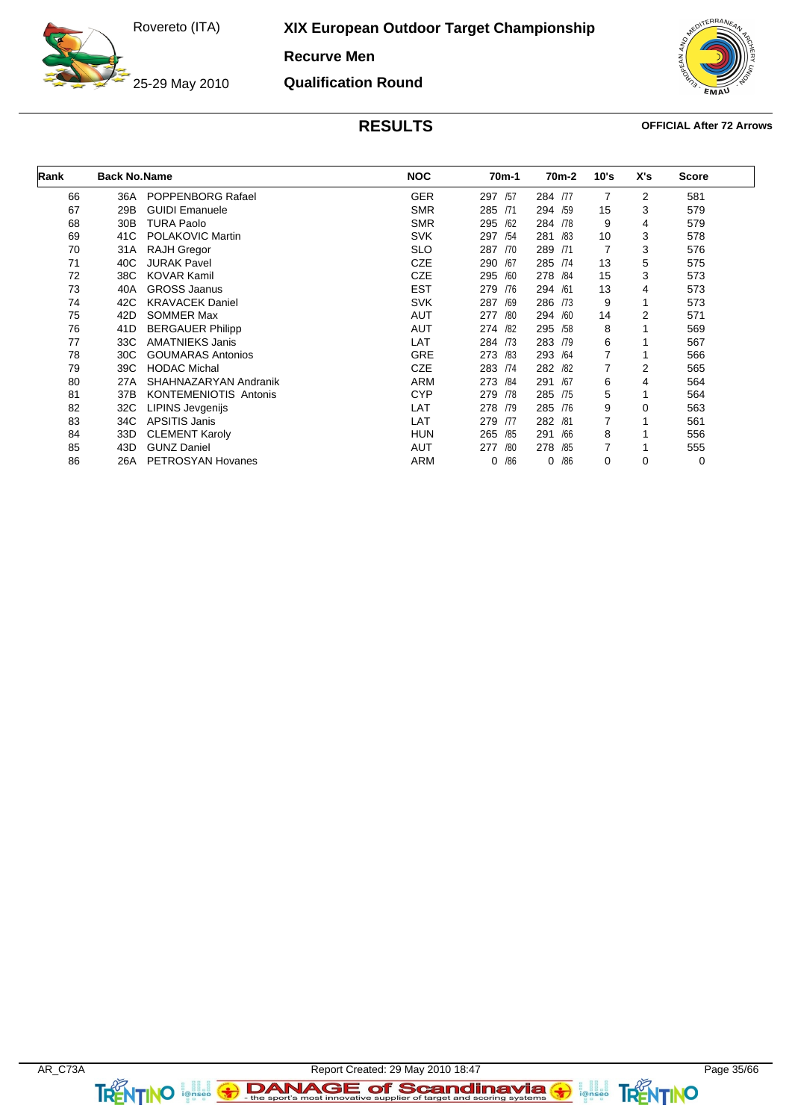25-29 May 2010

**XIX European Outdoor Target Championship**

**Recurve Men**

**Qualification Round**

![](_page_34_Picture_4.jpeg)

| Rank | <b>Back No.Name</b> |                              | <b>NOC</b> | 70 <sub>m</sub> -1 | 70m-2      | 10's | X's | <b>Score</b> |  |
|------|---------------------|------------------------------|------------|--------------------|------------|------|-----|--------------|--|
| 66   | 36A                 | <b>POPPENBORG Rafael</b>     | <b>GER</b> | 297<br>/57         | 284 /77    | 7    | 2   | 581          |  |
| 67   | 29B                 | <b>GUIDI Emanuele</b>        | <b>SMR</b> | 285 /71            | 294 /59    | 15   | 3   | 579          |  |
| 68   | 30 <sub>B</sub>     | <b>TURA Paolo</b>            | <b>SMR</b> | 295<br>/62         | 284 /78    | 9    | 4   | 579          |  |
| 69   | 41C                 | POLAKOVIC Martin             | <b>SVK</b> | 297<br>/54         | 281<br>/83 | 10   | 3   | 578          |  |
| 70   | 31A                 | <b>RAJH Gregor</b>           | <b>SLO</b> | 287<br>/70         | 289<br>/71 | 7    | 3   | 576          |  |
| 71   | 40C                 | <b>JURAK Pavel</b>           | <b>CZE</b> | 290<br>/67         | 285 /74    | 13   | 5   | 575          |  |
| 72   | 38C                 | <b>KOVAR Kamil</b>           | <b>CZE</b> | 295<br>/60         | 278 /84    | 15   | 3   | 573          |  |
| 73   | 40A                 | <b>GROSS Jaanus</b>          | <b>EST</b> | 279<br>/76         | 294 /61    | 13   | 4   | 573          |  |
| 74   | 42C                 | <b>KRAVACEK Daniel</b>       | <b>SVK</b> | 287<br>/69         | 286 /73    | 9    | 1   | 573          |  |
| 75   | 42D                 | <b>SOMMER Max</b>            | AUT        | 277<br>/80         | 294<br>/60 | 14   | 2   | 571          |  |
| 76   | 41D                 | <b>BERGAUER Philipp</b>      | AUT        | 274 /82            | 295<br>/58 | 8    |     | 569          |  |
| 77   | 33C                 | <b>AMATNIEKS Janis</b>       | LAT        | 284 /73            | 283<br>/79 | 6    |     | 567          |  |
| 78   | 30C                 | <b>GOUMARAS Antonios</b>     | <b>GRE</b> | 273<br>/83         | 293<br>/64 | 7    |     | 566          |  |
| 79   | 39C                 | <b>HODAC Michal</b>          | <b>CZE</b> | 283 /74            | 282<br>/82 | 7    | 2   | 565          |  |
| 80   | 27A                 | SHAHNAZARYAN Andranik        | <b>ARM</b> | 273 /84            | 291<br>/67 | 6    | 4   | 564          |  |
| 81   | 37B                 | <b>KONTEMENIOTIS Antonis</b> | <b>CYP</b> | 279<br>/78         | 285<br>/75 | 5    |     | 564          |  |
| 82   | 32C                 | LIPINS Jevgenijs             | LAT        | 278<br>/79         | 285<br>/76 | 9    | 0   | 563          |  |
| 83   | 34C                 | <b>APSITIS Janis</b>         | LAT        | 279<br>/77         | 282<br>/81 | 7    |     | 561          |  |
| 84   | 33D                 | <b>CLEMENT Karoly</b>        | <b>HUN</b> | 265<br>/85         | 291<br>/66 | 8    |     | 556          |  |
| 85   | 43D                 | <b>GUNZ Daniel</b>           | AUT        | 277<br>/80         | 278<br>/85 | 7    |     | 555          |  |
| 86   | 26A                 | PETROSYAN Hovanes            | <b>ARM</b> | /86                | /86<br>0   | 0    | 0   | 0            |  |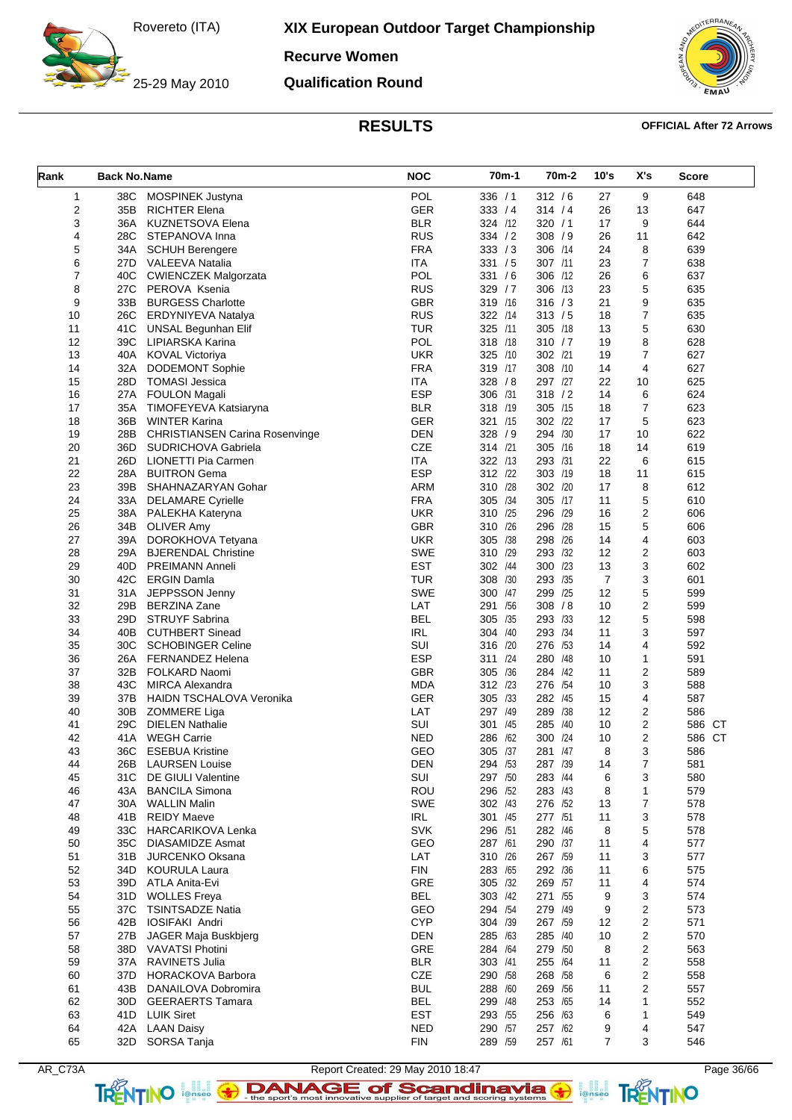25-29 May 2010

**XIX European Outdoor Target Championship**

**Recurve Women**

**Qualification Round**

![](_page_35_Picture_4.jpeg)

### **RESULTS OFFICIAL After 72 Arrows**

| Rank           | <b>Back No.Name</b> |                                               | <b>NOC</b>        | 70m-1                 | 70 <sub>m</sub> -2 | 10's           | X's            | Score      |
|----------------|---------------------|-----------------------------------------------|-------------------|-----------------------|--------------------|----------------|----------------|------------|
| $\mathbf{1}$   | 38C                 | MOSPINEK Justyna                              | <b>POL</b>        | 336 / 1               | 312 / 6            | 27             | 9              | 648        |
| 2              | 35B                 | <b>RICHTER Elena</b>                          | <b>GER</b>        | 333 / 4               | 314 / 4            | 26             | 13             | 647        |
| 3              | 36A                 | <b>KUZNETSOVA Elena</b>                       | <b>BLR</b>        | 324 /12               | 320 / 1            | 17             | 9              | 644        |
| 4              | 28C                 | STEPANOVA Inna                                | <b>RUS</b>        | 334 / 2               | 308 / 9            | 26             | 11             | 642        |
| 5              |                     | 34A SCHUH Berengere                           | <b>FRA</b>        | 333 / 3               | 306 /14            | 24             | 8              | 639        |
| 6              |                     | 27D VALEEVA Natalia                           | ITA               | 331 / 5               | 307 /11            | 23             | $\overline{7}$ | 638        |
| $\overline{7}$ | 40C                 | <b>CWIENCZEK Malgorzata</b>                   | <b>POL</b>        | 331 / 6               | 306 /12            | 26             | 6              | 637        |
| 8              | 27C                 | PEROVA Ksenia                                 | <b>RUS</b>        | 329/7                 | 306 /13            | 23             | 5              | 635        |
| 9              |                     | 33B BURGESS Charlotte                         | <b>GBR</b>        | 319 /16               | 316 / 3            | 21             | 9              | 635        |
| 10             | 26C                 | ERDYNIYEVA Natalya                            | <b>RUS</b>        | 322 /14               | 313 / 5            | 18             | 7              | 635        |
| 11             | 41C                 | <b>UNSAL Begunhan Elif</b>                    | TUR               | 325 /11               | 305 /18            | 13             | 5              | 630        |
| 12             |                     | 39C LIPIARSKA Karina                          | POL               | 318 /18               | 310 / 7            | 19             | 8              | 628        |
| 13             |                     | 40A KOVAL Victoriya                           | <b>UKR</b>        | 325 /10               | 302 /21            | 19             | 7              | 627        |
| 14             | 32A                 | <b>DODEMONT Sophie</b>                        | <b>FRA</b>        | 319 /17               | 308 /10            | 14             | 4              | 627        |
| 15             | 28D                 | <b>TOMASI Jessica</b>                         | <b>ITA</b>        | 328 / 8               | 297 /27            | 22             | 10             | 625        |
| 16             | 27A                 | <b>FOULON Magali</b>                          | <b>ESP</b>        | 306<br>/31            | 318 / 2<br>305 /15 | 14             | 6              | 624        |
| 17<br>18       | 35A<br>36B          | TIMOFEYEVA Katsiaryna<br><b>WINTER Karina</b> | <b>BLR</b><br>GER | 318 /19<br>321<br>/15 | 302 /22            | 18<br>17       | 7<br>5         | 623<br>623 |
| 19             | 28B                 | <b>CHRISTIANSEN Carina Rosenvinge</b>         | <b>DEN</b>        | 328 / 9               | 294 /30            | 17             | 10             | 622        |
| 20             | 36D                 | SUDRICHOVA Gabriela                           | CZE               | 314 /21               | 305 /16            | 18             | 14             | 619        |
| 21             |                     | 26D LIONETTI Pia Carmen                       | <b>ITA</b>        | 322<br>/13            | 293 /31            | 22             | 6              | 615        |
| 22             | 28A                 | <b>BUITRON Gema</b>                           | <b>ESP</b>        | 312 /22               | 303 /19            | 18             | 11             | 615        |
| 23             | 39B                 | SHAHNAZARYAN Gohar                            | <b>ARM</b>        | 310<br>/28            | 302 /20            | 17             | 8              | 612        |
| 24             |                     | 33A DELAMARE Cyrielle                         | <b>FRA</b>        | 305<br>/34            | 305 /17            | 11             | 5              | 610        |
| 25             |                     | 38A PALEKHA Kateryna                          | <b>UKR</b>        | 310 /25               | 296 /29            | 16             | $\overline{c}$ | 606        |
| 26             | 34B                 | <b>OLIVER Amy</b>                             | GBR               | /26<br>310            | 296 /28            | 15             | 5              | 606        |
| 27             | 39A                 | DOROKHOVA Tetyana                             | <b>UKR</b>        | /38<br>305            | 298<br>/26         | 14             | 4              | 603        |
| 28             | 29A                 | <b>BJERENDAL Christine</b>                    | <b>SWE</b>        | 310 /29               | 293 /32            | 12             | 2              | 603        |
| 29             | 40D                 | <b>PREIMANN Anneli</b>                        | <b>EST</b>        | 302<br>/44            | 300 /23            | 13             | 3              | 602        |
| 30             | 42C                 | <b>ERGIN Damla</b>                            | <b>TUR</b>        | 308<br>/30            | 293 /35            | $\overline{7}$ | 3              | 601        |
| 31             | 31A                 | JEPPSSON Jenny                                | SWE               | 300<br>/47            | 299 /25            | 12             | 5              | 599        |
| 32             | 29B                 | <b>BERZINA Zane</b>                           | LAT               | 291<br>/56            | 308 / 8            | 10             | $\overline{2}$ | 599        |
| 33             | 29D                 | STRUYF Sabrina                                | <b>BEL</b>        | /35<br>305            | 293 /33            | 12             | 5              | 598        |
| 34             | 40B                 | <b>CUTHBERT Sinead</b>                        | IRL               | 304<br>/40            | 293 /34            | 11             | 3              | 597        |
| 35             | 30C                 | <b>SCHOBINGER Celine</b>                      | SUI               | 316<br>/20            | 276<br>/53         | 14             | 4              | 592        |
| 36             | 26A                 | <b>FERNANDEZ Helena</b>                       | <b>ESP</b>        | /24<br>311            | 280<br>/48         | 10             | 1              | 591        |
| 37             | 32B                 | FOLKARD Naomi                                 | <b>GBR</b>        | /36<br>305            | 284 /42            | 11             | 2              | 589        |
| 38             | 43C                 | <b>MIRCA Alexandra</b>                        | <b>MDA</b>        | 312<br>/23            | 276<br>/54         | 10             | 3              | 588        |
| 39             | 37B                 | HAIDN TSCHALOVA Veronika                      | GER               | 305<br>/33            | 282<br>/45         | 15             | 4              | 587        |
| 40             | 30 <sub>B</sub>     | ZOMMERE Liga                                  | LAT               | 297 /49               | 289<br>/38         | 12             | 2              | 586        |
| 41             | 29C                 | <b>DIELEN Nathalie</b>                        | SUI               | 301<br>/45            | 285<br>/40         | 10             | 2              | 586<br>CT  |
| 42             | 41A                 | <b>WEGH Carrie</b>                            | <b>NED</b>        | 286<br>/62            | 300<br>/24         | 10             | $\overline{2}$ | 586 CT     |
| 43             | 36C                 | <b>ESEBUA Kristine</b>                        | GEO               | 305<br>/37            | 281 /47            | 8              | 3              | 586        |
| 44             | 26B                 | <b>LAURSEN Louise</b>                         | <b>DEN</b>        | 294 /53               | 287 /39            | 14             | 7              | 581        |
| 45<br>46       | 31C<br>43A          | DE GIULI Valentine<br><b>BANCILA Simona</b>   | SUI<br>ROU        | 297 /50<br>296 /52    | 283 /44<br>283 /43 | 6<br>8         | 3<br>1         | 580<br>579 |
| 47             | 30A                 | <b>WALLIN Malin</b>                           | <b>SWE</b>        | 302 /43               | 276 /52            | 13             | 7              | 578        |
| 48             | 41B                 | <b>REIDY Maeve</b>                            | IRL               | 301 /45               | 277 /51            | 11             | 3              | 578        |
| 49             | 33C                 | <b>HARCARIKOVA Lenka</b>                      | <b>SVK</b>        | 296 /51               | 282 /46            | 8              | 5              | 578        |
| 50             | 35C                 | <b>DIASAMIDZE Asmat</b>                       | GEO               | 287 /61               | 290 /37            | 11             | 4              | 577        |
| 51             | 31B                 | <b>JURCENKO Oksana</b>                        | LAT               | 310 /26               | 267 /59            | 11             | 3              | 577        |
| 52             | 34D                 | <b>KOURULA Laura</b>                          | <b>FIN</b>        | 283 /65               | 292 /36            | 11             | 6              | 575        |
| 53             |                     | 39D ATLA Anita-Evi                            | <b>GRE</b>        | 305 /32               | 269 /57            | 11             | 4              | 574        |
| 54             | 31D                 | <b>WOLLES Freya</b>                           | BEL               | 303 /42               | 271 /55            | 9              | 3              | 574        |
| 55             |                     | 37C TSINTSADZE Natia                          | GEO               | 294 /54               | 279 /49            | 9              | 2              | 573        |
| 56             | 42B                 | <b>IOSIFAKI Andri</b>                         | <b>CYP</b>        | 304 /39               | 267 /59            | 12             | 2              | 571        |
| 57             | 27B                 | JAGER Maja Buskbjerg                          | <b>DEN</b>        | 285 /63               | 285 /40            | 10             | 2              | 570        |
| 58             |                     | 38D VAVATSI Photini                           | GRE               | 284 /64               | 279 /50            | 8              | 2              | 563        |
| 59             | 37A                 | RAVINETS Julia                                | <b>BLR</b>        | 303 /41               | 255 /64            | 11             | 2              | 558        |
| 60             | 37D                 | HORACKOVA Barbora                             | CZE               | 290 /58               | 268 /58            | 6              | 2              | 558        |
| 61             |                     | 43B DANAILOVA Dobromira                       | <b>BUL</b>        | 288 /60               | 269 /56            | 11             | $\overline{2}$ | 557        |
| 62             | 30D                 | <b>GEERAERTS Tamara</b>                       | <b>BEL</b>        | 299 /48               | 253 /65            | 14             | 1              | 552        |
| 63             |                     | 41D LUIK Siret                                | <b>EST</b>        | 293 /55               | 256 /63            | 6              | 1              | 549        |
| 64             |                     | 42A LAAN Daisy                                | <b>NED</b>        | 290 /57               | 257 /62            | 9              | 4              | 547        |
| 65             | 32D                 | SORSA Tanja                                   | <b>FIN</b>        | 289 /59               | 257 /61            | $\overline{7}$ | 3              | 546        |

AR\_C73A Report Created: 29 May 2010 18:47 Page 36/66 TRENTINO **leftisco The sport's most innovative supplier of target and scoring systems <b>TRENTINO**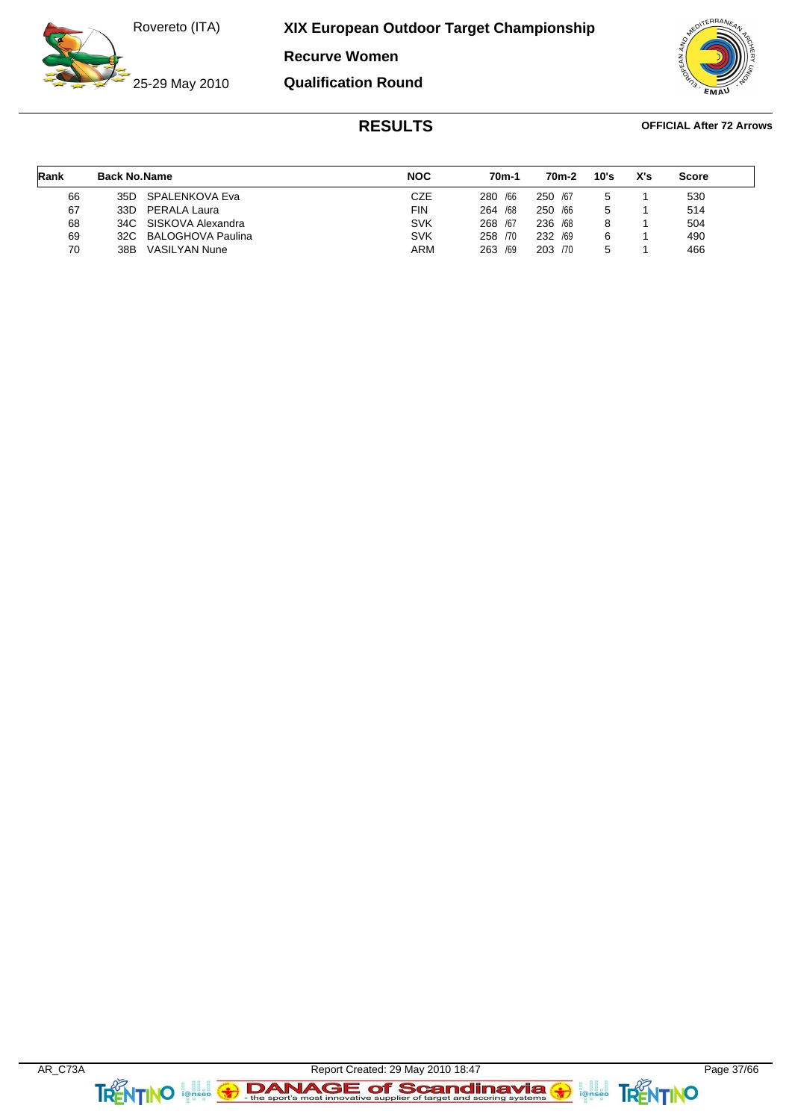**XIX European Outdoor Target Championship**

**Recurve Women**

**Qualification Round**

25-29 May 2010

 $FRA$ 

| Rank | <b>Back No.Name</b> |                       | <b>NOC</b> | 70m-1      | 70m-2      | 10's | X's | <b>Score</b> |  |
|------|---------------------|-----------------------|------------|------------|------------|------|-----|--------------|--|
| 66   |                     | 35D SPALENKOVA Eva    | CZE        | 280 / 66   | 250 /67    | 5    |     | 530          |  |
| 67   | 33D                 | PERALA Laura          | FIN        | /68<br>264 | /66<br>250 | 5    |     | 514          |  |
| 68   |                     | 34C SISKOVA Alexandra | <b>SVK</b> | 268 /67    | 236 /68    | 8    |     | 504          |  |
| 69   |                     | 32C BALOGHOVA Paulina | <b>SVK</b> | 258 /70    | 232 /69    | 6    |     | 490          |  |
| 70   | 38B                 | <b>VASILYAN Nune</b>  | ARM        | /69<br>263 | 203 /70    | 5    |     | 466          |  |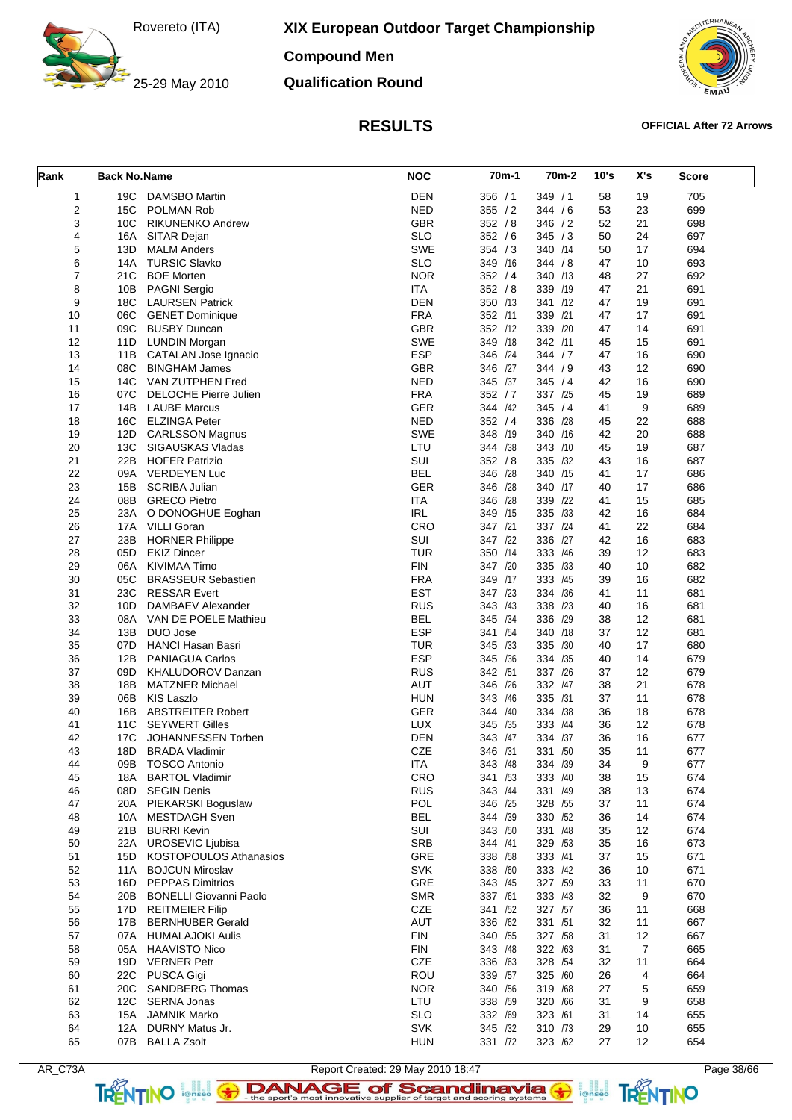**XIX European Outdoor Target Championship**

**Compound Men**

**Qualification Round**

![](_page_37_Picture_4.jpeg)

| Rank           | <b>Back No.Name</b> |                               | <b>NOC</b> | 70m-1      | 70 <sub>m</sub> -2 | 10's | X's            | <b>Score</b> |
|----------------|---------------------|-------------------------------|------------|------------|--------------------|------|----------------|--------------|
| $\mathbf{1}$   | 19C                 | <b>DAMSBO Martin</b>          | <b>DEN</b> | 356 / 1    | 349 / 1            | 58   | 19             | 705          |
| $\overline{2}$ | 15C                 | <b>POLMAN Rob</b>             | <b>NED</b> | 355 / 2    | 344 / 6            | 53   | 23             | 699          |
| 3              | 10 <sub>C</sub>     | <b>RIKUNENKO Andrew</b>       | <b>GBR</b> | 352 / 8    | 346 / 2            | 52   | 21             | 698          |
| 4              | 16A                 | SITAR Dejan                   | <b>SLO</b> | 352 / 6    | 345 / 3            | 50   | 24             | 697          |
| 5              | 13D                 | <b>MALM Anders</b>            | SWE        | 354 / 3    | 340 /14            | 50   | 17             | 694          |
| 6              | 14A                 | <b>TURSIC Slavko</b>          | <b>SLO</b> | 349 /16    | 344 / 8            | 47   | 10             | 693          |
| $\overline{7}$ | 21C                 | <b>BOE Morten</b>             | <b>NOR</b> | 352 / 4    | 340 /13            | 48   | 27             | 692          |
| 8              | 10B                 | <b>PAGNI Sergio</b>           | <b>ITA</b> | 352 / 8    | 339 /19            | 47   | 21             | 691          |
| 9              | 18C                 | <b>LAURSEN Patrick</b>        | <b>DEN</b> | 350 /13    | 341 /12            | 47   | 19             | 691          |
| 10             | 06C                 | <b>GENET Dominique</b>        | <b>FRA</b> | 352 /11    | 339 /21            | 47   | 17             | 691          |
| 11             | 09C                 | <b>BUSBY Duncan</b>           | <b>GBR</b> | 352 /12    | 339 /20            | 47   | 14             | 691          |
| 12             |                     | 11D LUNDIN Morgan             | <b>SWE</b> | 349<br>/18 | 342 /11            | 45   | 15             | 691          |
| 13             | 11B                 | <b>CATALAN Jose Ignacio</b>   | <b>ESP</b> | 346<br>/24 | 344 / 7            | 47   | 16             | 690          |
| 14             | 08C                 | <b>BINGHAM James</b>          | <b>GBR</b> | /27<br>346 | 344 / 9            | 43   | 12             | 690          |
| 15             | 14C                 | VAN ZUTPHEN Fred              | <b>NED</b> | 345<br>/37 | 345/4              | 42   | 16             | 690          |
|                |                     |                               | <b>FRA</b> | 352 / 7    | 337 /25            |      |                |              |
| 16             | 07C                 | <b>DELOCHE Pierre Julien</b>  |            |            |                    | 45   | 19             | 689          |
| 17             | 14B                 | <b>LAUBE Marcus</b>           | <b>GER</b> | 344 /42    | 345 / 4<br>336 /28 | 41   | 9              | 689          |
| 18             | 16C                 | <b>ELZINGA Peter</b>          | <b>NED</b> | 352 / 4    |                    | 45   | 22             | 688          |
| 19             | 12D                 | <b>CARLSSON Magnus</b>        | <b>SWE</b> | 348 /19    | 340 /16            | 42   | 20             | 688          |
| 20             | 13C                 | SIGAUSKAS Vladas              | LTU        | 344 /38    | 343 /10            | 45   | 19             | 687          |
| 21             | 22B                 | <b>HOFER Patrizio</b>         | SUI        | 352 / 8    | 335 /32            | 43   | 16             | 687          |
| 22             | 09A                 | <b>VERDEYEN Luc</b>           | <b>BEL</b> | 346 /28    | 340 /15            | 41   | 17             | 686          |
| 23             | 15B                 | <b>SCRIBA Julian</b>          | GER        | 346<br>/28 | 340 /17            | 40   | 17             | 686          |
| 24             | 08B                 | <b>GRECO Pietro</b>           | ITA        | 346<br>/28 | 339 /22            | 41   | 15             | 685          |
| 25             | 23A                 | O DONOGHUE Eoghan             | <b>IRL</b> | 349 /15    | 335 /33            | 42   | 16             | 684          |
| 26             |                     | 17A VILLI Goran               | CRO        | 347 /21    | 337 /24            | 41   | 22             | 684          |
| 27             | 23B                 | <b>HORNER Philippe</b>        | SUI        | 347 /22    | 336 /27            | 42   | 16             | 683          |
| 28             | 05D                 | <b>EKIZ Dincer</b>            | <b>TUR</b> | 350 /14    | 333 /46            | 39   | 12             | 683          |
| 29             |                     | 06A KIVIMAA Timo              | <b>FIN</b> | 347 /20    | 335<br>/33         | 40   | 10             | 682          |
| 30             | 05C                 | <b>BRASSEUR Sebastien</b>     | <b>FRA</b> | 349<br>/17 | 333 /45            | 39   | 16             | 682          |
| 31             | 23C                 | <b>RESSAR Evert</b>           | <b>EST</b> | 347 /23    | 334 /36            | 41   | 11             | 681          |
| 32             | 10D                 | DAMBAEV Alexander             | <b>RUS</b> | 343<br>/43 | 338<br>/23         | 40   | 16             | 681          |
| 33             | 08A                 | VAN DE POELE Mathieu          | <b>BEL</b> | 345<br>/34 | 336<br>/29         | 38   | 12             | 681          |
| 34             | 13B                 | DUO Jose                      | <b>ESP</b> | 341<br>/54 | 340 /18            | 37   | 12             | 681          |
| 35             |                     | 07D HANCI Hasan Basri         | <b>TUR</b> | 345<br>/33 | 335<br>/30         | 40   | 17             | 680          |
| 36             | 12B                 | <b>PANIAGUA Carlos</b>        | <b>ESP</b> | 345<br>/36 | 334 /35            | 40   | 14             | 679          |
| 37             | 09D                 | <b>KHALUDOROV Danzan</b>      | <b>RUS</b> | /51<br>342 | 337 /26            | 37   | 12             | 679          |
| 38             | 18B                 | <b>MATZNER Michael</b>        | <b>AUT</b> | /26<br>346 | 332 /47            | 38   | 21             | 678          |
| 39             | 06B                 | <b>KIS Laszlo</b>             | <b>HUN</b> | 343<br>/46 | 335 /31            | 37   | 11             | 678          |
| 40             | 16B                 | <b>ABSTREITER Robert</b>      | <b>GER</b> | 344<br>/40 | 334 /38            | 36   | 18             | 678          |
| 41             | 11C                 | <b>SEYWERT Gilles</b>         | LUX        | 345<br>/35 | 333<br>/44         | 36   | 12             | 678          |
| 42             | 17C                 | JOHANNESSEN Torben            | <b>DEN</b> | 343<br>/47 | 334 /37            | 36   | 16             | 677          |
| 43             | 18D                 | <b>BRADA Vladimir</b>         | <b>CZE</b> | /31<br>346 | 331 /50            | 35   | 11             | 677          |
| 44             | 09B                 | <b>TOSCO Antonio</b>          | <b>ITA</b> | 343 /48    | 334 /39            | 34   | 9              | 677          |
| 45             | 18A                 | <b>BARTOL Vladimir</b>        | CRO        | 341 /53    | 333 /40            | 38   | 15             | 674          |
| 46             | 08D                 | <b>SEGIN Denis</b>            | <b>RUS</b> | 343 /44    | 331 /49            | 38   | 13             | 674          |
| 47             | 20A                 | PIEKARSKI Boguslaw            | POL        | 346<br>/25 | 328 /55            | 37   | 11             | 674          |
| 48             | 10A                 | <b>MESTDAGH Sven</b>          | <b>BEL</b> | 344 /39    | 330 /52            | 36   | 14             | 674          |
| 49             | 21B                 | <b>BURRI Kevin</b>            | SUI        | 343 /50    | 331 /48            | 35   | 12             | 674          |
| 50             | 22A                 | <b>UROSEVIC Ljubisa</b>       | <b>SRB</b> | 344 /41    | 329 /53            | 35   | 16             | 673          |
| 51             | 15D                 | KOSTOPOULOS Athanasios        | GRE        | 338 /58    | 333 /41            | 37   | 15             | 671          |
| 52             | 11A                 | <b>BOJCUN Miroslav</b>        | <b>SVK</b> | 338 /60    | 333 /42            | 36   | 10             | 671          |
| 53             | 16D                 | <b>PEPPAS Dimitrios</b>       | GRE        | 343 /45    | 327 /59            | 33   | 11             | 670          |
| 54             | 20B                 | <b>BONELLI Giovanni Paolo</b> | <b>SMR</b> | 337 /61    | 333 /43            | 32   | 9              | 670          |
| 55             | 17D                 | <b>REITMEIER Filip</b>        | CZE        | 341 /52    | 327 /57            | 36   | 11             | 668          |
| 56             | 17B                 | <b>BERNHUBER Gerald</b>       | <b>AUT</b> | 336 /62    | 331 /51            | 32   | 11             | 667          |
| 57             | 07A                 | <b>HUMALAJOKI Aulis</b>       | <b>FIN</b> | 340 /55    | 327 /58            | 31   | 12             | 667          |
| 58             |                     | 05A HAAVISTO Nico             | <b>FIN</b> | 343 /48    | 322 /63            | 31   | $\overline{7}$ | 665          |
| 59             | 19D                 | <b>VERNER Petr</b>            | CZE        | 336 /63    | 328 /54            | 32   | 11             | 664          |
| 60             | 22C                 | PUSCA Gigi                    | ROU        | 339 /57    | 325 /60            | 26   | 4              | 664          |
| 61             | 20C                 | <b>SANDBERG Thomas</b>        | <b>NOR</b> | 340 /56    | 319 /68            | 27   | 5              | 659          |
| 62             | 12C                 | <b>SERNA Jonas</b>            | LTU        | 338 /59    | 320 /66            | 31   | 9              | 658          |
| 63             | 15A                 | <b>JAMNIK Marko</b>           | <b>SLO</b> | 332 /69    | 323 /61            | 31   | 14             | 655          |
| 64             | 12A                 | DURNY Matus Jr.               | <b>SVK</b> | 345 /32    | 310 /73            | 29   | 10             | 655          |
| 65             |                     | 07B BALLA Zsolt               | <b>HUN</b> | 331 /72    | 323 /62            | 27   | 12             | 654          |
|                |                     |                               |            |            |                    |      |                |              |

![](_page_37_Picture_8.jpeg)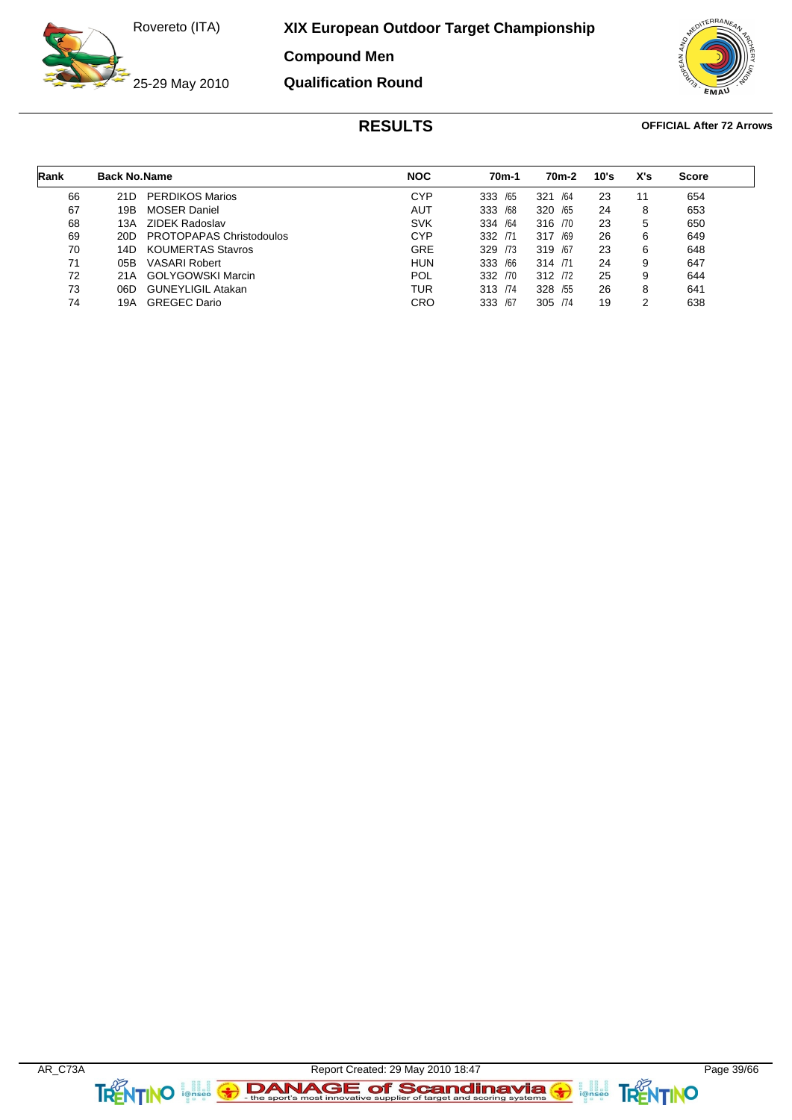**XIX European Outdoor Target Championship**

**Compound Men**

![](_page_38_Picture_3.jpeg)

**Qualification Round**

![](_page_38_Picture_5.jpeg)

| Rank | <b>Back No. Name</b> |                          | <b>NOC</b> | 70m-1      | 70 <sub>m</sub> -2 | 10's | X's | <b>Score</b> |
|------|----------------------|--------------------------|------------|------------|--------------------|------|-----|--------------|
| 66   | 21D                  | <b>PERDIKOS Marios</b>   | <b>CYP</b> | /65<br>333 | 321<br>/64         | 23   | 11  | 654          |
| 67   | 19B                  | <b>MOSER Daniel</b>      | <b>AUT</b> | /68<br>333 | 320 /65            | 24   | 8   | 653          |
| 68   | 13A                  | <b>ZIDEK Radoslav</b>    | <b>SVK</b> | /64<br>334 | 316 /70            | 23   | 5   | 650          |
| 69   | 20D                  | PROTOPAPAS Christodoulos | <b>CYP</b> | 332<br>/71 | 317<br>/69         | 26   | 6   | 649          |
| 70   | 14D                  | <b>KOUMERTAS Stavros</b> | <b>GRE</b> | /73<br>329 | 319 /67            | 23   | 6   | 648          |
| 71   | 05B                  | <b>VASARI Robert</b>     | <b>HUN</b> | /66<br>333 | 314 /71            | 24   | 9   | 647          |
| 72   | 21A                  | <b>GOLYGOWSKI Marcin</b> | POL        | 332<br>/70 | 312 72             | 25   | 9   | 644          |
| 73   | 06D                  | <b>GUNEYLIGIL Atakan</b> | TUR        | 313 /74    | 328 /55            | 26   | 8   | 641          |
| 74   | 19A                  | <b>GREGEC Dario</b>      | CRO        | /67<br>333 | 305 /74            | 19   | 2   | 638          |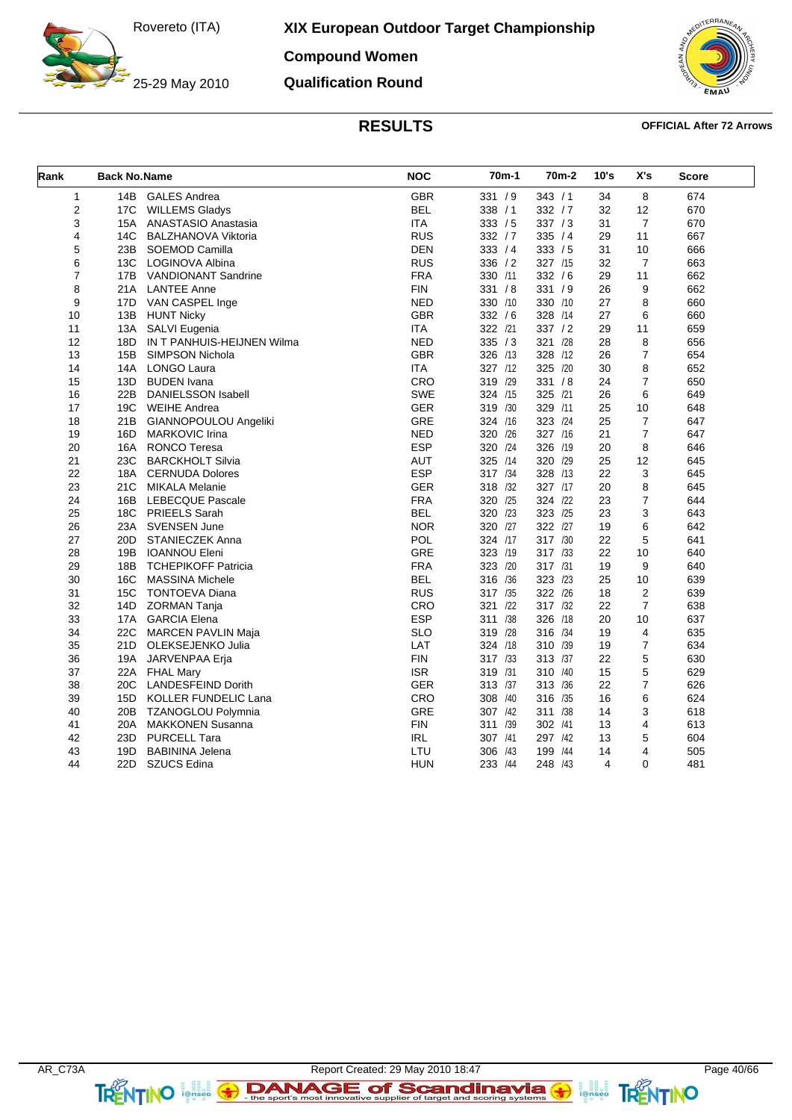25-29 May 2010

**XIX European Outdoor Target Championship**

**Compound Women**

**Qualification Round**

![](_page_39_Picture_4.jpeg)

| Rank           | <b>Back No.Name</b> |                            | <b>NOC</b> | 70m-1      | 70 <sub>m</sub> -2 | 10's                    | X's            | Score |
|----------------|---------------------|----------------------------|------------|------------|--------------------|-------------------------|----------------|-------|
| $\mathbf{1}$   | 14B                 | <b>GALES Andrea</b>        | <b>GBR</b> | 331 / 9    | 343 / 1            | 34                      | 8              | 674   |
| 2              | 17C                 | <b>WILLEMS Gladys</b>      | <b>BEL</b> | 338 / 1    | 332 / 7            | 32                      | 12             | 670   |
| 3              | 15A                 | ANASTASIO Anastasia        | <b>ITA</b> | 333 / 5    | 337 / 3            | 31                      | $\overline{7}$ | 670   |
| 4              | 14C                 | <b>BALZHANOVA Viktoria</b> | <b>RUS</b> | 332 / 7    | 335 / 4            | 29                      | 11             | 667   |
| 5              | 23B                 | SOEMOD Camilla             | <b>DEN</b> | 333 / 4    | 333 / 5            | 31                      | 10             | 666   |
| 6              | 13C                 | LOGINOVA Albina            | <b>RUS</b> | 336 / 2    | 327 /15            | 32                      | $\overline{7}$ | 663   |
| $\overline{7}$ | 17B                 | <b>VANDIONANT Sandrine</b> | <b>FRA</b> | 330 /11    | 332 / 6            | 29                      | 11             | 662   |
| 8              | 21A                 | <b>LANTEE Anne</b>         | FIN        | 331 / 8    | 331 / 9            | 26                      | 9              | 662   |
| 9              | 17D                 | VAN CASPEL Inge            | <b>NED</b> | 330 /10    | 330 /10            | 27                      | 8              | 660   |
| 10             | 13B                 | <b>HUNT Nicky</b>          | <b>GBR</b> | 332 / 6    | 328 /14            | 27                      | 6              | 660   |
| 11             | 13A                 | SALVI Eugenia              | <b>ITA</b> | 322 /21    | 337 / 2            | 29                      | 11             | 659   |
| 12             | 18D                 | IN T PANHUIS-HEIJNEN Wilma | <b>NED</b> | 335 / 3    | 321 /28            | 28                      | 8              | 656   |
| 13             | 15B                 | <b>SIMPSON Nichola</b>     | <b>GBR</b> | 326 /13    | 328 /12            | 26                      | $\overline{7}$ | 654   |
| 14             | 14A                 | <b>LONGO Laura</b>         | <b>ITA</b> | 327 /12    | 325 /20            | 30                      | 8              | 652   |
| 15             | 13D                 | <b>BUDEN</b> Ivana         | CRO        | 319 /29    | 331 / 8            | 24                      | $\overline{7}$ | 650   |
| 16             | 22B                 | DANIELSSON Isabell         | <b>SWE</b> | 324 /15    | 325 /21            | 26                      | 6              | 649   |
| 17             | 19C                 | <b>WEIHE Andrea</b>        | <b>GER</b> | 319 /30    | 329 /11            | 25                      | 10             | 648   |
| 18             | 21B                 | GIANNOPOULOU Angeliki      | <b>GRE</b> | 324 /16    | 323 /24            | 25                      | $\overline{7}$ | 647   |
| 19             | 16D                 | <b>MARKOVIC Irina</b>      | <b>NED</b> | 320 /26    | 327 /16            | 21                      | $\overline{7}$ | 647   |
| 20             | 16A                 | <b>RONCO Teresa</b>        | <b>ESP</b> | 320 /24    | 326 /19            | 20                      | 8              | 646   |
| 21             | 23C                 | <b>BARCKHOLT Silvia</b>    | <b>AUT</b> | 325 /14    | 320 /29            | 25                      | 12             | 645   |
| 22             |                     | 18A CERNUDA Dolores        | <b>ESP</b> | 317 /34    | 328 /13            | 22                      | 3              | 645   |
| 23             | 21C                 | <b>MIKALA Melanie</b>      | <b>GER</b> | 318 /32    | 327 /17            | 20                      | 8              | 645   |
| 24             | 16B                 | LEBECQUE Pascale           | <b>FRA</b> | 320 /25    | 324 /22            | 23                      | $\overline{7}$ | 644   |
| 25             |                     | 18C PRIEELS Sarah          | <b>BEL</b> | 320 /23    | 323 /25            | 23                      | 3              | 643   |
| 26             |                     | 23A SVENSEN June           | <b>NOR</b> | 320 /27    | 322 /27            | 19                      | 6              | 642   |
| 27             | 20 <sub>D</sub>     | <b>STANIECZEK Anna</b>     | <b>POL</b> | 324 /17    | 317 /30            | 22                      | 5              | 641   |
| 28             | 19B                 | <b>IOANNOU Eleni</b>       | <b>GRE</b> | 323 /19    | 317 /33            | 22                      | 10             | 640   |
| 29             | 18B                 | <b>TCHEPIKOFF Patricia</b> | <b>FRA</b> | 323 /20    | 317 /31            | 19                      | 9              | 640   |
| 30             | 16C                 | <b>MASSINA Michele</b>     | <b>BEL</b> | 316 /36    | 323 /23            | 25                      | 10             | 639   |
| 31             | 15C                 | <b>TONTOEVA Diana</b>      | <b>RUS</b> | 317 /35    | 322 /26            | 18                      | $\overline{2}$ | 639   |
| 32             | 14D                 | <b>ZORMAN Tanja</b>        | CRO        | 321<br>/22 | 317 /32            | 22                      | $\overline{7}$ | 638   |
| 33             |                     | 17A GARCIA Elena           | <b>ESP</b> | 311 /38    | 326 /18            | 20                      | 10             | 637   |
| 34             | 22C                 | <b>MARCEN PAVLIN Maja</b>  | <b>SLO</b> | 319 /28    | 316 /34            | 19                      | 4              | 635   |
| 35             | 21D                 | OLEKSEJENKO Julia          | LAT        | 324 /18    | /39<br>310         | 19                      | $\overline{7}$ | 634   |
| 36             |                     | 19A JARVENPAA Erja         | <b>FIN</b> | 317 /33    | 313 /37            | 22                      | 5              | 630   |
| 37             |                     | 22A FHAL Mary              | <b>ISR</b> | 319 /31    | 310<br>/40         | 15                      | 5              | 629   |
| 38             | 20C                 | <b>LANDESFEIND Dorith</b>  | <b>GER</b> | 313 /37    | 313 /36            | 22                      | $\overline{7}$ | 626   |
| 39             | 15D                 | KOLLER FUNDELIC Lana       | CRO        | 308 /40    | 316 /35            | 16                      | 6              | 624   |
| 40             |                     | 20B TZANOGLOU Polymnia     | <b>GRE</b> | 307 /42    | 311 /38            | 14                      | 3              | 618   |
| 41             | 20A                 | <b>MAKKONEN Susanna</b>    | <b>FIN</b> | 311 /39    | 302 /41            | 13                      | 4              | 613   |
| 42             | 23D                 | <b>PURCELL Tara</b>        | <b>IRL</b> | 307 /41    | 297<br>/42         | 13                      | 5              | 604   |
| 43             | 19D                 | <b>BABININA Jelena</b>     | LTU        | 306 /43    | 199<br>/44         | 14                      | 4              | 505   |
| 44             | 22D                 | SZUCS Edina                | <b>HUN</b> | 233 /44    | 248 /43            | $\overline{\mathbf{4}}$ | $\Omega$       | 481   |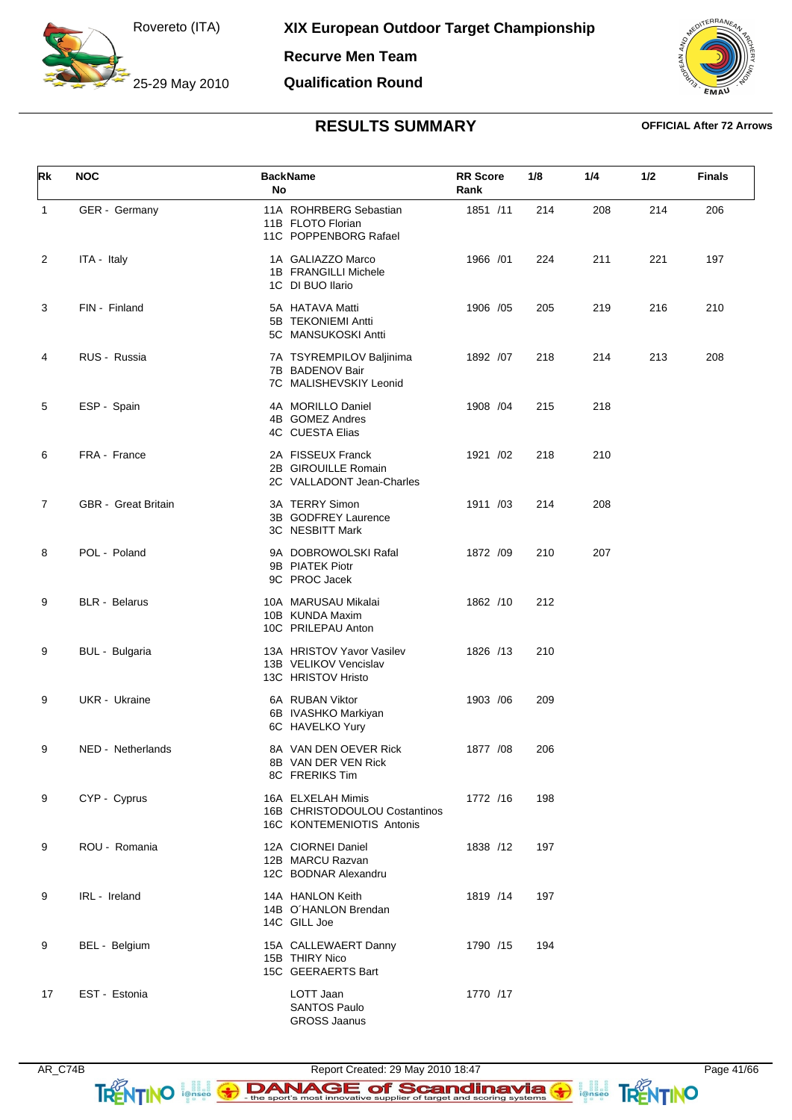25-29 May 2010

**Recurve Men Team**

### **Qualification Round**

![](_page_40_Picture_4.jpeg)

| Rk           | <b>NOC</b>           | <b>BackName</b><br>No                                                           | <b>RR Score</b><br>Rank | 1/8 | 1/4 | 1/2 | <b>Finals</b> |
|--------------|----------------------|---------------------------------------------------------------------------------|-------------------------|-----|-----|-----|---------------|
| $\mathbf{1}$ | GER - Germany        | 11A ROHRBERG Sebastian<br>11B FLOTO Florian<br>11C POPPENBORG Rafael            | 1851 /11                | 214 | 208 | 214 | 206           |
| 2            | ITA - Italy          | 1A GALIAZZO Marco<br>1B FRANGILLI Michele<br>1C DI BUO Ilario                   | 1966 /01                | 224 | 211 | 221 | 197           |
| 3            | FIN - Finland        | 5A HATAVA Matti<br>5B TEKONIEMI Antti<br>5C MANSUKOSKI Antti                    | 1906 / 05               | 205 | 219 | 216 | 210           |
| 4            | RUS - Russia         | 7A TSYREMPILOV Baljinima<br>7B BADENOV Bair<br>7C MALISHEVSKIY Leonid           | 1892 /07                | 218 | 214 | 213 | 208           |
| 5            | ESP - Spain          | 4A MORILLO Daniel<br>4B GOMEZ Andres<br><b>4C CUESTA Elias</b>                  | 1908 /04                | 215 | 218 |     |               |
| 6            | FRA - France         | 2A FISSEUX Franck<br>2B GIROUILLE Romain<br>2C VALLADONT Jean-Charles           | 1921 /02                | 218 | 210 |     |               |
| 7            | GBR - Great Britain  | 3A TERRY Simon<br>3B GODFREY Laurence<br>3C NESBITT Mark                        | 1911 /03                | 214 | 208 |     |               |
| 8            | POL - Poland         | 9A DOBROWOLSKI Rafal<br>9B PIATEK Piotr<br>9C PROC Jacek                        | 1872 /09                | 210 | 207 |     |               |
| 9            | <b>BLR</b> - Belarus | 10A MARUSAU Mikalai<br>10B KUNDA Maxim<br>10C PRILEPAU Anton                    | 1862 /10                | 212 |     |     |               |
| 9            | BUL - Bulgaria       | 13A HRISTOV Yavor Vasilev<br>13B VELIKOV Vencislav<br>13C HRISTOV Hristo        | 1826 /13                | 210 |     |     |               |
| 9            | UKR - Ukraine        | 6A RUBAN Viktor<br>6B IVASHKO Markiyan<br>6C HAVELKO Yury                       | 1903 / 06               | 209 |     |     |               |
| 9            | NED - Netherlands    | 8A VAN DEN OEVER Rick<br>8B VAN DER VEN Rick<br>8C FRERIKS Tim                  | 1877 / 08               | 206 |     |     |               |
| 9            | CYP - Cyprus         | 16A ELXELAH Mimis<br>16B CHRISTODOULOU Costantinos<br>16C KONTEMENIOTIS Antonis | 1772 /16                | 198 |     |     |               |
| 9            | ROU - Romania        | 12A CIORNEI Daniel<br>12B MARCU Razvan<br>12C BODNAR Alexandru                  | 1838 /12                | 197 |     |     |               |
| 9            | IRL - Ireland        | 14A HANLON Keith<br>14B O'HANLON Brendan<br>14C GILL Joe                        | 1819 /14                | 197 |     |     |               |
| 9            | BEL - Belgium        | 15A CALLEWAERT Danny<br>15B THIRY Nico<br>15C GEERAERTS Bart                    | 1790 /15                | 194 |     |     |               |
| 17           | EST - Estonia        | LOTT Jaan<br><b>SANTOS Paulo</b><br><b>GROSS Jaanus</b>                         | 1770 /17                |     |     |     |               |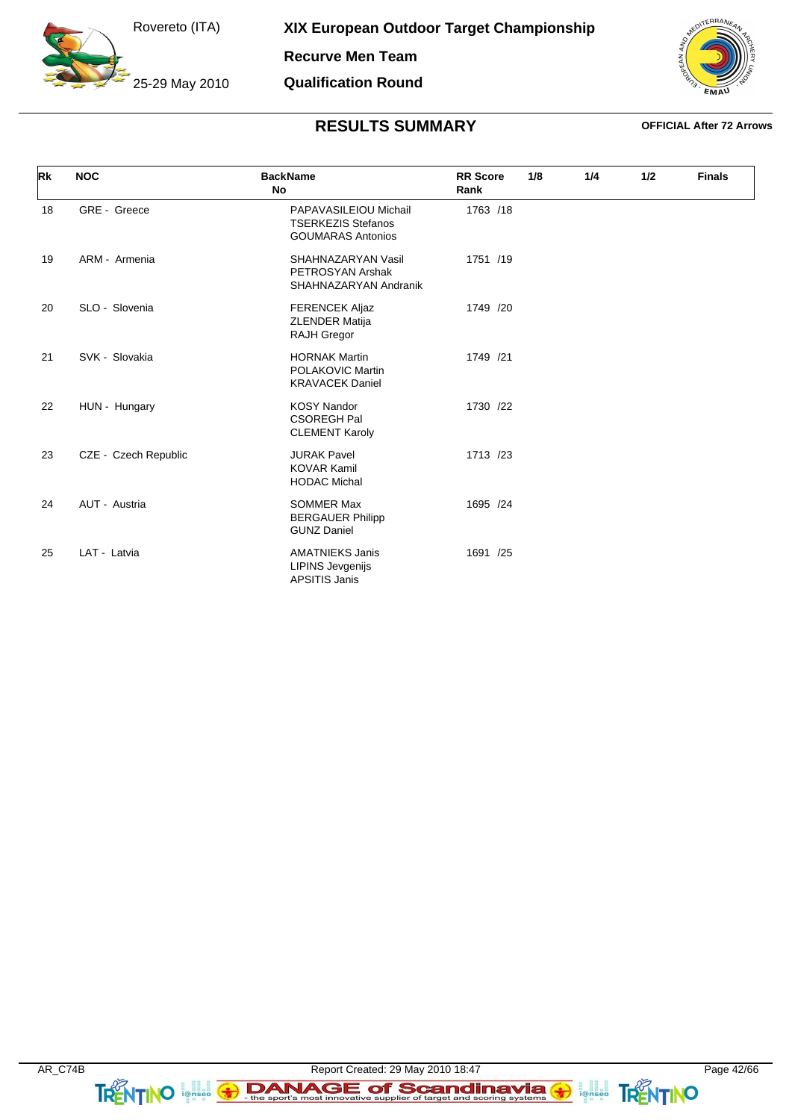25-29 May 2010

**Recurve Men Team**

### **Qualification Round**

![](_page_41_Picture_4.jpeg)

| Rk | <b>NOC</b>           | <b>BackName</b><br>No                                                          | <b>RR</b> Score<br>Rank | 1/8 | 1/4 | 1/2 | <b>Finals</b> |
|----|----------------------|--------------------------------------------------------------------------------|-------------------------|-----|-----|-----|---------------|
| 18 | GRE - Greece         | PAPAVASILEIOU Michail<br><b>TSERKEZIS Stefanos</b><br><b>GOUMARAS Antonios</b> | 1763 /18                |     |     |     |               |
| 19 | ARM - Armenia        | SHAHNAZARYAN Vasil<br>PETROSYAN Arshak<br>SHAHNAZARYAN Andranik                | 1751 /19                |     |     |     |               |
| 20 | SLO - Slovenia       | <b>FERENCEK Aljaz</b><br>ZLENDER Matija<br><b>RAJH Gregor</b>                  | 1749 /20                |     |     |     |               |
| 21 | SVK - Slovakia       | <b>HORNAK Martin</b><br>POLAKOVIC Martin<br><b>KRAVACEK Daniel</b>             | 1749 /21                |     |     |     |               |
| 22 | HUN - Hungary        | <b>KOSY Nandor</b><br><b>CSOREGH Pal</b><br><b>CLEMENT Karoly</b>              | 1730 /22                |     |     |     |               |
| 23 | CZE - Czech Republic | <b>JURAK Pavel</b><br><b>KOVAR Kamil</b><br><b>HODAC Michal</b>                | 1713 /23                |     |     |     |               |
| 24 | AUT - Austria        | <b>SOMMER Max</b><br><b>BERGAUER Philipp</b><br><b>GUNZ Daniel</b>             | 1695 /24                |     |     |     |               |
| 25 | LAT - Latvia         | <b>AMATNIEKS Janis</b><br><b>LIPINS Jevgenijs</b><br><b>APSITIS Janis</b>      | 1691 /25                |     |     |     |               |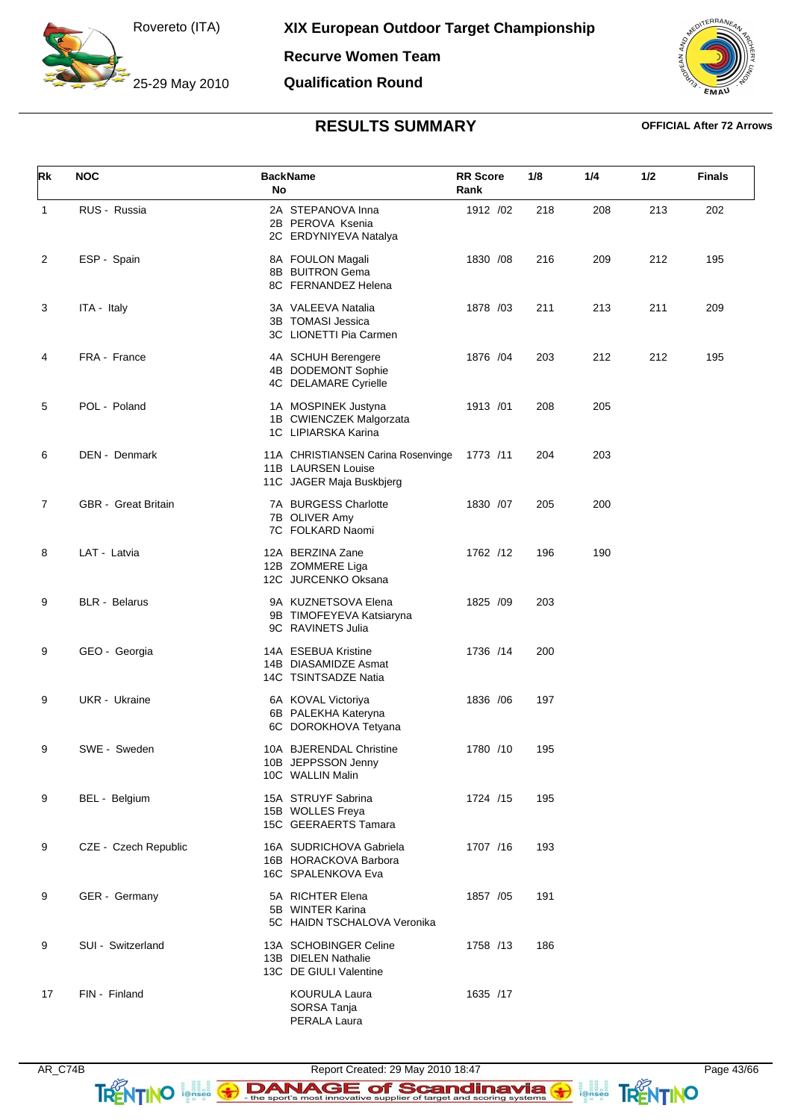25-29 May 2010

**Recurve Women Team**

**Qualification Round**

![](_page_42_Picture_4.jpeg)

## **RESULTS SUMMARY OFFICIAL After 72 Arrows**

| Rk           | <b>NOC</b>           | <b>BackName</b><br>No                                                                | <b>RR</b> Score<br>Rank | 1/8 | 1/4 | 1/2 | <b>Finals</b> |
|--------------|----------------------|--------------------------------------------------------------------------------------|-------------------------|-----|-----|-----|---------------|
| $\mathbf{1}$ | RUS - Russia         | 2A STEPANOVA Inna<br>2B PEROVA Ksenia<br>2C ERDYNIYEVA Natalya                       | 1912 /02                | 218 | 208 | 213 | 202           |
| 2            | ESP - Spain          | 8A FOULON Magali<br>8B BUITRON Gema<br>8C FERNANDEZ Helena                           | 1830 / 08               | 216 | 209 | 212 | 195           |
| 3            | ITA - Italy          | 3A VALEEVA Natalia<br>3B TOMASI Jessica<br>3C LIONETTI Pia Carmen                    | 1878 /03                | 211 | 213 | 211 | 209           |
| 4            | FRA - France         | 4A SCHUH Berengere<br>4B DODEMONT Sophie<br>4C DELAMARE Cyrielle                     | 1876 / 04               | 203 | 212 | 212 | 195           |
| 5            | POL - Poland         | 1A MOSPINEK Justyna<br>1B CWIENCZEK Malgorzata<br>1C LIPIARSKA Karina                | 1913 /01                | 208 | 205 |     |               |
| 6            | DEN - Denmark        | 11A CHRISTIANSEN Carina Rosenvinge<br>11B LAURSEN Louise<br>11C JAGER Maja Buskbjerg | 1773 /11                | 204 | 203 |     |               |
| 7            | GBR - Great Britain  | 7A BURGESS Charlotte<br>7B OLIVER Amy<br>7C FOLKARD Naomi                            | 1830 / 07               | 205 | 200 |     |               |
| 8            | LAT - Latvia         | 12A BERZINA Zane<br>12B ZOMMERE Liga<br>12C JURCENKO Oksana                          | 1762 /12                | 196 | 190 |     |               |
| 9            | <b>BLR</b> - Belarus | 9A KUZNETSOVA Elena<br>9B TIMOFEYEVA Katsiaryna<br>9C RAVINETS Julia                 | 1825 /09                | 203 |     |     |               |
| 9            | GEO - Georgia        | 14A ESEBUA Kristine<br>14B DIASAMIDZE Asmat<br>14C TSINTSADZE Natia                  | 1736 /14                | 200 |     |     |               |
| 9            | UKR - Ukraine        | 6A KOVAL Victoriya<br>6B PALEKHA Kateryna<br>6C DOROKHOVA Tetyana                    | 1836 / 06               | 197 |     |     |               |
| 9            | SWE - Sweden         | 10A BJERENDAL Christine<br>10B JEPPSSON Jenny<br>10C WALLIN Malin                    | 1780 /10                | 195 |     |     |               |
| 9            | BEL - Belgium        | 15A STRUYF Sabrina<br>15B WOLLES Freya<br>15C GEERAERTS Tamara                       | 1724 /15                | 195 |     |     |               |
| 9            | CZE - Czech Republic | 16A SUDRICHOVA Gabriela<br>16B HORACKOVA Barbora<br>16C SPALENKOVA Eva               | 1707 /16                | 193 |     |     |               |
| 9            | GER - Germany        | 5A RICHTER Elena<br>5B WINTER Karina<br>5C HAIDN TSCHALOVA Veronika                  | 1857 / 05               | 191 |     |     |               |
| 9            | SUI - Switzerland    | 13A SCHOBINGER Celine<br>13B DIELEN Nathalie<br>13C DE GIULI Valentine               | 1758 /13                | 186 |     |     |               |
| 17           | FIN - Finland        | <b>KOURULA Laura</b><br>SORSA Tanja<br>PERALA Laura                                  | 1635 /17                |     |     |     |               |

AR\_C74B Report Created: 29 May 2010 18:47 Page 43/66 TRENTINO **EXAMAGE of Scandinavia G ANTINO**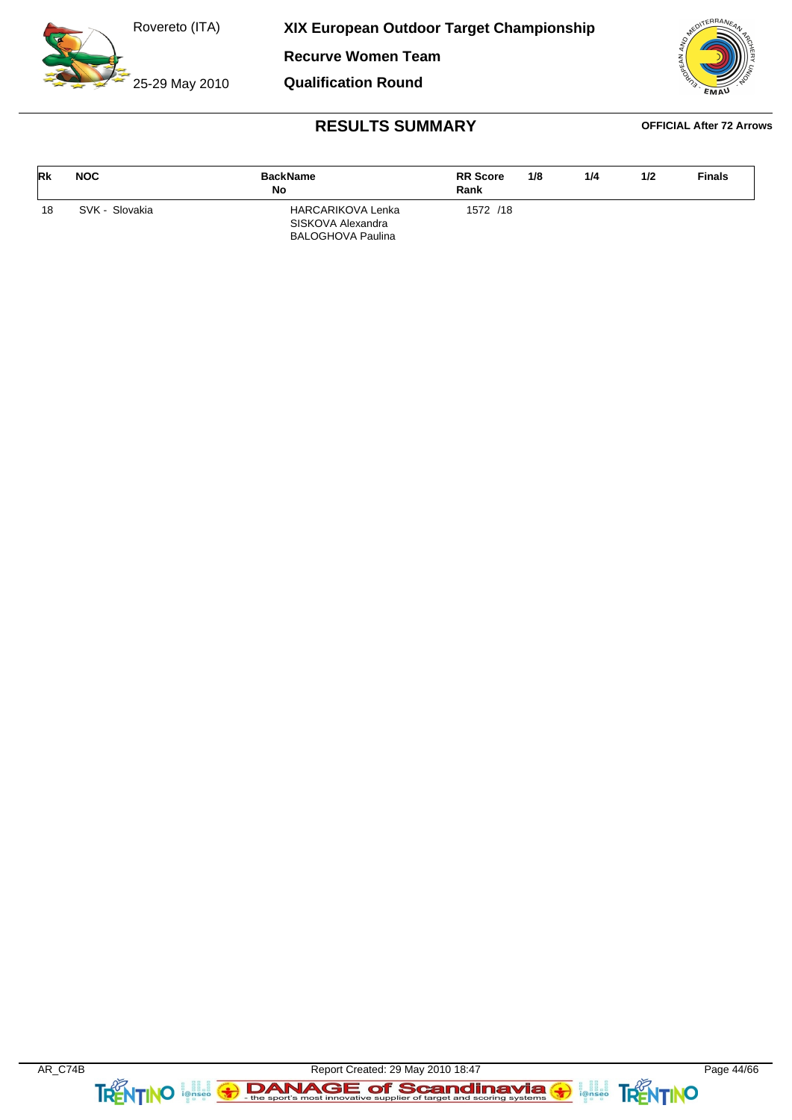25-29 May 2010

**XIX European Outdoor Target Championship**

**Recurve Women Team**

**Qualification Round**

![](_page_43_Picture_4.jpeg)

| <b>Rk</b> | <b>NOC</b>     | <b>BackName</b><br>No                                                     | <b>RR</b> Score<br>Rank | 1/8 | 1/4 | 1/2 | <b>Finals</b> |
|-----------|----------------|---------------------------------------------------------------------------|-------------------------|-----|-----|-----|---------------|
| 18        | SVK - Slovakia | <b>HARCARIKOVA Lenka</b><br>SISKOVA Alexandra<br><b>BALOGHOVA Paulina</b> | 1572 /18                |     |     |     |               |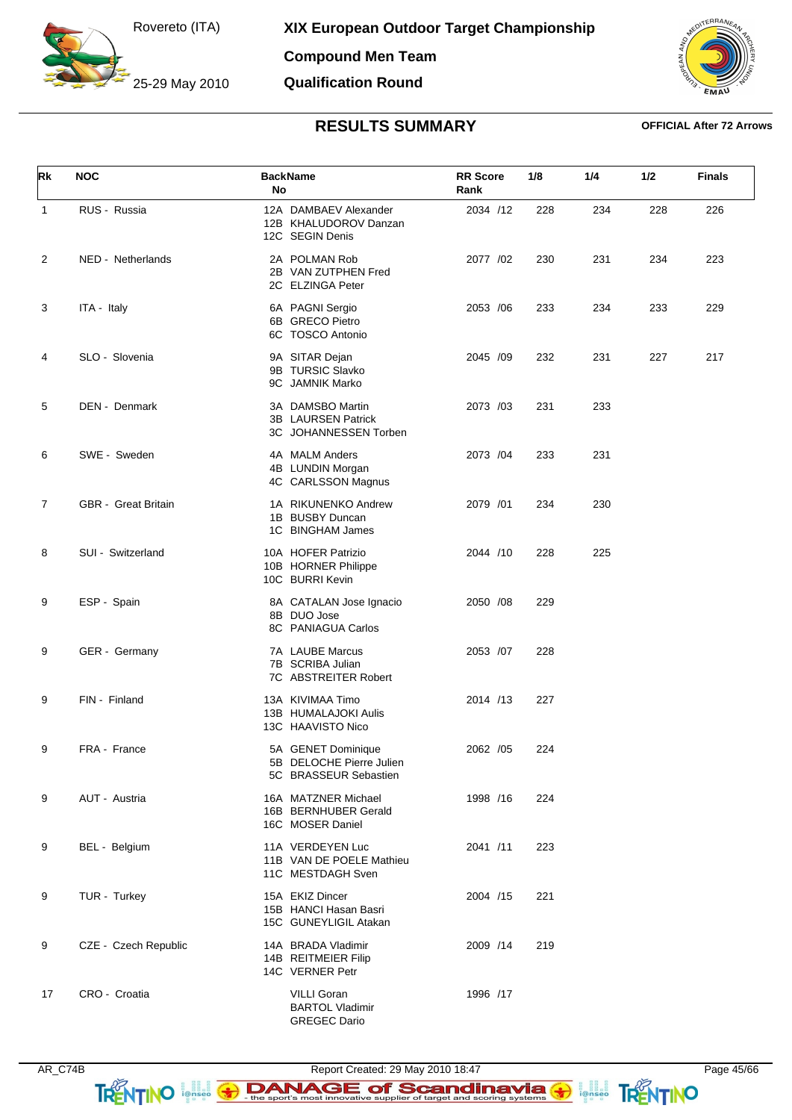25-29 May 2010

**Compound Men Team**

**Qualification Round**

![](_page_44_Picture_4.jpeg)

## **RESULTS SUMMARY OFFICIAL After 72 Arrows**

| Rk           | <b>NOC</b>                 | <b>BackName</b><br>No                                                   | <b>RR Score</b><br>Rank | 1/8 | 1/4 | 1/2 | <b>Finals</b> |
|--------------|----------------------------|-------------------------------------------------------------------------|-------------------------|-----|-----|-----|---------------|
| $\mathbf{1}$ | RUS - Russia               | 12A DAMBAEV Alexander<br>12B KHALUDOROV Danzan<br>12C SEGIN Denis       | 2034 /12                | 228 | 234 | 228 | 226           |
| 2            | NED - Netherlands          | 2A POLMAN Rob<br>2B VAN ZUTPHEN Fred<br>2C ELZINGA Peter                | 2077 /02                | 230 | 231 | 234 | 223           |
| 3            | ITA - Italy                | 6A PAGNI Sergio<br>6B GRECO Pietro<br>6C TOSCO Antonio                  | 2053 /06                | 233 | 234 | 233 | 229           |
| 4            | SLO - Slovenia             | 9A SITAR Dejan<br>9B TURSIC Slavko<br>9C JAMNIK Marko                   | 2045 /09                | 232 | 231 | 227 | 217           |
| 5            | DEN - Denmark              | 3A DAMSBO Martin<br>3B LAURSEN Patrick<br>3C JOHANNESSEN Torben         | 2073 /03                | 231 | 233 |     |               |
| 6            | SWE - Sweden               | 4A MALM Anders<br>4B LUNDIN Morgan<br>4C CARLSSON Magnus                | 2073 / 04               | 233 | 231 |     |               |
| 7            | <b>GBR</b> - Great Britain | 1A RIKUNENKO Andrew<br>1B BUSBY Duncan<br>1C BINGHAM James              | 2079 /01                | 234 | 230 |     |               |
| 8            | SUI - Switzerland          | 10A HOFER Patrizio<br>10B HORNER Philippe<br>10C BURRI Kevin            | 2044 /10                | 228 | 225 |     |               |
| 9            | ESP - Spain                | 8A CATALAN Jose Ignacio<br>8B DUO Jose<br>8C PANIAGUA Carlos            | 2050 /08                | 229 |     |     |               |
| 9            | GER - Germany              | 7A LAUBE Marcus<br>7B SCRIBA Julian<br>7C ABSTREITER Robert             | 2053 /07                | 228 |     |     |               |
| 9            | FIN - Finland              | 13A KIVIMAA Timo<br>13B HUMALAJOKI Aulis<br>13C HAAVISTO Nico           | 2014 /13                | 227 |     |     |               |
| 9            | FRA - France               | 5A GENET Dominique<br>5B DELOCHE Pierre Julien<br>5C BRASSEUR Sebastien | 2062 /05                | 224 |     |     |               |
| 9            | AUT - Austria              | 16A MATZNER Michael<br>16B BERNHUBER Gerald<br>16C MOSER Daniel         | 1998 /16                | 224 |     |     |               |
| 9            | BEL - Belgium              | 11A VERDEYEN Luc<br>11B VAN DE POELE Mathieu<br>11C MESTDAGH Sven       | 2041 /11                | 223 |     |     |               |
| 9            | TUR - Turkey               | 15A EKIZ Dincer<br>15B HANCI Hasan Basri<br>15C GUNEYLIGIL Atakan       | 2004 /15                | 221 |     |     |               |
| 9            | CZE - Czech Republic       | 14A BRADA Vladimir<br>14B REITMEIER Filip<br>14C VERNER Petr            | 2009 /14                | 219 |     |     |               |
| 17           | CRO - Croatia              | <b>VILLI Goran</b><br><b>BARTOL Vladimir</b><br><b>GREGEC Dario</b>     | 1996 /17                |     |     |     |               |

AR\_C74B Report Created: 29 May 2010 18:47 Page 45/66 TRENTINO **EXAMAGE of Scandinavia G ANTINO**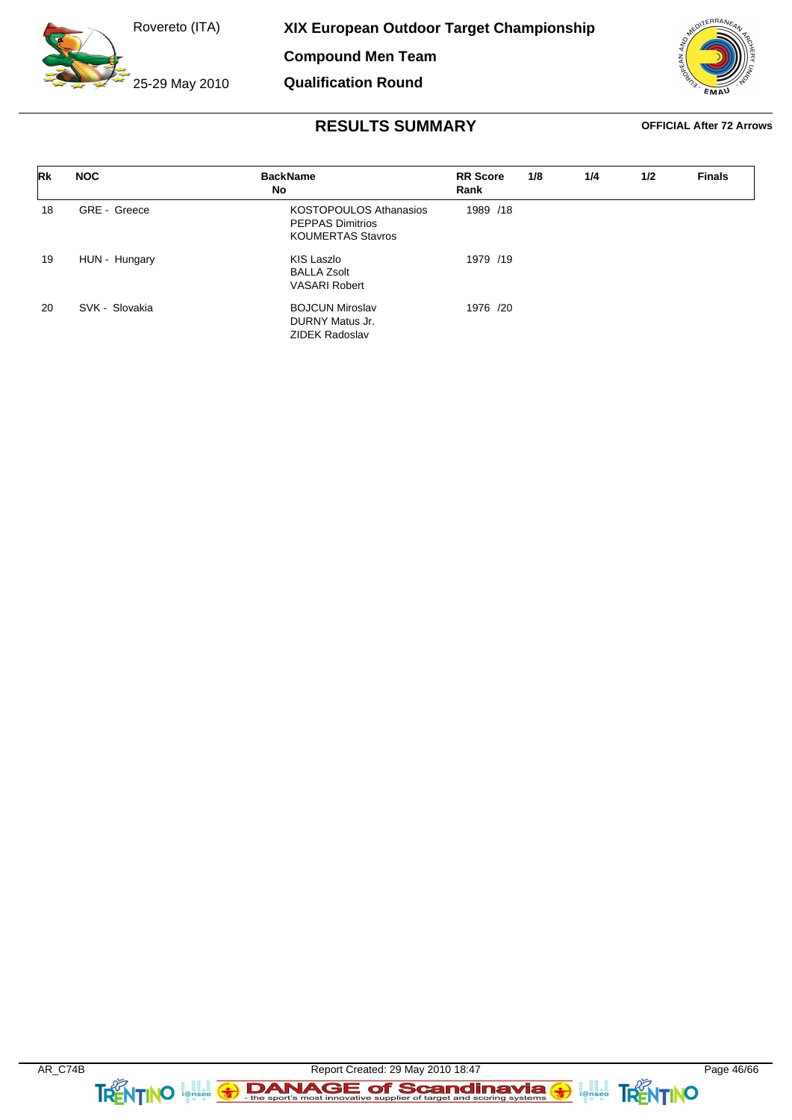25-29 May 2010

**XIX European Outdoor Target Championship**

**Compound Men Team**

**Qualification Round**

![](_page_45_Picture_4.jpeg)

| Rk | <b>NOC</b>     | <b>BackName</b><br>No                                                                | <b>RR</b> Score<br>Rank | 1/8 | 1/4 | 1/2 | <b>Finals</b> |
|----|----------------|--------------------------------------------------------------------------------------|-------------------------|-----|-----|-----|---------------|
| 18 | GRE - Greece   | <b>KOSTOPOULOS Athanasios</b><br><b>PEPPAS Dimitrios</b><br><b>KOUMERTAS Stavros</b> | 1989 /18                |     |     |     |               |
| 19 | HUN - Hungary  | KIS Laszlo<br><b>BALLA Zsolt</b><br><b>VASARI Robert</b>                             | 1979 /19                |     |     |     |               |
| 20 | SVK - Slovakia | <b>BOJCUN Miroslav</b><br>DURNY Matus Jr.<br><b>ZIDEK Radoslav</b>                   | 1976 /20                |     |     |     |               |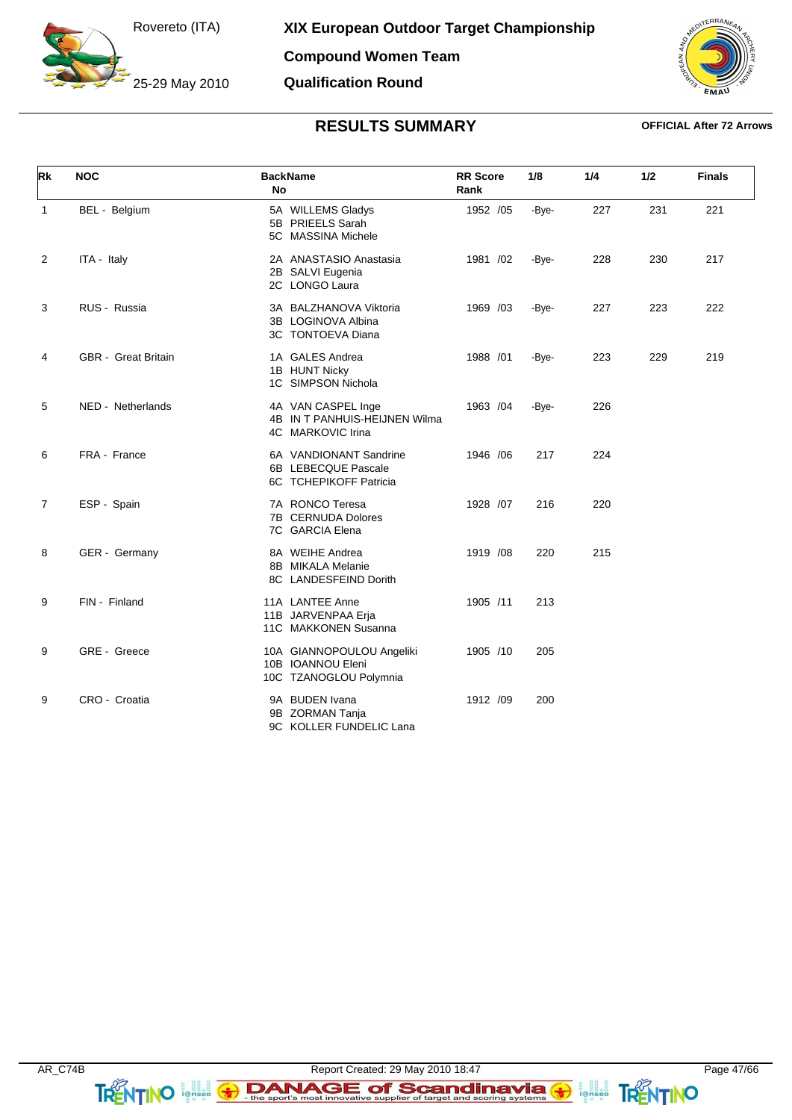25-29 May 2010

**Compound Women Team Qualification Round**

![](_page_46_Picture_3.jpeg)

| Rk             | <b>NOC</b>                 | <b>BackName</b><br><b>No</b>                                             | <b>RR Score</b><br>Rank | 1/8   | 1/4 | 1/2 | <b>Finals</b> |
|----------------|----------------------------|--------------------------------------------------------------------------|-------------------------|-------|-----|-----|---------------|
| $\mathbf{1}$   | BEL - Belgium              | 5A WILLEMS Gladys<br>5B PRIEELS Sarah<br>5C MASSINA Michele              | 1952 /05                | -Bye- | 227 | 231 | 221           |
| 2              | ITA - Italy                | 2A ANASTASIO Anastasia<br>2B SALVI Eugenia<br>2C LONGO Laura             | 1981 /02                | -Bye- | 228 | 230 | 217           |
| 3              | RUS - Russia               | 3A BALZHANOVA Viktoria<br>3B LOGINOVA Albina<br>3C TONTOEVA Diana        | 1969 /03                | -Bye- | 227 | 223 | 222           |
| 4              | <b>GBR</b> - Great Britain | 1A GALES Andrea<br>1B HUNT Nicky<br>1C SIMPSON Nichola                   | 1988 /01                | -Bye- | 223 | 229 | 219           |
| 5              | NED - Netherlands          | 4A VAN CASPEL Inge<br>4B IN T PANHUIS-HEIJNEN Wilma<br>4C MARKOVIC Irina | 1963 /04                | -Bye- | 226 |     |               |
| 6              | FRA - France               | 6A VANDIONANT Sandrine<br>6B LEBECQUE Pascale<br>6C TCHEPIKOFF Patricia  | 1946 / 06               | 217   | 224 |     |               |
| $\overline{7}$ | ESP - Spain                | 7A RONCO Teresa<br>7B CERNUDA Dolores<br>7C GARCIA Elena                 | 1928 /07                | 216   | 220 |     |               |
| 8              | GER - Germany              | 8A WEIHE Andrea<br>8B MIKALA Melanie<br>8C LANDESFEIND Dorith            | 1919 /08                | 220   | 215 |     |               |
| 9              | FIN - Finland              | 11A LANTEE Anne<br>11B JARVENPAA Erja<br>11C MAKKONEN Susanna            | 1905 /11                | 213   |     |     |               |
| 9              | GRE - Greece               | 10A GIANNOPOULOU Angeliki<br>10B IOANNOU Eleni<br>10C TZANOGLOU Polymnia | 1905 /10                | 205   |     |     |               |
| 9              | CRO - Croatia              | 9A BUDEN Ivana<br>9B ZORMAN Tanja<br>9C KOLLER FUNDELIC Lana             | 1912 /09                | 200   |     |     |               |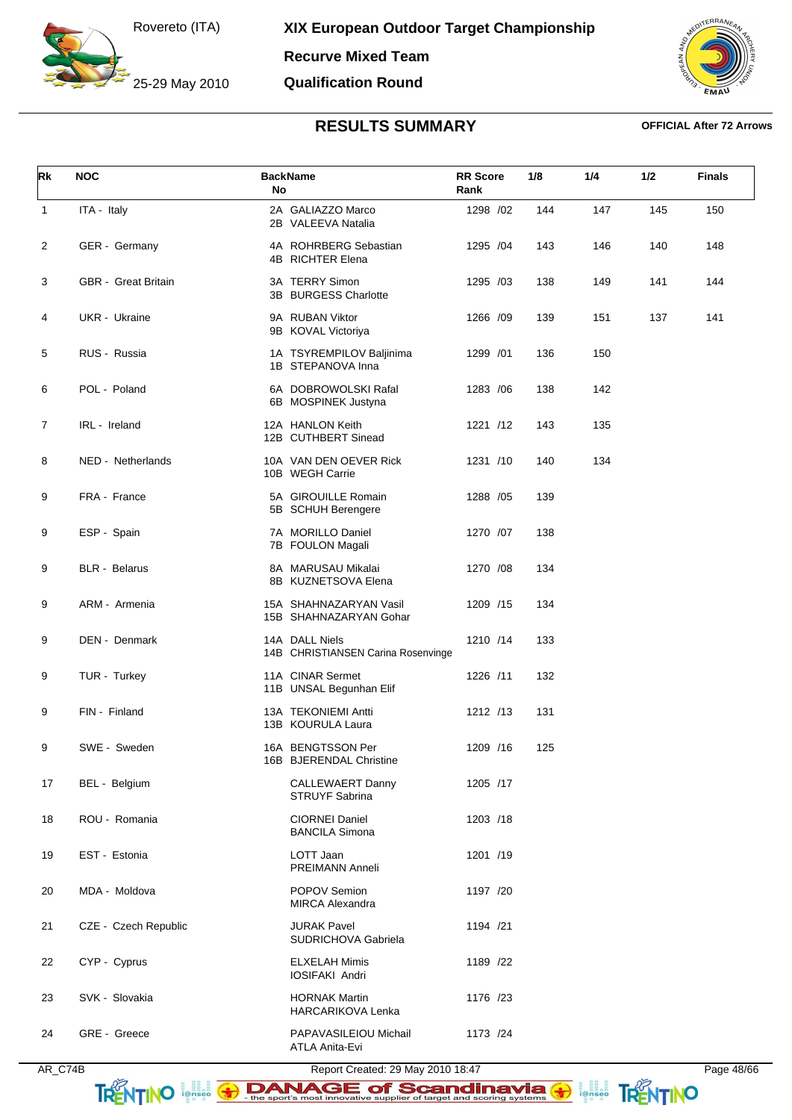25-29 May 2010

**Recurve Mixed Team**

### **Qualification Round**

![](_page_47_Picture_4.jpeg)

| Rk             | <b>NOC</b>           | <b>BackName</b><br>No                                | <b>RR Score</b><br>Rank | 1/8 | 1/4 | 1/2 | <b>Finals</b> |
|----------------|----------------------|------------------------------------------------------|-------------------------|-----|-----|-----|---------------|
| $\mathbf{1}$   | ITA - Italy          | 2A GALIAZZO Marco<br>2B VALEEVA Natalia              | 1298 /02                | 144 | 147 | 145 | 150           |
| $\overline{c}$ | GER - Germany        | 4A ROHRBERG Sebastian<br>4B RICHTER Elena            | 1295 /04                | 143 | 146 | 140 | 148           |
| 3              | GBR - Great Britain  | 3A TERRY Simon<br>3B BURGESS Charlotte               | 1295 /03                | 138 | 149 | 141 | 144           |
| 4              | UKR - Ukraine        | 9A RUBAN Viktor<br>9B KOVAL Victoriya                | 1266 /09                | 139 | 151 | 137 | 141           |
| 5              | RUS - Russia         | 1A TSYREMPILOV Baljinima<br>1B STEPANOVA Inna        | 1299 /01                | 136 | 150 |     |               |
| 6              | POL - Poland         | 6A DOBROWOLSKI Rafal<br>6B MOSPINEK Justyna          | 1283 /06                | 138 | 142 |     |               |
| 7              | IRL - Ireland        | 12A HANLON Keith<br>12B CUTHBERT Sinead              | 1221 /12                | 143 | 135 |     |               |
| 8              | NED - Netherlands    | 10A VAN DEN OEVER Rick<br>10B WEGH Carrie            | 1231 /10                | 140 | 134 |     |               |
| 9              | FRA - France         | 5A GIROUILLE Romain<br>5B SCHUH Berengere            | 1288 / 05               | 139 |     |     |               |
| 9              | ESP - Spain          | 7A MORILLO Daniel<br>7B FOULON Magali                | 1270 /07                | 138 |     |     |               |
| 9              | <b>BLR</b> - Belarus | 8A MARUSAU Mikalai<br>8B KUZNETSOVA Elena            | 1270 /08                | 134 |     |     |               |
| 9              | ARM - Armenia        | 15A SHAHNAZARYAN Vasil<br>15B SHAHNAZARYAN Gohar     | 1209 /15                | 134 |     |     |               |
| 9              | DEN - Denmark        | 14A DALL Niels<br>14B CHRISTIANSEN Carina Rosenvinge | 1210 /14                | 133 |     |     |               |
| 9              | TUR - Turkey         | 11A CINAR Sermet<br>11B UNSAL Begunhan Elif          | 1226 /11                | 132 |     |     |               |
| 9              | FIN - Finland        | 13A TEKONIEMI Antti<br>13B KOURULA Laura             | 1212 /13                | 131 |     |     |               |
| 9              | SWE - Sweden         | 16A BENGTSSON Per<br>16B BJERENDAL Christine         | 1209 /16                | 125 |     |     |               |
| 17             | BEL - Belgium        | <b>CALLEWAERT Danny</b><br>STRUYF Sabrina            | 1205 /17                |     |     |     |               |
| 18             | ROU - Romania        | <b>CIORNEI Daniel</b><br><b>BANCILA Simona</b>       | 1203 /18                |     |     |     |               |
| 19             | EST - Estonia        | LOTT Jaan<br>PREIMANN Anneli                         | 1201 /19                |     |     |     |               |
| 20             | MDA - Moldova        | POPOV Semion<br><b>MIRCA Alexandra</b>               | 1197 /20                |     |     |     |               |
| 21             | CZE - Czech Republic | <b>JURAK Pavel</b><br>SUDRICHOVA Gabriela            | 1194 /21                |     |     |     |               |
| 22             | CYP - Cyprus         | <b>ELXELAH Mimis</b><br>IOSIFAKI Andri               | 1189 /22                |     |     |     |               |
| 23             | SVK - Slovakia       | <b>HORNAK Martin</b><br>HARCARIKOVA Lenka            | 1176 /23                |     |     |     |               |
| 24             | GRE - Greece         | PAPAVASILEIOU Michail<br>ATLA Anita-Evi              | 1173 /24                |     |     |     |               |

![](_page_47_Picture_8.jpeg)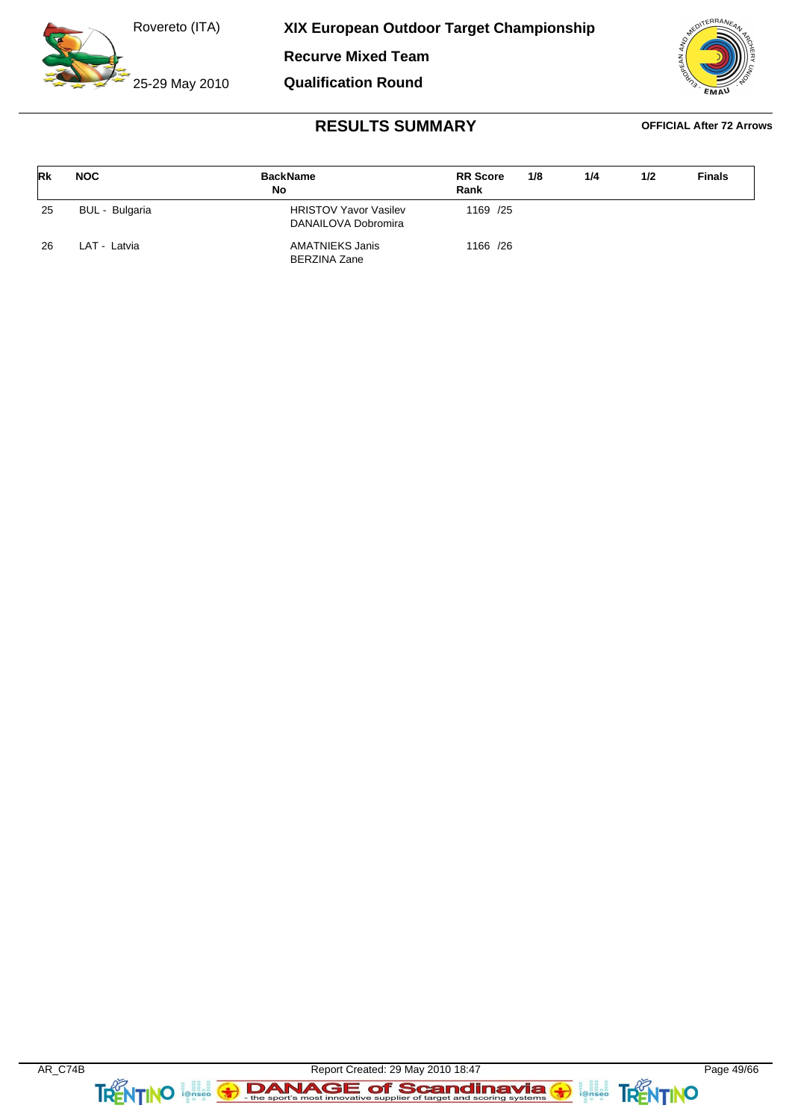25-29 May 2010

**XIX European Outdoor Target Championship**

**Recurve Mixed Team**

**Qualification Round**

![](_page_48_Picture_4.jpeg)

| Rk  | <b>NOC</b>     | <b>BackName</b><br>No                               | <b>RR</b> Score<br>Rank | 1/8 | 1/4 | 1/2 | <b>Finals</b> |
|-----|----------------|-----------------------------------------------------|-------------------------|-----|-----|-----|---------------|
| -25 | BUL - Bulgaria | <b>HRISTOV Yavor Vasilev</b><br>DANAILOVA Dobromira | 1169 /25                |     |     |     |               |
| 26  | LAT - Latvia   | AMATNIEKS Janis<br><b>BERZINA Zane</b>              | 1166 /26                |     |     |     |               |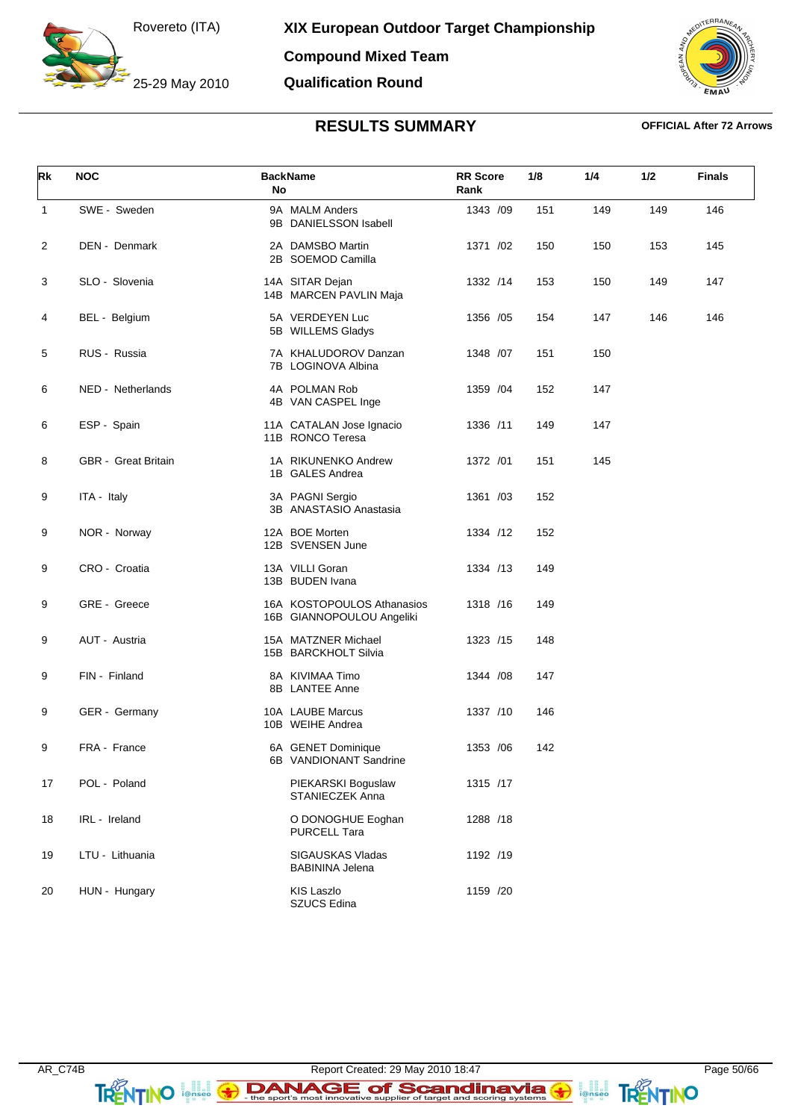25-29 May 2010

**Compound Mixed Team Qualification Round**

![](_page_49_Picture_3.jpeg)

| Rk           | <b>NOC</b>                 | <b>BackName</b><br>No                                   | <b>RR</b> Score<br>1/8<br>Rank | 1/4        | 1/2 | <b>Finals</b> |
|--------------|----------------------------|---------------------------------------------------------|--------------------------------|------------|-----|---------------|
| $\mathbf{1}$ | SWE - Sweden               | 9A MALM Anders<br>9B DANIELSSON Isabell                 | 1343 /09                       | 151<br>149 | 149 | 146           |
| 2            | <b>DEN - Denmark</b>       | 2A DAMSBO Martin<br>2B SOEMOD Camilla                   | 1371 /02                       | 150<br>150 | 153 | 145           |
| 3            | SLO - Slovenia             | 14A SITAR Dejan<br>14B MARCEN PAVLIN Maja               | 1332 /14                       | 153<br>150 | 149 | 147           |
| 4            | BEL - Belgium              | 5A VERDEYEN Luc<br>5B WILLEMS Gladys                    | 1356 / 05                      | 154<br>147 | 146 | 146           |
| 5            | RUS - Russia               | 7A KHALUDOROV Danzan<br>7B LOGINOVA Albina              | 1348 /07<br>151                | 150        |     |               |
| 6            | NED - Netherlands          | 4A POLMAN Rob<br>4B VAN CASPEL Inge                     | 1359 /04                       | 147<br>152 |     |               |
| 6            | ESP - Spain                | 11A CATALAN Jose Ignacio<br>11B RONCO Teresa            | 1336 /11                       | 147<br>149 |     |               |
| 8            | <b>GBR</b> - Great Britain | 1A RIKUNENKO Andrew<br>1B GALES Andrea                  | 1372 /01                       | 145<br>151 |     |               |
| 9            | ITA - Italy                | 3A PAGNI Sergio<br>3B ANASTASIO Anastasia               | 1361 /03                       | 152        |     |               |
| 9            | NOR - Norway               | 12A BOE Morten<br>12B SVENSEN June                      | 1334 /12                       | 152        |     |               |
| 9            | CRO - Croatia              | 13A VILLI Goran<br>13B BUDEN Ivana                      | 1334 /13                       | 149        |     |               |
| 9            | GRE - Greece               | 16A KOSTOPOULOS Athanasios<br>16B GIANNOPOULOU Angeliki | 1318 /16                       | 149        |     |               |
| 9            | AUT - Austria              | 15A MATZNER Michael<br>15B BARCKHOLT Silvia             | 1323 /15                       | 148        |     |               |
| 9            | FIN - Finland              | 8A KIVIMAA Timo<br>8B LANTEE Anne                       | 1344 / 08                      | 147        |     |               |
| 9            | GER - Germany              | 10A LAUBE Marcus<br>10B WEIHE Andrea                    | 1337 /10                       | 146        |     |               |
| 9            | FRA - France               | 6A GENET Dominique<br>6B VANDIONANT Sandrine            | 1353 /06                       | 142        |     |               |
| 17           | POL - Poland               | PIEKARSKI Boguslaw<br>STANIECZEK Anna                   | 1315 /17                       |            |     |               |
| 18           | IRL - Ireland              | O DONOGHUE Eoghan<br><b>PURCELL Tara</b>                | 1288 /18                       |            |     |               |
| 19           | LTU - Lithuania            | SIGAUSKAS Vladas<br><b>BABININA Jelena</b>              | 1192 /19                       |            |     |               |
| 20           | HUN - Hungary              | <b>KIS Laszlo</b><br><b>SZUCS Edina</b>                 | 1159 /20                       |            |     |               |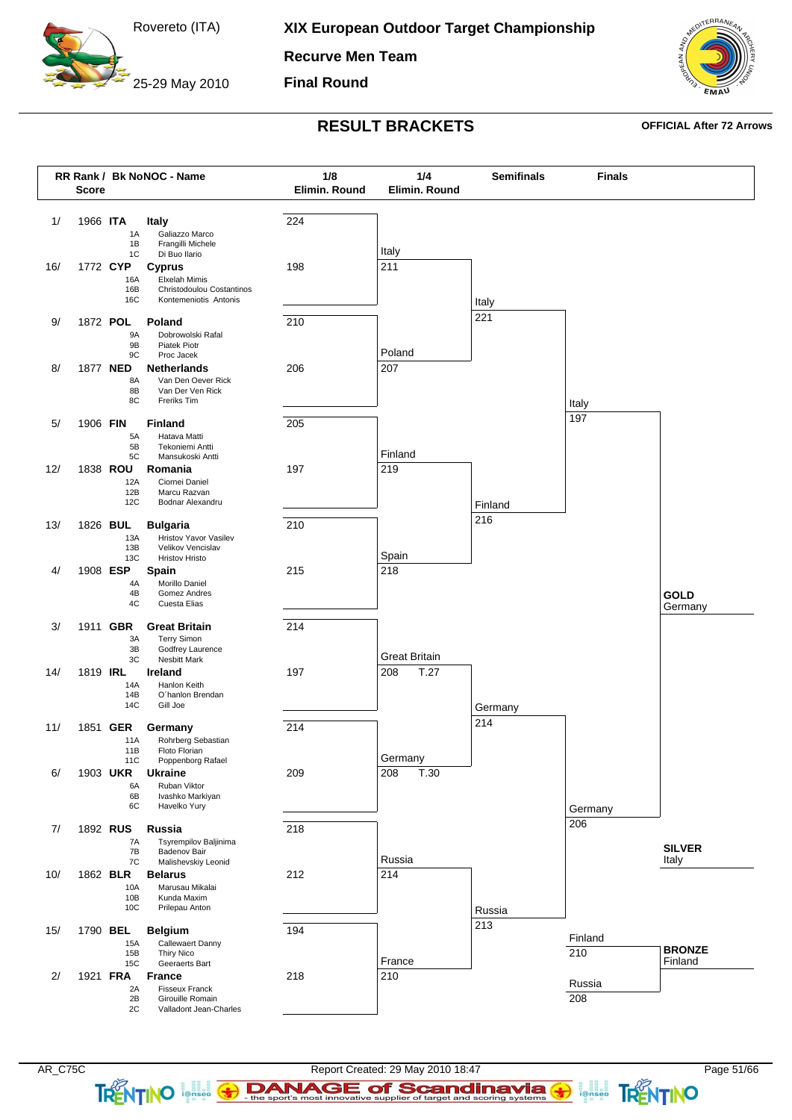25-29 May 2010

**XIX European Outdoor Target Championship**

**Recurve Men Team**

**Final Round**

![](_page_50_Picture_4.jpeg)

### **RESULT BRACKETS OFFICIAL After 72 Arrows**

![](_page_50_Figure_7.jpeg)

**TRENTINO**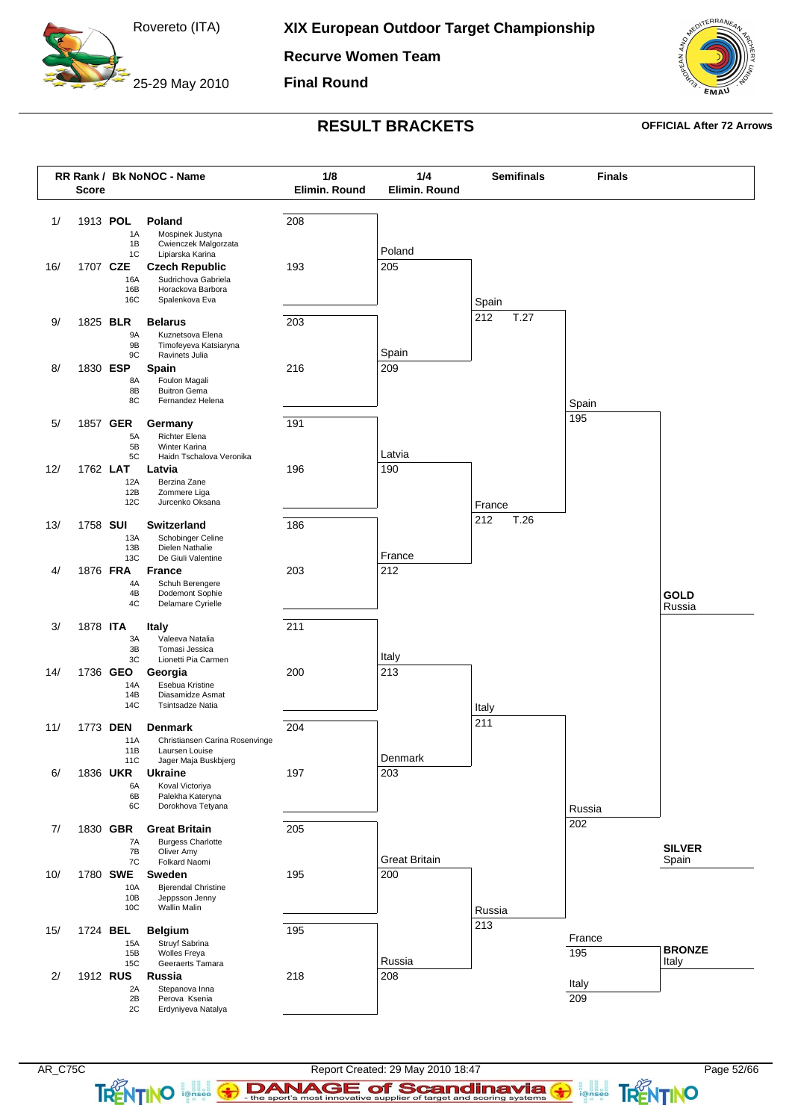25-29 May 2010

**Recurve Women Team**

**Final Round**

![](_page_51_Picture_4.jpeg)

### **RESULT BRACKETS OFFICIAL After 72 Arrows**

![](_page_51_Figure_7.jpeg)

TRENTINO **ignes**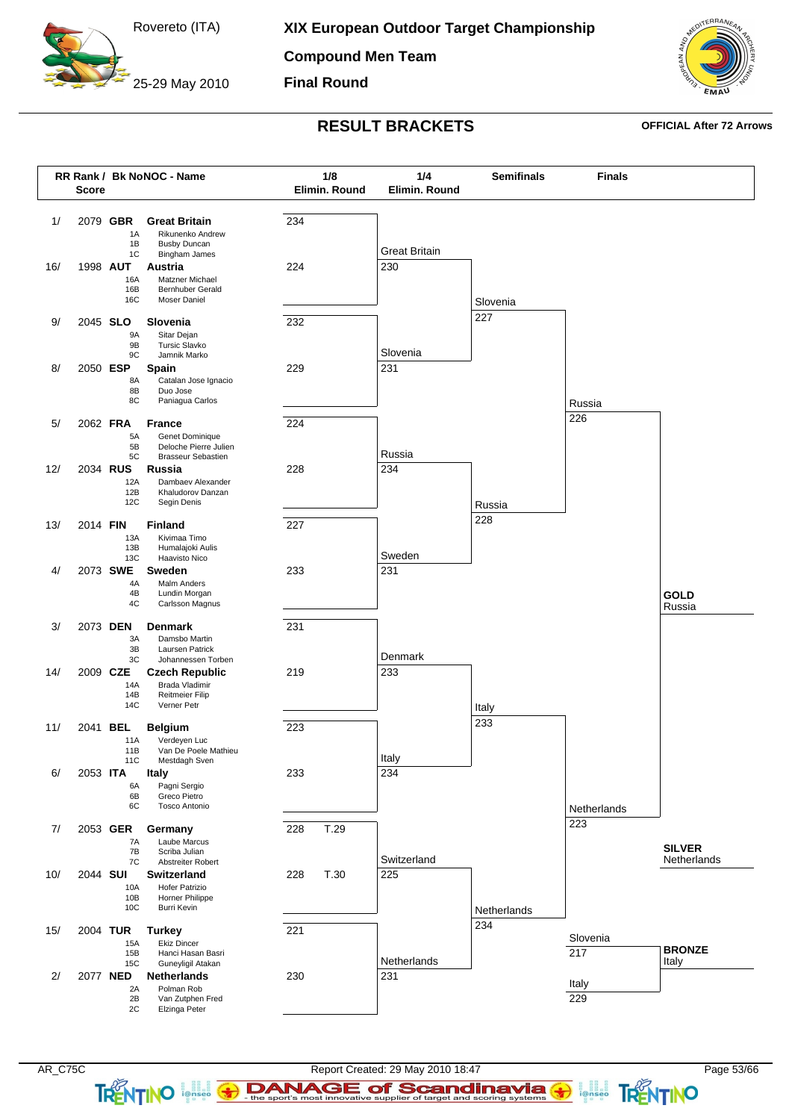25-29 May 2010

**Compound Men Team**

**Final Round**

![](_page_52_Picture_4.jpeg)

## **RESULT BRACKETS OFFICIAL After 72 Arrows**

![](_page_52_Figure_7.jpeg)

**TRENTINO**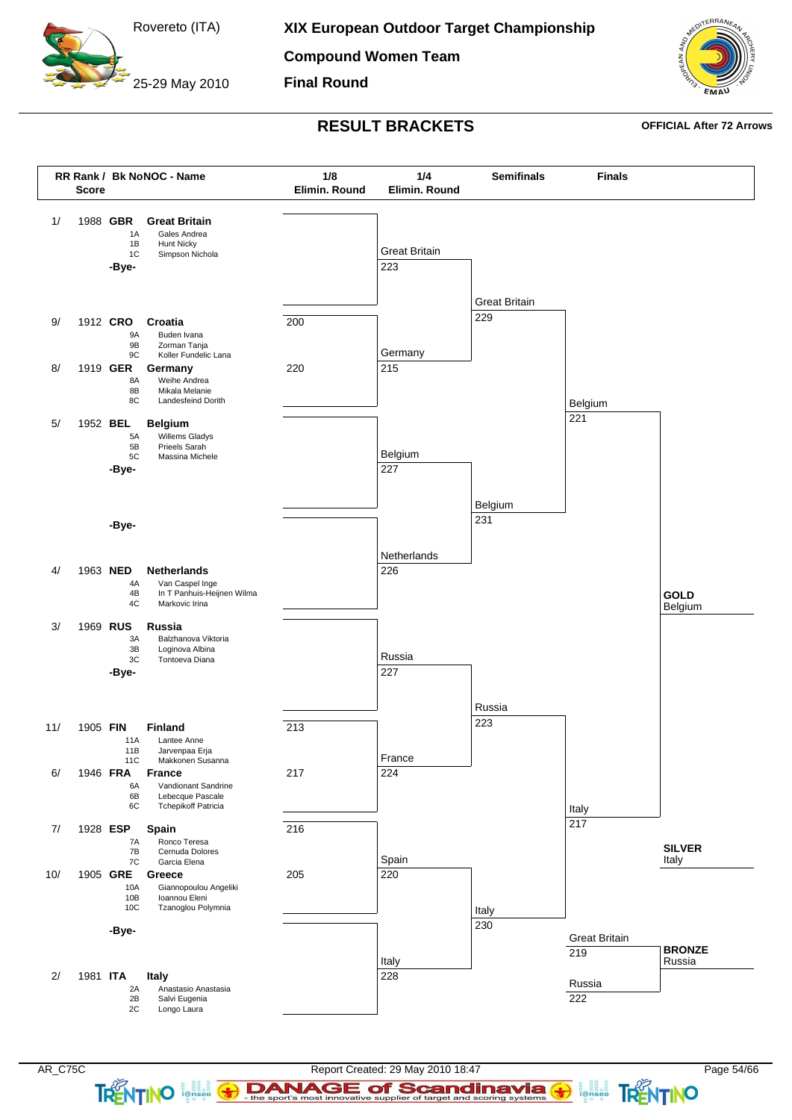25-29 May 2010

**XIX European Outdoor Target Championship**

**Compound Women Team**

**Final Round**

![](_page_53_Picture_4.jpeg)

### **RESULT BRACKETS OFFICIAL After 72 Arrows**

![](_page_53_Figure_7.jpeg)

**TRENTINO** 

ionseo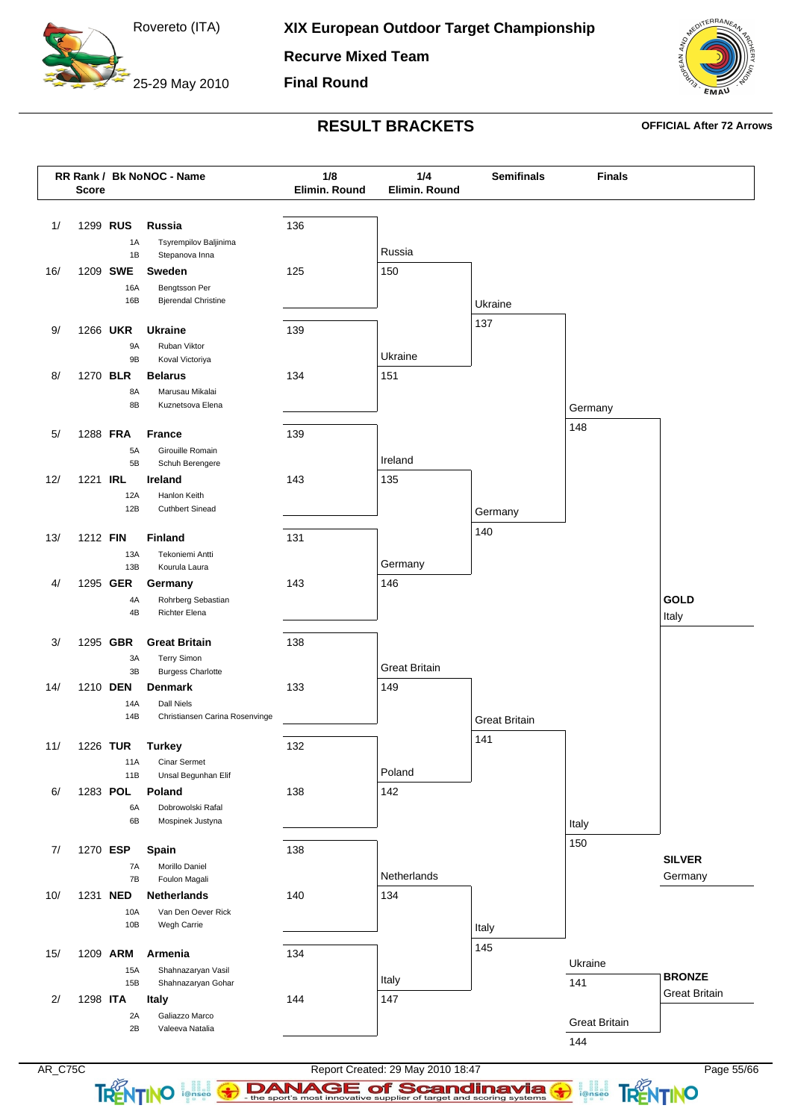25-29 May 2010

**Recurve Mixed Team**

**Final Round**

![](_page_54_Picture_4.jpeg)

### **RESULT BRACKETS OFFICIAL After 72 Arrows**

![](_page_54_Figure_7.jpeg)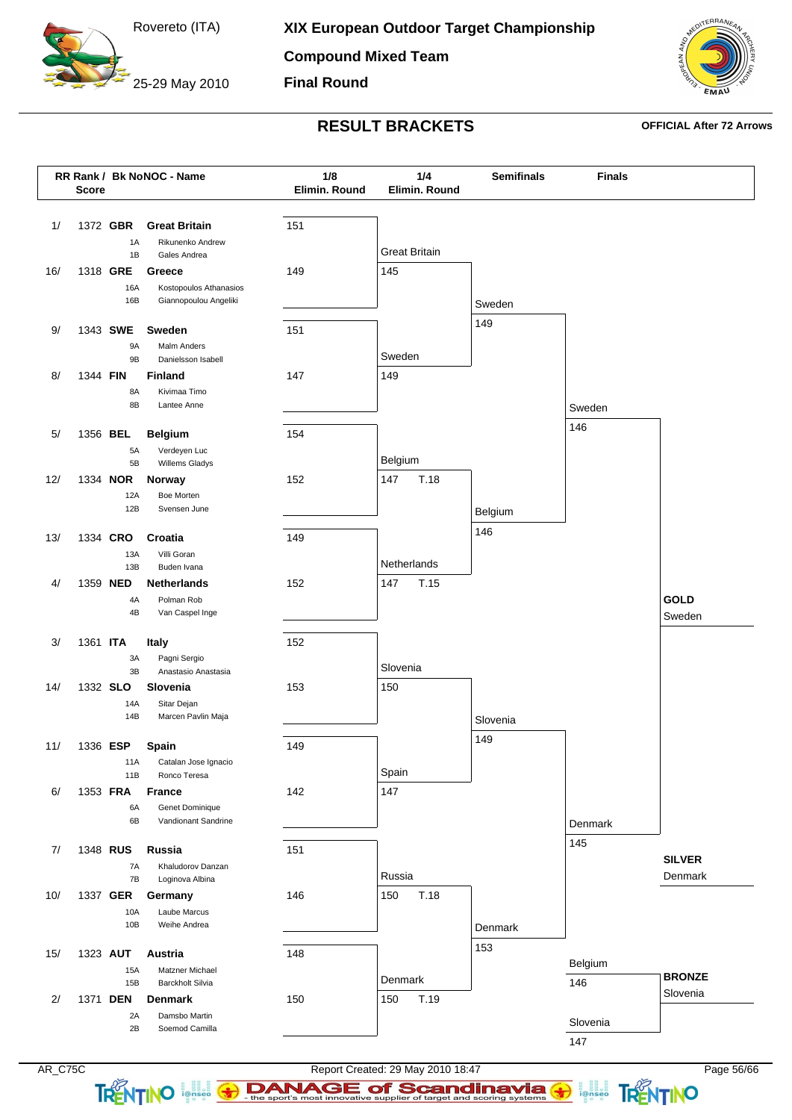25-29 May 2010

**Compound Mixed Team**

**Final Round**

![](_page_55_Picture_4.jpeg)

## **RESULT BRACKETS OFFICIAL After 72 Arrows**

![](_page_55_Figure_7.jpeg)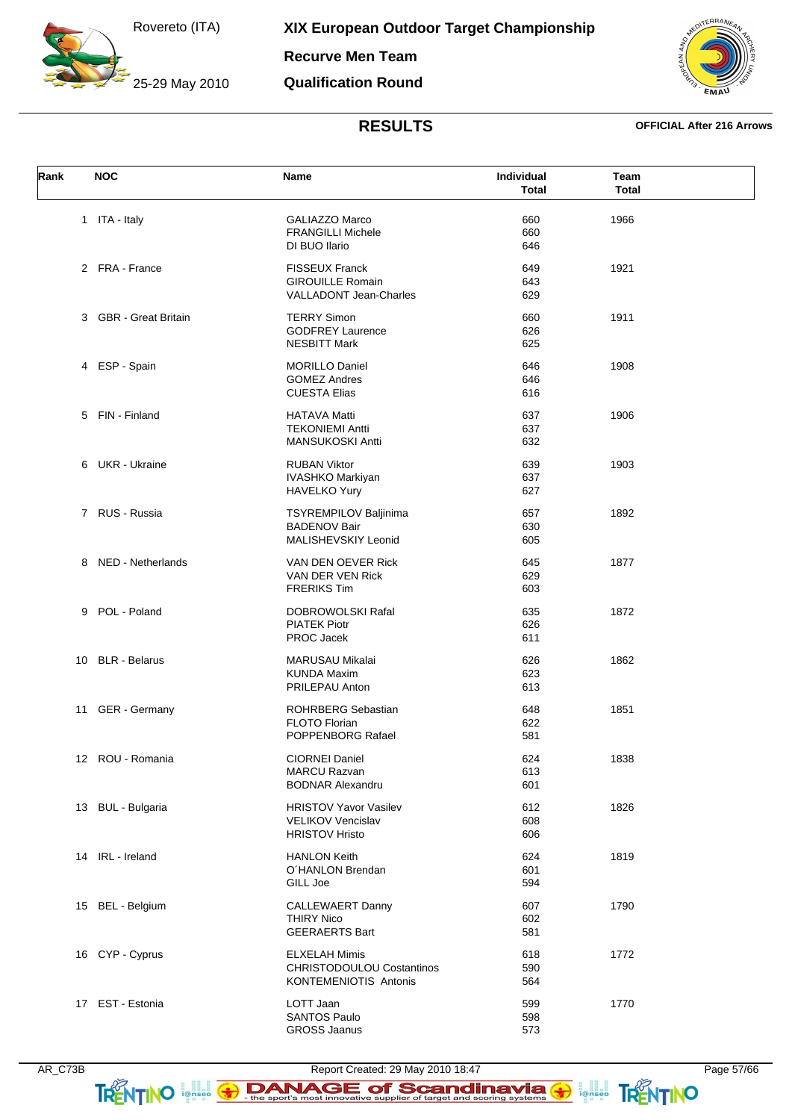25-29 May 2010

**Recurve Men Team**

### **Qualification Round**

![](_page_56_Picture_4.jpeg)

### **RESULTS OFFICIAL After 216 Arrows**

| Rank | <b>NOC</b>            | Name                             | Individual   | Team         |  |
|------|-----------------------|----------------------------------|--------------|--------------|--|
|      |                       |                                  | <b>Total</b> | <b>Total</b> |  |
|      | 1 ITA - Italy         | GALIAZZO Marco                   | 660          | 1966         |  |
|      |                       | <b>FRANGILLI Michele</b>         | 660          |              |  |
|      |                       | DI BUO Ilario                    | 646          |              |  |
|      | 2 FRA - France        |                                  |              |              |  |
|      |                       | <b>FISSEUX Franck</b>            | 649          | 1921         |  |
|      |                       | <b>GIROUILLE Romain</b>          | 643          |              |  |
|      |                       | VALLADONT Jean-Charles           | 629          |              |  |
|      | 3 GBR - Great Britain | <b>TERRY Simon</b>               | 660          | 1911         |  |
|      |                       | <b>GODFREY Laurence</b>          | 626          |              |  |
|      |                       | <b>NESBITT Mark</b>              | 625          |              |  |
|      | 4 ESP - Spain         | <b>MORILLO Daniel</b>            | 646          | 1908         |  |
|      |                       | <b>GOMEZ Andres</b>              | 646          |              |  |
|      |                       | <b>CUESTA Elias</b>              | 616          |              |  |
|      | 5 FIN - Finland       | <b>HATAVA Matti</b>              | 637          | 1906         |  |
|      |                       | <b>TEKONIEMI Antti</b>           | 637          |              |  |
|      |                       | <b>MANSUKOSKI Antti</b>          | 632          |              |  |
|      |                       |                                  |              |              |  |
|      | 6 UKR - Ukraine       | <b>RUBAN Viktor</b>              | 639          | 1903         |  |
|      |                       | <b>IVASHKO Markiyan</b>          | 637          |              |  |
|      |                       | <b>HAVELKO Yury</b>              | 627          |              |  |
|      | 7 RUS - Russia        | <b>TSYREMPILOV Baljinima</b>     | 657          | 1892         |  |
|      |                       | <b>BADENOV Bair</b>              | 630          |              |  |
|      |                       | MALISHEVSKIY Leonid              | 605          |              |  |
|      | 8 NED - Netherlands   | VAN DEN OEVER Rick               | 645          | 1877         |  |
|      |                       | VAN DER VEN Rick                 | 629          |              |  |
|      |                       | <b>FRERIKS Tim</b>               | 603          |              |  |
|      |                       |                                  |              |              |  |
|      | 9 POL - Poland        | DOBROWOLSKI Rafal                | 635          | 1872         |  |
|      |                       | <b>PIATEK Piotr</b>              | 626          |              |  |
|      |                       | PROC Jacek                       | 611          |              |  |
|      | 10 BLR - Belarus      | <b>MARUSAU Mikalai</b>           | 626          | 1862         |  |
|      |                       | <b>KUNDA Maxim</b>               | 623          |              |  |
|      |                       | PRILEPAU Anton                   | 613          |              |  |
|      | 11 GER - Germany      | <b>ROHRBERG Sebastian</b>        | 648          | 1851         |  |
|      |                       | FLOTO Florian                    | 622          |              |  |
|      |                       | POPPENBORG Rafael                | 581          |              |  |
|      |                       |                                  |              |              |  |
|      | 12 ROU - Romania      | <b>CIORNEI Daniel</b>            | 624          | 1838         |  |
|      |                       | <b>MARCU Razvan</b>              | 613          |              |  |
|      |                       | <b>BODNAR Alexandru</b>          | 601          |              |  |
|      | 13 BUL - Bulgaria     | <b>HRISTOV Yavor Vasilev</b>     | 612          | 1826         |  |
|      |                       | <b>VELIKOV Vencislav</b>         | 608          |              |  |
|      |                       | <b>HRISTOV Hristo</b>            | 606          |              |  |
|      | 14 IRL - Ireland      | <b>HANLON Keith</b>              | 624          | 1819         |  |
|      |                       | O'HANLON Brendan                 | 601          |              |  |
|      |                       | GILL Joe                         | 594          |              |  |
|      |                       |                                  |              |              |  |
|      | 15 BEL - Belgium      | CALLEWAERT Danny                 | 607          | 1790         |  |
|      |                       | <b>THIRY Nico</b>                | 602          |              |  |
|      |                       | <b>GEERAERTS Bart</b>            | 581          |              |  |
|      | 16 CYP - Cyprus       | <b>ELXELAH Mimis</b>             | 618          | 1772         |  |
|      |                       | <b>CHRISTODOULOU Costantinos</b> | 590          |              |  |
|      |                       | <b>KONTEMENIOTIS Antonis</b>     | 564          |              |  |
|      | 17 EST - Estonia      | LOTT Jaan                        | 599          | 1770         |  |
|      |                       | <b>SANTOS Paulo</b>              | 598          |              |  |
|      |                       | <b>GROSS Jaanus</b>              | 573          |              |  |

TRENTINO Initial 3

DANAGE of Scandinavia

**FRENTINO**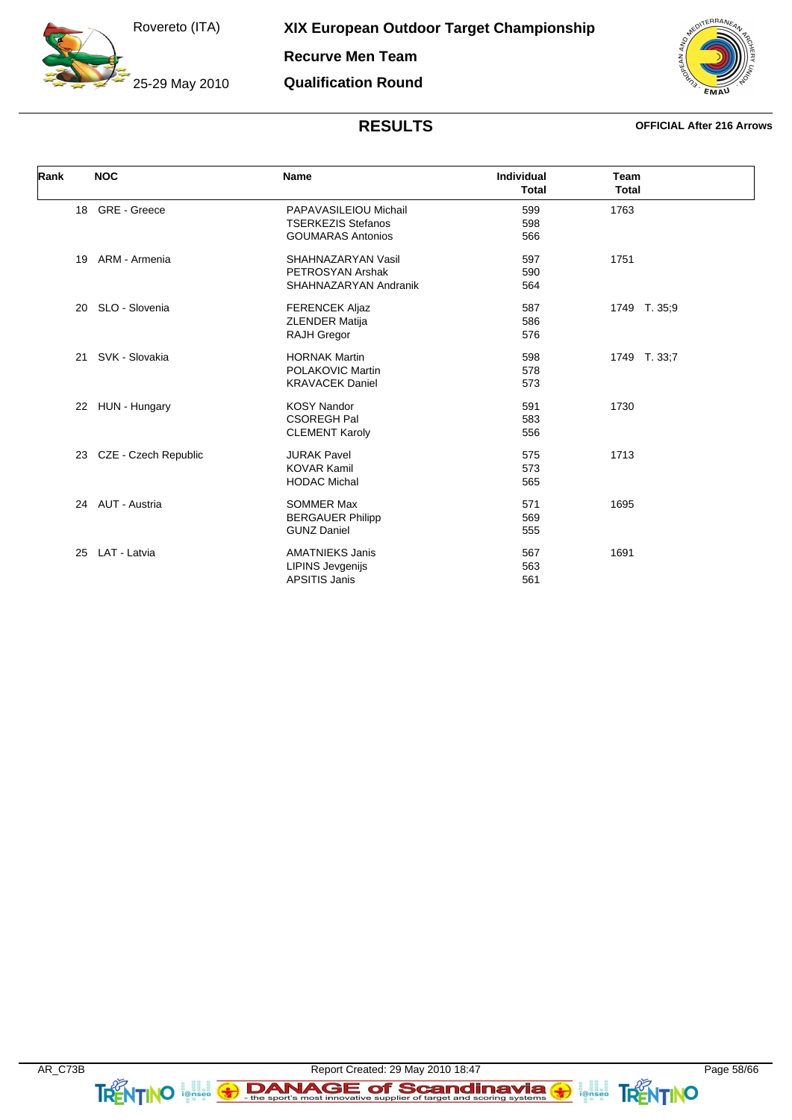25-29 May 2010

**XIX European Outdoor Target Championship**

**Recurve Men Team**

**Qualification Round**

![](_page_57_Picture_4.jpeg)

| Rank | <b>NOC</b>           | <b>Name</b>               | <b>Individual</b><br><b>Total</b> | Team<br><b>Total</b> |
|------|----------------------|---------------------------|-----------------------------------|----------------------|
| 18   | <b>GRE</b> - Greece  | PAPAVASILEIOU Michail     | 599                               | 1763                 |
|      |                      | <b>TSERKEZIS Stefanos</b> | 598                               |                      |
|      |                      | <b>GOUMARAS Antonios</b>  | 566                               |                      |
| 19   | ARM - Armenia        | SHAHNAZARYAN Vasil        | 597                               | 1751                 |
|      |                      | PETROSYAN Arshak          | 590                               |                      |
|      |                      | SHAHNAZARYAN Andranik     | 564                               |                      |
| 20   | SLO - Slovenia       | <b>FERENCEK Aljaz</b>     | 587                               | 1749 T. 35,9         |
|      |                      | <b>ZLENDER Matija</b>     | 586                               |                      |
|      |                      | <b>RAJH Gregor</b>        | 576                               |                      |
| 21   | SVK - Slovakia       | <b>HORNAK Martin</b>      | 598                               | 1749 T. 33;7         |
|      |                      | POLAKOVIC Martin          | 578                               |                      |
|      |                      | <b>KRAVACEK Daniel</b>    | 573                               |                      |
| 22   | HUN - Hungary        | <b>KOSY Nandor</b>        | 591                               | 1730                 |
|      |                      | <b>CSOREGH Pal</b>        | 583                               |                      |
|      |                      | <b>CLEMENT Karoly</b>     | 556                               |                      |
| 23   | CZE - Czech Republic | <b>JURAK Pavel</b>        | 575                               | 1713                 |
|      |                      | <b>KOVAR Kamil</b>        | 573                               |                      |
|      |                      | <b>HODAC Michal</b>       | 565                               |                      |
|      | 24 AUT - Austria     | <b>SOMMER Max</b>         | 571                               | 1695                 |
|      |                      | <b>BERGAUER Philipp</b>   | 569                               |                      |
|      |                      | <b>GUNZ Daniel</b>        | 555                               |                      |
| 25   | LAT - Latvia         | <b>AMATNIEKS Janis</b>    | 567                               | 1691                 |
|      |                      | <b>LIPINS Jevgenijs</b>   | 563                               |                      |
|      |                      | <b>APSITIS Janis</b>      | 561                               |                      |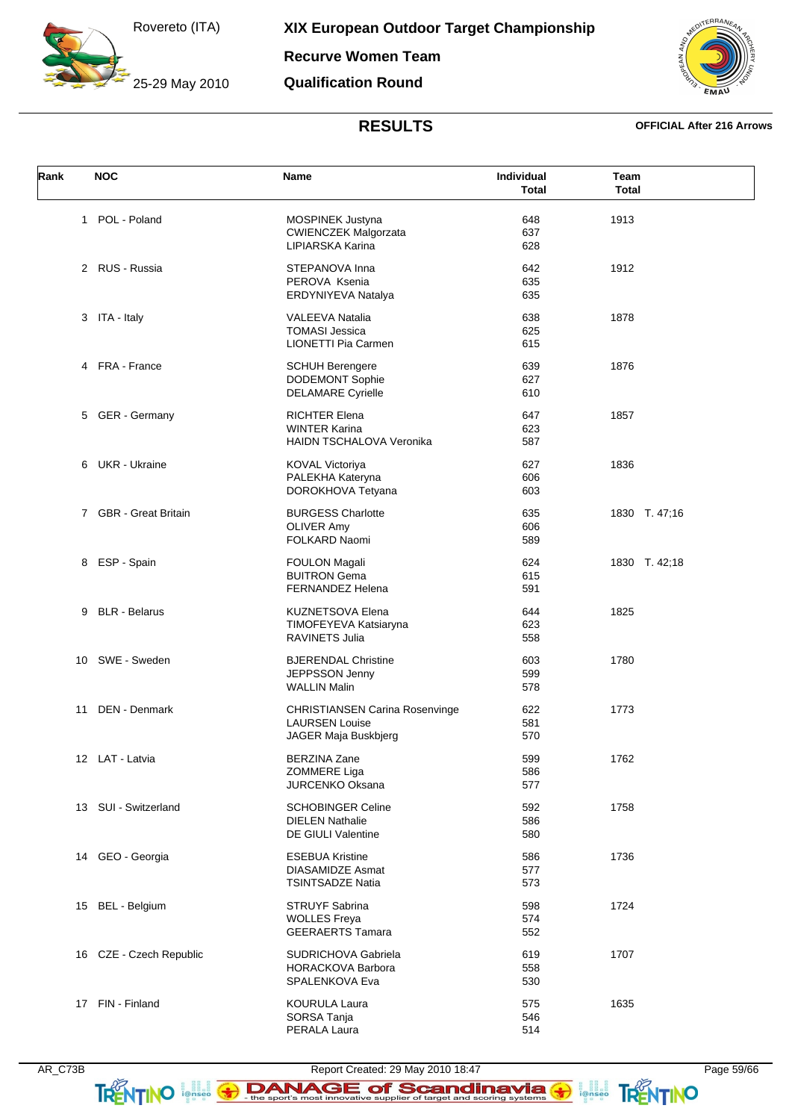25-29 May 2010

**Recurve Women Team**

**Qualification Round**

![](_page_58_Picture_4.jpeg)

### **RESULTS OFFICIAL After 216 Arrows**

| Rank         | <b>NOC</b>              | <b>Name</b>                     | <b>Individual</b> | Team          |
|--------------|-------------------------|---------------------------------|-------------------|---------------|
|              |                         |                                 | <b>Total</b>      | <b>Total</b>  |
| $\mathbf{1}$ | POL - Poland            | <b>MOSPINEK Justyna</b>         | 648               | 1913          |
|              |                         | <b>CWIENCZEK Malgorzata</b>     | 637               |               |
|              |                         |                                 |                   |               |
|              |                         | LIPIARSKA Karina                | 628               |               |
|              | 2 RUS - Russia          | STEPANOVA Inna                  | 642               | 1912          |
|              |                         | PEROVA Ksenia                   | 635               |               |
|              |                         | ERDYNIYEVA Natalya              | 635               |               |
|              | 3 ITA - Italy           | <b>VALEEVA Natalia</b>          | 638               | 1878          |
|              |                         | <b>TOMASI Jessica</b>           | 625               |               |
|              |                         | LIONETTI Pia Carmen             | 615               |               |
|              | 4 FRA - France          | <b>SCHUH Berengere</b>          | 639               | 1876          |
|              |                         | DODEMONT Sophie                 | 627               |               |
|              |                         | <b>DELAMARE Cyrielle</b>        | 610               |               |
|              | 5 GER - Germany         | <b>RICHTER Elena</b>            | 647               | 1857          |
|              |                         | <b>WINTER Karina</b>            | 623               |               |
|              |                         | <b>HAIDN TSCHALOVA Veronika</b> | 587               |               |
|              |                         |                                 |                   |               |
| 6            | <b>UKR</b> - Ukraine    | <b>KOVAL Victoriya</b>          | 627               | 1836          |
|              |                         | PALEKHA Kateryna                | 606               |               |
|              |                         | DOROKHOVA Tetyana               | 603               |               |
|              | 7 GBR - Great Britain   | <b>BURGESS Charlotte</b>        | 635               | 1830 T. 47;16 |
|              |                         | <b>OLIVER Amy</b>               | 606               |               |
|              |                         | FOLKARD Naomi                   | 589               |               |
|              | 8 ESP - Spain           | <b>FOULON Magali</b>            | 624               | 1830 T. 42;18 |
|              |                         | <b>BUITRON Gema</b>             | 615               |               |
|              |                         | <b>FERNANDEZ Helena</b>         | 591               |               |
| 9            | <b>BLR</b> - Belarus    | <b>KUZNETSOVA Elena</b>         | 644               | 1825          |
|              |                         | TIMOFEYEVA Katsiaryna           | 623               |               |
|              |                         | RAVINETS Julia                  | 558               |               |
|              | 10 SWE - Sweden         | <b>BJERENDAL Christine</b>      | 603               | 1780          |
|              |                         | JEPPSSON Jenny                  | 599               |               |
|              |                         | <b>WALLIN Malin</b>             | 578               |               |
| 11           | DEN - Denmark           | CHRISTIANSEN Carina Rosenvinge  | 622               | 1773          |
|              |                         | <b>LAURSEN Louise</b>           | 581               |               |
|              |                         |                                 |                   |               |
|              |                         | JAGER Maja Buskbjerg            | 570               |               |
|              | 12 LAT - Latvia         | <b>BERZINA Zane</b>             | 599               | 1762          |
|              |                         | ZOMMERE Liga                    | 586               |               |
|              |                         | JURCENKO Oksana                 | 577               |               |
|              | 13 SUI - Switzerland    | <b>SCHOBINGER Celine</b>        | 592               | 1758          |
|              |                         | <b>DIELEN Nathalie</b>          | 586               |               |
|              |                         | DE GIULI Valentine              | 580               |               |
|              | 14 GEO - Georgia        | <b>ESEBUA Kristine</b>          | 586               | 1736          |
|              |                         | <b>DIASAMIDZE Asmat</b>         | 577               |               |
|              |                         | <b>TSINTSADZE Natia</b>         | 573               |               |
|              |                         |                                 |                   |               |
|              | 15 BEL - Belgium        | <b>STRUYF Sabrina</b>           | 598               | 1724          |
|              |                         | <b>WOLLES Freya</b>             | 574               |               |
|              |                         | <b>GEERAERTS Tamara</b>         | 552               |               |
|              | 16 CZE - Czech Republic | <b>SUDRICHOVA Gabriela</b>      | 619               | 1707          |
|              |                         | <b>HORACKOVA Barbora</b>        | 558               |               |
|              |                         | SPALENKOVA Eva                  | 530               |               |
|              | 17 FIN - Finland        | <b>KOURULA Laura</b>            | 575               | 1635          |
|              |                         | SORSA Tanja                     | 546               |               |
|              |                         | PERALA Laura                    | 514               |               |

**FRENTINO**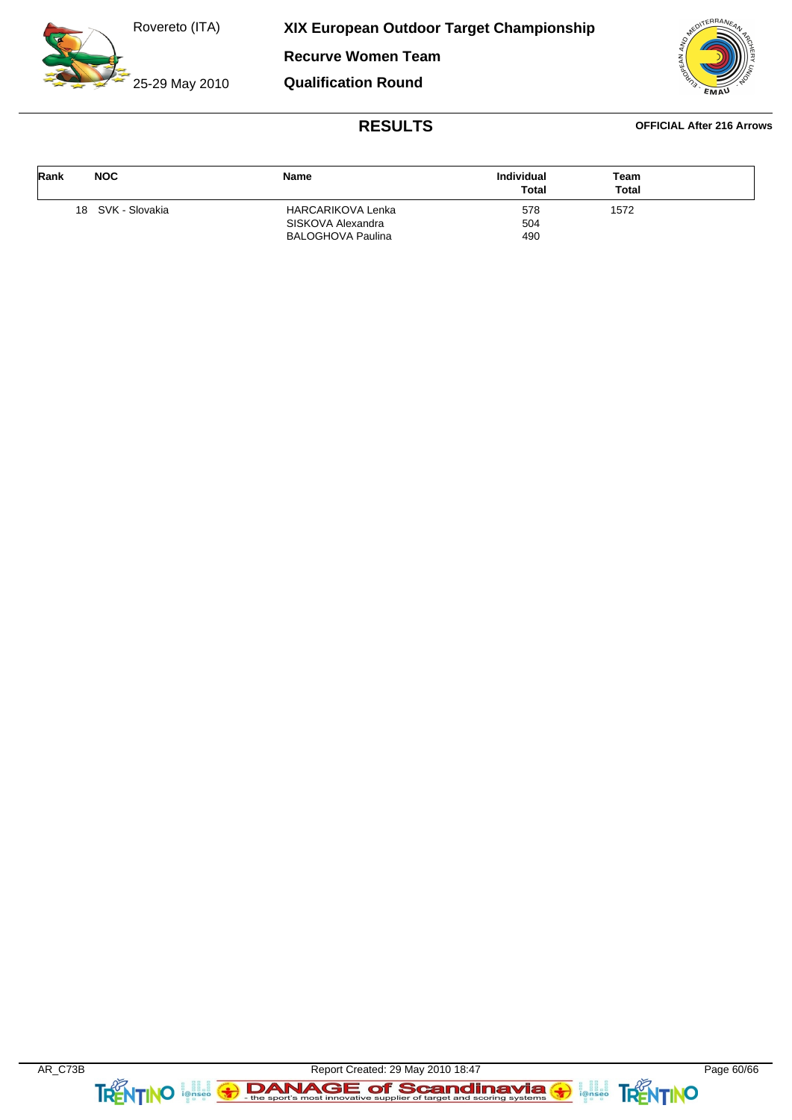25-29 May 2010

**XIX European Outdoor Target Championship**

**Recurve Women Team**

**Qualification Round**

![](_page_59_Picture_4.jpeg)

| Rank | <b>NOC</b>        | <b>Name</b>              | Individual<br><b>Total</b> | Team<br><b>Total</b> |  |
|------|-------------------|--------------------------|----------------------------|----------------------|--|
|      | 18 SVK - Slovakia | <b>HARCARIKOVA Lenka</b> | 578                        | 1572                 |  |
|      |                   | SISKOVA Alexandra        | 504                        |                      |  |
|      |                   | BALOGHOVA Paulina        | 490                        |                      |  |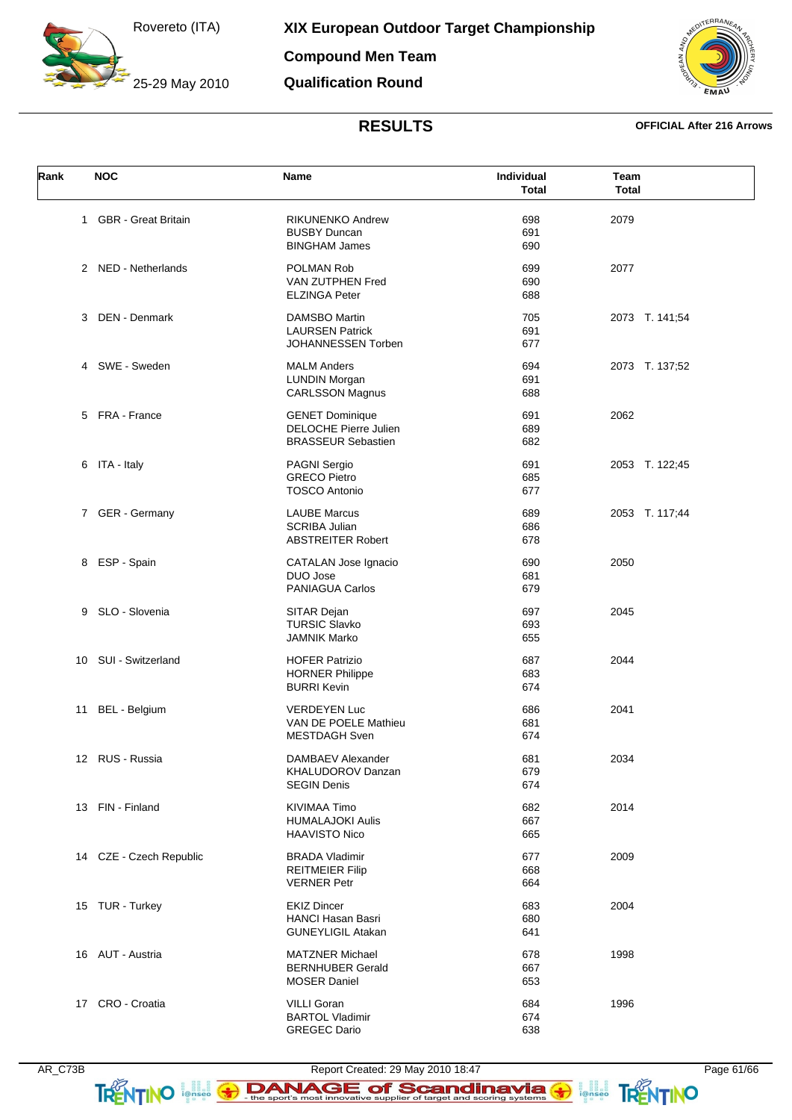25-29 May 2010

**Compound Men Team**

**Qualification Round**

![](_page_60_Picture_4.jpeg)

### **RESULTS OFFICIAL After 216 Arrows**

| Rank | <b>NOC</b>              | Name                                         | Individual<br><b>Total</b> | Team<br><b>Total</b> |
|------|-------------------------|----------------------------------------------|----------------------------|----------------------|
|      | 1 GBR - Great Britain   | <b>RIKUNENKO Andrew</b>                      | 698                        | 2079                 |
|      |                         | <b>BUSBY Duncan</b>                          | 691                        |                      |
|      |                         | <b>BINGHAM James</b>                         | 690                        |                      |
|      | 2 NED - Netherlands     | POLMAN Rob                                   | 699                        | 2077                 |
|      |                         | VAN ZUTPHEN Fred                             | 690                        |                      |
|      |                         | <b>ELZINGA Peter</b>                         | 688                        |                      |
|      |                         |                                              |                            |                      |
| 3    | <b>DEN - Denmark</b>    | <b>DAMSBO Martin</b>                         | 705                        | 2073 T. 141;54       |
|      |                         | <b>LAURSEN Patrick</b>                       | 691                        |                      |
|      |                         | JOHANNESSEN Torben                           | 677                        |                      |
|      | 4 SWE - Sweden          | <b>MALM Anders</b>                           | 694                        | 2073 T. 137;52       |
|      |                         | <b>LUNDIN Morgan</b>                         | 691                        |                      |
|      |                         | <b>CARLSSON Magnus</b>                       | 688                        |                      |
|      | 5 FRA - France          | <b>GENET Dominique</b>                       | 691                        | 2062                 |
|      |                         | <b>DELOCHE Pierre Julien</b>                 | 689                        |                      |
|      |                         | <b>BRASSEUR Sebastien</b>                    | 682                        |                      |
|      | 6 ITA - Italy           | PAGNI Sergio                                 | 691                        | 2053 T. 122;45       |
|      |                         | <b>GRECO Pietro</b>                          | 685                        |                      |
|      |                         | <b>TOSCO Antonio</b>                         | 677                        |                      |
|      |                         | <b>LAUBE Marcus</b>                          |                            |                      |
|      | 7 GER - Germany         |                                              | 689                        | 2053 T. 117;44       |
|      |                         | <b>SCRIBA Julian</b>                         | 686                        |                      |
|      |                         | <b>ABSTREITER Robert</b>                     | 678                        |                      |
|      | 8 ESP - Spain           | CATALAN Jose Ignacio                         | 690                        | 2050                 |
|      |                         | DUO Jose                                     | 681                        |                      |
|      |                         | <b>PANIAGUA Carlos</b>                       | 679                        |                      |
| 9    | SLO - Slovenia          | SITAR Dejan                                  | 697                        | 2045                 |
|      |                         | <b>TURSIC Slavko</b>                         | 693                        |                      |
|      |                         | JAMNIK Marko                                 | 655                        |                      |
| 10   | SUI - Switzerland       | <b>HOFER Patrizio</b>                        | 687                        | 2044                 |
|      |                         | <b>HORNER Philippe</b>                       | 683                        |                      |
|      |                         | <b>BURRI Kevin</b>                           | 674                        |                      |
| 11   | BEL - Belgium           | <b>VERDEYEN Luc</b>                          | 686                        | 2041                 |
|      |                         | VAN DE POELE Mathieu                         | 681                        |                      |
|      |                         | <b>MESTDAGH Sven</b>                         | 674                        |                      |
|      |                         |                                              |                            |                      |
|      | 12 RUS - Russia         | DAMBAEV Alexander                            | 681                        | 2034                 |
|      |                         | KHALUDOROV Danzan                            | 679                        |                      |
|      |                         | <b>SEGIN Denis</b>                           | 674                        |                      |
|      | 13 FIN - Finland        | KIVIMAA Timo                                 | 682                        | 2014                 |
|      |                         | <b>HUMALAJOKI Aulis</b>                      | 667                        |                      |
|      |                         | <b>HAAVISTO Nico</b>                         | 665                        |                      |
|      | 14 CZE - Czech Republic | <b>BRADA Vladimir</b>                        | 677                        | 2009                 |
|      |                         | <b>REITMEIER Filip</b>                       | 668                        |                      |
|      |                         | <b>VERNER Petr</b>                           | 664                        |                      |
|      | 15 TUR - Turkey         | <b>EKIZ Dincer</b>                           | 683                        | 2004                 |
|      |                         | <b>HANCI Hasan Basri</b>                     | 680                        |                      |
|      |                         | <b>GUNEYLIGIL Atakan</b>                     | 641                        |                      |
|      | 16 AUT - Austria        | <b>MATZNER Michael</b>                       | 678                        | 1998                 |
|      |                         | <b>BERNHUBER Gerald</b>                      | 667                        |                      |
|      |                         | <b>MOSER Daniel</b>                          | 653                        |                      |
|      |                         |                                              |                            |                      |
|      | 17 CRO - Croatia        | <b>VILLI Goran</b><br><b>BARTOL Vladimir</b> | 684<br>674                 | 1996                 |
|      |                         | <b>GREGEC Dario</b>                          | 638                        |                      |
|      |                         |                                              |                            |                      |

TRENTINO **FOR THE SPOT SCANDING SOF SCANDING SAFETY** 

**FRENTINO**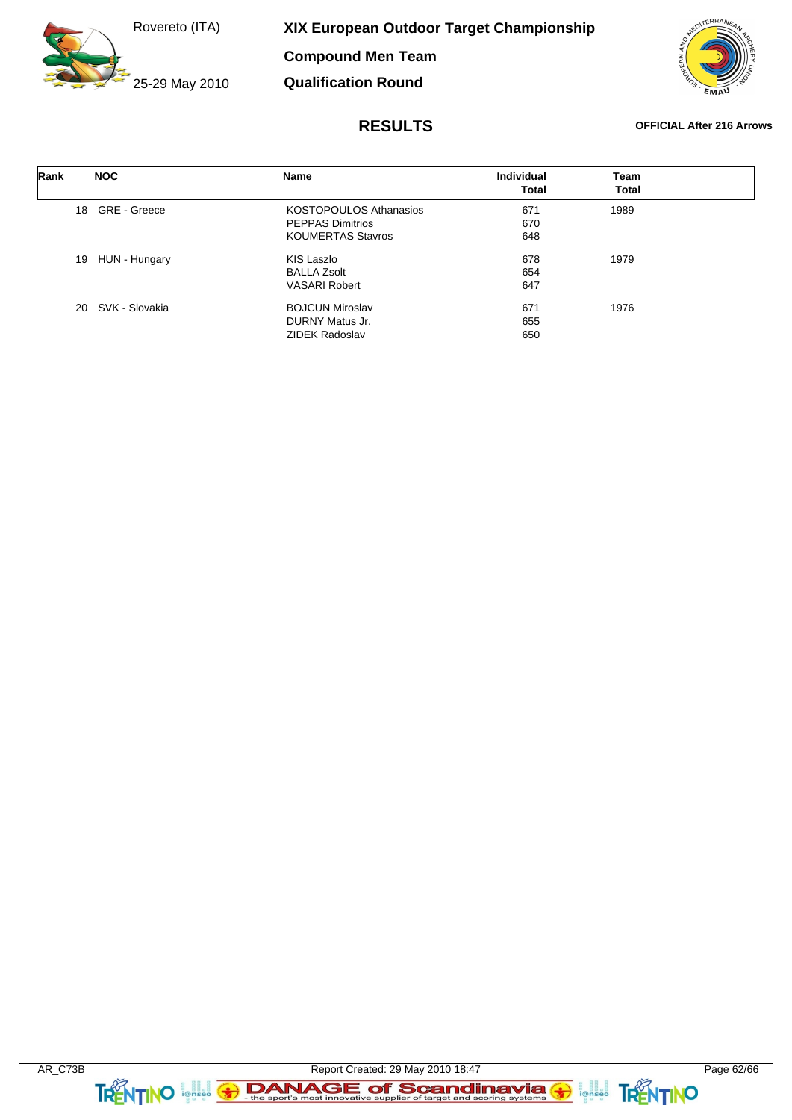**Compound Men Team**

**Qualification Round**

25-29 May 2010

FRRA

| Rank | <b>NOC</b>            | Name                          | <b>Individual</b><br><b>Total</b> | Team<br>Total |  |
|------|-----------------------|-------------------------------|-----------------------------------|---------------|--|
| 18   | GRE - Greece          | <b>KOSTOPOULOS Athanasios</b> | 671                               | 1989          |  |
|      |                       | <b>PEPPAS Dimitrios</b>       | 670                               |               |  |
|      |                       | <b>KOUMERTAS Stavros</b>      | 648                               |               |  |
| 19   | HUN - Hungary         | KIS Laszlo                    | 678                               | 1979          |  |
|      |                       | <b>BALLA Zsolt</b>            | 654                               |               |  |
|      |                       | <b>VASARI Robert</b>          | 647                               |               |  |
|      | SVK - Slovakia<br>20. | <b>BOJCUN Miroslav</b>        | 671                               | 1976          |  |
|      |                       | DURNY Matus Jr.               | 655                               |               |  |
|      |                       | <b>ZIDEK Radoslav</b>         | 650                               |               |  |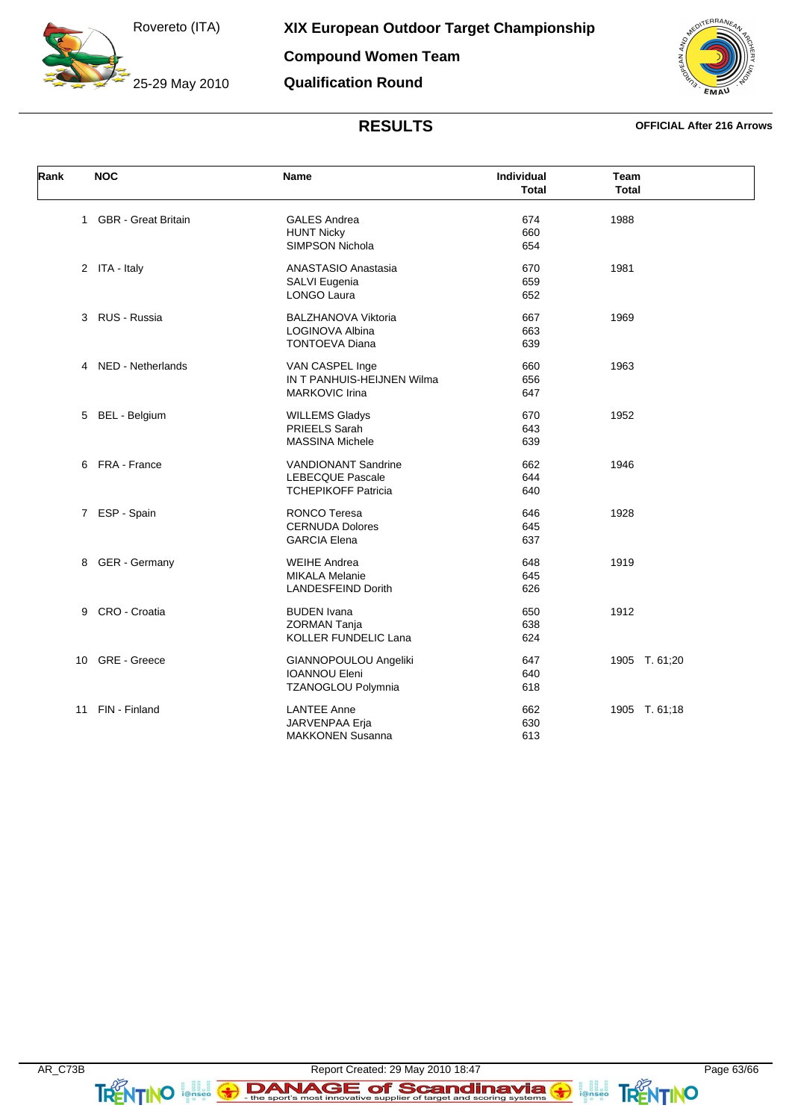25-29 May 2010

**Compound Women Team Qualification Round**

![](_page_62_Picture_3.jpeg)

| Rank | <b>NOC</b>                 | Name                                                                                               | Individual<br>Total      | Team<br><b>Total</b> |
|------|----------------------------|----------------------------------------------------------------------------------------------------|--------------------------|----------------------|
|      | 1 GBR - Great Britain      | <b>GALES Andrea</b><br><b>HUNT Nicky</b><br>SIMPSON Nichola                                        | 674<br>660<br>654        | 1988                 |
|      | 2 ITA - Italy              | <b>ANASTASIO Anastasia</b><br>SALVI Eugenia<br>LONGO Laura                                         | 670<br>659<br>652        | 1981                 |
|      | 3 RUS - Russia             | <b>BALZHANOVA Viktoria</b><br>LOGINOVA Albina<br><b>TONTOEVA Diana</b>                             | 667<br>663<br>639        | 1969                 |
|      | 4 NED - Netherlands        | VAN CASPEL Inge<br>IN T PANHUIS-HEIJNEN Wilma<br><b>MARKOVIC Irina</b>                             | 660<br>656<br>647        | 1963                 |
|      | 5 BEL - Belgium            | <b>WILLEMS Gladys</b><br>PRIEELS Sarah<br><b>MASSINA Michele</b>                                   | 670<br>643<br>639        | 1952                 |
|      | 6 FRA - France             | <b>VANDIONANT Sandrine</b><br><b>LEBECQUE Pascale</b>                                              | 662<br>644               | 1946                 |
|      | ESP - Spain<br>$7^{\circ}$ | <b>TCHEPIKOFF Patricia</b><br><b>RONCO Teresa</b><br><b>CERNUDA Dolores</b><br><b>GARCIA Elena</b> | 640<br>646<br>645<br>637 | 1928                 |
|      | 8 GER - Germany            | <b>WEIHE Andrea</b><br><b>MIKALA Melanie</b><br><b>LANDESFEIND Dorith</b>                          | 648<br>645<br>626        | 1919                 |
| 9    | CRO - Croatia              | <b>BUDEN Ivana</b><br>ZORMAN Tanja<br>KOLLER FUNDELIC Lana                                         | 650<br>638<br>624        | 1912                 |
| 10   | GRE - Greece               | GIANNOPOULOU Angeliki<br><b>IOANNOU Eleni</b>                                                      | 647<br>640               | 1905 T. 61;20        |
| 11   | FIN - Finland              | TZANOGLOU Polymnia<br><b>LANTEE Anne</b><br><b>JARVENPAA Erja</b><br><b>MAKKONEN Susanna</b>       | 618<br>662<br>630<br>613 | 1905 T. 61;18        |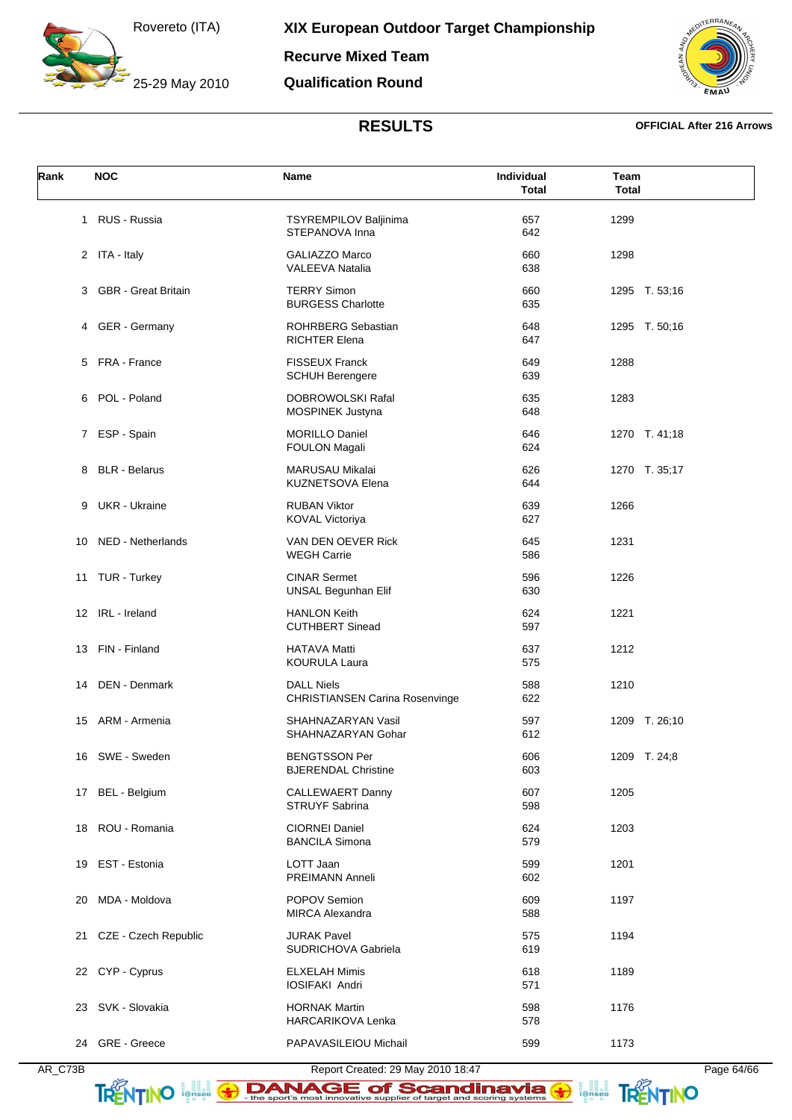25-29 May 2010

**Recurve Mixed Team**

**Qualification Round**

![](_page_63_Picture_4.jpeg)

| Rank | <b>NOC</b>              | Name                                                | Individual<br><b>Total</b> | Team<br><b>Total</b> |
|------|-------------------------|-----------------------------------------------------|----------------------------|----------------------|
|      | 1 RUS - Russia          | <b>TSYREMPILOV Baljinima</b><br>STEPANOVA Inna      | 657<br>642                 | 1299                 |
|      | 2 ITA - Italy           | <b>GALIAZZO Marco</b><br><b>VALEEVA Natalia</b>     | 660<br>638                 | 1298                 |
|      | 3 GBR - Great Britain   | <b>TERRY Simon</b><br><b>BURGESS Charlotte</b>      | 660<br>635                 | 1295 T. 53;16        |
| 4    | GER - Germany           | ROHRBERG Sebastian<br><b>RICHTER Elena</b>          | 648<br>647                 | 1295 T. 50;16        |
|      | 5 FRA - France          | <b>FISSEUX Franck</b><br><b>SCHUH Berengere</b>     | 649<br>639                 | 1288                 |
| 6    | POL - Poland            | DOBROWOLSKI Rafal<br>MOSPINEK Justyna               | 635<br>648                 | 1283                 |
|      | 7 ESP - Spain           | <b>MORILLO Daniel</b><br>FOULON Magali              | 646<br>624                 | 1270 T. 41;18        |
| 8    | <b>BLR</b> - Belarus    | MARUSAU Mikalai<br><b>KUZNETSOVA Elena</b>          | 626<br>644                 | 1270 T. 35;17        |
|      | 9 UKR - Ukraine         | <b>RUBAN Viktor</b><br><b>KOVAL Victoriya</b>       | 639<br>627                 | 1266                 |
| 10   | NED - Netherlands       | VAN DEN OEVER Rick<br><b>WEGH Carrie</b>            | 645<br>586                 | 1231                 |
|      | 11 TUR - Turkey         | <b>CINAR Sermet</b><br><b>UNSAL Begunhan Elif</b>   | 596<br>630                 | 1226                 |
|      | 12 IRL - Ireland        | <b>HANLON Keith</b><br><b>CUTHBERT Sinead</b>       | 624<br>597                 | 1221                 |
|      | 13 FIN - Finland        | <b>HATAVA Matti</b><br>KOURULA Laura                | 637<br>575                 | 1212                 |
| 14   | DEN - Denmark           | <b>DALL Niels</b><br>CHRISTIANSEN Carina Rosenvinge | 588<br>622                 | 1210                 |
|      | 15 ARM - Armenia        | SHAHNAZARYAN Vasil<br>SHAHNAZARYAN Gohar            | 597<br>612                 | 1209 T. 26;10        |
|      | 16 SWE - Sweden         | <b>BENGTSSON Per</b><br><b>BJERENDAL Christine</b>  | 606<br>603                 | 1209 T. 24;8         |
|      | 17 BEL - Belgium        | CALLEWAERT Danny<br>STRUYF Sabrina                  | 607<br>598                 | 1205                 |
|      | 18 ROU - Romania        | CIORNEI Daniel<br><b>BANCILA Simona</b>             | 624<br>579                 | 1203                 |
|      | 19 EST - Estonia        | LOTT Jaan<br>PREIMANN Anneli                        | 599<br>602                 | 1201                 |
| 20   | MDA - Moldova           | POPOV Semion<br><b>MIRCA Alexandra</b>              | 609<br>588                 | 1197                 |
|      | 21 CZE - Czech Republic | <b>JURAK Pavel</b><br>SUDRICHOVA Gabriela           | 575<br>619                 | 1194                 |
|      | 22 CYP - Cyprus         | <b>ELXELAH Mimis</b><br>IOSIFAKI Andri              | 618<br>571                 | 1189                 |
|      | 23 SVK - Slovakia       | <b>HORNAK Martin</b><br>HARCARIKOVA Lenka           | 598<br>578                 | 1176                 |
|      | 24 GRE - Greece         | PAPAVASILEIOU Michail                               | 599                        | 1173                 |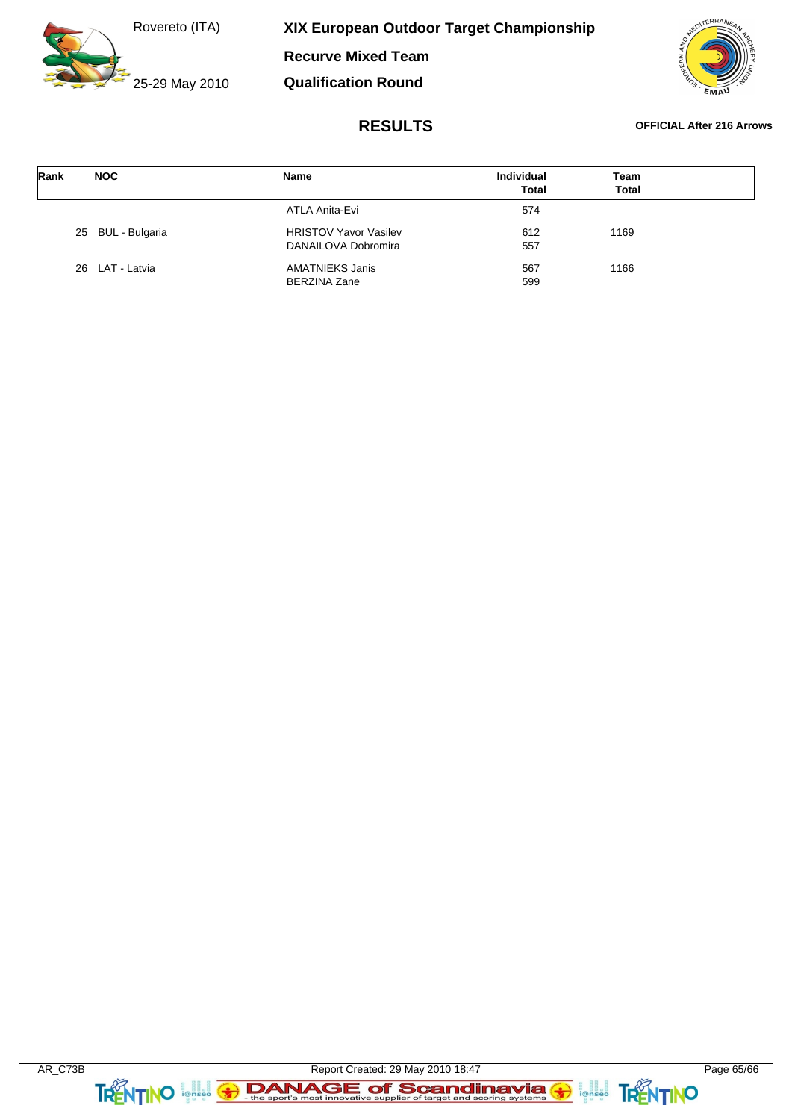25-29 May 2010

**XIX European Outdoor Target Championship**

**Recurve Mixed Team**

**Qualification Round**

![](_page_64_Picture_4.jpeg)

| Rank | <b>NOC</b>        | <b>Name</b>                            | <b>Individual</b><br><b>Total</b> | Team<br><b>Total</b> |  |
|------|-------------------|----------------------------------------|-----------------------------------|----------------------|--|
|      |                   | ATLA Anita-Evi                         | 574                               |                      |  |
|      | 25 BUL - Bulgaria | <b>HRISTOV Yavor Vasilev</b>           | 612                               | 1169                 |  |
|      |                   | DANAILOVA Dobromira                    | 557                               |                      |  |
|      | 26 LAT - Latvia   | AMATNIEKS Janis<br><b>BERZINA Zane</b> | 567<br>599                        | 1166                 |  |